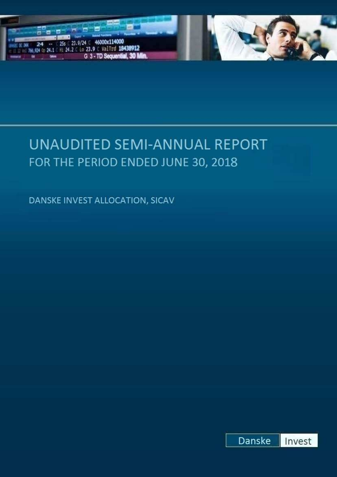



DANSKE INVEST ALLOCATION, SICAV

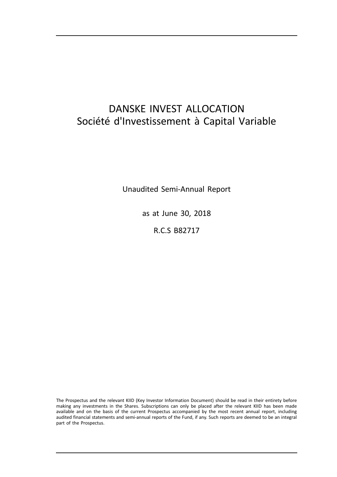# DANSKE INVEST ALLOCATION Société d'Investissement à Capital Variable

Unaudited Semi-Annual Report

as at June 30, 2018

R.C.S B82717

The Prospectus and the relevant KIID (Key Investor Information Document) should be read in their entirety before making any investments in the Shares. Subscriptions can only be placed after the relevant KIID has been made available and on the basis of the current Prospectus accompanied by the most recent annual report, including audited financial statements and semi-annual reports of the Fund, if any. Such reports are deemed to be an integral part of the Prospectus.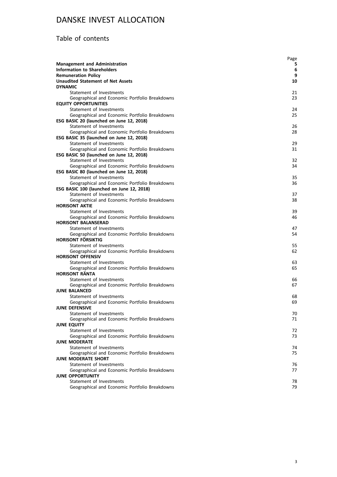## Table of contents

|                                                                            | Page     |
|----------------------------------------------------------------------------|----------|
| <b>Management and Administration</b>                                       | 5        |
| Information to Shareholders                                                | 6        |
| <b>Remuneration Policy</b>                                                 | 9        |
| <b>Unaudited Statement of Net Assets</b>                                   | 10       |
| <b>DYNAMIC</b>                                                             |          |
| Statement of Investments<br>Geographical and Economic Portfolio Breakdowns | 21<br>23 |
| <b>EQUITY OPPORTUNITIES</b>                                                |          |
| Statement of Investments                                                   | 24       |
| Geographical and Economic Portfolio Breakdowns                             | 25       |
| ESG BASIC 20 (launched on June 12, 2018)                                   |          |
| Statement of Investments                                                   | 26       |
| Geographical and Economic Portfolio Breakdowns                             | 28       |
| ESG BASIC 35 (launched on June 12, 2018)                                   |          |
| Statement of Investments                                                   | 29       |
| Geographical and Economic Portfolio Breakdowns                             | 31       |
| ESG BASIC 50 (launched on June 12, 2018)                                   |          |
| Statement of Investments                                                   | 32       |
| Geographical and Economic Portfolio Breakdowns                             | 34       |
| ESG BASIC 80 (launched on June 12, 2018)                                   |          |
| Statement of Investments                                                   | 35       |
| Geographical and Economic Portfolio Breakdowns                             | 36       |
| ESG BASIC 100 (launched on June 12, 2018)                                  |          |
| Statement of Investments                                                   | 37       |
| Geographical and Economic Portfolio Breakdowns                             | 38       |
| <b>HORISONT AKTIE</b>                                                      |          |
| Statement of Investments                                                   | 39       |
| Geographical and Economic Portfolio Breakdowns                             | 46       |
| <b>HORISONT BALANSERAD</b>                                                 |          |
| Statement of Investments<br>Geographical and Economic Portfolio Breakdowns | 47<br>54 |
| <b>HORISONT FÖRSIKTIG</b>                                                  |          |
| Statement of Investments                                                   | 55       |
| Geographical and Economic Portfolio Breakdowns                             | 62       |
| <b>HORISONT OFFENSIV</b>                                                   |          |
| Statement of Investments                                                   | 63       |
| Geographical and Economic Portfolio Breakdowns                             | 65       |
| <b>HORISONT RÄNTA</b>                                                      |          |
| Statement of Investments                                                   | 66       |
| Geographical and Economic Portfolio Breakdowns                             | 67       |
| <b>JUNE BALANCED</b>                                                       |          |
| Statement of Investments                                                   | 68       |
| Geographical and Economic Portfolio Breakdowns                             | 69       |
| <b>JUNE DEFENSIVE</b>                                                      |          |
| Statement of Investments                                                   | 70       |
| Geographical and Economic Portfolio Breakdowns                             | 71       |
| <b>JUNE EQUITY</b>                                                         |          |
| Statement of Investments                                                   | 72       |
| Geographical and Economic Portfolio Breakdowns                             | 73       |
| <b>JUNE MODERATE</b>                                                       |          |
| Statement of Investments                                                   | 74       |
| Geographical and Economic Portfolio Breakdowns                             | 75       |
| <b>JUNE MODERATE SHORT</b>                                                 |          |
| Statement of Investments                                                   | 76       |
| Geographical and Economic Portfolio Breakdowns                             | 77       |
| <b>JUNE OPPORTUNITY</b><br>Statement of Investments                        |          |
| Geographical and Economic Portfolio Breakdowns                             | 78<br>79 |
|                                                                            |          |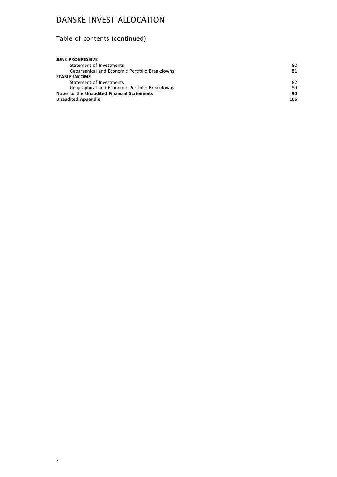# Table of contents (continued)

| <b>JUNE PROGRESSIVE</b>                        |     |
|------------------------------------------------|-----|
| Statement of Investments                       | 80  |
| Geographical and Economic Portfolio Breakdowns | 81  |
| <b>STABLE INCOME</b>                           |     |
| Statement of Investments                       | 82  |
| Geographical and Economic Portfolio Breakdowns | 89  |
| Notes to the Unaudited Financial Statements    | 90  |
| <b>Unaudited Appendix</b>                      | 105 |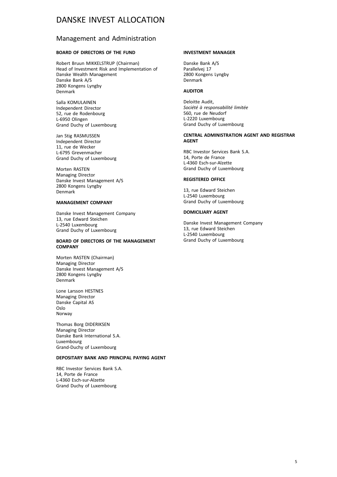### Management and Administration

### **BOARD OF DIRECTORS OF THE FUND**

Robert Bruun MIKKELSTRUP (Chairman) Head of Investment Risk and Implementation of Danske Wealth Management Danske Bank A/S 2800 Kongens Lyngby Denmark

Salla KOMULAINEN Independent Director 52, rue de Rodenbourg L-6950 Olingen Grand Duchy of Luxembourg

Jan Stig RASMUSSEN Independent Director 11, rue de Wecker L-6795 Grevenmacher Grand Duchy of Luxembourg

Morten RASTEN Managing Director Danske Invest Management A/S 2800 Kongens Lyngby Denmark

### **MANAGEMENT COMPANY**

Danske Invest Management Company 13, rue Edward Steichen L-2540 Luxembourg Grand Duchy of Luxembourg

### **BOARD OF DIRECTORS OF THE MANAGEMENT COMPANY**

Morten RASTEN (Chairman) Managing Director Danske Invest Management A/S 2800 Kongens Lyngby Denmark

Lone Larsson HESTNES Managing Director Danske Capital AS Oslo Norway

Thomas Borg DIDERIKSEN Managing Director Danske Bank International S.A. Luxembourg Grand-Duchy of Luxembourg

### **DEPOSITARY BANK AND PRINCIPAL PAYING AGENT**

RBC Investor Services Bank S.A. 14, Porte de France L-4360 Esch-sur-Alzette Grand Duchy of Luxembourg

### **INVESTMENT MANAGER**

Danske Bank A/S Parallelvej 17 2800 Kongens Lyngby Denmark

### **AUDITOR**

Deloitte Audit, *Société à responsabilité limitée* 560, rue de Neudorf L-2220 Luxembourg Grand Duchy of Luxembourg

### **CENTRAL ADMINISTRATION AGENT AND REGISTRAR AGENT**

RBC Investor Services Bank S.A. 14, Porte de France L-4360 Esch-sur-Alzette Grand Duchy of Luxembourg

### **REGISTERED OFFICE**

13, rue Edward Steichen L-2540 Luxembourg Grand Duchy of Luxembourg

### **DOMICILIARY AGENT**

Danske Invest Management Company 13, rue Edward Steichen L-2540 Luxembourg Grand Duchy of Luxembourg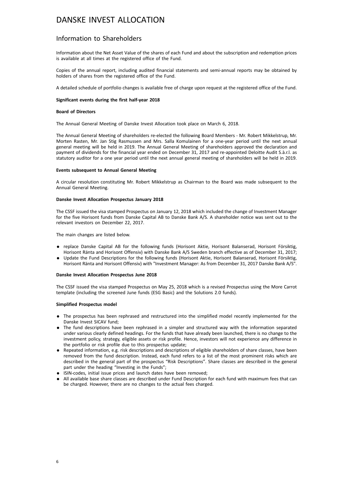### Information to Shareholders

Information about the Net Asset Value of the shares of each Fund and about the subscription and redemption prices is available at all times at the registered office of the Fund.

Copies of the annual report, including audited financial statements and semi-annual reports may be obtained by holders of shares from the registered office of the Fund.

A detailed schedule of portfolio changes is available free of charge upon request at the registered office of the Fund.

### **Significant events during the first half-year 2018**

### **Board of Directors**

The Annual General Meeting of Danske Invest Allocation took place on March 6, 2018.

The Annual General Meeting of shareholders re-elected the following Board Members - Mr. Robert Mikkelstrup, Mr. Morten Rasten, Mr. Jan Stig Rasmussen and Mrs. Salla Komulainen for a one-year period until the next annual general meeting will be held in 2019. The Annual General Meeting of shareholders approved the declaration and payment of dividends for the financial year ended on December 31, 2017 and re-appointed Deloitte Audit S.à.r.l. as statutory auditor for a one year period until the next annual general meeting of shareholders will be held in 2019.

### **Events subsequent to Annual General Meeting**

A circular resolution constituting Mr. Robert Mikkelstrup as Chairman to the Board was made subsequent to the Annual General Meeting.

### **Danske Invest Allocation Prospectus January 2018**

The CSSF issued the visa stamped Prospectus on January 12, 2018 which included the change of Investment Manager for the five Horisont funds from Danske Capital AB to Danske Bank A/S. A shareholder notice was sent out to the relevant investors on December 22, 2017.

The main changes are listed below.

- . replace Danske Capital AB for the following funds (Horisont Aktie, Horisont Balanserad, Horisont Försiktig, Horisont Ränta and Horisont Offensiv) with Danske Bank A/S Sweden branch effective as of December 31, 2017;
- . Update the Fund Descriptions for the following funds (Horisont Aktie, Horisont Balanserad, Horisont Försiktig, Horisont Ränta and Horisont Offensiv) with "Investment Manager: As from December 31, 2017 Danske Bank A/S".

### **Danske Invest Allocation Prospectus June 2018**

The CSSF issued the visa stamped Prospectus on May 25, 2018 which is a revised Prospectus using the More Carrot template (including the screened June funds (ESG Basic) and the Solutions 2.0 funds).

### **Simplified Prospectus model**

- . The prospectus has been rephrased and restructured into the simplified model recently implemented for the Danske Invest SICAV fund;
- . The fund descriptions have been rephrased in a simpler and structured way with the information separated under various clearly defined headings. For the funds that have already been launched, there is no change to the investment policy, strategy, eligible assets or risk profile. Hence, investors will not experience any difference in the portfolio or risk profile due to this prospectus update;
- . Repeated information, e.g. risk descriptions and descriptions of eligible shareholders of share classes, have been removed from the fund description. Instead, each fund refers to a list of the most prominent risks which are described in the general part of the prospectus "Risk Descriptions". Share classes are described in the general part under the heading "Investing in the Funds";
- . ISIN-codes, initial issue prices and launch dates have been removed;
- . All available base share classes are described under Fund Description for each fund with maximum fees that can be charged. However, there are no changes to the actual fees charged.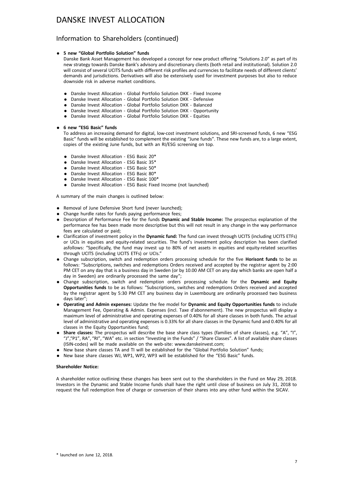### Information to Shareholders (continued)

### . **5 new "Global Portfolio Solution" funds**

Danske Bank Asset Management has developed a concept for new product offering "Solutions 2.0" as part of its new strategy towards Danske Bank's advisory and discretionary clients (both retail and institutional). Solution 2.0 will consist of several UCITS funds with different risk profiles and currencies to facilitate needs of different clients' demands and jurisdictions. Derivatives will also be extensively used for investment purposes but also to reduce downside risk in adverse market conditions.

- . Danske Invest Allocation Global Portfolio Solution DKK Fixed Income
- . Danske Invest Allocation Global Portfolio Solution DKK Defensive
- . Danske Invest Allocation Global Portfolio Solution DKK Balanced
- . Danske Invest Allocation Global Portfolio Solution DKK Opportunity
- . Danske Invest Allocation Global Portfolio Solution DKK Equities

### . **6 new "ESG Basic" funds**

To address an increasing demand for digital, low-cost investment solutions, and SRI-screened funds, 6 new "ESG Basic" funds will be established to complement the existing "June funds". These new funds are, to a large extent, copies of the existing June funds, but with an RI/ESG screening on top.

- . Danske Invest Allocation ESG Basic 20\*
- . Danske Invest Allocation ESG Basic 35\*
- . Danske Invest Allocation ESG Basic 50\*
- . Danske Invest Allocation ESG Basic 80\*
- . Danske Invest Allocation ESG Basic 100\*
- . Danske Invest Allocation ESG Basic Fixed Income (not launched)

A summary of the main changes is outlined below:

- . Removal of June Defensive Short fund (never launched);
- . Change hurdle rates for funds paying performance fees;
- . Description of Performance Fee for the funds **Dynamic and Stable Income:** The prospectus explanation of the performance fee has been made more descriptive but this will not result in any change in the way performance fees are calculated or paid;
- . Clarification of investment policy in the **Dynamic fund:** The fund can invest through UCITS (including UCITS ETFs) or UCIs in equities and equity-related securities. The fund's investment policy description has been clarified asfollows: "Specifically, the fund may invest up to 80% of net assets in equities and equity-related securities through UCITS (including UCITS ETFs) or UCIs."
- . Change subscription, switch and redemption orders processing schedule for the five **Horisont funds** to be as follows: "Subscriptions, switches and redemptions Orders received and accepted by the registrar agent by 2:00 PM CET on any day that is a business day in Sweden (or by 10.00 AM CET on any day which banks are open half a day in Sweden) are ordinarily processed the same day";
- . Change subscription, switch and redemption orders processing schedule for the **Dynamic and Equity Opportunities funds** to be as follows: "Subscriptions, switches and redemptions Orders received and accepted by the registrar agent by 5:30 PM CET any business day in Luxembourg are ordinarily processed two business days later";
- . **Operating and Admin expenses:** Update the fee model for **Dynamic and Equity Opportunities funds** to include Management Fee, Operating & Admin. Expenses (incl. Taxe d'abonnement). The new prospectus will display a maximum level of administrative and operating expenses of 0.40% for all share classes in both funds. The actual level of administrative and operating expenses is 0.33% for all share classes in the Dynamic fund and 0.40% for all classes in the Equity Opportunities fund;
- . **Share classes:** The prospectus will describe the base share class types (families of share classes), e.g. "A", "I", "J","P1", RA", "RI", "WA" etc. in section "Investing in the Funds" / "Share Classes". A list of available share classes (ISIN-codes) will be made available on the web-site: www.danskeinvest.com;
- . New base share classes TA and TI will be established for the "Global Portfolio Solution" funds;
- . New base share classes WJ, WP1, WP2, WP3 will be established for the "ESG Basic" funds.

### **Shareholder Notice:**

A shareholder notice outlining these changes has been sent out to the shareholders in the Fund on May 29, 2018. Investors in the Dynamic and Stable Income funds shall have the right until close of business on July 31, 2018 to request the full redemption free of charge or conversion of their shares into any other fund within the SICAV.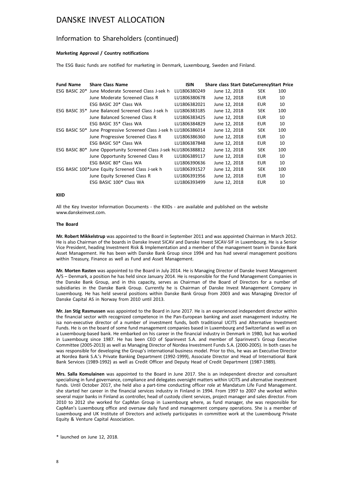### Information to Shareholders (continued)

### **Marketing Approval / Country notifications**

The ESG Basic funds are notified for marketing in Denmark, Luxembourg, Sweden and Finland.

| <b>Fund Name</b> | <b>Share Class Name</b>                                            | <b>ISIN</b>  | <b>Share class Start DateCurrencyStart Price</b> |            |     |
|------------------|--------------------------------------------------------------------|--------------|--------------------------------------------------|------------|-----|
|                  | ESG BASIC 20* June Moderate Screened Class J-sek h                 | LU1806380249 | June 12, 2018                                    | <b>SEK</b> | 100 |
|                  | June Moderate Screened Class R                                     | LU1806380678 | June 12, 2018                                    | <b>EUR</b> | 10  |
|                  | ESG BASIC 20* Class WA                                             | LU1806382021 | June 12, 2018                                    | EUR        | 10  |
|                  | ESG BASIC 35* June Balanced Screened Class J-sek h                 | LU1806383185 | June 12, 2018                                    | <b>SEK</b> | 100 |
|                  | June Balanced Screened Class R                                     | LU1806383425 | June 12, 2018                                    | <b>EUR</b> | 10  |
|                  | ESG BASIC 35* Class WA                                             | LU1806384829 | June 12, 2018                                    | <b>EUR</b> | 10  |
|                  | ESG BASIC 50* June Progressive Screened Class J-sek h LU1806386014 |              | June 12, 2018                                    | <b>SEK</b> | 100 |
|                  | June Progressive Screened Class R                                  | LU1806386360 | June 12, 2018                                    | <b>EUR</b> | 10  |
|                  | ESG BASIC 50* Class WA                                             | LU1806387848 | June 12, 2018                                    | EUR        | 10  |
|                  | ESG BASIC 80* June Opportunity Screened Class J-sek hLU1806388812  |              | June 12, 2018                                    | <b>SEK</b> | 100 |
|                  | June Opportunity Screened Class R                                  | LU1806389117 | June 12, 2018                                    | <b>EUR</b> | 10  |
|                  | ESG BASIC 80* Class WA                                             | LU1806390636 | June 12, 2018                                    | <b>EUR</b> | 10  |
|                  | ESG BASIC 100*June Equity Screened Class J-sek h                   | LU1806391527 | June 12, 2018                                    | <b>SEK</b> | 100 |
|                  | June Equity Screened Class R                                       | LU1806391956 | June 12, 2018                                    | <b>EUR</b> | 10  |
|                  | ESG BASIC 100* Class WA                                            | LU1806393499 | June 12, 2018                                    | EUR        | 10  |

### **KIID**

All the Key Investor Information Documents - the KIIDs - are available and published on the website www.danskeinvest.com

### **The Board**

**Mr. Robert Mikkelstrup** was appointed to the Board in September 2011 and was appointed Chairman in March 2012. He is also Chairman of the boards in Danske Invest SICAV and Danske Invest SICAV-SIF in Luxembourg. He is a Senior Vice President, heading Investment Risk & Implementation and a member of the management team in Danske Bank Asset Management. He has been with Danske Bank Group since 1994 and has had several management positions within Treasury, Finance as well as Fund and Asset Management.

**Mr. Morten Rasten** was appointed to the Board in July 2014. He is Managing Director of Danske Invest Management A/S – Denmark, a position he has held since January 2014. He is responsible for the Fund Management Companies in the Danske Bank Group, and in this capacity, serves as Chairman of the Board of Directors for a number of subsidiaries in the Danske Bank Group. Currently he is Chairman of Danske Invest Management Company in Luxembourg. He has held several positions within Danske Bank Group from 2003 and was Managing Director of Danske Capital AS in Norway from 2010 until 2013.

**Mr. Jan Stig Rasmussen** was appointed to the Board in June 2017. He is an experienced independent director within the financial sector with recognized competence in the Pan-European banking and asset management industry. He isa non-executive director of a number of investment funds, both traditional UCITS and Alternative Investment Funds. He is on the board of some fund management companies based in Luxembourg and Switzerland as well as on a Luxembourg-based bank. He embarked on his career in the financial industry in Denmark in 1980, but has worked in Luxembourg since 1987. He has been CEO of Sparinvest S.A. and member of Sparinvest's Group Executive Committee (2005-2013) as well as Managing Director of Nordea Investment Funds S.A. (2000-2005). In both cases he was responsible for developing the Group's international business model. Prior to this, he was an Executive Director at Nordea Bank S.A.'s Private Banking Department (1992-1999), Associate Director and Head of International Bank Bank Services (1989-1992) as well as Credit Officer and Deputy Head of Credit Department (1987-1989).

**Mrs. Salla Komulainen** was appointed to the Board in June 2017. She is an independent director and consultant specialising in fund governance, compliance and delegates oversight matters within UCITS and alternative investment funds. Until October 2017, she held also a part-time conducting officer role at Mandatum Life Fund Management. she started her career in the financial services industry in Finland in 1994. From 1997 to 2007 she worked within several major banks in Finland as controller, head of custody client services, project manager and sales director. From 2010 to 2012 she worked for CapMan Group in Luxembourg where, as fund manager, she was responsible for CapMan's Luxembourg office and oversaw daily fund and management company operations. She is a member of Luxembourg and UK Institute of Directors and actively participates in committee work at the Luxembourg Private Equity & Venture Capital Association.

\* launched on June 12, 2018.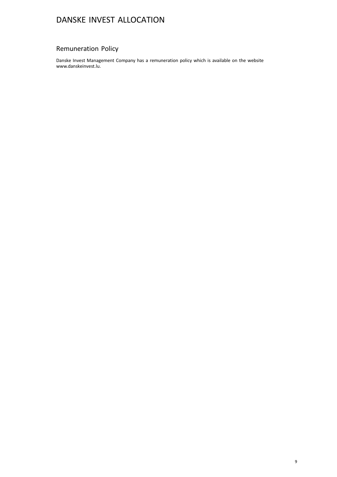## Remuneration Policy

Danske Invest Management Company has a remuneration policy which is available on the website www.danskeinvest.lu.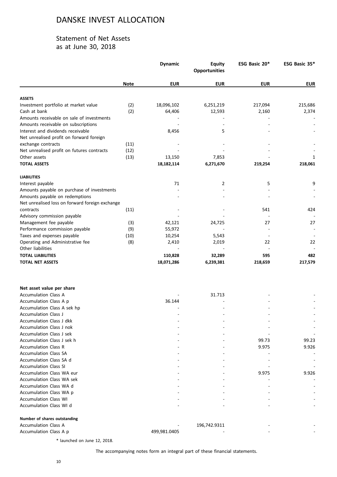### Statement of Net Assets as at June 30, 2018

|                                                       |             | <b>Dynamic</b> | <b>Equity</b><br><b>Opportunities</b> | ESG Basic 20* | ESG Basic 35* |
|-------------------------------------------------------|-------------|----------------|---------------------------------------|---------------|---------------|
|                                                       | <b>Note</b> | <b>EUR</b>     | <b>EUR</b>                            | <b>EUR</b>    | <b>EUR</b>    |
| <b>ASSETS</b>                                         |             |                |                                       |               |               |
| Investment portfolio at market value                  | (2)         | 18,096,102     | 6,251,219                             | 217,094       | 215,686       |
| Cash at bank                                          | (2)         | 64,406         | 12,593                                | 2,160         | 2,374         |
| Amounts receivable on sale of investments             |             |                |                                       |               |               |
| Amounts receivable on subscriptions                   |             |                |                                       |               |               |
| Interest and dividends receivable                     |             | 8,456          | 5                                     |               |               |
| Net unrealised profit on forward foreign              |             |                |                                       |               |               |
| exchange contracts                                    | (11)        |                |                                       |               |               |
| Net unrealised profit on futures contracts            | (12)        |                |                                       |               |               |
| Other assets                                          | (13)        | 13,150         | 7,853                                 |               | 1             |
| <b>TOTAL ASSETS</b>                                   |             | 18, 182, 114   | 6,271,670                             | 219,254       | 218,061       |
| <b>LIABILITIES</b>                                    |             |                |                                       |               |               |
| Interest payable                                      |             | 71             | 2                                     | 5             | 9             |
| Amounts payable on purchase of investments            |             |                |                                       |               |               |
| Amounts payable on redemptions                        |             |                |                                       |               |               |
| Net unrealised loss on forward foreign exchange       |             |                |                                       |               |               |
| contracts                                             | (11)        |                |                                       | 541           | 424           |
| Advisory commission payable                           |             |                |                                       |               |               |
| Management fee payable                                | (3)         | 42,121         | 24,725                                | 27            | 27            |
| Performance commission payable                        | (9)         | 55,972         |                                       |               |               |
| Taxes and expenses payable                            | (10)        | 10,254         | 5,543                                 |               |               |
| Operating and Administrative fee<br>Other liabilities | (8)         | 2,410          | 2,019                                 | 22            | 22            |
| <b>TOTAL LIABILITIES</b>                              |             | 110,828        | 32,289                                | 595           | 482           |
| <b>TOTAL NET ASSETS</b>                               |             | 18,071,286     | 6,239,381                             | 218,659       | 217,579       |
|                                                       |             |                |                                       |               |               |
| Net asset value per share                             |             |                |                                       |               |               |
| <b>Accumulation Class A</b>                           |             |                | 31.713                                |               |               |
| Accumulation Class A p                                |             | 36.144         |                                       |               |               |
| Accumulation Class A sek hp                           |             |                |                                       |               |               |
| <b>Accumulation Class J</b>                           |             |                |                                       |               |               |
| Accumulation Class J dkk                              |             |                |                                       |               |               |
| Accumulation Class J nok                              |             |                |                                       |               |               |
| <b>Accumulation Class J sek</b>                       |             |                |                                       |               |               |
| Accumulation Class J sek h                            |             |                |                                       | 99.73         | 99.23         |
| <b>Accumulation Class R</b>                           |             |                |                                       | 9.975         | 9.926         |
| <b>Accumulation Class SA</b>                          |             |                |                                       |               |               |
| Accumulation Class SA d                               |             |                |                                       |               |               |
| <b>Accumulation Class SI</b>                          |             |                |                                       |               |               |
| <b>Accumulation Class WA eur</b>                      |             |                |                                       | 9.975         | 9.926         |
| Accumulation Class WA sek                             |             |                |                                       |               |               |
| Accumulation Class WA d                               |             |                |                                       |               |               |
| Accumulation Class WA p                               |             |                |                                       |               |               |
| <b>Accumulation Class WI</b>                          |             |                |                                       |               |               |
| Accumulation Class WI d                               |             |                |                                       |               |               |
| Number of shares outstanding                          |             |                |                                       |               |               |
| <b>Accumulation Class A</b><br>Accumulation Class A p |             | 499,981.0405   | 196,742.9311                          |               |               |
|                                                       |             |                |                                       |               |               |

\* launched on June 12, 2018.

The accompanying notes form an integral part of these financial statements.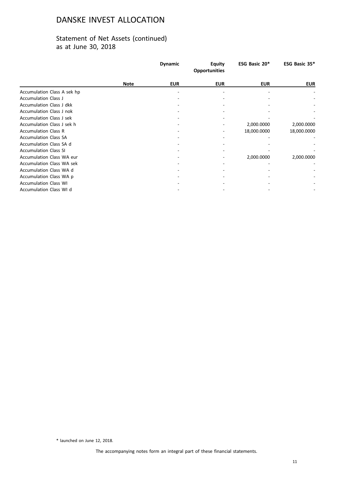## Statement of Net Assets (continued) as at June 30, 2018

|                                  |             | <b>Dynamic</b> | <b>Equity</b><br><b>Opportunities</b> | ESG Basic 20* | ESG Basic 35* |
|----------------------------------|-------------|----------------|---------------------------------------|---------------|---------------|
|                                  | <b>Note</b> | <b>EUR</b>     | <b>EUR</b>                            | <b>EUR</b>    | <b>EUR</b>    |
| Accumulation Class A sek hp      |             |                |                                       |               |               |
| <b>Accumulation Class J</b>      |             |                |                                       |               |               |
| Accumulation Class J dkk         |             |                |                                       |               |               |
| <b>Accumulation Class J nok</b>  |             |                |                                       |               |               |
| Accumulation Class J sek         |             |                |                                       |               |               |
| Accumulation Class J sek h       |             |                |                                       | 2,000.0000    | 2,000.0000    |
| <b>Accumulation Class R</b>      |             |                |                                       | 18,000.0000   | 18,000.0000   |
| <b>Accumulation Class SA</b>     |             |                |                                       |               |               |
| Accumulation Class SA d          |             |                |                                       |               |               |
| <b>Accumulation Class SI</b>     |             |                |                                       |               |               |
| Accumulation Class WA eur        |             |                |                                       | 2,000.0000    | 2,000.0000    |
| <b>Accumulation Class WA sek</b> |             |                |                                       |               |               |
| Accumulation Class WA d          |             |                |                                       |               |               |
| Accumulation Class WA p          |             |                |                                       |               |               |
| <b>Accumulation Class WI</b>     |             |                |                                       |               |               |
| Accumulation Class WI d          |             |                |                                       |               |               |

\* launched on June 12, 2018.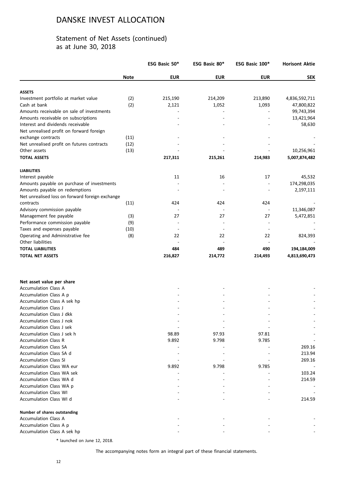## Statement of Net Assets (continued) as at June 30, 2018

|                                                         |             | ESG Basic 50*            | ESG Basic 80* | ESG Basic 100*           | <b>Horisont Aktie</b> |
|---------------------------------------------------------|-------------|--------------------------|---------------|--------------------------|-----------------------|
|                                                         | <b>Note</b> | <b>EUR</b>               | <b>EUR</b>    | <b>EUR</b>               | <b>SEK</b>            |
| <b>ASSETS</b>                                           |             |                          |               |                          |                       |
| Investment portfolio at market value                    | (2)         | 215,190                  | 214,209       | 213,890                  | 4,836,592,711         |
| Cash at bank                                            | (2)         | 2,121                    | 1,052         | 1,093                    | 47,800,822            |
| Amounts receivable on sale of investments               |             |                          |               |                          | 99,743,394            |
| Amounts receivable on subscriptions                     |             |                          |               |                          | 13,421,964            |
| Interest and dividends receivable                       |             |                          |               |                          | 58,630                |
| Net unrealised profit on forward foreign                |             |                          |               |                          |                       |
| exchange contracts                                      | (11)        |                          |               |                          |                       |
| Net unrealised profit on futures contracts              | (12)        |                          |               |                          |                       |
| Other assets                                            | (13)        |                          |               |                          | 10,256,961            |
| <b>TOTAL ASSETS</b>                                     |             | 217,311                  | 215,261       | 214,983                  | 5,007,874,482         |
| <b>LIABILITIES</b>                                      |             |                          |               |                          |                       |
| Interest payable                                        |             | 11                       | 16            | 17                       | 45,532                |
| Amounts payable on purchase of investments              |             |                          |               |                          | 174,298,035           |
| Amounts payable on redemptions                          |             |                          |               |                          | 2,197,111             |
| Net unrealised loss on forward foreign exchange         |             |                          |               |                          |                       |
| contracts                                               | (11)        | 424                      | 424           | 424                      |                       |
| Advisory commission payable                             |             |                          |               | $\overline{a}$           | 11,346,087            |
| Management fee payable                                  | (3)         | 27                       | 27            | 27                       | 5,472,851             |
| Performance commission payable                          | (9)         |                          |               | $\overline{a}$           |                       |
| Taxes and expenses payable                              | (10)        | $\overline{\phantom{a}}$ |               | $\overline{\phantom{a}}$ |                       |
| Operating and Administrative fee                        | (8)         | 22                       | 22            | 22                       | 824,393               |
| Other liabilities                                       |             |                          |               |                          |                       |
| <b>TOTAL LIABILITIES</b>                                |             | 484                      | 489           | 490                      | 194,184,009           |
| <b>TOTAL NET ASSETS</b>                                 |             | 216,827                  | 214,772       | 214,493                  | 4,813,690,473         |
|                                                         |             |                          |               |                          |                       |
| Net asset value per share                               |             |                          |               |                          |                       |
| <b>Accumulation Class A</b>                             |             |                          |               |                          |                       |
| Accumulation Class A p                                  |             |                          |               |                          |                       |
| Accumulation Class A sek hp                             |             |                          |               |                          |                       |
| Accumulation Class J                                    |             |                          |               |                          |                       |
| Accumulation Class J dkk                                |             |                          |               |                          |                       |
| Accumulation Class J nok                                |             |                          |               |                          |                       |
| Accumulation Class J sek                                |             |                          |               |                          |                       |
| Accumulation Class J sek h                              |             | 98.89                    | 97.93         | 97.81                    |                       |
| <b>Accumulation Class R</b>                             |             | 9.892                    | 9.798         | 9.785                    |                       |
| <b>Accumulation Class SA</b><br>Accumulation Class SA d |             |                          |               |                          | 269.16                |
| <b>Accumulation Class SI</b>                            |             |                          |               |                          | 213.94                |
| Accumulation Class WA eur                               |             |                          |               |                          | 269.16                |
|                                                         |             | 9.892                    | 9.798         | 9.785                    |                       |
| <b>Accumulation Class WA sek</b>                        |             |                          |               |                          | 103.24                |
| Accumulation Class WA d                                 |             |                          |               |                          | 214.59                |
| Accumulation Class WA p                                 |             |                          |               |                          |                       |
| <b>Accumulation Class WI</b>                            |             |                          |               |                          |                       |
| Accumulation Class WI d                                 |             |                          |               |                          | 214.59                |
| Number of shares outstanding                            |             |                          |               |                          |                       |
| <b>Accumulation Class A</b>                             |             |                          |               |                          |                       |
| Accumulation Class A p                                  |             |                          |               |                          |                       |
| Accumulation Class A sek hp                             |             |                          |               |                          |                       |

\* launched on June 12, 2018.

The accompanying notes form an integral part of these financial statements.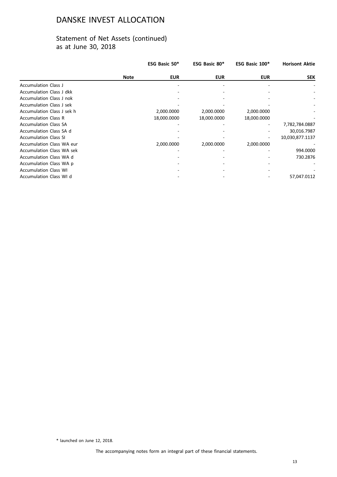## Statement of Net Assets (continued) as at June 30, 2018

|                                  |             | ESG Basic 50* | ESG Basic 80* | ESG Basic 100* | <b>Horisont Aktie</b> |
|----------------------------------|-------------|---------------|---------------|----------------|-----------------------|
|                                  | <b>Note</b> | <b>EUR</b>    | <b>EUR</b>    | <b>EUR</b>     | <b>SEK</b>            |
| <b>Accumulation Class J</b>      |             |               |               |                |                       |
| Accumulation Class J dkk         |             |               |               |                |                       |
| Accumulation Class J nok         |             |               |               |                |                       |
| <b>Accumulation Class J sek</b>  |             |               |               |                |                       |
| Accumulation Class J sek h       |             | 2,000.0000    | 2,000.0000    | 2,000.0000     |                       |
| <b>Accumulation Class R</b>      |             | 18,000.0000   | 18,000.0000   | 18,000.0000    |                       |
| <b>Accumulation Class SA</b>     |             |               |               |                | 7,782,784.0887        |
| Accumulation Class SA d          |             |               |               |                | 30,016.7987           |
| <b>Accumulation Class SI</b>     |             |               |               |                | 10,030,877.1137       |
| <b>Accumulation Class WA eur</b> |             | 2,000.0000    | 2,000.0000    | 2,000.0000     |                       |
| <b>Accumulation Class WA sek</b> |             |               |               |                | 994.0000              |
| Accumulation Class WA d          |             |               |               |                | 730.2876              |
| Accumulation Class WA p          |             |               |               |                |                       |
| <b>Accumulation Class WI</b>     |             |               |               |                |                       |
| Accumulation Class WI d          |             |               |               |                | 57,047.0112           |

\* launched on June 12, 2018.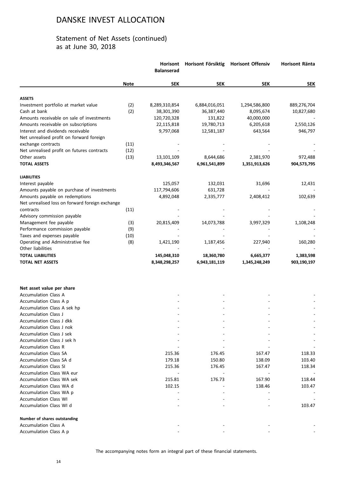|                                                 |             | Horisont<br><b>Balanserad</b> | Horisont Försiktig | <b>Horisont Offensiv</b> | <b>Horisont Ränta</b> |
|-------------------------------------------------|-------------|-------------------------------|--------------------|--------------------------|-----------------------|
|                                                 | <b>Note</b> | <b>SEK</b>                    | <b>SEK</b>         | <b>SEK</b>               | <b>SEK</b>            |
| <b>ASSETS</b>                                   |             |                               |                    |                          |                       |
| Investment portfolio at market value            | (2)         | 8,289,310,854                 | 6,884,016,051      | 1,294,586,800            | 889,276,704           |
| Cash at bank                                    | (2)         | 38,301,390                    | 36,387,440         | 8,095,674                | 10,827,680            |
| Amounts receivable on sale of investments       |             | 120,720,328                   | 131,822            | 40,000,000               |                       |
| Amounts receivable on subscriptions             |             | 22,115,818                    | 19,780,713         | 6,205,618                | 2,550,126             |
| Interest and dividends receivable               |             | 9,797,068                     | 12,581,187         | 643,564                  | 946,797               |
| Net unrealised profit on forward foreign        |             |                               |                    |                          |                       |
| exchange contracts                              | (11)        |                               |                    |                          |                       |
| Net unrealised profit on futures contracts      | (12)        |                               |                    |                          |                       |
| Other assets                                    | (13)        | 13,101,109                    | 8,644,686          | 2,381,970                | 972,488               |
| <b>TOTAL ASSETS</b>                             |             | 8,493,346,567                 | 6,961,541,899      | 1,351,913,626            | 904,573,795           |
| <b>LIABILITIES</b>                              |             |                               |                    |                          |                       |
| Interest payable                                |             | 125,057                       | 132,031            | 31,696                   | 12,431                |
| Amounts payable on purchase of investments      |             | 117,794,606                   | 631,728            |                          |                       |
| Amounts payable on redemptions                  |             | 4,892,048                     | 2,335,777          | 2,408,412                | 102,639               |
| Net unrealised loss on forward foreign exchange |             |                               |                    |                          |                       |
| contracts                                       | (11)        |                               |                    |                          |                       |
| Advisory commission payable                     |             |                               |                    |                          |                       |
| Management fee payable                          | (3)         | 20,815,409                    | 14,073,788         | 3,997,329                | 1,108,248             |
| Performance commission payable                  | (9)         |                               |                    |                          |                       |
| Taxes and expenses payable                      | (10)        |                               |                    |                          |                       |
| Operating and Administrative fee                | (8)         | 1,421,190                     | 1,187,456          | 227,940                  | 160,280               |
| Other liabilities                               |             |                               |                    |                          |                       |
| <b>TOTAL LIABILITIES</b>                        |             |                               |                    |                          |                       |
|                                                 |             | 145,048,310                   | 18,360,780         | 6,665,377                | 1,383,598             |
| <b>TOTAL NET ASSETS</b>                         |             | 8,348,298,257                 | 6,943,181,119      | 1,345,248,249            | 903,190,197           |
|                                                 |             |                               |                    |                          |                       |
| Net asset value per share                       |             |                               |                    |                          |                       |
| <b>Accumulation Class A</b>                     |             |                               |                    |                          |                       |
| Accumulation Class A p                          |             |                               |                    |                          |                       |
| Accumulation Class A sek hp                     |             |                               |                    |                          |                       |
| Accumulation Class J                            |             |                               |                    |                          |                       |
| Accumulation Class J dkk                        |             |                               |                    |                          |                       |
| Accumulation Class J nok                        |             |                               |                    |                          |                       |
| Accumulation Class J sek                        |             |                               |                    |                          |                       |
| Accumulation Class J sek h                      |             |                               |                    |                          |                       |
| <b>Accumulation Class R</b>                     |             |                               |                    |                          |                       |
| <b>Accumulation Class SA</b>                    |             | 215.36                        | 176.45             | 167.47                   | 118.33                |
| Accumulation Class SA d                         |             | 179.18                        | 150.80             | 138.09                   | 103.40                |
| <b>Accumulation Class SI</b>                    |             | 215.36                        | 176.45             | 167.47                   | 118.34                |
| Accumulation Class WA eur                       |             |                               |                    |                          |                       |
| <b>Accumulation Class WA sek</b>                |             | 215.81                        | 176.73             | 167.90                   | 118.44                |
| Accumulation Class WA d                         |             | 102.15                        |                    | 138.46                   | 103.47                |
| Accumulation Class WA p                         |             |                               |                    |                          |                       |
| <b>Accumulation Class WI</b>                    |             |                               |                    |                          |                       |
| Accumulation Class WI d                         |             |                               |                    |                          | 103.47                |
| Number of shares outstanding                    |             |                               |                    |                          |                       |
| <b>Accumulation Class A</b>                     |             |                               |                    |                          |                       |
| Accumulation Class A p                          |             |                               |                    |                          |                       |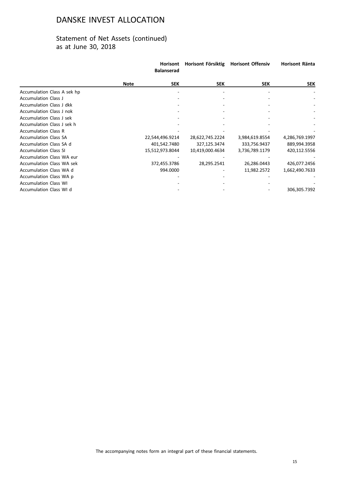|                                  |             | <b>Horisont</b><br><b>Balanserad</b> | Horisont Försiktig | <b>Horisont Offensiv</b> | Horisont Ränta |
|----------------------------------|-------------|--------------------------------------|--------------------|--------------------------|----------------|
|                                  | <b>Note</b> | <b>SEK</b>                           | <b>SEK</b>         | <b>SEK</b>               | <b>SEK</b>     |
| Accumulation Class A sek hp      |             |                                      |                    |                          |                |
| <b>Accumulation Class J</b>      |             |                                      |                    |                          |                |
| <b>Accumulation Class J dkk</b>  |             |                                      |                    |                          |                |
| <b>Accumulation Class J nok</b>  |             |                                      |                    |                          |                |
| <b>Accumulation Class J sek</b>  |             |                                      |                    |                          |                |
| Accumulation Class J sek h       |             |                                      |                    |                          |                |
| <b>Accumulation Class R</b>      |             |                                      |                    |                          |                |
| <b>Accumulation Class SA</b>     |             | 22,544,496.9214                      | 28,622,745.2224    | 3,984,619.8554           | 4,286,769.1997 |
| Accumulation Class SA d          |             | 401,542.7480                         | 327,125.3474       | 333,756.9437             | 889,994.3958   |
| <b>Accumulation Class SI</b>     |             | 15,512,973.8044                      | 10,419,000.4634    | 3,736,789.1179           | 420,112.5556   |
| <b>Accumulation Class WA eur</b> |             |                                      |                    |                          |                |
| <b>Accumulation Class WA sek</b> |             | 372,455.3786                         | 28,295.2541        | 26,286.0443              | 426,077.2456   |
| Accumulation Class WA d          |             | 994.0000                             |                    | 11,982.2572              | 1,662,490.7633 |
| Accumulation Class WA p          |             |                                      |                    |                          |                |
| <b>Accumulation Class WI</b>     |             |                                      |                    |                          |                |
| Accumulation Class WI d          |             |                                      |                    |                          | 306,305.7392   |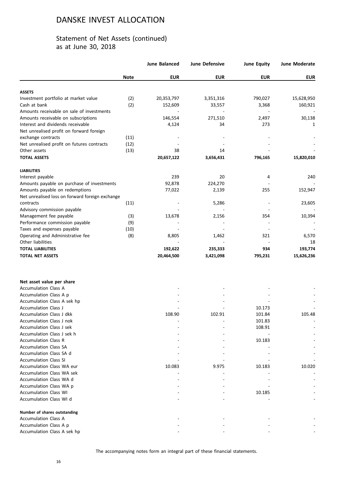|                                                         |             | <b>June Balanced</b> | June Defensive | <b>June Equity</b> | June Moderate |
|---------------------------------------------------------|-------------|----------------------|----------------|--------------------|---------------|
|                                                         | <b>Note</b> | <b>EUR</b>           | <b>EUR</b>     | <b>EUR</b>         | <b>EUR</b>    |
| <b>ASSETS</b>                                           |             |                      |                |                    |               |
| Investment portfolio at market value                    | (2)         | 20,353,797           | 3,351,316      | 790,027            | 15,628,950    |
| Cash at bank                                            | (2)         | 152,609              | 33,557         | 3,368              | 160,921       |
| Amounts receivable on sale of investments               |             |                      |                |                    |               |
| Amounts receivable on subscriptions                     |             | 146,554              | 271,510        | 2,497              | 30,138        |
| Interest and dividends receivable                       |             | 4,124                | 34             | 273                | 1             |
| Net unrealised profit on forward foreign                |             |                      |                |                    |               |
| exchange contracts                                      | (11)        |                      |                |                    |               |
| Net unrealised profit on futures contracts              | (12)        |                      |                |                    |               |
| Other assets                                            | (13)        | 38                   | 14             |                    |               |
| <b>TOTAL ASSETS</b>                                     |             | 20,657,122           | 3,656,431      | 796,165            | 15,820,010    |
| <b>LIABILITIES</b>                                      |             |                      |                |                    |               |
| Interest payable                                        |             | 239                  | 20             | 4                  | 240           |
| Amounts payable on purchase of investments              |             | 92,878               | 224,270        |                    |               |
| Amounts payable on redemptions                          |             | 77,022               | 2,139          | 255                | 152,947       |
| Net unrealised loss on forward foreign exchange         |             |                      |                |                    |               |
| contracts                                               | (11)        |                      | 5,286          |                    | 23,605        |
| Advisory commission payable                             |             |                      |                |                    |               |
| Management fee payable                                  | (3)         | 13,678               | 2,156          | 354                | 10,394        |
| Performance commission payable                          | (9)         |                      |                |                    |               |
| Taxes and expenses payable                              | (10)        |                      |                |                    |               |
| Operating and Administrative fee                        | (8)         | 8,805                | 1,462          | 321                | 6,570         |
| Other liabilities                                       |             |                      |                |                    | 18            |
| <b>TOTAL LIABILITIES</b>                                |             | 192,622              | 235,333        | 934                | 193,774       |
| <b>TOTAL NET ASSETS</b>                                 |             | 20,464,500           | 3,421,098      | 795,231            | 15,626,236    |
|                                                         |             |                      |                |                    |               |
| Net asset value per share                               |             |                      |                |                    |               |
| <b>Accumulation Class A</b>                             |             |                      |                |                    |               |
| Accumulation Class A p                                  |             |                      |                |                    |               |
| Accumulation Class A sek hp                             |             |                      |                |                    |               |
| <b>Accumulation Class J</b><br>Accumulation Class J dkk |             |                      |                | 10.173             |               |
| Accumulation Class J nok                                |             | 108.90               | 102.91         | 101.84             | 105.48        |
| Accumulation Class J sek                                |             |                      |                | 101.83<br>108.91   |               |
| Accumulation Class J sek h                              |             |                      |                |                    |               |
| <b>Accumulation Class R</b>                             |             |                      |                | 10.183             |               |
| <b>Accumulation Class SA</b>                            |             |                      |                |                    |               |
| Accumulation Class SA d                                 |             |                      |                |                    |               |
| <b>Accumulation Class SI</b>                            |             |                      |                |                    |               |
| Accumulation Class WA eur                               |             | 10.083               | 9.975          | 10.183             | 10.020        |
| Accumulation Class WA sek                               |             |                      |                |                    |               |
| Accumulation Class WA d                                 |             |                      |                |                    |               |
| Accumulation Class WA p                                 |             |                      |                |                    |               |
| <b>Accumulation Class WI</b>                            |             |                      |                | 10.185             |               |
| Accumulation Class WI d                                 |             |                      |                |                    |               |
| Number of shares outstanding                            |             |                      |                |                    |               |
| <b>Accumulation Class A</b>                             |             |                      |                |                    |               |
| Accumulation Class A p                                  |             |                      |                |                    |               |
| Accumulation Class A sek hp                             |             |                      |                |                    |               |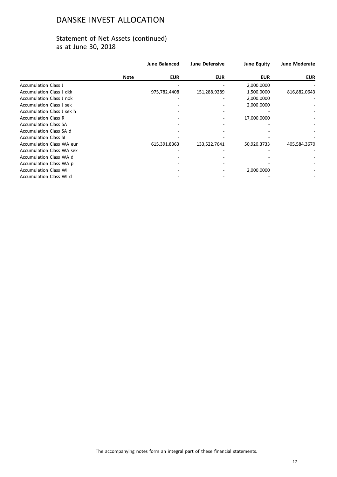|                                  |             | <b>June Balanced</b> | <b>June Defensive</b> | <b>June Equity</b> | <b>June Moderate</b> |
|----------------------------------|-------------|----------------------|-----------------------|--------------------|----------------------|
|                                  | <b>Note</b> | <b>EUR</b>           | <b>EUR</b>            | <b>EUR</b>         | <b>EUR</b>           |
| <b>Accumulation Class J</b>      |             |                      |                       | 2,000.0000         |                      |
| <b>Accumulation Class J dkk</b>  |             | 975,782.4408         | 151,288.9289          | 1,500.0000         | 816,882.0643         |
| <b>Accumulation Class J nok</b>  |             |                      |                       | 2,000.0000         |                      |
| <b>Accumulation Class J sek</b>  |             |                      |                       | 2,000.0000         |                      |
| Accumulation Class J sek h       |             |                      |                       |                    |                      |
| <b>Accumulation Class R</b>      |             |                      |                       | 17,000.0000        |                      |
| <b>Accumulation Class SA</b>     |             |                      |                       |                    |                      |
| Accumulation Class SA d          |             |                      |                       |                    |                      |
| <b>Accumulation Class SI</b>     |             |                      |                       |                    |                      |
| <b>Accumulation Class WA eur</b> |             | 615,391.8363         | 133,522.7641          | 50,920.3733        | 405,584.3670         |
| <b>Accumulation Class WA sek</b> |             |                      |                       |                    |                      |
| Accumulation Class WA d          |             |                      |                       |                    |                      |
| Accumulation Class WA p          |             |                      |                       |                    |                      |
| <b>Accumulation Class WI</b>     |             |                      |                       | 2,000.0000         |                      |
| Accumulation Class WI d          |             |                      |                       |                    |                      |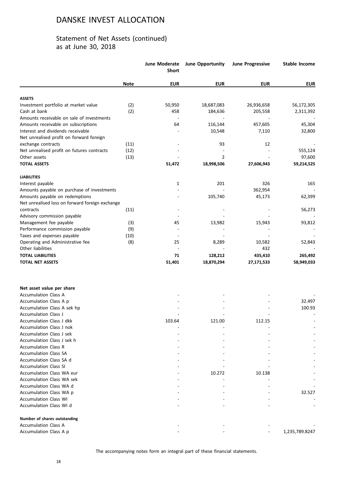|                                                     |             | <b>June Moderate</b><br><b>Short</b> | <b>June Opportunity</b> | <b>June Progressive</b> | <b>Stable Income</b> |
|-----------------------------------------------------|-------------|--------------------------------------|-------------------------|-------------------------|----------------------|
|                                                     | <b>Note</b> | <b>EUR</b>                           | <b>EUR</b>              | <b>EUR</b>              | <b>EUR</b>           |
| <b>ASSETS</b>                                       |             |                                      |                         |                         |                      |
| Investment portfolio at market value                | (2)         | 50,950                               | 18,687,083              | 26,936,658              | 56,172,305           |
| Cash at bank                                        | (2)         | 458                                  | 184,636                 | 205,558                 | 2,311,392            |
| Amounts receivable on sale of investments           |             |                                      |                         |                         |                      |
| Amounts receivable on subscriptions                 |             | 64                                   | 116,144                 | 457,605                 | 45,304               |
| Interest and dividends receivable                   |             |                                      | 10,548                  | 7,110                   | 32,800               |
| Net unrealised profit on forward foreign            |             |                                      |                         |                         |                      |
| exchange contracts                                  | (11)        |                                      | 93                      | 12                      |                      |
| Net unrealised profit on futures contracts          | (12)        |                                      |                         |                         | 555,124              |
| Other assets                                        | (13)        |                                      | $\overline{2}$          |                         | 97,600               |
| <b>TOTAL ASSETS</b>                                 |             | 51,472                               | 18,998,506              | 27,606,943              | 59,214,525           |
| <b>LIABILITIES</b>                                  |             |                                      |                         |                         |                      |
| Interest payable                                    |             | 1                                    | 201                     | 326                     | 165                  |
| Amounts payable on purchase of investments          |             |                                      |                         | 362,954                 |                      |
| Amounts payable on redemptions                      |             |                                      | 105,740                 | 45,173                  | 62,399               |
| Net unrealised loss on forward foreign exchange     |             |                                      |                         |                         |                      |
| contracts                                           | (11)        |                                      |                         |                         | 56,273               |
| Advisory commission payable                         |             |                                      |                         |                         |                      |
| Management fee payable                              | (3)         | 45                                   | 13,982                  | 15,943                  | 93,812               |
| Performance commission payable                      | (9)         |                                      |                         |                         |                      |
| Taxes and expenses payable                          | (10)        | $\sim$                               |                         |                         |                      |
| Operating and Administrative fee                    | (8)         | 25                                   | 8,289                   | 10,582                  | 52,843               |
| Other liabilities                                   |             |                                      |                         | 432                     |                      |
| <b>TOTAL LIABILITIES</b>                            |             | 71                                   | 128,212                 | 435,410                 | 265,492              |
| <b>TOTAL NET ASSETS</b>                             |             | 51,401                               | 18,870,294              | 27,171,533              | 58,949,033           |
|                                                     |             |                                      |                         |                         |                      |
| Net asset value per share                           |             |                                      |                         |                         |                      |
| <b>Accumulation Class A</b>                         |             |                                      |                         |                         |                      |
| Accumulation Class A p                              |             |                                      |                         |                         | 32.497<br>100.93     |
| Accumulation Class A sek hp<br>Accumulation Class J |             |                                      |                         |                         |                      |
| Accumulation Class J dkk                            |             | 103.64                               | 121.00                  | 112.15                  |                      |
| Accumulation Class J nok                            |             |                                      |                         |                         |                      |
| Accumulation Class J sek                            |             |                                      |                         |                         |                      |
| Accumulation Class J sek h                          |             |                                      |                         |                         |                      |
| <b>Accumulation Class R</b>                         |             |                                      |                         |                         |                      |
| <b>Accumulation Class SA</b>                        |             |                                      |                         |                         |                      |
| Accumulation Class SA d                             |             |                                      |                         |                         |                      |
| <b>Accumulation Class SI</b>                        |             |                                      |                         |                         |                      |
| Accumulation Class WA eur                           |             |                                      | 10.272                  | 10.138                  |                      |
| <b>Accumulation Class WA sek</b>                    |             |                                      |                         |                         |                      |
| Accumulation Class WA d                             |             |                                      |                         |                         |                      |
| Accumulation Class WA p                             |             |                                      |                         |                         | 32.527               |
| <b>Accumulation Class WI</b>                        |             |                                      |                         |                         |                      |
| Accumulation Class WI d                             |             |                                      |                         |                         |                      |
| Number of shares outstanding                        |             |                                      |                         |                         |                      |
| <b>Accumulation Class A</b>                         |             |                                      |                         |                         |                      |
| Accumulation Class A p                              |             |                                      |                         |                         | 1,235,789.8247       |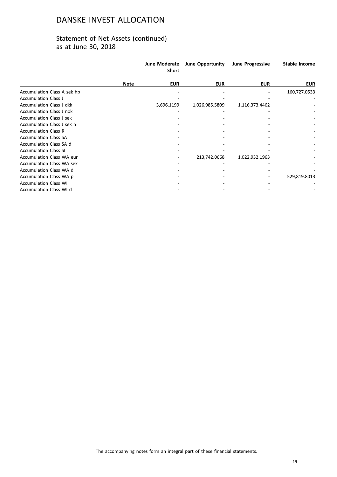|                                  |             | <b>June Moderate</b><br><b>Short</b> | June Opportunity | <b>June Progressive</b> | <b>Stable Income</b> |
|----------------------------------|-------------|--------------------------------------|------------------|-------------------------|----------------------|
|                                  | <b>Note</b> | <b>EUR</b>                           | <b>EUR</b>       | <b>EUR</b>              | <b>EUR</b>           |
| Accumulation Class A sek hp      |             |                                      |                  |                         | 160,727.0533         |
| <b>Accumulation Class J</b>      |             |                                      |                  |                         |                      |
| <b>Accumulation Class J dkk</b>  |             | 3,696.1199                           | 1,026,985.5809   | 1,116,373.4462          |                      |
| <b>Accumulation Class J nok</b>  |             |                                      |                  |                         |                      |
| <b>Accumulation Class J sek</b>  |             |                                      |                  |                         |                      |
| Accumulation Class J sek h       |             |                                      |                  |                         |                      |
| <b>Accumulation Class R</b>      |             |                                      |                  |                         |                      |
| <b>Accumulation Class SA</b>     |             |                                      |                  |                         |                      |
| Accumulation Class SA d          |             |                                      |                  |                         |                      |
| <b>Accumulation Class SI</b>     |             |                                      |                  |                         |                      |
| <b>Accumulation Class WA eur</b> |             |                                      | 213,742.0668     | 1,022,932.1963          |                      |
| <b>Accumulation Class WA sek</b> |             |                                      |                  |                         |                      |
| Accumulation Class WA d          |             |                                      |                  |                         |                      |
| Accumulation Class WA p          |             |                                      |                  |                         | 529,819.8013         |
| <b>Accumulation Class WI</b>     |             |                                      |                  |                         |                      |
| Accumulation Class WI d          |             |                                      |                  |                         |                      |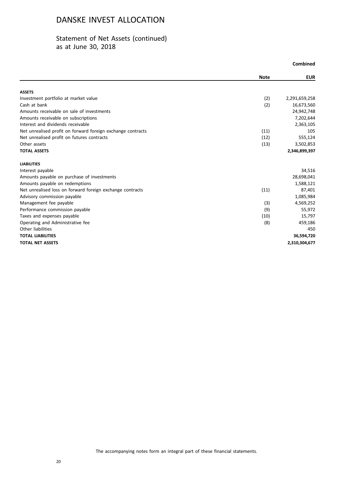|                                                             | Combined    |               |
|-------------------------------------------------------------|-------------|---------------|
|                                                             | <b>Note</b> | <b>EUR</b>    |
| <b>ASSETS</b>                                               |             |               |
| Investment portfolio at market value                        | (2)         | 2,291,659,258 |
| Cash at bank                                                | (2)         | 16,673,560    |
| Amounts receivable on sale of investments                   |             | 24,942,748    |
| Amounts receivable on subscriptions                         |             | 7,202,644     |
| Interest and dividends receivable                           |             | 2,363,105     |
| Net unrealised profit on forward foreign exchange contracts | (11)        | 105           |
| Net unrealised profit on futures contracts                  | (12)        | 555,124       |
| Other assets                                                | (13)        | 3,502,853     |
| <b>TOTAL ASSETS</b>                                         |             | 2,346,899,397 |
| <b>LIABILITIES</b>                                          |             |               |
| Interest payable                                            |             | 34,516        |
| Amounts payable on purchase of investments                  |             | 28,698,041    |
| Amounts payable on redemptions                              |             | 1,588,121     |
| Net unrealised loss on forward foreign exchange contracts   | (11)        | 87,401        |
| Advisory commission payable                                 |             | 1,085,984     |
| Management fee payable                                      | (3)         | 4,569,252     |
| Performance commission payable                              | (9)         | 55,972        |
| Taxes and expenses payable                                  | (10)        | 15,797        |
| Operating and Administrative fee                            | (8)         | 459,186       |
| Other liabilities                                           |             | 450           |
| <b>TOTAL LIABILITIES</b>                                    |             | 36,594,720    |
| <b>TOTAL NET ASSETS</b>                                     |             | 2,310,304,677 |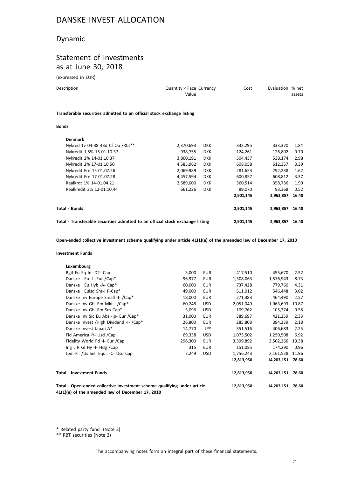## Dynamic

# Statement of Investments as at June 30, 2018

(expressed in EUR)

| Description                                                            | Quantity / Face Currency<br>Value | Cost | Evaluation % net<br>assets |  |  |  |
|------------------------------------------------------------------------|-----------------------------------|------|----------------------------|--|--|--|
| Transferable securities admitted to an official stock exchange listing |                                   |      |                            |  |  |  |
| <b>Bonds</b>                                                           |                                   |      |                            |  |  |  |

| Total - Transferable securities admitted to an official stock exchange listing |           | 2,901,145  | 2.963.857 | 16.40     |       |
|--------------------------------------------------------------------------------|-----------|------------|-----------|-----------|-------|
| Total - Bonds                                                                  |           |            | 2,901,145 | 2.963.857 | 16.40 |
|                                                                                |           |            | 2,901,145 | 2.963.857 | 16.40 |
| Realkredit 3% 12-01.10.44                                                      | 661,226   | <b>DKK</b> | 89,070    | 93.368    | 0.52  |
| Realkrdt 1% 14-01.04.21                                                        | 2,589,000 | <b>DKK</b> | 360,514   | 358.736   | 1.99  |
| Nykredit Frn 17-01.07.28                                                       | 4.457.594 | <b>DKK</b> | 600.857   | 608.812   | 3.37  |
| Nykredit Frn 15-01.07.26                                                       | 2,069,989 | <b>DKK</b> | 281,653   | 292,238   | 1.62  |
| Nykredit 2% 17-01.10.50                                                        | 4.585.962 | <b>DKK</b> | 608.058   | 612.357   | 3.39  |
| Nykredit 2% 14-01.10.37                                                        | 3.860.191 | <b>DKK</b> | 504.437   | 538.174   | 2.98  |
| Nykredit 1.5% 15-01.10.37                                                      | 938,755   | <b>DKK</b> | 124,261   | 126,802   | 0.70  |
| Nykred Tv 04-38 43d Cf Oa /Rbt**                                               | 2,370,693 | <b>DKK</b> | 332,295   | 333,370   | 1.84  |
| <b>Denmark</b>                                                                 |           |            |           |           |       |

**Open-ended collective investment scheme qualifying under article 41(1)(e) of the amended law of December 17, 2010**

### **Investment Funds**

| Luxembourg                                                                                                                   |         |            |            |            |       |
|------------------------------------------------------------------------------------------------------------------------------|---------|------------|------------|------------|-------|
| Bgif Eu Eq In -D2- Cap                                                                                                       | 3,000   | <b>EUR</b> | 417,510    | 455,670    | 2.52  |
| Danske I Eu -I- Eur /Cap*                                                                                                    | 96,977  | EUR        | 1,308,063  | 1,576,943  | 8.73  |
| Danske I Eu Hyb -A- Cap*                                                                                                     | 60,000  | <b>EUR</b> | 737,428    | 779,760    | 4.31  |
| Danske I Eulsd Shs-I P-Cap*                                                                                                  | 49,000  | EUR        | 511,012    | 546,448    | 3.02  |
| Danske Inv Europe Small -I- /Cap*                                                                                            | 18,000  | <b>EUR</b> | 271,383    | 464,490    | 2.57  |
| Danske Inv Gbl Em Mkt I / Cap*                                                                                               | 60,248  | <b>USD</b> | 2,051,049  | 1,963,693  | 10.87 |
| Danske Inv Gbl Em Sm Cap*                                                                                                    | 3,096   | <b>USD</b> | 109,762    | 105,274    | 0.58  |
| Danske Inv Sic Eu Abs -Ip- Eur /Cap*                                                                                         | 31,000  | <b>EUR</b> | 389,697    | 421,259    | 2.33  |
| Danske Invest / High Dividend - I- / Cap*                                                                                    | 26,800  | <b>EUR</b> | 285,808    | 394,339    | 2.18  |
| Danske Invest Japan A*                                                                                                       | 14,770  | <b>JPY</b> | 351,516    | 406,683    | 2.25  |
| Fid America -Y- Usd /Cap                                                                                                     | 69,338  | <b>USD</b> | 1,073,502  | 1,250,508  | 6.92  |
| Fidelity World Fd -I- Eur /Cap                                                                                               | 296,300 | EUR        | 3,399,892  | 3,502,266  | 19.38 |
| Ing L R GI Hy -I- Hdg $/Cap$                                                                                                 | 315     | <b>EUR</b> | 151,085    | 174,290    | 0.96  |
| Jpm Fl. /Us Sel. Equi. -C- Usd Cap                                                                                           | 7,249   | <b>USD</b> | 1,756,243  | 2,161,528  | 11.96 |
|                                                                                                                              |         |            | 12,813,950 | 14,203,151 | 78.60 |
| <b>Total - Investment Funds</b>                                                                                              |         |            | 12,813,950 | 14,203,151 | 78.60 |
| Total - Open-ended collective investment scheme qualifying under article<br>41(1)(e) of the amended law of December 17, 2010 |         |            | 12,813,950 | 14,203,151 | 78.60 |

\* Related party fund (Note 3)

\*\* RBT securities (Note 2)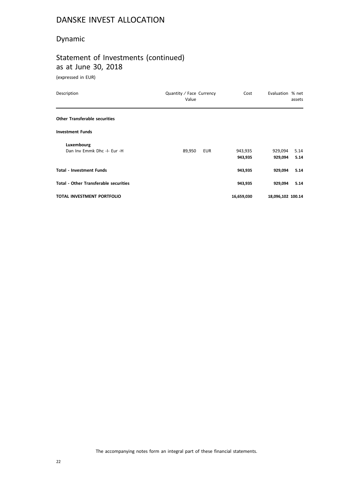## Dynamic

# Statement of Investments (continued) as at June 30, 2018

(expressed in EUR)

| Description                                  | Quantity / Face Currency<br>Value | Cost       | Evaluation % net  | assets |
|----------------------------------------------|-----------------------------------|------------|-------------------|--------|
| <b>Other Transferable securities</b>         |                                   |            |                   |        |
| <b>Investment Funds</b>                      |                                   |            |                   |        |
| Luxembourg                                   |                                   |            |                   |        |
| Dan Inv Emmk Dhc -I- Eur -H                  | 89,950<br>EUR                     | 943,935    | 929,094           | 5.14   |
|                                              |                                   | 943,935    | 929,094           | 5.14   |
| <b>Total - Investment Funds</b>              |                                   | 943,935    | 929,094           | 5.14   |
| <b>Total - Other Transferable securities</b> |                                   | 943,935    | 929,094           | 5.14   |
| <b>TOTAL INVESTMENT PORTFOLIO</b>            |                                   | 16,659,030 | 18,096,102 100.14 |        |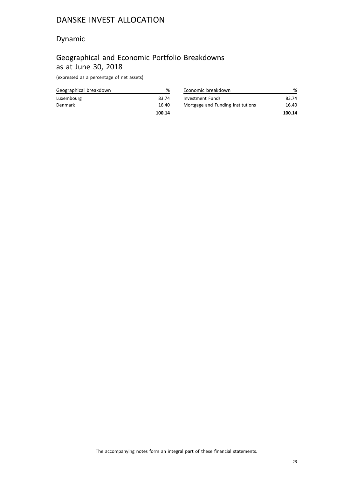## Dynamic

# Geographical and Economic Portfolio Breakdowns as at June 30, 2018

(expressed as a percentage of net assets)

|                        | 100.14 |
|------------------------|--------|
| <b>Denmark</b>         | 16.40  |
| Luxembourg             | 83.74  |
| Geographical breakdown | %      |

| Economic breakdown                |        |
|-----------------------------------|--------|
| Investment Funds                  | 83.74  |
| Mortgage and Funding Institutions | 16.40  |
|                                   | 100.14 |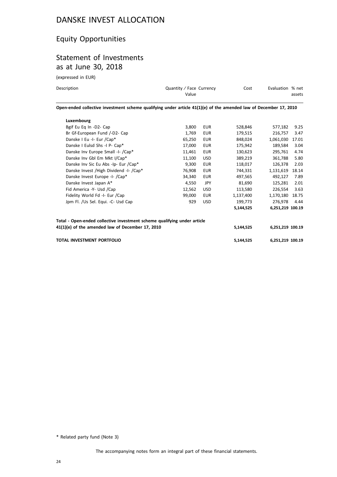# Equity Opportunities

## Statement of Investments as at June 30, 2018

(expressed in EUR)

| Description | Quantity / Face Currency<br>Value                                                                                 | Cost | Evaluation % net | assets |
|-------------|-------------------------------------------------------------------------------------------------------------------|------|------------------|--------|
|             | Open-ended collective investment scheme qualifying under article 41(1)(e) of the amended law of December 17, 2010 |      |                  |        |
| Luxembourg  |                                                                                                                   |      |                  |        |

| <b>TOTAL INVESTMENT PORTFOLIO</b>                                                                                            |        |            | 5,144,525 | 6,251,219 100.19 |       |
|------------------------------------------------------------------------------------------------------------------------------|--------|------------|-----------|------------------|-------|
| Total - Open-ended collective investment scheme qualifying under article<br>41(1)(e) of the amended law of December 17, 2010 |        |            | 5,144,525 | 6,251,219 100.19 |       |
|                                                                                                                              |        |            | 5,144,525 | 6,251,219 100.19 |       |
| Jpm Fl. /Us Sel. Equi. -C- Usd Cap                                                                                           | 929    | <b>USD</b> | 199,773   | 276,978          | 4.44  |
| Fidelity World Fd -I- Eur /Cap                                                                                               | 99,000 | <b>EUR</b> | 1,137,400 | 1,170,180        | 18.75 |
| Fid America -Y- Usd /Cap                                                                                                     | 12,562 | USD.       | 113,580   | 226,554          | 3.63  |
| Danske Invest Japan A*                                                                                                       | 4,550  | <b>JPY</b> | 81,690    | 125,281          | 2.01  |
| Danske Invest Europe -I- /Cap*                                                                                               | 34,340 | <b>EUR</b> | 497,565   | 492,127          | 7.89  |
| Danske Invest / High Dividend - I- / Cap*                                                                                    | 76,908 | <b>EUR</b> | 744,331   | 1,131,619        | 18.14 |
| Danske Inv Sic Eu Abs -Ip- Eur /Cap*                                                                                         | 9,300  | <b>EUR</b> | 118,017   | 126,378          | 2.03  |
| Danske Inv Gbl Em Mkt I/Cap*                                                                                                 | 11.100 | <b>USD</b> | 389.219   | 361.788          | 5.80  |
| Danske Inv Europe Small -I- /Cap*                                                                                            | 11,461 | <b>EUR</b> | 130,623   | 295,761          | 4.74  |
| Danske I Eulsd Shs -I P- Cap*                                                                                                | 17,000 | <b>EUR</b> | 175,942   | 189.584          | 3.04  |
| Danske I Eu -I- Eur /Cap*                                                                                                    | 65,250 | <b>EUR</b> | 848,024   | 1,061,030        | 17.01 |
| Br Gf-European Fund /-D2- Cap                                                                                                | 1,769  | <b>EUR</b> | 179,515   | 216,757          | 3.47  |
| Bgif Eu Eq In -D2- Cap                                                                                                       | 3,800  | <b>EUR</b> | 528,846   | 577,182          | 9.25  |
|                                                                                                                              |        |            |           |                  |       |

\* Related party fund (Note 3)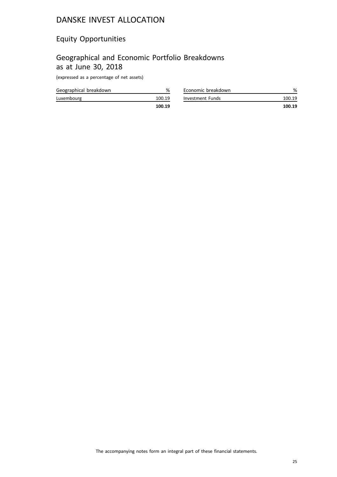# Equity Opportunities

# Geographical and Economic Portfolio Breakdowns as at June 30, 2018

(expressed as a percentage of net assets)

| Geographical breakdown |        |
|------------------------|--------|
| Luxembourg             | 100.19 |
|                        | 100.19 |

| Economic breakdown | %      |
|--------------------|--------|
| Investment Funds   | 100.19 |
|                    | 100.19 |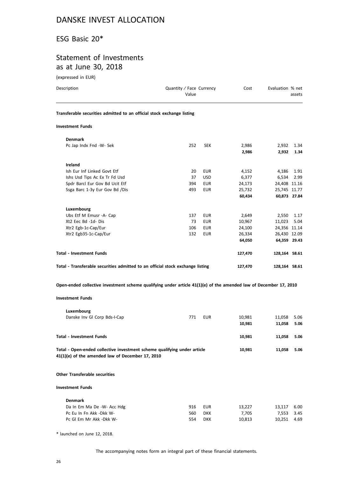### ESG Basic 20\*

### Statement of Investments as at June 30, 2018

(expressed in EUR)

| Description                                                            | Quantity / Face Currency<br>Value |            | Cost    | Evaluation % net | assets       |
|------------------------------------------------------------------------|-----------------------------------|------------|---------|------------------|--------------|
| Transferable securities admitted to an official stock exchange listing |                                   |            |         |                  |              |
| <b>Investment Funds</b>                                                |                                   |            |         |                  |              |
| <b>Denmark</b>                                                         |                                   |            |         |                  |              |
| Pc Jap Indx Fnd -W- Sek                                                | 252                               | <b>SEK</b> | 2,986   | 2,932            | 1.34         |
|                                                                        |                                   |            | 2,986   | 2,932            | 1.34         |
| Ireland                                                                |                                   |            |         |                  |              |
| Ish Eur Inf Linked Govt Etf                                            | 20                                | <b>EUR</b> | 4,152   | 4,186            | 1.91         |
| Ishs Usd Tips Ac Ex Tr Fd Usd                                          | 37                                | <b>USD</b> | 6,377   | 6,534            | 2.99         |
| Spdr Barcl Eur Gov Bd Ucit Etf                                         | 394                               | <b>EUR</b> | 24,173  | 24,408 11.16     |              |
| Ssga Barc 1-3y Eur Gov Bd /Dis                                         | 493                               | <b>EUR</b> | 25,732  | 25,745 11.77     |              |
|                                                                        |                                   |            | 60,434  |                  | 60,873 27.84 |
| Luxembourg                                                             |                                   |            |         |                  |              |
| Ubs Etf M Emusr -A- Cap                                                | 137                               | <b>EUR</b> | 2,649   | 2,550            | 1.17         |
| Xt2 Eec Bd -1d- Dis                                                    | 73                                | <b>EUR</b> | 10,967  | 11,023           | 5.04         |
| Xtr2 Egb-1c-Cap/Eur                                                    | 106                               | <b>EUR</b> | 24,100  | 24,356 11.14     |              |
| Xtr2 Egb35-1c-Cap/Eur                                                  | 132                               | <b>EUR</b> | 26,334  | 26,430 12.09     |              |
|                                                                        |                                   |            | 64,050  | 64,359 29.43     |              |
| <b>Total - Investment Funds</b>                                        |                                   |            | 127,470 | 128,164 58.61    |              |

| Total - Transferable securities admitted to an official stock exchange listing | 127,470 | 128,164 58.61 |  |
|--------------------------------------------------------------------------------|---------|---------------|--|
|--------------------------------------------------------------------------------|---------|---------------|--|

**Open-ended collective investment scheme qualifying under article 41(1)(e) of the amended law of December 17, 2010**

### **Investment Funds**

| Luxembourg                                                                                                                   |     |            |        |        |      |
|------------------------------------------------------------------------------------------------------------------------------|-----|------------|--------|--------|------|
| Danske Inv Gl Corp Bds-I-Cap                                                                                                 | 771 | <b>EUR</b> | 10,981 | 11,058 | 5.06 |
|                                                                                                                              |     |            | 10,981 | 11,058 | 5.06 |
| <b>Total - Investment Funds</b>                                                                                              |     |            | 10,981 | 11,058 | 5.06 |
| Total - Open-ended collective investment scheme qualifying under article<br>41(1)(e) of the amended law of December 17, 2010 |     |            | 10,981 | 11,058 | 5.06 |
| <b>Other Transferable securities</b>                                                                                         |     |            |        |        |      |
| <b>Investment Funds</b>                                                                                                      |     |            |        |        |      |
| <b>Denmark</b>                                                                                                               |     |            |        |        |      |
| Da In Em Ma De -W- Acc Hdg                                                                                                   | 916 | <b>EUR</b> | 13,227 | 13,117 | 6.00 |
| Pc Eu In Fn Akk -Dkk W-                                                                                                      | 560 | <b>DKK</b> | 7,705  | 7,553  | 3.45 |
| Pc GI Em Mr Akk -Dkk W-                                                                                                      | 554 | <b>DKK</b> | 10,813 | 10,251 | 4.69 |

\* launched on June 12, 2018.

The accompanying notes form an integral part of these financial statements.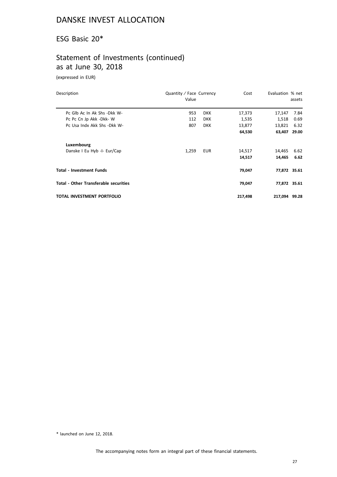## ESG Basic 20\*

# Statement of Investments (continued) as at June 30, 2018

(expressed in EUR)

| Description                                  | Quantity / Face Currency<br>Value |            | Cost    | Evaluation % net | assets |
|----------------------------------------------|-----------------------------------|------------|---------|------------------|--------|
| Pc Glb Ac In Ak Shs -Dkk W-                  | 953                               | <b>DKK</b> | 17,373  | 17,147           | 7.84   |
| Pc Pc Cn Jp Akk -Dkk-W                       | 112                               | <b>DKK</b> | 1,535   | 1,518            | 0.69   |
| Pc Usa Indx Akk Shs - Dkk W-                 | 807                               | <b>DKK</b> | 13,877  | 13,821           | 6.32   |
|                                              |                                   |            | 64,530  | 63,407 29.00     |        |
| Luxembourg                                   |                                   |            |         |                  |        |
| Danske I Eu Hyb -I- Eur/Cap                  | 1,259                             | EUR        | 14,517  | 14,465           | 6.62   |
|                                              |                                   |            | 14,517  | 14,465           | 6.62   |
| <b>Total - Investment Funds</b>              |                                   |            | 79,047  | 77,872 35.61     |        |
| <b>Total - Other Transferable securities</b> |                                   |            | 79,047  | 77,872 35.61     |        |
| TOTAL INVESTMENT PORTFOLIO                   |                                   |            | 217,498 | 217,094 99.28    |        |

\* launched on June 12, 2018.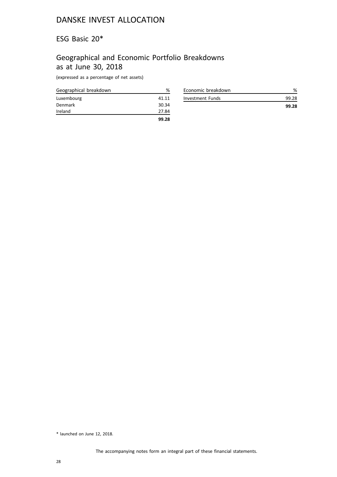## ESG Basic 20\*

# Geographical and Economic Portfolio Breakdowns as at June 30, 2018

(expressed as a percentage of net assets)

| Geographical breakdown | %     |
|------------------------|-------|
| Luxembourg             | 41.11 |
| Denmark                | 30.34 |
| Ireland                | 27.84 |
|                        | 99.28 |

| Economic breakdown |       |
|--------------------|-------|
| Investment Funds   | 99.28 |
|                    | 99.28 |

<sup>\*</sup> launched on June 12, 2018.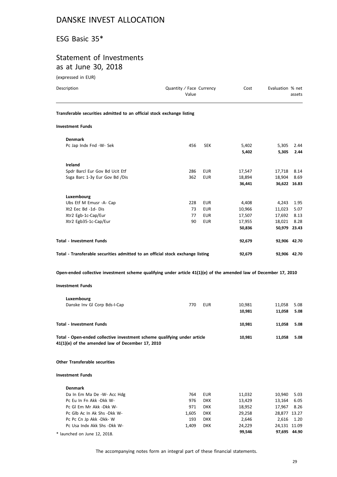## ESG Basic 35\*

## Statement of Investments as at June 30, 2018

(expressed in EUR)

| Description                                                                    | Quantity / Face Currency<br>Value |            | Cost   | Evaluation % net | assets       |
|--------------------------------------------------------------------------------|-----------------------------------|------------|--------|------------------|--------------|
| Transferable securities admitted to an official stock exchange listing         |                                   |            |        |                  |              |
| <b>Investment Funds</b>                                                        |                                   |            |        |                  |              |
| <b>Denmark</b>                                                                 |                                   |            |        |                  |              |
| Pc Jap Indx Fnd -W- Sek                                                        | 456                               | <b>SEK</b> | 5,402  | 5,305            | 2.44         |
|                                                                                |                                   |            | 5,402  | 5,305            | 2.44         |
| Ireland                                                                        |                                   |            |        |                  |              |
| Spdr Barcl Eur Gov Bd Ucit Etf                                                 | 286                               | <b>EUR</b> | 17,547 | 17,718           | 8.14         |
| Ssga Barc 1-3y Eur Gov Bd /Dis                                                 | 362                               | <b>EUR</b> | 18,894 | 18,904           | 8.69         |
|                                                                                |                                   |            | 36,441 |                  | 36,622 16.83 |
| Luxembourg                                                                     |                                   |            |        |                  |              |
| Ubs Etf M Emusr -A- Cap                                                        | 228                               | <b>EUR</b> | 4,408  | 4,243            | 1.95         |
| Xt2 Eec Bd -1d- Dis                                                            | 73                                | <b>EUR</b> | 10,966 | 11,023           | 5.07         |
| Xtr2 Egb-1c-Cap/Eur                                                            | 77                                | <b>EUR</b> | 17,507 | 17,692           | 8.13         |
| Xtr2 Egb35-1c-Cap/Eur                                                          | 90                                | <b>EUR</b> | 17,955 | 18,021           | 8.28         |
|                                                                                |                                   |            | 50,836 |                  | 50,979 23.43 |
| <b>Total - Investment Funds</b>                                                |                                   |            | 92,679 |                  | 92,906 42.70 |
| Total - Transferable securities admitted to an official stock exchange listing |                                   |            | 92,679 |                  | 92,906 42.70 |

**Open-ended collective investment scheme qualifying under article 41(1)(e) of the amended law of December 17, 2010**

### **Investment Funds**

| Luxembourg<br>Danske Inv GI Corp Bds-I-Cap                                                                                   | 770 | <b>EUR</b> | 10,981 | 11.058 | 5.08 |
|------------------------------------------------------------------------------------------------------------------------------|-----|------------|--------|--------|------|
|                                                                                                                              |     |            | 10,981 | 11.058 | 5.08 |
| <b>Total - Investment Funds</b>                                                                                              |     |            | 10,981 | 11.058 | 5.08 |
| Total - Open-ended collective investment scheme qualifying under article<br>41(1)(e) of the amended law of December 17, 2010 |     |            | 10,981 | 11.058 | 5.08 |

### **Other Transferable securities**

### **Investment Funds**

| <b>Denmark</b>               |       |            |        |              |      |
|------------------------------|-------|------------|--------|--------------|------|
| Da In Em Ma De -W- Acc Hdg   | 764   | EUR        | 11.032 | 10.940 5.03  |      |
| Pc Eu In Fn Akk -Dkk W-      | 976   | <b>DKK</b> | 13.429 | 13.164       | 6.05 |
| Pc GI Em Mr Akk -Dkk W-      | 971   | <b>DKK</b> | 18.952 | 17.967 8.26  |      |
| Pc Glb Ac In Ak Shs - Dkk W- | 1.605 | <b>DKK</b> | 29.258 | 28,877 13.27 |      |
| Pc Pc Cn Jp Akk -Dkk- W      | 193   | <b>DKK</b> | 2.646  | 2.616 1.20   |      |
| Pc Usa Indx Akk Shs - Dkk W- | 1.409 | <b>DKK</b> | 24.229 | 24,131 11.09 |      |
| * launched on June 12, 2018. |       |            | 99.546 | 97.695 44.90 |      |

The accompanying notes form an integral part of these financial statements.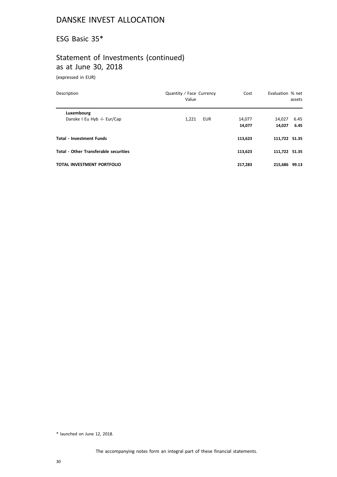## ESG Basic 35\*

# Statement of Investments (continued) as at June 30, 2018

(expressed in EUR)

| Description                                  | Quantity / Face Currency<br>Value | Cost    | Evaluation % net<br>assets |
|----------------------------------------------|-----------------------------------|---------|----------------------------|
| Luxembourg                                   |                                   |         |                            |
| Danske I Eu Hyb -I- Eur/Cap                  | 1,221<br><b>EUR</b>               | 14,077  | 6.45<br>14,027             |
|                                              |                                   | 14,077  | 6.45<br>14.027             |
| <b>Total - Investment Funds</b>              |                                   | 113,623 | 111,722 51.35              |
| <b>Total - Other Transferable securities</b> |                                   | 113,623 | 111,722 51.35              |
| <b>TOTAL INVESTMENT PORTFOLIO</b>            |                                   | 217.283 | 215,686 99.13              |

\* launched on June 12, 2018.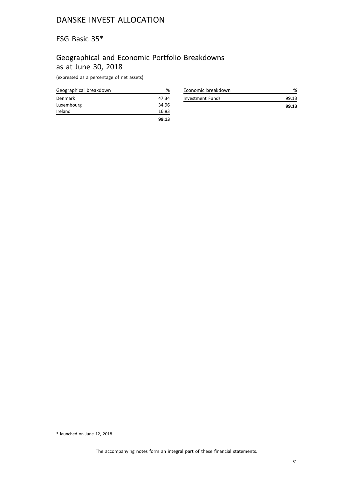## ESG Basic 35\*

# Geographical and Economic Portfolio Breakdowns as at June 30, 2018

(expressed as a percentage of net assets)

| Geographical breakdown | %     |
|------------------------|-------|
| Denmark                | 47.34 |
| Luxembourg             | 34.96 |
| Ireland                | 16.83 |
|                        | 99.13 |

| Economic breakdown |       |
|--------------------|-------|
| Investment Funds   | 99.13 |
|                    | 99.13 |

<sup>\*</sup> launched on June 12, 2018.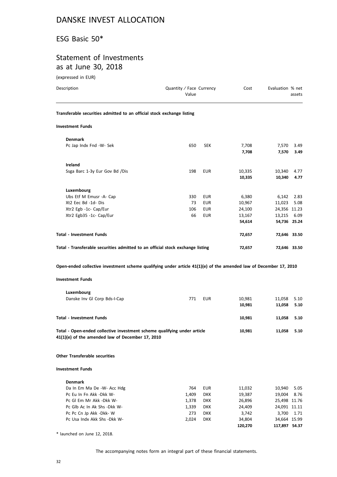## ESG Basic 50\*

# Statement of Investments as at June 30, 2018

(expressed in EUR)

| Description                                                                                                                  | Quantity / Face Currency<br>Value | Cost                           | Evaluation % net | assets       |
|------------------------------------------------------------------------------------------------------------------------------|-----------------------------------|--------------------------------|------------------|--------------|
| Transferable securities admitted to an official stock exchange listing                                                       |                                   |                                |                  |              |
| <b>Investment Funds</b>                                                                                                      |                                   |                                |                  |              |
| <b>Denmark</b>                                                                                                               |                                   |                                |                  |              |
| Pc Jap Indx Fnd -W- Sek                                                                                                      | 650                               | <b>SEK</b><br>7,708<br>7,708   | 7,570<br>7,570   | 3.49<br>3.49 |
| Ireland                                                                                                                      |                                   |                                |                  |              |
| Ssga Barc 1-3y Eur Gov Bd /Dis                                                                                               | 198                               | <b>EUR</b><br>10,335<br>10,335 | 10,340<br>10,340 | 4.77<br>4.77 |
| Luxembourg                                                                                                                   |                                   |                                |                  |              |
| Ubs Etf M Emusr -A- Cap                                                                                                      | 330                               | EUR<br>6,380                   | 6,142            | 2.83         |
| Xt2 Eec Bd -1d- Dis                                                                                                          | 73                                | EUR<br>10,967                  | 11,023           | 5.08         |
| Xtr2 Egb -1c- Cap/Eur                                                                                                        | 106                               | <b>EUR</b><br>24,100           | 24,356 11.23     |              |
| Xtr2 Egb35 -1c- Cap/Eur                                                                                                      | 66                                | <b>EUR</b><br>13,167           | 13,215 6.09      |              |
|                                                                                                                              |                                   | 54,614                         | 54,736 25.24     |              |
| <b>Total - Investment Funds</b>                                                                                              |                                   | 72,657                         | 72,646 33.50     |              |
| Total - Transferable securities admitted to an official stock exchange listing                                               |                                   | 72,657                         | 72,646 33.50     |              |
| <b>Investment Funds</b><br>Luxembourg                                                                                        |                                   |                                |                  |              |
| Danske Inv Gl Corp Bds-I-Cap                                                                                                 | 771                               | EUR<br>10,981                  | 11,058           | 5.10         |
|                                                                                                                              |                                   | 10,981                         | 11,058           | 5.10         |
| <b>Total - Investment Funds</b>                                                                                              |                                   | 10,981                         | 11,058           | 5.10         |
| Total - Open-ended collective investment scheme qualifying under article<br>41(1)(e) of the amended law of December 17, 2010 |                                   | 10,981                         | 11,058           | 5.10         |
| <b>Other Transferable securities</b>                                                                                         |                                   |                                |                  |              |
| <b>Investment Funds</b>                                                                                                      |                                   |                                |                  |              |
| <b>Denmark</b>                                                                                                               |                                   |                                |                  |              |
| Da In Em Ma De -W- Acc Hdg                                                                                                   | 764                               | EUR<br>11,032                  | 10,940           | 5.05         |
| Pc Eu In Fn Akk -Dkk W-                                                                                                      | 1,409                             | <b>DKK</b><br>19,387           | 19,004           | 8.76         |
| Pc GI Em Mr Akk -Dkk W-                                                                                                      | 1,378                             | 26,896<br><b>DKK</b>           | 25,498 11.76     |              |
| Pc Glb Ac In Ak Shs -Dkk W-                                                                                                  | 1,339                             | <b>DKK</b><br>24,409           | 24,091 11.11     |              |
| Pc Pc Cn Jp Akk -Dkk- W                                                                                                      | 273                               | <b>DKK</b><br>3,742            | 3,700            | 1.71         |
| Pc Usa Indx Akk Shs -Dkk W-                                                                                                  | 2,024                             | <b>DKK</b><br>34,804           | 34,664 15.99     |              |
|                                                                                                                              |                                   | 120,270                        | 117,897 54.37    |              |
| * launched on June 12, 2018.                                                                                                 |                                   |                                |                  |              |

The accompanying notes form an integral part of these financial statements.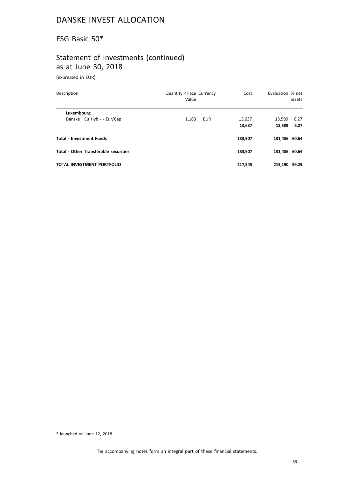## ESG Basic 50\*

# Statement of Investments (continued) as at June 30, 2018

(expressed in EUR)

| Description                                  | Quantity / Face Currency<br>Value | Cost    | Evaluation % net | assets |
|----------------------------------------------|-----------------------------------|---------|------------------|--------|
| Luxembourg                                   |                                   |         |                  |        |
| Danske I Eu Hyb -I- Eur/Cap                  | 1,183<br><b>EUR</b>               | 13,637  | 13,589           | 6.27   |
|                                              |                                   | 13,637  | 13,589           | 6.27   |
| <b>Total - Investment Funds</b>              |                                   | 133,907 | 131,486 60.64    |        |
| <b>Total - Other Transferable securities</b> |                                   | 133,907 | 131,486 60.64    |        |
| <b>TOTAL INVESTMENT PORTFOLIO</b>            |                                   | 217.545 | 215.190          | 99.25  |

\* launched on June 12, 2018.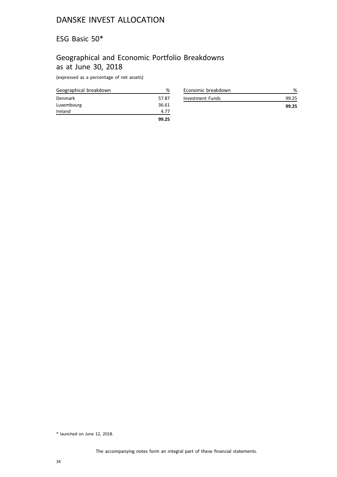## ESG Basic 50\*

# Geographical and Economic Portfolio Breakdowns as at June 30, 2018

(expressed as a percentage of net assets)

| Geographical breakdown | ℅     |
|------------------------|-------|
| Denmark                | 57.87 |
| Luxembourg             | 36.61 |
| Ireland                | 4.77  |
|                        | 99.25 |

| Economic breakdown |       |
|--------------------|-------|
| Investment Funds   | 99.25 |
|                    | 99.25 |

<sup>\*</sup> launched on June 12, 2018.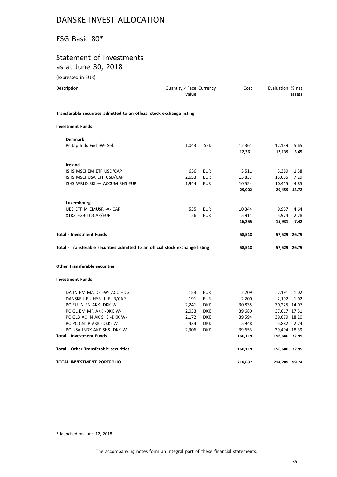## ESG Basic 80\*

# Statement of Investments as at June 30, 2018

(expressed in EUR)

| Description                                                                    | Quantity / Face Currency<br>Value |            | Cost             | Evaluation % net | assets       |
|--------------------------------------------------------------------------------|-----------------------------------|------------|------------------|------------------|--------------|
| Transferable securities admitted to an official stock exchange listing         |                                   |            |                  |                  |              |
| <b>Investment Funds</b>                                                        |                                   |            |                  |                  |              |
| <b>Denmark</b>                                                                 |                                   |            |                  |                  |              |
| Pc Jap Indx Fnd -W- Sek                                                        | 1,043                             | <b>SEK</b> | 12,361<br>12,361 | 12,139<br>12,139 | 5.65<br>5.65 |
| Ireland                                                                        |                                   |            |                  |                  |              |
| ISHS MSCI EM ETF USD/CAP                                                       | 636                               | EUR        | 3,511            | 3,389            | 1.58         |
| ISHS MSCI USA ETF USD/CAP                                                      | 2,653                             | <b>EUR</b> | 15,837           | 15,655           | 7.29         |
| ISHS WRLD SRI - ACCUM SHS EUR                                                  | 1,944                             | <b>EUR</b> | 10,554           | 10,415           | 4.85         |
|                                                                                |                                   |            | 29,902           |                  | 29,459 13.72 |
| Luxembourg                                                                     |                                   |            |                  |                  |              |
| UBS ETF M EMUSR -A- CAP                                                        | 535                               | EUR        | 10,344           | 9,957            | 4.64         |
| XTR2 EGB-1C-CAP/EUR                                                            | 26                                | <b>EUR</b> | 5,911            | 5,974            | 2.78         |
|                                                                                |                                   |            | 16,255           | 15,931           | 7.42         |
| <b>Total - Investment Funds</b>                                                |                                   |            | 58,518           |                  | 57,529 26.79 |
| Total - Transferable securities admitted to an official stock exchange listing |                                   |            | 58,518           |                  | 57,529 26.79 |
| <b>Other Transferable securities</b>                                           |                                   |            |                  |                  |              |
| <b>Investment Funds</b>                                                        |                                   |            |                  |                  |              |
| DA IN EM MA DE -W- ACC HDG                                                     | 153                               | <b>EUR</b> | 2,209            | 2,191            | 1.02         |
| DANSKE I EU HYB -I- EUR/CAP                                                    | 191                               | <b>EUR</b> | 2,200            | 2,192            | 1.02         |
| PC EU IN FN AKK -DKK W-                                                        | 2,241                             | <b>DKK</b> | 30,835           | 30,225 14.07     |              |
| PC GL EM MR AKK -DKK W-                                                        | 2,033                             | <b>DKK</b> | 39,680           | 37,617 17.51     |              |
| PC GLB AC IN AK SHS -DKK W-                                                    | 2,172                             | <b>DKK</b> | 39,594           | 39,079 18.20     |              |
| PC PC CN JP AKK -DKK- W                                                        | 434                               | <b>DKK</b> | 5,948            | 5,882            | 2.74         |
| PC USA INDX AKK SHS -DKK W-                                                    | 2,306                             | <b>DKK</b> | 39,653           | 39,494 18.39     |              |
| <b>Total - Investment Funds</b>                                                |                                   |            | 160,119          | 156,680 72.95    |              |
| <b>Total - Other Transferable securities</b>                                   |                                   |            | 160,119          | 156,680 72.95    |              |
| TOTAL INVESTMENT PORTFOLIO                                                     |                                   |            | 218,637          | 214,209 99.74    |              |

\* launched on June 12, 2018.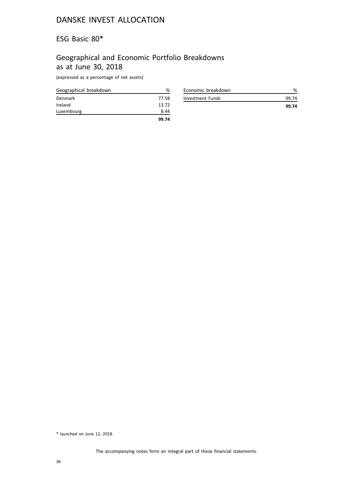### ESG Basic 80\*

# Geographical and Economic Portfolio Breakdowns as at June 30, 2018

(expressed as a percentage of net assets)

| Geographical breakdown | ℅     |
|------------------------|-------|
| Denmark                | 77.58 |
| Ireland                | 13.72 |
| Luxembourg             | 8.44  |
|                        | 99.74 |

| Economic breakdown |       |
|--------------------|-------|
| Investment Funds   | 99.74 |
|                    | 99.74 |

<sup>\*</sup> launched on June 12, 2018.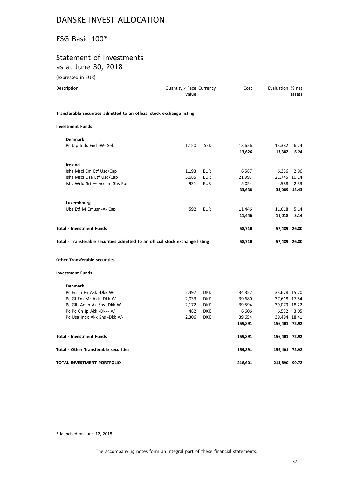# ESG Basic 100\*

# Statement of Investments as at June 30, 2018

(expressed in EUR)

| Description                                                                    | Quantity / Face Currency<br>Value |            | Cost              | Evaluation % net              | assets       |
|--------------------------------------------------------------------------------|-----------------------------------|------------|-------------------|-------------------------------|--------------|
| Transferable securities admitted to an official stock exchange listing         |                                   |            |                   |                               |              |
| <b>Investment Funds</b>                                                        |                                   |            |                   |                               |              |
| <b>Denmark</b>                                                                 |                                   |            |                   |                               |              |
| Pc Jap Indx Fnd -W- Sek                                                        | 1,150                             | <b>SEK</b> | 13,626<br>13,626  | 13,382<br>13,382              | 6.24<br>6.24 |
| Ireland                                                                        |                                   |            |                   |                               |              |
| Ishs Msci Em Etf Usd/Cap                                                       | 1,193                             | EUR        | 6,587             | 6,356                         | 2.96         |
| Ishs Msci Usa Etf Usd/Cap                                                      | 3,685                             | EUR        | 21,997            | 21,745 10.14                  |              |
| Ishs Wrld Sri - Accum Shs Eur                                                  | 931                               | <b>EUR</b> | 5,054             | 4,988                         | 2.33         |
|                                                                                |                                   |            | 33,638            |                               | 33,089 15.43 |
| Luxembourg                                                                     |                                   |            |                   |                               |              |
| Ubs Etf M Emusr -A- Cap                                                        | 592                               | <b>EUR</b> | 11,446            | 11,018                        | 5.14         |
|                                                                                |                                   |            | 11,446            | 11,018                        | 5.14         |
| <b>Total - Investment Funds</b>                                                |                                   |            | 58,710            |                               | 57,489 26.80 |
| Total - Transferable securities admitted to an official stock exchange listing |                                   |            | 58,710            |                               | 57,489 26.80 |
| <b>Other Transferable securities</b>                                           |                                   |            |                   |                               |              |
| <b>Investment Funds</b>                                                        |                                   |            |                   |                               |              |
| <b>Denmark</b>                                                                 |                                   |            |                   |                               |              |
| Pc Eu In Fn Akk -Dkk W-                                                        | 2,497                             | <b>DKK</b> | 34,357            | 33,678 15.70                  |              |
| Pc GI Em Mr Akk -Dkk W-                                                        | 2,033                             | <b>DKK</b> | 39,680            | 37,618 17.54                  |              |
| Pc Glb Ac In Ak Shs -Dkk W-                                                    | 2,172                             | <b>DKK</b> | 39,594            | 39,079 18.22                  |              |
| Pc Pc Cn Jp Akk -Dkk- W                                                        | 482                               | <b>DKK</b> | 6,606             | 6,532                         | 3.05         |
| Pc Usa Indx Akk Shs -Dkk W-                                                    | 2,306                             | <b>DKK</b> | 39,654<br>159,891 | 39,494 18.41<br>156,401 72.92 |              |
|                                                                                |                                   |            |                   |                               |              |
| <b>Total - Investment Funds</b>                                                |                                   |            | 159,891           | 156,401 72.92                 |              |
| <b>Total - Other Transferable securities</b>                                   |                                   |            | 159,891           | 156,401 72.92                 |              |
| TOTAL INVESTMENT PORTFOLIO                                                     |                                   |            | 218,601           | 213,890 99.72                 |              |

\* launched on June 12, 2018.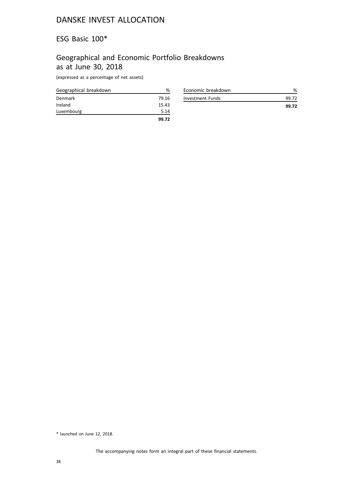#### ESG Basic 100\*

#### Geographical and Economic Portfolio Breakdowns as at June 30, 2018

(expressed as a percentage of net assets)

| Geographical breakdown | %     |
|------------------------|-------|
| Denmark                | 79.16 |
| Ireland                | 15.43 |
| Luxembourg             | 5.14  |
|                        | 99.72 |

| Economic breakdown |       |
|--------------------|-------|
| Investment Funds   | 99.72 |
|                    | 99.72 |

<sup>\*</sup> launched on June 12, 2018.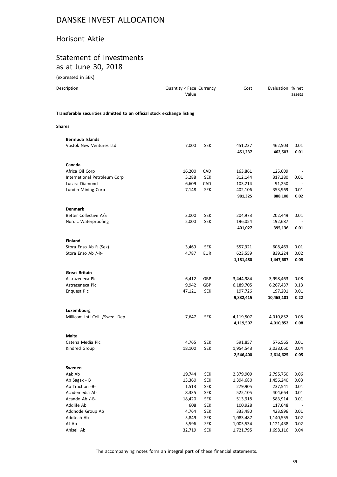#### Horisont Aktie

#### Statement of Investments as at June 30, 2018

| (expressed in SEK)                                                     |                                   |            |                    |                    |              |
|------------------------------------------------------------------------|-----------------------------------|------------|--------------------|--------------------|--------------|
| Description                                                            | Quantity / Face Currency<br>Value |            | Cost               | Evaluation % net   | assets       |
| Transferable securities admitted to an official stock exchange listing |                                   |            |                    |                    |              |
| Shares                                                                 |                                   |            |                    |                    |              |
| <b>Bermuda Islands</b>                                                 |                                   |            |                    |                    |              |
| Vostok New Ventures Ltd                                                | 7,000                             | <b>SEK</b> | 451,237<br>451,237 | 462,503<br>462,503 | 0.01<br>0.01 |
| Canada                                                                 |                                   |            |                    |                    |              |
| Africa Oil Corp                                                        | 16,200                            | CAD        | 163,861            | 125,609            |              |
| International Petroleum Corp                                           | 5,288                             | <b>SEK</b> | 312,144            | 317,280            | 0.01         |
| Lucara Diamond                                                         | 6,609                             | CAD        | 103,214            | 91,250             |              |
| Lundin Mining Corp                                                     | 7,148                             | <b>SEK</b> | 402,106            | 353,969            | 0.01         |
|                                                                        |                                   |            | 981,325            | 888,108            | 0.02         |
| <b>Denmark</b>                                                         |                                   |            |                    |                    |              |
| Better Collective A/S                                                  | 3,000                             | <b>SEK</b> | 204,973            | 202,449            | 0.01         |
| Nordic Waterproofing                                                   | 2,000                             | <b>SEK</b> | 196,054            | 192,687            |              |
|                                                                        |                                   |            | 401,027            | 395,136            | 0.01         |
| <b>Finland</b>                                                         |                                   |            |                    |                    |              |
| Stora Enso Ab R (Sek)                                                  | 3,469                             | <b>SEK</b> | 557,921            | 608,463            | 0.01         |
| Stora Enso Ab /-R-                                                     | 4,787                             | <b>EUR</b> | 623,559            | 839,224            | 0.02         |
|                                                                        |                                   |            | 1,181,480          | 1,447,687          | 0.03         |
| <b>Great Britain</b>                                                   |                                   |            |                    |                    |              |
| Astrazeneca Plc                                                        | 6,412                             | GBP        | 3,444,984          | 3,998,463          | 0.08         |
| Astrazeneca Plc                                                        | 9,942                             | GBP        | 6,189,705          | 6,267,437          | 0.13         |
| <b>Enquest Plc</b>                                                     | 47,121                            | <b>SEK</b> | 197,726            | 197,201            | 0.01         |
|                                                                        |                                   |            | 9,832,415          | 10,463,101         | 0.22         |
| Luxembourg                                                             |                                   |            |                    |                    |              |
| Millicom Intl Cell. /Swed. Dep.                                        | 7,647                             | <b>SEK</b> | 4,119,507          | 4,010,852          | 0.08         |
|                                                                        |                                   |            | 4,119,507          | 4,010,852          | 0.08         |
| Malta                                                                  |                                   |            |                    |                    |              |
| Catena Media Plc                                                       | 4,765                             | <b>SEK</b> | 591,857            | 576,565            | 0.01         |
| Kindred Group                                                          | 18,100                            | <b>SEK</b> | 1,954,543          | 2,038,060          | 0.04         |
|                                                                        |                                   |            | 2,546,400          | 2,614,625          | $\bf 0.05$   |
| Sweden                                                                 |                                   |            |                    |                    |              |
| Aak Ab                                                                 | 19,744                            | <b>SEK</b> | 2,379,909          | 2,795,750          | 0.06         |
| Ab Sagax - B                                                           | 13,360                            | <b>SEK</b> | 1,394,680          | 1,456,240          | 0.03         |
| Ab Traction -B-                                                        | 1,513                             | <b>SEK</b> | 279,905            | 237,541            | 0.01         |
| Academedia Ab                                                          | 8,335                             | <b>SEK</b> | 525,105            | 404,664            | 0.01         |

The accompanying notes form an integral part of these financial statements.

Acando Ab /-B- 18,420 SEK 513,918 583,914 0.01 Addlife Ab 608 SEK 100,928 117,648 - Addnode Group Ab **4,764** SEK 333,480 423,996 0.01 Addtech Ab 5,849 SEK 1,083,487 1,140,555 0.02 Af Ab 5,596 SEK 1,005,534 1,121,438 0.02

32,719 SEK 1,721,795 1,698,116 0.04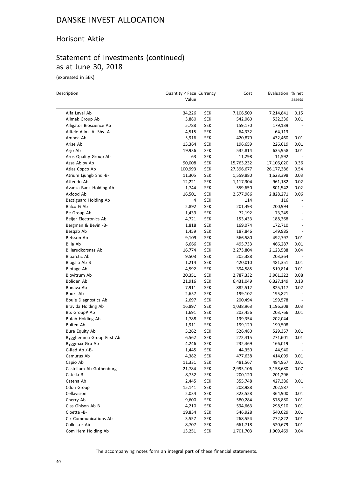#### Horisont Aktie

# Statement of Investments (continued) as at June 30, 2018

(expressed in SEK)

 $\equiv$ 

| Description                                 | Quantity / Face Currency<br>Value |                   | Cost                    | Evaluation % net     | assets                   |
|---------------------------------------------|-----------------------------------|-------------------|-------------------------|----------------------|--------------------------|
| Alfa Laval Ab                               | 34,226                            | <b>SEK</b>        |                         |                      | 0.15                     |
| Alimak Group Ab                             | 3,880                             | SEK               | 7,106,509<br>542,060    | 7,214,841<br>532,336 | 0.01                     |
| Alligator Bioscience Ab                     | 5,788                             | SEK               | 159,170                 | 179,139              |                          |
| Alltele Allm -A- Shs -A-                    | 4,515                             | SEK               | 64,332                  | 64,113               | $\overline{\phantom{a}}$ |
| Ambea Ab                                    | 5,916                             | <b>SEK</b>        | 420,879                 | 432,460              | 0.01                     |
| Arise Ab                                    | 15,364                            | <b>SEK</b>        | 196,659                 | 226,619              | 0.01                     |
| Arjo Ab                                     | 19,936                            | <b>SEK</b>        | 532,814                 | 635,958              | 0.01                     |
| Aros Quality Group Ab                       | 63                                | SEK               |                         | 11,592               |                          |
| Assa Abloy Ab                               | 90,008                            | <b>SEK</b>        | 11,298                  | 17,106,020           | 0.36                     |
| Atlas Copco Ab                              | 100,993                           | SEK               | 15,763,232              | 26,177,386           | 0.54                     |
| Atrium Ljungb Shs -B-                       | 11,305                            | SEK               | 27,396,677<br>1,559,880 | 1,623,398            | 0.03                     |
| Attendo Ab                                  |                                   | <b>SEK</b>        | 1,117,304               |                      | 0.02                     |
|                                             | 12,221                            |                   |                         | 961,182              |                          |
| Avanza Bank Holding Ab<br>Axfood Ab         | 1,744<br>16,501                   | SEK<br><b>SEK</b> | 559,650                 | 801,542              | 0.02<br>0.06             |
| Bactiguard Holding Ab                       | 4                                 | SEK               | 2,577,986               | 2,828,271<br>116     |                          |
|                                             |                                   |                   | 114                     |                      |                          |
| Balco G Ab                                  | 2,892                             | <b>SEK</b>        | 201,493                 | 200,994              |                          |
| Be Group Ab<br>Beijer Electronics Ab        | 1,439                             | <b>SEK</b>        | 72,192                  | 73,245               |                          |
|                                             | 4,721                             | SEK               | 153,433                 | 188,368              |                          |
| Bergman & Bevin -B-                         | 1,818                             | SEK               | 169,074                 | 172,710              | $\overline{a}$           |
| Besqab Ab                                   | 1,459                             | <b>SEK</b>        | 187,846                 | 149,985              |                          |
| Betsson Ab                                  | 9,109                             | <b>SEK</b>        | 566,580                 | 492,797              | 0.01                     |
| Bilia Ab<br>Billerudkorsnas Ab              | 6,666                             | <b>SEK</b>        | 495,733                 | 466,287              | 0.01                     |
|                                             | 16,774                            | SEK               | 2,273,804               | 2,123,588            | 0.04                     |
| <b>Bioarctic Ab</b>                         | 9,503                             | <b>SEK</b>        | 205,388                 | 203,364              |                          |
| Biogaia Ab B                                | 1,214                             | <b>SEK</b>        | 420,010                 | 481,351              | 0.01                     |
| Biotage Ab                                  | 4,592                             | <b>SEK</b>        | 394,585                 | 519,814              | 0.01                     |
| Biovitrum Ab                                | 20,351                            | <b>SEK</b>        | 2,787,332               | 3,961,322            | 0.08                     |
| Boliden Ab<br>Bonava Ab                     | 21,916                            | <b>SEK</b>        | 6,431,049               | 6,327,149            | 0.13<br>0.02             |
| Boozt Ab                                    | 7,911                             | <b>SEK</b>        | 882,512                 | 825,117              | $\overline{\phantom{a}}$ |
|                                             | 2,657                             | <b>SEK</b>        | 199,102                 | 195,821              |                          |
| Boule Diagnostics Ab                        | 2,697                             | SEK               | 200,494                 | 199,578              |                          |
| Bravida Holding Ab<br><b>Bts GroupP Ab</b>  | 16,897                            | SEK<br><b>SEK</b> | 1,038,963               | 1,196,308<br>203,766 | 0.03<br>0.01             |
|                                             | 1,691                             |                   | 203,456                 |                      |                          |
| <b>Bufab Holding Ab</b><br><b>Bulten Ab</b> | 1,788                             | SEK<br><b>SEK</b> | 199,354<br>199,129      | 202,044<br>199,508   |                          |
| Bure Equity Ab                              | 1,911<br>5,262                    | <b>SEK</b>        | 526,480                 | 529,357              | 0.01                     |
| Bygghemma Group First Ab                    | 6,562                             | SEK               | 272,415                 | 271,601              | 0.01                     |
| Byggmax Grp Ab                              | 4,246                             | <b>SEK</b>        | 232,469                 | 166,019              |                          |
| C-Rad Ab /-B-                               | 1,445                             | <b>SEK</b>        | 44,350                  | 44,940               | $\overline{\phantom{a}}$ |
| Camurus Ab                                  | 4,382                             | <b>SEK</b>        | 477,638                 | 414,099              | 0.01                     |
| Capio Ab                                    | 11,331                            | <b>SEK</b>        | 481,567                 | 484,967              | 0.01                     |
| Castellum Ab Gothenburg                     | 21,784                            | <b>SEK</b>        | 2,995,106               | 3,158,680            | 0.07                     |
| Catella B                                   | 8,752                             | <b>SEK</b>        | 200,120                 | 201,296              |                          |
| Catena Ab                                   | 2,445                             | <b>SEK</b>        | 355,748                 | 427,386              | 0.01                     |
| Cdon Group                                  | 15,141                            | <b>SEK</b>        | 208,988                 | 202,587              |                          |
| Cellavision                                 | 2,034                             | <b>SEK</b>        | 323,528                 | 364,900              | 0.01                     |
| Cherry Ab                                   | 9,600                             | <b>SEK</b>        | 580,284                 | 578,880              | 0.01                     |
| Clas Ohlson Ab B                            | 4,210                             | <b>SEK</b>        | 594,663                 | 298,910              | 0.01                     |
| Cloetta -B-                                 | 19,854                            | <b>SEK</b>        | 546,928                 | 540,029              | 0.01                     |
| Clx Communications Ab                       | 3,557                             | <b>SEK</b>        | 268,554                 | 272,822              | 0.01                     |
| Collector Ab                                | 8,707                             | <b>SEK</b>        | 661,718                 | 520,679              | 0.01                     |
| Com Hem Holding Ab                          | 13,251                            | <b>SEK</b>        | 1,701,703               | 1,909,469            | 0.04                     |
|                                             |                                   |                   |                         |                      |                          |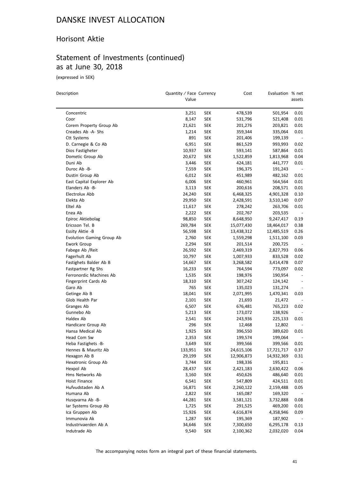#### Horisont Aktie

# Statement of Investments (continued) as at June 30, 2018

(expressed in SEK)

 $\overline{a}$ 

| Description                      | Quantity / Face Currency<br>Value |            | Cost       | Evaluation % net | assets                   |
|----------------------------------|-----------------------------------|------------|------------|------------------|--------------------------|
| Concentric                       | 3,251                             | SEK        | 478,539    | 501,954          | 0.01                     |
| Coor                             | 8,147                             | <b>SEK</b> | 531,796    | 521,408          | 0.01                     |
| Corem Property Group Ab          | 21,621                            | SEK        | 201,276    | 203,821          | 0.01                     |
| Creades Ab -A- Shs               | 1,214                             | SEK        | 359,344    | 335,064          | 0.01                     |
| Ctt Systems                      | 891                               | SEK        | 201,406    | 199,139          |                          |
| D. Carnegie & Co Ab              | 6,951                             | SEK        | 861,529    | 993,993          | 0.02                     |
| Dios Fastigheter                 | 10,937                            | <b>SEK</b> | 593,141    | 587,864          | 0.01                     |
| Dometic Group Ab                 | 20,672                            | <b>SEK</b> | 1,522,859  | 1,813,968        | 0.04                     |
| Duni Ab                          | 3,446                             | <b>SEK</b> | 424,181    | 441,777          | 0.01                     |
| Duroc Ab -B-                     | 7,559                             | <b>SEK</b> | 196,375    | 191,243          | $\overline{\phantom{a}}$ |
| Dustin Group Ab                  | 6,012                             | <b>SEK</b> | 451,989    | 482,162          | 0.01                     |
| East Capital Explorer Ab         | 6,006                             | SEK        | 460,961    | 564,564          | 0.01                     |
| Elanders Ab -B-                  | 3,113                             | <b>SEK</b> | 200,616    | 208,571          | 0.01                     |
| Electrolux Abb                   | 24,240                            | <b>SEK</b> | 6,468,325  | 4,901,328        | 0.10                     |
| Elekta Ab                        | 29,950                            | <b>SEK</b> | 2,428,591  | 3,510,140        | 0.07                     |
| Eltel Ab                         | 11,617                            | SEK        | 278,242    | 263,706          | 0.01                     |
| Enea Ab                          | 2,222                             | <b>SEK</b> | 202,767    | 203,535          |                          |
| Epiroc Aktiebolag                | 98,850                            | SEK        | 8,648,950  | 9,247,417        | 0.19                     |
| Ericsson Tel. B                  | 269,784                           | <b>SEK</b> | 15,077,430 | 18,464,017       | 0.38                     |
| Essity Aktie -B                  | 56,598                            | <b>SEK</b> | 13,438,312 | 12,485,519       | 0.26                     |
| <b>Evolution Gaming Group Ab</b> | 2,760                             | SEK        | 1,559,298  | 1,511,100        | 0.03                     |
| Ework Group                      | 2,294                             | <b>SEK</b> | 201,514    | 200,725          |                          |
| Fabege Ab / Reit                 | 26,592                            | <b>SEK</b> | 2,469,319  | 2,827,793        | 0.06                     |
| Fagerhult Ab                     | 10,797                            | <b>SEK</b> | 1,007,933  | 833,528          | 0.02                     |
| Fastighets Balder Ab B           | 14,667                            | <b>SEK</b> | 3,268,582  | 3,414,478        | 0.07                     |
| Fastpartner Rg Shs               | 16,233                            | SEK        | 764,594    | 773,097          | 0.02                     |
| Ferronordic Machines Ab          | 1,535                             | SEK        | 198,976    | 190,954          | $\overline{\phantom{a}}$ |
| Fingerprint Cards Ab             | 18,310                            | SEK        | 307,242    | 124,142          | $\overline{\phantom{a}}$ |
| Garo Ab                          | 765                               | SEK        | 135,023    | 131,274          |                          |
| Getinge Ab B                     | 18,041                            | <b>SEK</b> | 2,071,995  | 1,470,341        | 0.03                     |
| Glob Health Par                  | 2,101                             | SEK        | 21,693     | 21,472           |                          |
| Granges Ab                       | 6,507                             | <b>SEK</b> | 676,481    | 765,223          | 0.02                     |
| Gunnebo Ab                       | 5,213                             | <b>SEK</b> | 173,072    | 138,926          |                          |
| Haldex Ab                        | 2,541                             | <b>SEK</b> | 243,936    | 225,133          | 0.01                     |
| Handicare Group Ab               | 296                               | SEK        | 12,468     | 12,802           |                          |
| Hansa Medical Ab                 | 1,925                             | SEK        | 396,550    | 389,620          | 0.01                     |
| Head Com Sw                      | 2,353                             | <b>SEK</b> | 199,574    | 199,064          |                          |
| Heba Fastighets -B-              | 3,649                             | <b>SEK</b> | 399,566    | 399,566          | 0.01                     |
| Hennes & Mauritz Ab              | 133,951                           | <b>SEK</b> | 24,615,106 | 17,721,717       | 0.37                     |
| Hexagon Ab B                     | 29,199                            | <b>SEK</b> | 12,906,873 | 14,932,369       | 0.31                     |
| Hexatronic Group Ab              | 3,744                             | <b>SEK</b> | 198,336    | 195,811          |                          |
| Hexpol Ab                        | 28,437                            | <b>SEK</b> | 2,421,183  | 2,630,422        | 0.06                     |
| Hms Networks Ab                  | 3,160                             | <b>SEK</b> | 450,626    | 486,640          | 0.01                     |
| Hoist Finance                    | 6,541                             | <b>SEK</b> | 547,809    | 424,511          | 0.01                     |
| Hufvudstaden Ab A                | 16,871                            | <b>SEK</b> | 2,260,122  | 2,159,488        | 0.05                     |
| Humana Ab                        | 2,822                             | <b>SEK</b> | 165,087    | 169,320          |                          |
| Husqvarna Ab -B-                 | 44,281                            | <b>SEK</b> | 3,581,121  | 3,732,888        | 0.08                     |
| lar Systems Group Ab             | 1,725                             | <b>SEK</b> | 291,525    | 469,200          | 0.01                     |
| Ica Gruppen Ab                   | 15,926                            | <b>SEK</b> | 4,616,874  | 4,358,946        | 0.09                     |
| Immunovia Ak                     | 1,287                             | <b>SEK</b> | 195,369    | 187,902          |                          |
| Industrivaerden Ab A             | 34,646                            | <b>SEK</b> | 7,300,650  | 6,295,178        | 0.13                     |
| Indutrade Ab                     | 9,540                             | <b>SEK</b> | 2,100,362  | 2,032,020        | 0.04                     |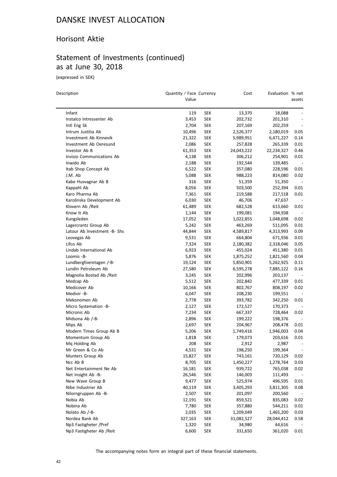#### Horisont Aktie

# Statement of Investments (continued) as at June 30, 2018

(expressed in SEK)

 $\equiv$ 

| Description                  | Quantity / Face Currency<br>Value |            | Cost       | Evaluation % net | assets                   |
|------------------------------|-----------------------------------|------------|------------|------------------|--------------------------|
| Infant                       | 119                               | <b>SEK</b> | 13,370     | 18,088           |                          |
| Instalco Intressenter Ab     | 3,453                             | SEK        | 202,732    | 201,310          |                          |
| Intl Eng Sk                  | 2,704                             | <b>SEK</b> | 207,169    | 202,259          |                          |
| Intrum Justitia Ab           | 10,496                            | <b>SEK</b> | 2,526,377  | 2,180,019        | 0.05                     |
| Investment Ab Kinnevik       | 21,322                            | SEK        | 5,989,951  | 6,471,227        | 0.14                     |
| Investment Ab Oeresund       | 2,086                             | SEK        | 257,828    | 265,339          | 0.01                     |
| Investor Ab B                | 61,353                            | <b>SEK</b> | 24,043,222 | 22,234,327       | 0.46                     |
| Invisio Communications Ab    | 4,138                             | SEK        | 306,212    | 254,901          | 0.01                     |
| Inwido Ab                    | 2,188                             | <b>SEK</b> | 192,544    | 139,485          |                          |
| Itab Shop Concept Ab         | 6,522                             | SEK        | 357,080    | 228,596          | 0.01                     |
| J.M. Ab                      | 5,088                             | <b>SEK</b> | 988,223    | 814,080          | 0.02                     |
| Kabe Husvagnar Ab B          | 316                               | SEK        | 51,359     | 51,350           |                          |
| Kappahl Ab                   | 8,056                             | <b>SEK</b> | 503,500    | 252,394          | 0.01                     |
| Karo Pharma Ab               | 7,361                             | SEK        | 219,588    | 217,518          | 0.01                     |
| Karolinska Development Ab    | 6,030                             | SEK        | 46,706     | 47,637           |                          |
| Klovern Ab /Reit             | 61,489                            | SEK        | 682,528    | 613,660          | 0.01                     |
| Know It Ab                   | 1,144                             | <b>SEK</b> | 199,081    | 194,938          |                          |
| Kungsleden                   | 17,052                            | <b>SEK</b> | 1,022,855  | 1,048,698        | 0.02                     |
| Lagercrantz Group Ab         | 5,242                             | SEK        | 463,269    | 511,095          | 0.01                     |
| Latour Ab Investment -B- Shs | 44,844                            | SEK        | 4,589,817  | 4,313,993        | 0.09                     |
| Leovegas Ab                  |                                   | <b>SEK</b> | 664,804    |                  | 0.01                     |
| Lifco Ab                     | 9,531                             |            |            | 671,936          | 0.05                     |
|                              | 7,324                             | <b>SEK</b> | 2,180,382  | 2,318,046        |                          |
| Lindab International Ab      | 6,923                             | SEK        | 455,024    | 451,380          | 0.01<br>0.04             |
| Loomis -B-                   | 5,876                             | <b>SEK</b> | 1,875,252  | 1,821,560        |                          |
| Lundbergfoeretagen /-B-      | 19,124                            | SEK        | 5,850,901  | 5,262,925        | 0.11                     |
| Lundin Petroleum Ab          | 27,580                            | SEK        | 6,595,278  | 7,885,122        | 0.16                     |
| Magnolia Bostad Ab / Reit    | 3,245                             | SEK        | 202,996    | 203,137          |                          |
| Medcap Ab                    | 5,512                             | <b>SEK</b> | 202,842    | 477,339          | 0.01                     |
| Medicover Ab                 | 10,166                            | <b>SEK</b> | 802,767    | 808,197          | 0.02                     |
| Medivir -B-                  | 6,047                             | SEK        | 208,230    | 199,551          |                          |
| Mekonomen Ab                 | 2,778                             | SEK        | 393,782    | 342,250          | 0.01                     |
| Micro Systemation -B-        | 2,127                             | SEK        | 172,527    | 170,373          |                          |
| Micronic Ab                  | 7,234                             | SEK        | 667,337    | 728,464          | 0.02                     |
| Midsona Ab /-B-              | 2,896                             | <b>SEK</b> | 199,222    | 198,376          |                          |
| Mips Ab                      | 2,697                             | SEK        | 204,967    | 208,478          | 0.01                     |
| Modern Times Group Ab B      | 5,206                             | SEK        | 1,749,416  | 1,946,003        | 0.04                     |
| Momentum Group Ab            | 1,818                             | SEK        | 179,073    | 203,616          | 0.01                     |
| Mg Holding Ab                | 208                               | <b>SEK</b> | 2,912      | 2,987            |                          |
| Mr Green & Co Ab             | 4,531                             | <b>SEK</b> | 198,250    | 199,364          | $\overline{\phantom{m}}$ |
| Munters Group Ab             | 15,827                            | <b>SEK</b> | 743,161    | 720,129          | 0.02                     |
| Ncc Ab B                     | 8,705                             | <b>SEK</b> | 1,450,227  | 1,278,764        | 0.03                     |
| Net Entertainment Ne Ab      | 16,181                            | <b>SEK</b> | 939,722    | 765,038          | 0.02                     |
| Net Insight Ab -B-           | 26,546                            | <b>SEK</b> | 146,003    | 111,493          |                          |
| New Wave Group B             | 9,477                             | <b>SEK</b> | 525,974    | 496,595          | 0.01                     |
| Nibe Industrier Ab           | 40,119                            | <b>SEK</b> | 3,405,293  | 3,811,305        | 0.08                     |
| Nilorngruppen Ab -B-         | 2,507                             | <b>SEK</b> | 201,097    | 200,560          |                          |
| Nobia Ab                     | 12,191                            | <b>SEK</b> | 859,521    | 835,083          | 0.02                     |
| Nobina Ab                    | 7,780                             | <b>SEK</b> | 357,880    | 544,211          | 0.01                     |
| Nolato Ab /-B-               | 2,035                             | <b>SEK</b> | 1,209,049  | 1,465,200        | 0.03                     |
| Nordea Bank Ab               | 327,163                           | <b>SEK</b> | 31,082,527 | 28,044,412       | 0.58                     |
| Np3 Fastigheter /Pref        | 1,320                             | <b>SEK</b> | 34,980     | 44,616           |                          |
| Np3 Fastigheter Ab /Reit     | 6,600                             | <b>SEK</b> | 331,650    | 361,020          | 0.01                     |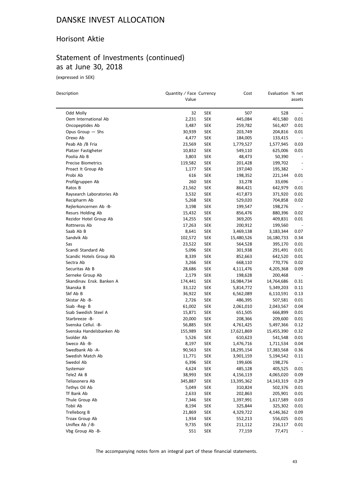#### Horisont Aktie

# Statement of Investments (continued) as at June 30, 2018

(expressed in SEK)

 $\overline{a}$ 

| Description               | Quantity / Face Currency<br>Value |            | Cost               | Evaluation % net | assets                   |
|---------------------------|-----------------------------------|------------|--------------------|------------------|--------------------------|
| Odd Molly                 | 32                                | <b>SEK</b> | 507                | 528              |                          |
| Oem International Ab      | 2,231                             | SEK        | 445,084            | 401,580          | 0.01                     |
| Oncopeptides Ab           | 3,487                             | SEK        | 259,782            | 561,407          | 0.01                     |
| Opus Group - Shs          | 30,939                            | <b>SEK</b> | 203,749            | 204,816          | 0.01                     |
| Orexo Ab                  | 4,477                             | <b>SEK</b> | 184,005            | 133,415          |                          |
| Peab Ab /B Fria           | 23,569                            | <b>SEK</b> | 1,779,527          | 1,577,945        | 0.03                     |
| Platzer Fastigheter       | 10,832                            | SEK        | 549,110            | 625,006          | 0.01                     |
| Poolia Ab B               | 3,803                             | <b>SEK</b> | 48,473             | 50,390           |                          |
| <b>Precise Biometrics</b> | 119,582                           | SEK        | 201,428            | 199,702          |                          |
| Proact It Group Ab        | 1,177                             | SEK        | 197,040            | 195,382          |                          |
| Probi Ab                  | 616                               | <b>SEK</b> | 198,352            | 221,144          | 0.01                     |
| Profilgruppen Ab          | 260                               | <b>SEK</b> | 33,278             | 33,696           | $\overline{\phantom{a}}$ |
| Ratos B                   | 21,562                            | <b>SEK</b> | 864,421            | 642,979          | 0.01                     |
| Raysearch Laboratories Ab | 3,532                             | SEK        | 417,873            | 371,920          | 0.01                     |
| Recipharm Ab              | 5,268                             | SEK        |                    |                  | 0.02                     |
| Rejlerkoncernen Ab -B-    |                                   |            | 529,020            | 704,858          |                          |
| Resurs Holding Ab         | 3,198                             | SEK        | 199,547<br>856,476 | 198,276          |                          |
|                           | 15,432                            | SEK        |                    | 880,396          | 0.02                     |
| Rezidor Hotel Group Ab    | 14,255                            | SEK        | 369,205            | 409,831          | 0.01                     |
| Rottneros Ab<br>Saab Ab B | 17,263                            | <b>SEK</b> | 200,912            | 199,560          | $\overline{\phantom{a}}$ |
|                           | 8,641                             | <b>SEK</b> | 3,469,138          | 3,183,344        | 0.07                     |
| Sandvik Ab                | 102,572                           | <b>SEK</b> | 15,480,526         | 16,180,733       | 0.34                     |
| Sas                       | 23,522                            | <b>SEK</b> | 564,528            | 395,170          | 0.01                     |
| Scandi Standard Ab        | 5,096                             | SEK        | 301,938            | 291,491          | 0.01                     |
| Scandic Hotels Group Ab   | 8,339                             | SEK        | 852,663            | 642,520          | 0.01                     |
| Sectra Ab                 | 3,266                             | <b>SEK</b> | 668,110            | 770,776          | 0.02                     |
| Securitas Ab B            | 28,686                            | <b>SEK</b> | 4,111,476          | 4,205,368        | 0.09                     |
| Serneke Group Ab          | 2,179                             | SEK        | 198,628            | 200,468          |                          |
| Skandinav. Ensk. Banken A | 174,441                           | SEK        | 16,984,734         | 14,764,686       | 0.31                     |
| Skanska B                 | 33,122                            | <b>SEK</b> | 5,814,772          | 5,349,203        | 0.11                     |
| Skf Ab B                  | 36,922                            | <b>SEK</b> | 6,562,089          | 6,110,591        | 0.13                     |
| Skistar Ab -B-            | 2,726                             | <b>SEK</b> | 486,395            | 507,581          | 0.01                     |
| Ssab -Reg- B              | 61,002                            | <b>SEK</b> | 2,061,010          | 2,043,567        | 0.04                     |
| Ssab Swedish Steel A      | 15,871                            | SEK        | 651,505            | 666,899          | 0.01                     |
| Starbreeze -B-            | 20,000                            | <b>SEK</b> | 208,366            | 209,600          | 0.01                     |
| Svenska Cellul. - B-      | 56,885                            | <b>SEK</b> | 4,761,425          | 5,497,366        | 0.12                     |
| Svenska Handelsbanken Ab  | 155,989                           | SEK        | 17,621,869         | 15,455,390       | 0.32                     |
| Svolder Ab                | 5,526                             | <b>SEK</b> | 610,623            | 541,548          | 0.01                     |
| Sweco Ab -B-              | 8,197                             | <b>SEK</b> | 1,476,716          | 1,711,534        | 0.04                     |
| Swedbank Ab -A-           | 90,563                            | <b>SEK</b> | 18,295,154         | 17,383,568       | 0.36                     |
| Swedish Match Ab          | 11,771                            | <b>SEK</b> | 3,901,159          | 5,194,542        | 0.11                     |
| Swedol Ab                 | 6,396                             | <b>SEK</b> | 199,606            | 198,276          | $\overline{\phantom{a}}$ |
| Systemair                 | 4,624                             | <b>SEK</b> | 485,128            | 405,525          | 0.01                     |
| Tele2 Ak B                | 38,993                            | <b>SEK</b> | 4,156,119          | 4,065,020        | 0.09                     |
| Teliasonera Ab            | 345,887                           | <b>SEK</b> | 13,395,362         | 14,143,319       | 0.29                     |
| Tethys Oil Ab             | 5,049                             | <b>SEK</b> | 310,824            | 502,376          | 0.01                     |
| Tf Bank Ab                | 2,633                             | <b>SEK</b> | 202,863            | 205,901          | 0.01                     |
| Thule Group Ab            | 7,346                             | <b>SEK</b> | 1,397,991          | 1,617,589        | 0.03                     |
| Tobii Ab                  | 8,194                             | <b>SEK</b> | 325,844            | 325,302          | 0.01                     |
| Trelleborg B              | 21,869                            | <b>SEK</b> | 4,329,722          | 4,146,362        | 0.09                     |
| Troax Group Ab            | 1,934                             | <b>SEK</b> | 552,213            | 556,025          | 0.01                     |
| Uniflex Ab /-B-           | 9,735                             | <b>SEK</b> | 211,112            | 216,117          | 0.01                     |
| Vbg Group Ab -B-          | 551                               | <b>SEK</b> | 77,159             | 77,471           |                          |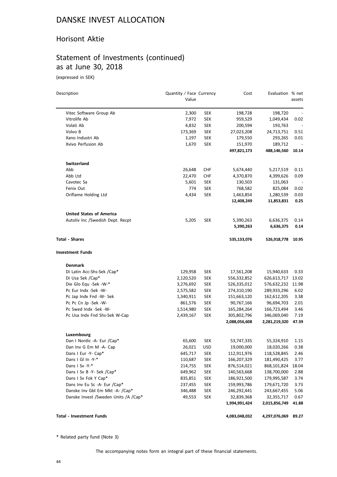#### Horisont Aktie

# Statement of Investments (continued) as at June 30, 2018

(expressed in SEK)

| Description                             | Quantity / Face Currency |            | Cost          | Evaluation % net |                          |
|-----------------------------------------|--------------------------|------------|---------------|------------------|--------------------------|
|                                         | Value                    |            |               |                  | assets                   |
| Vitec Software Group Ab                 | 2,300                    | <b>SEK</b> | 198,728       | 198,720          |                          |
| Vitrolife Ab                            | 7,972                    | <b>SEK</b> | 959,529       | 1,049,434        | 0.02                     |
| Volati Ab                               | 4,832                    | <b>SEK</b> | 200,594       | 193,763          | $\overline{\phantom{a}}$ |
| Volvo B                                 | 173,369                  | <b>SEK</b> | 27,023,208    | 24,713,751       | 0.51                     |
| Xano Industri Ab                        | 1,197                    | <b>SEK</b> | 179,550       | 293,265          | 0.01                     |
| Xvivo Perfusion Ab                      | 1,670                    | <b>SEK</b> | 151,970       | 189,712          |                          |
|                                         |                          |            | 497,821,173   | 488,146,560      | 10.14                    |
| Switzerland                             |                          |            |               |                  |                          |
| Abb                                     | 26,648                   | <b>CHF</b> | 5,674,440     | 5,217,519        | 0.11                     |
| Abb Ltd                                 | 22,470                   | <b>CHF</b> | 4,370,870     | 4,399,626        | 0.09                     |
| Cavotec Sa                              | 5,601                    | <b>SEK</b> | 130,503       | 131,063          |                          |
| Fenix Out                               | 774                      | <b>SEK</b> | 768,582       | 825,084          | 0.02                     |
| Oriflame Holding Ltd                    | 4,434                    | <b>SEK</b> | 1,463,854     | 1,280,539        | 0.03                     |
|                                         |                          |            | 12,408,249    | 11,853,831       | 0.25                     |
| <b>United States of America</b>         |                          |            |               |                  |                          |
| Autoliv Inc / Swedish Dept. Recpt       | 5,205                    | <b>SEK</b> | 5,390,263     | 6,636,375        | 0.14                     |
|                                         |                          |            | 5,390,263     | 6,636,375        | 0.14                     |
| <b>Total - Shares</b>                   |                          |            | 535,133,076   | 526,918,778      | 10.95                    |
| <b>Investment Funds</b>                 |                          |            |               |                  |                          |
| <b>Denmark</b>                          |                          |            |               |                  |                          |
| Di Latin Acc-Shs-Sek /Cap*              | 129,958                  | <b>SEK</b> | 17,561,208    | 15,940,633       | 0.33                     |
| Di Usa Sek /Cap*                        | 2,120,520                | <b>SEK</b> | 556,332,852   | 626,613,717      | 13.02                    |
| Die Glo Equ -Sek -W-*                   | 3,276,692                | <b>SEK</b> | 526,335,012   | 576,632,232      | 11.98                    |
| Pc Eur Indx -Sek -W-                    | 2,575,582                | <b>SEK</b> | 274,310,190   | 289,933,296      | 6.02                     |
| Pc Jap Indx Fnd -W- Sek                 | 1,340,911                | <b>SEK</b> | 151,663,120   | 162,612,205      | 3.38                     |
| Pc Pc Cn Jp -Sek -W-                    | 861,576                  | <b>SEK</b> | 90,767,166    | 96,694,703       | 2.01                     |
| Pc Swed Indx -Sek -W-                   | 1,514,980                | <b>SEK</b> | 165,284,264   | 166,723,494      | 3.46                     |
| Pc Usa Indx Fnd Shs-Sek W-Cap           | 2,439,167                | <b>SEK</b> | 305,802,796   | 346,069,040      | 7.19                     |
|                                         |                          |            | 2,088,056,608 | 2,281,219,320    | 47.39                    |
| Luxembourg                              |                          |            |               |                  |                          |
| Dan I Nordic -A- Eur /Cap*              | 65,600                   | SEK        | 53,747,335    | 55,324,910       | 1.15                     |
| Dan Inv G Em M -A- Cap                  | 26,021                   | USD        | 19,000,000    | 18,020,266       | 0.38                     |
| Dans I Eur -Y- Cap*                     | 645,717                  | <b>SEK</b> | 112,911,976   | 118,528,845      | 2.46                     |
| Dans I Gl In -Y-*                       | 110,687                  | <b>SEK</b> | 166,207,329   | 181,490,425      | 3.77                     |
| Dans I Sv -Y-*                          | 214,755                  | <b>SEK</b> | 876,514,021   | 868,101,824      | 18.04                    |
| Dans I Sv B -Y- Sek /Cap*               | 649,962                  | <b>SEK</b> | 140,563,668   | 138,700,000      | 2.88                     |
| Dans I Sv Fok Y Cap*                    | 835,851                  | <b>SEK</b> | 186,921,500   | 179,995,587      | 3.74                     |
| Dans Inv Eu Sc -A- Eur /Cap*            | 237,455                  | <b>SEK</b> | 159,993,786   | 179,671,720      | 3.73                     |
| Danske Inv Gbl Em Mkt -A- /Cap*         | 346,488                  | <b>SEK</b> | 246,292,441   | 243,667,455      | 5.06                     |
| Danske Invest / Sweden Units / A / Cap* | 49,553                   | <b>SEK</b> | 32,839,368    | 32,355,717       | 0.67                     |
|                                         |                          |            | 1,994,991,424 | 2,015,856,749    | 41.88                    |
| <b>Total - Investment Funds</b>         |                          |            | 4,083,048,032 | 4,297,076,069    | 89.27                    |

\* Related party fund (Note 3)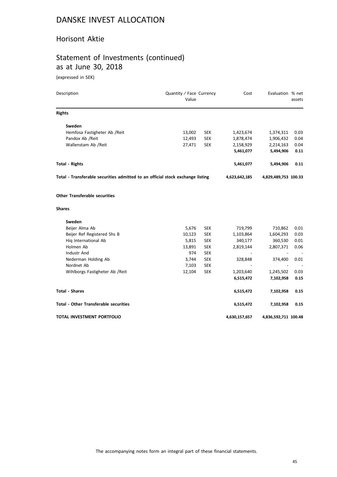#### Horisont Aktie

# Statement of Investments (continued) as at June 30, 2018

(expressed in SEK)

| Description                                                                    | Quantity / Face Currency<br>Value |            | Cost          | Evaluation % net     | assets |
|--------------------------------------------------------------------------------|-----------------------------------|------------|---------------|----------------------|--------|
| <b>Rights</b>                                                                  |                                   |            |               |                      |        |
| Sweden                                                                         |                                   |            |               |                      |        |
| Hemfosa Fastigheter Ab / Reit                                                  | 13,002                            | <b>SEK</b> | 1,423,674     | 1,374,311            | 0.03   |
| Pandox Ab / Reit                                                               | 12,493                            | <b>SEK</b> | 1,878,474     | 1,906,432            | 0.04   |
| Wallenstam Ab /Reit                                                            | 27,471                            | <b>SEK</b> | 2,158,929     | 2,214,163            | 0.04   |
|                                                                                |                                   |            | 5,461,077     | 5,494,906            | 0.11   |
| <b>Total - Rights</b>                                                          |                                   |            | 5,461,077     | 5,494,906            | 0.11   |
| Total - Transferable securities admitted to an official stock exchange listing |                                   |            | 4,623,642,185 | 4,829,489,753 100.33 |        |
| <b>Other Transferable securities</b>                                           |                                   |            |               |                      |        |
| <b>Shares</b>                                                                  |                                   |            |               |                      |        |
| Sweden                                                                         |                                   |            |               |                      |        |
| Beijer Alma Ab                                                                 | 5,676                             | <b>SEK</b> | 719,799       | 710,862              | 0.01   |
| Beijer Ref Registered Shs B                                                    | 10,123                            | <b>SEK</b> | 1,103,864     | 1,604,293            | 0.03   |
| Hig International Ab                                                           | 5,815                             | <b>SEK</b> | 340,177       | 360,530              | 0.01   |
| Holmen Ab                                                                      | 13,891                            | <b>SEK</b> | 2,819,144     | 2,807,371            | 0.06   |
| Industr And                                                                    | 974                               | <b>SEK</b> |               |                      |        |
| Nederman Holding Ab                                                            | 3,744                             | <b>SEK</b> | 328,848       | 374,400              | 0.01   |
| Nordnet Ab                                                                     | 7,103                             | <b>SEK</b> |               |                      |        |
| Wihlborgs Fastigheter Ab / Reit                                                | 12,104                            | <b>SEK</b> | 1,203,640     | 1,245,502            | 0.03   |
|                                                                                |                                   |            | 6,515,472     | 7,102,958            | 0.15   |
| <b>Total - Shares</b>                                                          |                                   |            | 6,515,472     | 7,102,958            | 0.15   |
| <b>Total - Other Transferable securities</b>                                   |                                   |            | 6,515,472     | 7,102,958            | 0.15   |
| TOTAL INVESTMENT PORTFOLIO                                                     |                                   |            | 4,630,157,657 | 4,836,592,711 100.48 |        |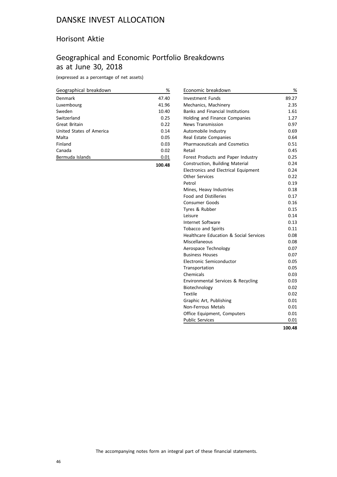#### Horisont Aktie

## Geographical and Economic Portfolio Breakdowns as at June 30, 2018

(expressed as a percentage of net assets)

| Geographical breakdown   | %     |
|--------------------------|-------|
| Denmark                  | 47.40 |
| Luxembourg               | 41.96 |
| Sweden                   | 10.40 |
| Switzerland              | 0.25  |
| Great Britain            | 0.22  |
| United States of America | 0.14  |
| Malta                    | 0.05  |
| Finland                  | 0.03  |
| Canada                   | 0.02  |
| Bermuda Islands          | 0.01  |
|                          |       |

**100.48**

| Economic breakdown                                | %      |
|---------------------------------------------------|--------|
| <b>Investment Funds</b>                           | 89.27  |
| Mechanics, Machinery                              | 2.35   |
| <b>Banks and Financial Institutions</b>           | 1.61   |
| Holding and Finance Companies                     | 1.27   |
| <b>News Transmission</b>                          | 0.97   |
| Automobile Industry                               | 0.69   |
| Real Estate Companies                             | 0.64   |
| <b>Pharmaceuticals and Cosmetics</b>              | 0.51   |
| Retail                                            | 0.45   |
| Forest Products and Paper Industry                | 0.25   |
| Construction, Building Material                   | 0.24   |
| Electronics and Electrical Equipment              | 0.24   |
| <b>Other Services</b>                             | 0.22   |
| Petrol                                            | 0.19   |
| Mines, Heavy Industries                           | 0.18   |
| <b>Food and Distilleries</b>                      | 0.17   |
| Consumer Goods                                    | 0.16   |
| Tyres & Rubber                                    | 0.15   |
| Leisure                                           | 0.14   |
| Internet Software                                 | 0.13   |
| <b>Tobacco and Spirits</b>                        | 0.11   |
| <b>Healthcare Education &amp; Social Services</b> | 0.08   |
| Miscellaneous                                     | 0.08   |
| Aerospace Technology                              | 0.07   |
| <b>Business Houses</b>                            | 0.07   |
| Electronic Semiconductor                          | 0.05   |
| Transportation                                    | 0.05   |
| Chemicals                                         | 0.03   |
| Environmental Services & Recycling                | 0.03   |
| Biotechnology                                     | 0.02   |
| <b>Textile</b>                                    | 0.02   |
| Graphic Art, Publishing                           | 0.01   |
| <b>Non-Ferrous Metals</b>                         | 0.01   |
| Office Equipment, Computers                       | 0.01   |
| <b>Public Services</b>                            | 0.01   |
|                                                   | 100.48 |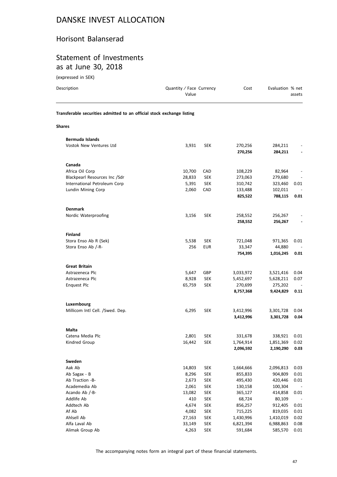#### Horisont Balanserad

#### Statement of Investments as at June 30, 2018

(expressed in SEK)

| Description                                                            | Quantity / Face Currency<br>Value |            | Cost               | Evaluation % net    | assets |
|------------------------------------------------------------------------|-----------------------------------|------------|--------------------|---------------------|--------|
| Transferable securities admitted to an official stock exchange listing |                                   |            |                    |                     |        |
| <b>Shares</b>                                                          |                                   |            |                    |                     |        |
| <b>Bermuda Islands</b>                                                 |                                   |            |                    |                     |        |
| Vostok New Ventures Ltd                                                | 3,931                             | <b>SEK</b> | 270,256            | 284,211             |        |
|                                                                        |                                   |            | 270,256            | 284,211             |        |
| Canada                                                                 |                                   |            |                    |                     |        |
|                                                                        |                                   |            |                    |                     |        |
| Africa Oil Corp                                                        | 10,700                            | CAD        | 108,229            | 82,964              |        |
| Blackpearl Resources Inc /Sdr                                          | 28,833                            | <b>SEK</b> | 273,063            | 279,680             |        |
| International Petroleum Corp                                           | 5,391                             | <b>SEK</b> | 310,742            | 323,460             | 0.01   |
| Lundin Mining Corp                                                     | 2,060                             | CAD        | 133,488<br>825,522 | 102,011<br>788,115  | 0.01   |
|                                                                        |                                   |            |                    |                     |        |
| <b>Denmark</b>                                                         |                                   |            |                    |                     |        |
| Nordic Waterproofing                                                   | 3,156                             | <b>SEK</b> | 258,552<br>258,552 | 256,267<br>256,267  |        |
|                                                                        |                                   |            |                    |                     |        |
| <b>Finland</b>                                                         |                                   |            |                    |                     |        |
| Stora Enso Ab R (Sek)                                                  | 5,538                             | <b>SEK</b> | 721,048            | 971,365             | 0.01   |
| Stora Enso Ab /-R-                                                     | 256                               | <b>EUR</b> | 33,347<br>754,395  | 44,880<br>1,016,245 | 0.01   |
|                                                                        |                                   |            |                    |                     |        |
| <b>Great Britain</b>                                                   |                                   |            |                    |                     |        |
| Astrazeneca Plc                                                        | 5,647                             | GBP        | 3,033,972          | 3,521,416           | 0.04   |
| Astrazeneca Plc                                                        | 8,928                             | <b>SEK</b> | 5,452,697          | 5,628,211           | 0.07   |
| <b>Enquest Plc</b>                                                     | 65,759                            | <b>SEK</b> | 270,699            | 275,202             |        |
|                                                                        |                                   |            | 8,757,368          | 9,424,829           | 0.11   |
| Luxembourg                                                             |                                   |            |                    |                     |        |
| Millicom Intl Cell. /Swed. Dep.                                        | 6,295                             | <b>SEK</b> | 3,412,996          | 3,301,728           | 0.04   |
|                                                                        |                                   |            | 3,412,996          | 3,301,728           | 0.04   |
| Malta                                                                  |                                   |            |                    |                     |        |
| Catena Media Plc                                                       | 2,801                             | SEK        | 331,678            | 338,921             | 0.01   |
| Kindred Group                                                          | 16,442                            | <b>SEK</b> | 1,764,914          | 1,851,369           | 0.02   |
|                                                                        |                                   |            | 2,096,592          | 2,190,290           | 0.03   |
| Sweden                                                                 |                                   |            |                    |                     |        |
| Aak Ab                                                                 | 14,803                            | <b>SEK</b> | 1,664,666          | 2,096,813           | 0.03   |
| Ab Sagax - B                                                           | 8,296                             | <b>SEK</b> | 855,833            | 904,809             | 0.01   |
| Ab Traction -B-                                                        | 2,673                             | <b>SEK</b> | 495,430            | 420,446             | 0.01   |
| Academedia Ab                                                          | 2,061                             | <b>SEK</b> | 130,158            | 100,304             |        |
| Acando Ab /-B-                                                         | 13,082                            | <b>SEK</b> | 365,127            | 414,858             | 0.01   |
| Addlife Ab                                                             | 410                               | <b>SEK</b> | 68,724             | 80,109              |        |
| Addtech Ab                                                             | 4,674                             | <b>SEK</b> | 856,257            | 912,405             | 0.01   |
| Af Ab                                                                  | 4,082                             | <b>SEK</b> | 715,225            | 819,035             | 0.01   |
| Ahlsell Ab                                                             | 27,163                            | <b>SEK</b> | 1,430,996          | 1,410,019           | 0.02   |
| Alfa Laval Ab                                                          | 33,149                            | <b>SEK</b> | 6,821,394          | 6,988,863           | 0.08   |

The accompanying notes form an integral part of these financial statements.

Alimak Group Ab **4,263** SEK 591,684 585,570 0.01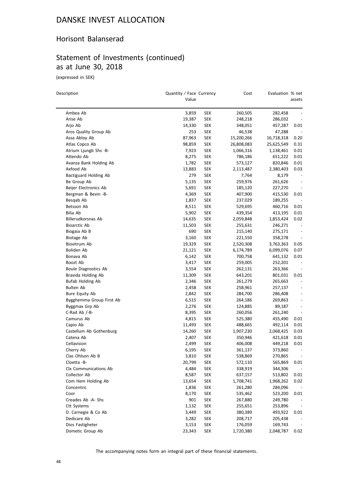#### Horisont Balanserad

# Statement of Investments (continued) as at June 30, 2018

(expressed in SEK)

 $\overline{\phantom{0}}$ 

| Description |                          | Quantity / Face Currency |            | Cost       | Evaluation % net |                          |
|-------------|--------------------------|--------------------------|------------|------------|------------------|--------------------------|
|             |                          | Value                    |            |            |                  | assets                   |
|             | Ambea Ab                 | 3,859                    | <b>SEK</b> | 260,505    | 282,458          |                          |
|             | Arise Ab                 | 19,387                   | <b>SEK</b> | 248,218    | 286,032          |                          |
|             | Arjo Ab                  | 14,330                   | <b>SEK</b> | 348,051    | 457,287          | 0.01                     |
|             | Aros Quality Group Ab    | 253                      | SEK        | 46,538     | 47,288           |                          |
|             | Assa Abloy Ab            | 87,963                   | <b>SEK</b> | 15,200,266 | 16,718,318       | 0.20                     |
|             | Atlas Copco Ab           | 98,859                   | SEK        | 26,808,083 | 25,625,549       | 0.31                     |
|             | Atrium Ljungb Shs -B-    | 7,923                    | <b>SEK</b> | 1,066,316  | 1,138,461        | 0.01                     |
|             | Attendo Ab               | 8,275                    | <b>SEK</b> | 786,186    | 651,222          | 0.01                     |
|             | Avanza Bank Holding Ab   | 1,782                    | SEK        | 573,127    | 820,846          | 0.01                     |
|             | Axfood Ab                | 13,883                   | <b>SEK</b> | 2,113,487  | 2,380,403        | 0.03                     |
|             | Bactiguard Holding Ab    | 279                      | SEK        | 7,764      | 8,179            | $\overline{\phantom{a}}$ |
|             | Be Group Ab              | 5,135                    | SEK        | 259,976    | 261,626          |                          |
|             | Beijer Electronics Ab    | 5,691                    | SEK        | 185,120    | 227,270          | $\overline{\phantom{a}}$ |
|             | Bergman & Bevin -B-      | 4,369                    | SEK        | 407,900    | 415,530          | 0.01                     |
|             | Besqab Ab                | 1,837                    | <b>SEK</b> | 237,029    | 189,255          |                          |
|             | Betsson Ab               | 8,511                    | <b>SEK</b> | 529,695    | 460,716          | 0.01                     |
|             | Bilia Ab                 | 5,902                    | <b>SEK</b> | 439,354    | 413,195          | 0.01                     |
|             | Billerudkorsnas Ab       | 14,635                   | <b>SEK</b> | 2,059,848  | 1,853,424        | 0.02                     |
|             | <b>Bioarctic Ab</b>      | 11,503                   | <b>SEK</b> | 255,631    | 246,271          | $\overline{\phantom{a}}$ |
|             | Biogaia Ab B             | 690                      | SEK        | 215,140    | 275,171          | $\overline{\phantom{a}}$ |
|             | Biotage Ab               | 3,160                    | <b>SEK</b> | 221,550    | 358,278          | $\overline{\phantom{m}}$ |
|             | Biovitrum Ab             | 19,329                   | <b>SEK</b> | 2,520,308  | 3,763,363        | 0.05                     |
|             | Boliden Ab               | 21,121                   | <b>SEK</b> | 6,174,789  | 6,099,076        | 0.07                     |
|             | Bonava Ab                | 6,142                    | <b>SEK</b> | 700,758    | 641,132          | 0.01                     |
|             | Boozt Ab                 | 3,417                    | <b>SEK</b> | 259,005    | 252,201          | $\overline{\phantom{a}}$ |
|             | Boule Diagnostics Ab     | 3,554                    | SEK        | 262,131    | 263,366          |                          |
|             | Bravida Holding Ab       | 11,309                   | SEK        | 643,201    | 801,031          | 0.01                     |
|             | <b>Bufab Holding Ab</b>  | 2,346                    | <b>SEK</b> | 261,279    | 265,663          |                          |
|             | Bulten Ab                | 2,458                    | SEK        | 258,961    | 257,137          | $\overline{\phantom{a}}$ |
|             | Bure Equity Ab           | 2,842                    | <b>SEK</b> | 284,700    | 286,408          | $\overline{\phantom{a}}$ |
|             | Bygghemma Group First Ab | 6,515                    | <b>SEK</b> | 264,186    | 269,863          | $\overline{\phantom{a}}$ |
|             | Byggmax Grp Ab           | 2,276                    | SEK        | 124,885    | 89,187           | $\overline{\phantom{a}}$ |
|             | C-Rad Ab $/-B$ -         | 8,395                    | SEK        | 260,056    | 261,240          | $\overline{\phantom{a}}$ |
|             | Camurus Ab               | 4,815                    | <b>SEK</b> | 525,380    | 455,490          | 0.01                     |
|             | Capio Ab                 | 11,493                   | <b>SEK</b> | 488,665    | 492,114          | 0.01                     |
|             | Castellum Ab Gothenburg  | 14,260                   | <b>SEK</b> | 1,907,230  | 2,068,425        | 0.03                     |
|             | Catena Ab                | 2,407                    | <b>SEK</b> | 350,946    | 421,618          | 0.01                     |
|             | Cellavision              | 2,499                    | SEK        | 406,008    | 449,218          | 0.01                     |
|             | Cherry Ab                | 6,195                    | <b>SEK</b> | 361,137    | 373,860          |                          |
|             | Clas Ohlson Ab B         | 3,810                    | <b>SEK</b> | 538,869    | 270,865          |                          |
|             | Cloetta -B-              | 20,799                   | <b>SEK</b> | 572,110    | 565,869          | 0.01                     |
|             | Clx Communications Ab    | 4,484                    | <b>SEK</b> | 338,919    | 344,306          | $\overline{\phantom{a}}$ |
|             | Collector Ab             | 8,587                    | <b>SEK</b> | 637,157    | 513,802          | 0.01                     |
|             | Com Hem Holding Ab       | 13,654                   | <b>SEK</b> | 1,708,741  | 1,968,262        | 0.02                     |
|             | Concentric               | 1,836                    | <b>SEK</b> | 261,280    | 284,096          |                          |
|             | Coor                     | 8,170                    | <b>SEK</b> | 535,462    | 523,200          | 0.01                     |
|             | Creades Ab -A- Shs       | 901                      | <b>SEK</b> | 267,880    | 249,780          |                          |
|             | <b>Ctt Systems</b>       | 1,132                    | <b>SEK</b> | 255,651    | 253,896          | $\overline{\phantom{a}}$ |
|             | D. Carnegie & Co Ab      | 3,449                    | <b>SEK</b> | 380,389    | 493,922          | 0.01                     |
|             | Dedicare Ab              | 3,282                    | <b>SEK</b> | 208,717    | 205,438          |                          |
|             | Dios Fastigheter         | 3,153                    | <b>SEK</b> | 176,059    | 169,743          |                          |
|             | Dometic Group Ab         | 23,343                   | <b>SEK</b> | 1,720,380  | 2,048,787        | 0.02                     |
|             |                          |                          |            |            |                  |                          |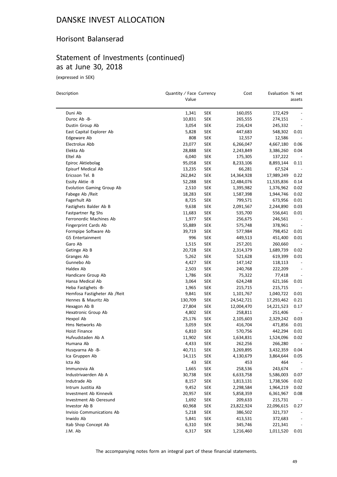#### Horisont Balanserad

# Statement of Investments (continued) as at June 30, 2018

(expressed in SEK)

 $\overline{\phantom{0}}$ 

| Description                   | Quantity / Face Currency<br>Value |            | Cost       | Evaluation % net | assets                   |
|-------------------------------|-----------------------------------|------------|------------|------------------|--------------------------|
|                               |                                   |            |            |                  |                          |
| Duni Ab                       | 1,341                             | <b>SEK</b> | 160,055    | 172,429          |                          |
| Duroc Ab -B-                  | 10,831                            | <b>SEK</b> | 265,555    | 274,151          |                          |
| Dustin Group Ab               | 3,054                             | <b>SEK</b> | 216,424    | 245,332          |                          |
| East Capital Explorer Ab      | 5,828                             | <b>SEK</b> | 447,683    | 548,302          | 0.01                     |
| Edgeware Ab                   | 808                               | <b>SEK</b> | 12,557     | 12,586           |                          |
| Electrolux Abb                | 23,077                            | SEK        | 6,266,047  | 4,667,180        | 0.06                     |
| Elekta Ab                     | 28,888                            | <b>SEK</b> | 2,243,849  | 3,386,260        | 0.04                     |
| Eltel Ab                      | 6,040                             | SEK        | 175,305    | 137,222          |                          |
| Epiroc Aktiebolag             | 95,058                            | SEK        | 8,233,106  | 8,893,144        | 0.11                     |
| Episurf Medical Ab            | 13,235                            | SEK        | 66,281     | 67,524           |                          |
| Ericsson Tel. B               | 262,842                           | <b>SEK</b> | 14,364,928 | 17,989,249       | 0.22                     |
| Essity Aktie -B               | 52,288                            | <b>SEK</b> | 12,484,076 | 11,535,836       | 0.14                     |
| Evolution Gaming Group Ab     | 2,510                             | SEK        | 1,395,982  | 1,376,962        | 0.02                     |
| Fabege Ab / Reit              | 18,283                            | <b>SEK</b> | 1,587,398  | 1,944,746        | 0.02                     |
| Fagerhult Ab                  | 8,725                             | <b>SEK</b> | 799,571    | 673,956          | 0.01                     |
| Fastighets Balder Ab B        | 9,638                             | SEK        | 2,091,567  | 2,244,890        | 0.03                     |
| Fastpartner Rg Shs            | 11,683                            | SEK        | 535,700    | 556,641          | 0.01                     |
| Ferronordic Machines Ab       | 1,977                             | <b>SEK</b> | 256,675    | 246,561          | $\overline{\phantom{a}}$ |
| Fingerprint Cards Ab          | 55,889                            | SEK        | 575,748    | 378,961          | $\overline{\phantom{a}}$ |
| Formpipe Software Ab          | 39,719                            | SEK        | 577,984    | 798,452          | 0.01                     |
| G5 Entertainment              | 996                               | <b>SEK</b> | 449,513    | 451,400          | 0.01                     |
| Garo Ab                       | 1,515                             | <b>SEK</b> | 257,201    | 260,660          |                          |
| Getinge Ab B                  | 20,728                            | <b>SEK</b> | 2,314,379  | 1,689,739        | 0.02                     |
| Granges Ab                    | 5,262                             | <b>SEK</b> | 521,628    | 619,399          | 0.01                     |
| Gunnebo Ab                    | 4,427                             | <b>SEK</b> | 147,142    | 118,113          | $\overline{\phantom{a}}$ |
| Haldex Ab                     | 2,503                             | <b>SEK</b> | 240,768    | 222,209          | $\overline{\phantom{a}}$ |
| Handicare Group Ab            | 1,786                             | SEK        | 75,322     | 77,418           |                          |
| Hansa Medical Ab              | 3,064                             | SEK        | 624,248    | 621,166          | 0.01                     |
| Heba Fastighets -B-           | 1,965                             | SEK        | 215,715    | 215,715          | $\overline{\phantom{a}}$ |
| Hemfosa Fastigheter Ab / Reit | 9,841                             | <b>SEK</b> | 1,101,767  | 1,040,722        | 0.01                     |
| Hennes & Mauritz Ab           | 130,709                           | SEK        | 24,542,721 | 17,293,462       | 0.21                     |
| Hexagon Ab B                  | 27,804                            | <b>SEK</b> | 12,004,470 | 14,221,523       | 0.17                     |
| Hexatronic Group Ab           | 4,802                             | SEK        | 258,811    | 251,406          |                          |
| Hexpol Ab                     | 25,176                            | <b>SEK</b> | 2,105,603  | 2,329,242        | 0.03                     |
| Hms Networks Ab               | 3,059                             | SEK        | 416,704    | 471,856          | 0.01                     |
| Hoist Finance                 | 6,810                             | <b>SEK</b> | 570,756    | 442,294          | 0.01                     |
| Hufvudstaden Ab A             | 11,902                            | SEK        | 1,634,831  | 1,524,096        | 0.02                     |
| Humana Ab                     | 4,433                             | SEK        | 262,256    | 266,280          |                          |
| Husqvarna Ab -B-              | 40,711                            | SEK        | 3,269,895  | 3,432,359        | 0.04                     |
| Ica Gruppen Ab                | 14,115                            | <b>SEK</b> | 4,130,679  | 3,864,644        | 0.05                     |
| Icta Ab                       | 43                                | <b>SEK</b> | 453        | 464              |                          |
| Immunovia Ak                  | 1,665                             | <b>SEK</b> | 258,536    | 243,674          |                          |
| Industrivaerden Ab A          | 30,738                            | <b>SEK</b> | 6,633,758  | 5,586,003        | 0.07                     |
| Indutrade Ab                  | 8,157                             | <b>SEK</b> | 1,813,131  | 1,738,506        | 0.02                     |
| Intrum Justitia Ab            | 9,452                             | <b>SEK</b> | 2,298,584  | 1,964,219        | 0.02                     |
| Investment Ab Kinnevik        | 20,957                            | <b>SEK</b> | 5,858,359  | 6,361,967        | 0.08                     |
| Investment Ab Oeresund        | 1,692                             | <b>SEK</b> | 209,633    | 215,731          |                          |
| Investor Ab B                 | 60,968                            | <b>SEK</b> | 23,822,924 | 22,096,615       | 0.27                     |
| Invisio Communications Ab     | 5,218                             | <b>SEK</b> | 386,502    | 321,737          |                          |
| Inwido Ab                     | 5,841                             | <b>SEK</b> | 413,531    | 372,683          |                          |
| Itab Shop Concept Ab          | 6,310                             | <b>SEK</b> | 345,746    | 221,341          |                          |
| J.M. Ab                       | 6,317                             | <b>SEK</b> | 1,216,460  | 1,011,520        | 0.01                     |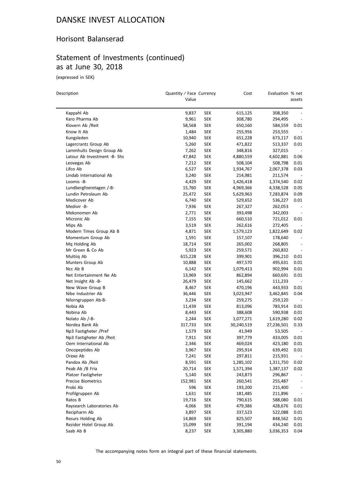#### Horisont Balanserad

# Statement of Investments (continued) as at June 30, 2018

(expressed in SEK)

| Description                  | Quantity / Face Currency<br>Value |            | Cost       | Evaluation % net   | assets                       |
|------------------------------|-----------------------------------|------------|------------|--------------------|------------------------------|
|                              |                                   |            |            |                    |                              |
| Kappahl Ab                   | 9,837                             | <b>SEK</b> | 615,125    | 308,350            |                              |
| Karo Pharma Ab               | 9,961                             | <b>SEK</b> | 308,780    | 294,495            |                              |
| Klovern Ab /Reit             | 58,568                            | <b>SEK</b> | 650,160    | 584,559            | 0.01                         |
| Know It Ab                   | 1,484                             | <b>SEK</b> | 255,956    | 253,555            |                              |
| Kungsleden                   | 10,940                            | <b>SEK</b> | 651,228    | 673,117            | 0.01                         |
| Lagercrantz Group Ab         | 5,260                             | <b>SEK</b> | 471,822    | 513,337            | 0.01                         |
| Lammhults Design Group Ab    | 7,262                             | <b>SEK</b> | 348,816    | 327,015            | $\overline{\phantom{a}}$     |
| Latour Ab Investment -B- Shs | 47,842                            | <b>SEK</b> | 4,880,559  | 4,602,881          | 0.06                         |
| Leovegas Ab                  | 7,212                             | <b>SEK</b> | 508,104    | 508,798            | 0.01                         |
| Lifco Ab                     | 6,527                             | SEK        | 1,934,767  | 2,067,378          | 0.03                         |
| Lindab International Ab      | 3,240                             | <b>SEK</b> | 214,981    | 211,574            |                              |
| Loomis -B-                   | 4,429                             | <b>SEK</b> | 1,426,418  | 1,374,540          | 0.02                         |
| Lundbergfoeretagen /-B-      | 15,760                            | <b>SEK</b> | 4,969,366  | 4,338,528          | 0.05                         |
| Lundin Petroleum Ab          | 25,472                            | <b>SEK</b> | 5,629,963  | 7,283,874          | 0.09                         |
| Medicover Ab                 | 6,740                             | SEK        | 529,652    | 536,227            | 0.01                         |
| Medivir -B-                  | 7,936                             | SEK        | 267,327    | 262,053            |                              |
| Mekonomen Ab                 | 2,771                             | <b>SEK</b> | 393,498    | 342,003            | $\overline{\phantom{a}}$     |
| Micronic Ab                  | 7,155                             | <b>SEK</b> | 660,510    | 721,012            | 0.01                         |
| Mips Ab                      | 3,519                             | <b>SEK</b> | 262,616    | 272,405            |                              |
| Modern Times Group Ab B      | 4,871                             | <b>SEK</b> | 1,579,123  | 1,822,649          | 0.02                         |
| Momentum Group Ab            | 1,591                             | <b>SEK</b> | 157,107    | 178,640            |                              |
| Mq Holding Ab                | 18,714                            | SEK        | 265,002    | 268,805            |                              |
| Mr Green & Co Ab             | 5,923                             | <b>SEK</b> | 259,571    | 260,832            | $\overline{\phantom{a}}$     |
| Multiiq Ab                   | 615,228                           | <b>SEK</b> | 399,901    | 396,210            | 0.01                         |
| Munters Group Ab             | 10,888                            | <b>SEK</b> | 497,570    | 495,631            | 0.01                         |
| Ncc Ab B                     | 6,142                             | <b>SEK</b> | 1,079,413  | 902,994            | 0.01                         |
| Net Entertainment Ne Ab      | 13,969                            | <b>SEK</b> | 862,894    | 660,691            | 0.01                         |
| Net Insight Ab -B-           | 26,479                            | SEK        | 145,662    | 111,233            |                              |
| New Wave Group B             | 8,467                             | <b>SEK</b> | 470,196    | 443,933            | 0.01                         |
| Nibe Industrier Ab           | 36,446                            | <b>SEK</b> | 3,023,947  | 3,462,845          | 0.04                         |
| Nilorngruppen Ab-B-          | 3,234                             | <b>SEK</b> | 259,275    | 259,120            | $\overline{\phantom{a}}$     |
| Nobia Ab                     | 11,439                            | <b>SEK</b> | 813,096    | 783,914            | 0.01                         |
| Nobina Ab                    | 8,443                             | <b>SEK</b> | 388,608    | 590,938            | 0.01                         |
| Nolato Ab /-B-               | 2,244                             | SEK        | 1,077,271  | 1,619,280          | 0.02                         |
| Nordea Bank Ab               | 317,733                           | <b>SEK</b> | 30,240,519 | 27,236,501         | 0.33                         |
| Np3 Fastigheter /Pref        | 1,579                             | <b>SEK</b> | 41,949     | 53,505             |                              |
| Np3 Fastigheter Ab /Reit     | 7,911                             | <b>SEK</b> | 397,779    | 433,005            | 0.01                         |
| Oem International Ab         | 2,346                             | SEK        | 469,024    | 423,180            | 0.01                         |
| Oncopeptides Ab              | 3,967                             | <b>SEK</b> | 295,914    | 639,492            | 0.01                         |
| Orexo Ab                     | 7,241                             | <b>SEK</b> | 297,811    | 215,931            |                              |
| Pandox Ab / Reit             | 8,591                             | <b>SEK</b> | 1,285,102  | 1,311,750          | 0.02                         |
| Peab Ab /B Fria              | 20,714                            | <b>SEK</b> | 1,571,394  | 1,387,137          | 0.02                         |
| Platzer Fastigheter          | 5,140                             | <b>SEK</b> | 243,873    | 296,867            | $\overline{\phantom{a}}$     |
| Precise Biometrics           | 152,981                           | <b>SEK</b> | 260,541    | 255,487            |                              |
| Probi Ab                     | 596                               | <b>SEK</b> | 193,200    | 215,400            | $\qquad \qquad \blacksquare$ |
| Profilgruppen Ab             | 1,631                             | <b>SEK</b> | 181,485    | 211,896            | $\qquad \qquad -$            |
| Ratos B                      | 19,716                            | <b>SEK</b> | 790,615    |                    |                              |
| Raysearch Laboratories Ab    | 4,066                             | <b>SEK</b> | 479,386    | 588,080<br>428,676 | 0.01<br>0.01                 |
| Recipharm Ab                 |                                   |            |            |                    |                              |
| Resurs Holding Ab            | 3,897                             | <b>SEK</b> | 337,523    | 522,088            | 0.01                         |
|                              | 14,869                            | <b>SEK</b> | 825,507    | 848,562            | 0.01                         |
| Rezidor Hotel Group Ab       | 15,099                            | <b>SEK</b> | 391,194    | 434,240            | 0.01                         |
| Saab Ab B                    | 8,237                             | <b>SEK</b> | 3,305,880  | 3,036,353          | 0.04                         |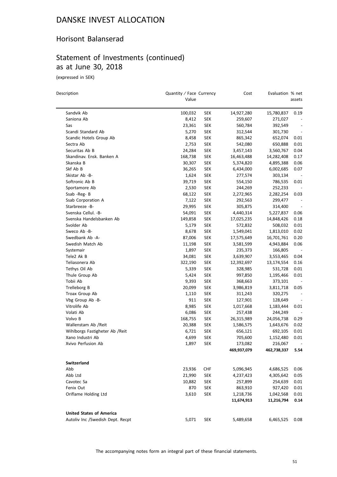#### Horisont Balanserad

# Statement of Investments (continued) as at June 30, 2018

(expressed in SEK)

 $\overline{\phantom{0}}$ 

| Description                      | Quantity / Face Currency<br>Value |            | Cost        | Evaluation % net |                          |
|----------------------------------|-----------------------------------|------------|-------------|------------------|--------------------------|
|                                  |                                   |            |             |                  | assets                   |
| Sandvik Ab                       | 100,032                           | <b>SEK</b> | 14,927,280  | 15,780,837       | 0.19                     |
| Saniona Ab                       | 8,412                             | SEK        | 259,607     | 271,027          |                          |
| Sas                              | 23,361                            | <b>SEK</b> | 560,784     | 392,549          |                          |
| Scandi Standard Ab               | 5,270                             | <b>SEK</b> | 312,544     | 301,730          |                          |
| Scandic Hotels Group Ab          | 8,458                             | <b>SEK</b> | 865,342     | 652,074          | 0.01                     |
| Sectra Ab                        | 2,753                             | <b>SEK</b> | 542,080     | 650,888          | 0.01                     |
| Securitas Ab B                   | 24,284                            | <b>SEK</b> | 3,457,143   | 3,560,767        | 0.04                     |
| Skandinav. Ensk. Banken A        | 168,738                           | <b>SEK</b> | 16,463,488  | 14,282,408       | 0.17                     |
| Skanska B                        | 30,307                            | <b>SEK</b> | 5,374,820   | 4,895,388        | 0.06                     |
| Skf Ab B                         | 36,265                            | <b>SEK</b> | 6,434,000   | 6,002,685        | 0.07                     |
| Skistar Ab -B-                   | 1,624                             | SEK        | 277,574     | 303,134          |                          |
| Softronic Ab B                   | 39,719                            | <b>SEK</b> | 554,150     | 786,535          | 0.01                     |
| Sportamore Ab                    | 2,530                             | <b>SEK</b> | 244,269     | 252,233          | $\overline{\phantom{a}}$ |
| Ssab -Reg- B                     | 68,122                            | <b>SEK</b> | 2,272,965   | 2,282,254        | 0.03                     |
| Ssab Corporation A               | 7,122                             | <b>SEK</b> | 292,563     | 299,477          |                          |
| Starbreeze -B-                   | 29,995                            | <b>SEK</b> | 305,875     | 314,400          |                          |
| Svenska Cellul. - B-             | 54,091                            | SEK        | 4,440,314   | 5,227,837        | 0.06                     |
| Svenska Handelsbanken Ab         | 149,858                           | <b>SEK</b> | 17,025,235  | 14,848,426       | 0.18                     |
| Svolder Ab                       | 5,179                             | <b>SEK</b> | 572,832     | 508,032          | 0.01                     |
| Sweco Ab -B-                     | 8,678                             | <b>SEK</b> | 1,549,041   | 1,813,010        | 0.02                     |
| Swedbank Ab -A-                  | 87,006                            | <b>SEK</b> | 17,575,649  | 16,701,761       | 0.20                     |
| Swedish Match Ab                 | 11,198                            | <b>SEK</b> | 3,581,599   | 4,943,884        | 0.06                     |
| Systemair                        | 1,897                             | SEK        | 235,373     | 166,805          |                          |
| Tele2 Ak B                       | 34,081                            | <b>SEK</b> | 3,639,907   | 3,553,465        | 0.04                     |
| Teliasonera Ab                   | 322,190                           | <b>SEK</b> | 12,392,697  | 13,174,554       | 0.16                     |
| Tethys Oil Ab                    | 5,339                             | <b>SEK</b> | 328,985     | 531,728          | 0.01                     |
| Thule Group Ab                   | 5,424                             | <b>SEK</b> | 997,850     | 1,195,466        | 0.01                     |
| Tobii Ab                         | 9,393                             | <b>SEK</b> | 368,663     | 373,101          |                          |
| Trelleborg B                     | 20,099                            | SEK        | 3,986,819   | 3,811,718        | 0.05                     |
| Troax Group Ab                   | 1,110                             | <b>SEK</b> | 311,243     | 320,275          | $\overline{\phantom{a}}$ |
| Vbg Group Ab -B-                 | 911                               | <b>SEK</b> | 127,901     | 128,649          | $\overline{\phantom{a}}$ |
| Vitrolife Ab                     | 8,985                             | <b>SEK</b> | 1,017,668   | 1,183,444        | 0.01                     |
| Volati Ab                        | 6,086                             | <b>SEK</b> | 257,438     | 244,249          |                          |
| Volvo B                          | 168,755                           | <b>SEK</b> | 26,315,989  | 24,056,738       | 0.29                     |
| Wallenstam Ab /Reit              | 20,388                            | <b>SEK</b> | 1,586,575   | 1,643,676        | 0.02                     |
| Wihlborgs Fastigheter Ab / Reit  | 6,721                             | <b>SEK</b> | 656,121     | 692,105          | 0.01                     |
| Xano Industri Ab                 | 4,699                             | <b>SEK</b> | 705,600     | 1,152,480        | 0.01                     |
| Xvivo Perfusion Ab               | 1,897                             | <b>SEK</b> | 173,082     | 216,067          | $\overline{\phantom{a}}$ |
|                                  |                                   |            | 469,937,079 | 462,738,337      | 5.54                     |
| Switzerland                      |                                   |            |             |                  |                          |
| Abb                              | 23,936                            | CHF        | 5,096,945   | 4,686,525        | 0.06                     |
| Abb Ltd                          | 21,990                            | <b>SEK</b> | 4,237,423   | 4,305,642        | 0.05                     |
| Cavotec Sa                       | 10,882                            | <b>SEK</b> | 257,899     | 254,639          | 0.01                     |
| Fenix Out                        | 870                               | <b>SEK</b> | 863,910     | 927,420          | 0.01                     |
| Oriflame Holding Ltd             | 3,610                             | <b>SEK</b> | 1,218,736   | 1,042,568        | 0.01                     |
|                                  |                                   |            | 11,674,913  | 11,216,794       | 0.14                     |
| <b>United States of America</b>  |                                   |            |             |                  |                          |
| Autoliv Inc /Swedish Dept. Recpt | 5,071                             | <b>SEK</b> | 5,489,658   | 6,465,525        | 0.08                     |
|                                  |                                   |            |             |                  |                          |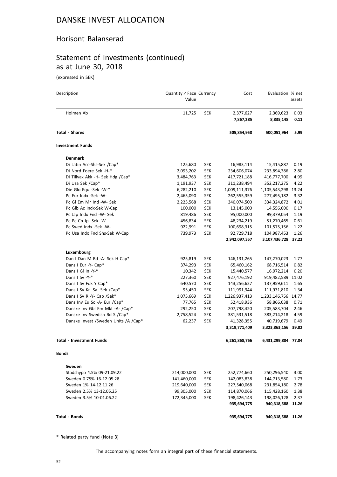#### Horisont Balanserad

# Statement of Investments (continued) as at June 30, 2018

(expressed in SEK)

| Description                             | Quantity / Face Currency<br>Value |            | Cost          | Evaluation % net    | assets |
|-----------------------------------------|-----------------------------------|------------|---------------|---------------------|--------|
| Holmen Ab                               | 11,725                            | <b>SEK</b> | 2,377,627     | 2,369,623           | 0.03   |
|                                         |                                   |            | 7,867,285     | 8,835,148           | 0.11   |
| <b>Total - Shares</b>                   |                                   |            | 505,854,958   | 500,051,964         | 5.99   |
| <b>Investment Funds</b>                 |                                   |            |               |                     |        |
| <b>Denmark</b>                          |                                   |            |               |                     |        |
| Di Latin Acc-Shs-Sek /Cap*              | 125,680                           | <b>SEK</b> | 16,983,114    | 15,415,887          | 0.19   |
| Di Nord Foere Sek -H-*                  | 2,093,202                         | <b>SEK</b> | 234,606,074   | 233,894,386         | 2.80   |
| Di Tillvax Akk -H- Sek Hdg /Cap*        | 3,484,763                         | <b>SEK</b> | 417,721,188   | 416,777,700         | 4.99   |
| Di Usa Sek /Cap*                        | 1,191,937                         | <b>SEK</b> | 311,238,494   | 352,217,275         | 4.22   |
| Die Glo Equ -Sek -W-*                   | 6,282,210                         | <b>SEK</b> | 1,009,111,376 | 1,105,543,298 13.24 |        |
| Pc Eur Indx -Sek -W-                    | 2,465,090                         | <b>SEK</b> | 262,555,359   | 277,495,182         | 3.32   |
| Pc GI Em Mr Ind -W- Sek                 | 2,225,568                         | <b>SEK</b> | 340,074,500   | 334,324,872         | 4.01   |
| Pc Glb Ac Indx-Sek W-Cap                | 100,000                           | <b>SEK</b> | 13,145,000    | 14,556,000          | 0.17   |
| Pc Jap Indx Fnd -W- Sek                 | 819,486                           | <b>SEK</b> | 95,000,000    | 99,379,054          | 1.19   |
| Pc Pc Cn Jp -Sek -W-                    | 456,834                           | <b>SEK</b> | 48,234,219    | 51,270,465          | 0.61   |
| Pc Swed Indx -Sek -W-                   | 922,991                           | <b>SEK</b> | 100,698,315   | 101,575,156         | 1.22   |
| Pc Usa Indx Fnd Shs-Sek W-Cap           | 739,973                           | <b>SEK</b> | 92,729,718    | 104,987,453         | 1.26   |
|                                         |                                   |            | 2,942,097,357 | 3,107,436,728 37.22 |        |
| Luxembourg                              |                                   |            |               |                     |        |
| Dan I Dan M Bd -A- Sek H Cap*           | 925,819                           | <b>SEK</b> | 146,131,265   | 147,270,023         | 1.77   |
| Dans I Eur -Y- Cap*                     | 374,293                           | <b>SEK</b> | 65,460,162    | 68,716,514          | 0.82   |
| Dans I GI In -Y-*                       | 10,342                            | <b>SEK</b> | 15,440,577    | 16,972,214          | 0.20   |
| Dans I Sv -Y-*                          | 227,360                           | <b>SEK</b> | 927,476,192   | 919,482,589         | 11.02  |
| Dans I Sv Fok Y Cap*                    | 640,570                           | <b>SEK</b> | 143,256,627   | 137,959,611         | 1.65   |
| Dans I Sv Kr -Sa- Sek /Cap*             | 95,450                            | <b>SEK</b> | 111,991,944   | 111,931,810         | 1.34   |
| Dans I Sv R -Y- Cap /Sek*               | 1,075,669                         | <b>SEK</b> | 1,226,937,413 | 1,233,146,756 14.77 |        |
| Dans Inv Eu Sc -A- Eur /Cap*            | 77,765                            | <b>SEK</b> | 52,418,936    | 58,866,038          | 0.71   |
| Danske Inv Gbl Em Mkt -A- /Cap*         | 292,250                           | <b>SEK</b> | 207,798,420   | 205,583,704         | 2.46   |
| Danske Inv Swedish Bd S /Cap*           | 2,758,524                         | <b>SEK</b> | 381,531,518   | 383,214,218         | 4.59   |
| Danske Invest / Sweden Units / A / Cap* | 62,237                            | <b>SEK</b> | 41,328,355    | 40,719,679          | 0.49   |
|                                         |                                   |            | 3,319,771,409 | 3,323,863,156       | 39.82  |
| <b>Total - Investment Funds</b>         |                                   |            | 6,261,868,766 | 6,431,299,884       | 77.04  |
| <b>Bonds</b>                            |                                   |            |               |                     |        |
| Sweden                                  |                                   |            |               |                     |        |
| Stadshypo 4.5% 09-21.09.22              | 214,000,000                       | <b>SEK</b> | 252,774,660   | 250,296,540         | 3.00   |
| Sweden 0.75% 16-12.05.28                | 141,460,000                       | <b>SEK</b> | 142,083,838   | 144,713,580         | 1.73   |
| Sweden 1% 14-12.11.26                   | 219,640,000                       | <b>SEK</b> | 227,540,068   | 231,854,180         | 2.78   |
| Sweden 2.5% 13-12.05.25                 | 99,305,000                        | <b>SEK</b> | 114,870,066   | 115,428,160         | 1.38   |
| Sweden 3.5% 10-01.06.22                 | 172,345,000                       | <b>SEK</b> | 198,426,143   | 198,026,128         | 2.37   |
|                                         |                                   |            | 935,694,775   | 940,318,588         | 11.26  |
| <b>Total - Bonds</b>                    |                                   |            | 935,694,775   | 940,318,588 11.26   |        |

\* Related party fund (Note 3)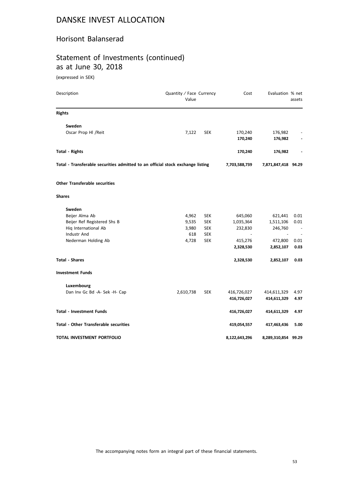#### Horisont Balanserad

# Statement of Investments (continued) as at June 30, 2018

(expressed in SEK)

| Description                                                                    | Quantity / Face Currency<br>Value |                     | Cost          | Evaluation % net    | assets |
|--------------------------------------------------------------------------------|-----------------------------------|---------------------|---------------|---------------------|--------|
| <b>Rights</b>                                                                  |                                   |                     |               |                     |        |
| Sweden                                                                         |                                   |                     |               |                     |        |
| Oscar Prop Hl / Reit                                                           | 7,122                             | <b>SEK</b>          | 170,240       | 176,982             |        |
|                                                                                |                                   |                     | 170,240       | 176,982             |        |
| <b>Total - Rights</b>                                                          |                                   |                     | 170,240       | 176,982             |        |
| Total - Transferable securities admitted to an official stock exchange listing | 7,703,588,739                     | 7,871,847,418 94.29 |               |                     |        |
| <b>Other Transferable securities</b>                                           |                                   |                     |               |                     |        |
| <b>Shares</b>                                                                  |                                   |                     |               |                     |        |
| Sweden                                                                         |                                   |                     |               |                     |        |
| Beijer Alma Ab                                                                 | 4,962                             | <b>SEK</b>          | 645,060       | 621,441             | 0.01   |
| Beijer Ref Registered Shs B                                                    | 9,535                             | <b>SEK</b>          | 1,035,364     | 1,511,106           | 0.01   |
| Hig International Ab                                                           | 3,980                             | <b>SEK</b>          | 232,830       | 246,760             |        |
| Industr And                                                                    | 618                               | <b>SEK</b>          |               |                     |        |
| Nederman Holding Ab                                                            | 4,728                             | <b>SEK</b>          | 415,276       | 472,800             | 0.01   |
|                                                                                |                                   |                     | 2,328,530     | 2,852,107           | 0.03   |
| <b>Total - Shares</b>                                                          |                                   |                     | 2,328,530     | 2,852,107           | 0.03   |
| <b>Investment Funds</b>                                                        |                                   |                     |               |                     |        |
| Luxembourg                                                                     |                                   |                     |               |                     |        |
| Dan Inv Gc Bd -A- Sek -H- Cap                                                  | 2,610,738                         | <b>SEK</b>          | 416,726,027   | 414,611,329         | 4.97   |
|                                                                                |                                   |                     | 416,726,027   | 414,611,329         | 4.97   |
| <b>Total - Investment Funds</b>                                                |                                   |                     | 416,726,027   | 414,611,329         | 4.97   |
| <b>Total - Other Transferable securities</b>                                   |                                   |                     | 419,054,557   | 417,463,436         | 5.00   |
| TOTAL INVESTMENT PORTFOLIO                                                     |                                   |                     | 8,122,643,296 | 8,289,310,854 99.29 |        |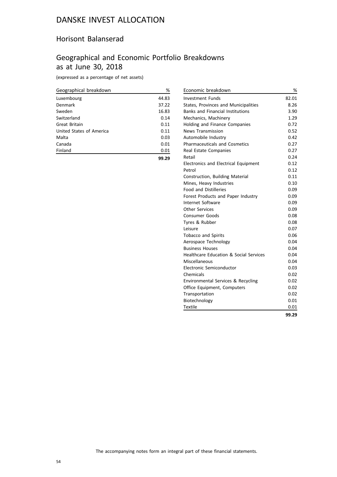#### Horisont Balanserad

## Geographical and Economic Portfolio Breakdowns as at June 30, 2018

(expressed as a percentage of net assets)

| Geographical breakdown   | %     |
|--------------------------|-------|
| Luxembourg               | 44.83 |
| Denmark                  | 37.22 |
| Sweden                   | 16.83 |
| Switzerland              | 0.14  |
| Great Britain            | 0.11  |
| United States of America | 0.11  |
| Malta                    | 0.03  |
| Canada                   | 0.01  |
| Finland                  | 0.01  |
|                          | 99.29 |

| Economic breakdown                          | %     |
|---------------------------------------------|-------|
| <b>Investment Funds</b>                     | 82.01 |
| States, Provinces and Municipalities        | 8.26  |
| <b>Banks and Financial Institutions</b>     | 3.90  |
| Mechanics, Machinery                        | 1.29  |
| Holding and Finance Companies               | 0.72  |
| <b>News Transmission</b>                    | 0.52  |
| Automobile Industry                         | 0.42  |
| <b>Pharmaceuticals and Cosmetics</b>        | 0.27  |
| Real Estate Companies                       | 0.27  |
| Retail                                      | 0.24  |
| <b>Electronics and Electrical Equipment</b> | 0.12  |
| Petrol                                      | 0.12  |
| Construction, Building Material             | 0.11  |
| Mines, Heavy Industries                     | 0.10  |
| <b>Food and Distilleries</b>                | 0.09  |
| Forest Products and Paper Industry          | 0.09  |
| Internet Software                           | 0.09  |
| Other Services                              | 0.09  |
| Consumer Goods                              | 0.08  |
| Tyres & Rubber                              | 0.08  |
| Leisure                                     | 0.07  |
| Tobacco and Spirits                         | 0.06  |
| Aerospace Technology                        | 0.04  |
| <b>Business Houses</b>                      | 0.04  |
| Healthcare Education & Social Services      | 0.04  |
| Miscellaneous                               | 0.04  |
| Electronic Semiconductor                    | 0.03  |
| Chemicals                                   | 0.02  |
| Environmental Services & Recycling          | 0.02  |
| Office Equipment, Computers                 | 0.02  |
| Transportation                              | 0.02  |
| Biotechnology                               | 0.01  |
| <b>Textile</b>                              | 0.01  |
|                                             | 99.29 |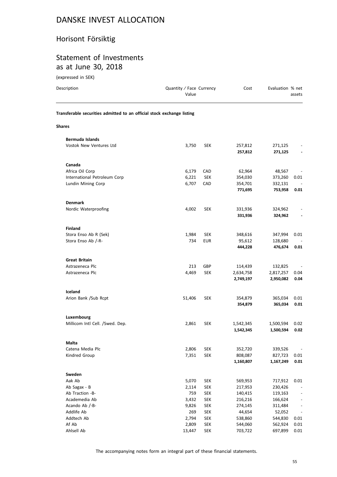# Horisont Försiktig

#### Statement of Investments as at June 30, 2018

(expressed in SEK)

| Description                                                            | Quantity / Face Currency<br>Value |            | Cost               | Evaluation % net   | assets                   |
|------------------------------------------------------------------------|-----------------------------------|------------|--------------------|--------------------|--------------------------|
| Transferable securities admitted to an official stock exchange listing |                                   |            |                    |                    |                          |
| <b>Shares</b>                                                          |                                   |            |                    |                    |                          |
| <b>Bermuda Islands</b>                                                 |                                   |            |                    |                    |                          |
| <b>Vostok New Ventures Ltd</b>                                         | 3,750                             | <b>SEK</b> | 257,812<br>257,812 | 271,125<br>271,125 |                          |
| Canada                                                                 |                                   |            |                    |                    |                          |
| Africa Oil Corp                                                        | 6,179                             | CAD        | 62,964             | 48,567             |                          |
| International Petroleum Corp                                           | 6,221                             | <b>SEK</b> | 354,030            | 373,260            | 0.01                     |
| Lundin Mining Corp                                                     | 6,707                             | CAD        | 354,701            | 332,131            |                          |
|                                                                        |                                   |            | 771,695            | 753,958            | 0.01                     |
| <b>Denmark</b>                                                         |                                   |            |                    |                    |                          |
| Nordic Waterproofing                                                   | 4,002                             | SEK        | 331,936            | 324,962            |                          |
|                                                                        |                                   |            | 331,936            | 324,962            |                          |
| <b>Finland</b>                                                         |                                   |            |                    |                    |                          |
| Stora Enso Ab R (Sek)                                                  | 1,984                             | <b>SEK</b> | 348,616            | 347,994            | 0.01                     |
| Stora Enso Ab /-R-                                                     | 734                               | <b>EUR</b> | 95,612             | 128,680            |                          |
|                                                                        |                                   |            | 444,228            | 476,674            | 0.01                     |
| <b>Great Britain</b>                                                   |                                   |            |                    |                    |                          |
| Astrazeneca Plc                                                        | 213                               | GBP        | 114,439            | 132,825            |                          |
| Astrazeneca Plc                                                        | 4,469                             | <b>SEK</b> | 2,634,758          | 2,817,257          | 0.04                     |
|                                                                        |                                   |            | 2,749,197          | 2,950,082          | 0.04                     |
| Iceland                                                                |                                   |            |                    |                    |                          |
| Arion Bank /Sub Rcpt                                                   | 51,406                            | <b>SEK</b> | 354,879            | 365,034            | 0.01                     |
|                                                                        |                                   |            | 354,879            | 365,034            | 0.01                     |
| Luxembourg                                                             |                                   |            |                    |                    |                          |
| Millicom Intl Cell. /Swed. Dep.                                        | 2,861                             | <b>SEK</b> | 1,542,345          | 1,500,594          | 0.02                     |
|                                                                        |                                   |            | 1,542,345          | 1,500,594          | 0.02                     |
| Malta                                                                  |                                   |            |                    |                    |                          |
| Catena Media Plc                                                       | 2,806                             | <b>SEK</b> | 352,720            | 339,526            |                          |
| Kindred Group                                                          | 7,351                             | <b>SEK</b> | 808,087            | 827,723            | 0.01                     |
|                                                                        |                                   |            | 1,160,807          | 1,167,249          | 0.01                     |
| Sweden                                                                 |                                   |            |                    |                    |                          |
| Aak Ab                                                                 | 5,070                             | <b>SEK</b> | 569,953            | 717,912            | 0.01                     |
| Ab Sagax - B                                                           | 2,114                             | <b>SEK</b> | 217,953            | 230,426            |                          |
| Ab Traction -B-                                                        | 759                               | <b>SEK</b> | 140,415            | 119,163            | $\qquad \qquad -$        |
| Academedia Ab                                                          | 3,432                             | <b>SEK</b> | 216,216            | 166,624            | $\overline{\phantom{a}}$ |
| Acando Ab /-B-                                                         | 9,826                             | <b>SEK</b> | 274,145            | 311,484            |                          |
| Addlife Ab                                                             | 269                               | <b>SEK</b> | 44,654             | 52,052             |                          |
| Addtech Ab                                                             | 2,794                             | <b>SEK</b> | 538,860            | 544,830            | 0.01                     |
| Af Ab                                                                  | 2,809                             | <b>SEK</b> | 544,060            | 562,924            | 0.01                     |
| Ahlsell Ab                                                             | 13,447                            | <b>SEK</b> | 703,722            | 697,899            | $0.01\,$                 |

The accompanying notes form an integral part of these financial statements.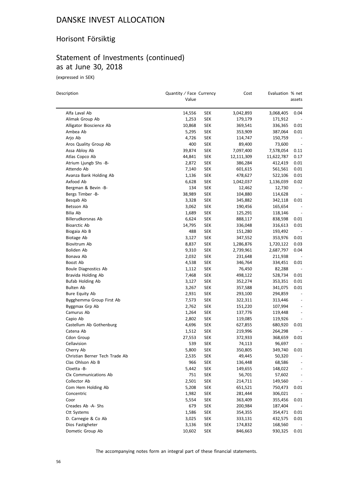#### Horisont Försiktig

# Statement of Investments (continued) as at June 30, 2018

(expressed in SEK)

| Description                    | Quantity / Face Currency<br>Value |            | Cost                 | Evaluation % net     | assets                   |
|--------------------------------|-----------------------------------|------------|----------------------|----------------------|--------------------------|
| Alfa Laval Ab                  | 14,556                            | <b>SEK</b> | 3,042,893            | 3,068,405            | 0.04                     |
| Alimak Group Ab                | 1,253                             | SEK        | 179,179              | 171,912              |                          |
| Alligator Bioscience Ab        | 10,868                            | <b>SEK</b> | 369,541              | 336,365              | 0.01                     |
| Ambea Ab                       | 5,295                             | <b>SEK</b> | 353,909              | 387,064              | 0.01                     |
| Arjo Ab                        | 4,726                             | SEK        | 114,747              | 150,759              | $\overline{\phantom{a}}$ |
| Aros Quality Group Ab          | 400                               | SEK        | 89,400               | 73,600               | $\overline{\phantom{a}}$ |
| Assa Abloy Ab                  | 39,874                            | SEK        | 7,097,400            | 7,578,054            | 0.11                     |
| Atlas Copco Ab                 | 44,841                            | SEK        | 12,111,309           | 11,622,787           | 0.17                     |
| Atrium Ljungb Shs -B-          | 2,872                             | SEK        | 386,284              | 412,419              | 0.01                     |
| Attendo Ab                     | 7,140                             | <b>SEK</b> | 601,615              | 561,561              | 0.01                     |
| Avanza Bank Holding Ab         | 1,136                             | SEK        | 478,627              | 522,106              | 0.01                     |
| Axfood Ab                      | 6,628                             | <b>SEK</b> | 1,042,037            | 1,136,039            | 0.02                     |
| Bergman & Bevin -B-            | 134                               | SEK        | 12,462               | 12,730               | $\overline{\phantom{a}}$ |
| Bergs Timber -B-               | 38,989                            | SEK        | 104,880              | 114,628              |                          |
| Besqab Ab                      | 3,328                             | <b>SEK</b> | 345,882              | 342,118              | 0.01                     |
| Betsson Ab                     | 3,062                             | <b>SEK</b> | 190,456              | 165,654              |                          |
| Bilia Ab                       | 1,689                             | SEK        | 125,291              | 118,146              | $\overline{\phantom{a}}$ |
| Billerudkorsnas Ab             | 6,624                             | SEK        | 888,117              | 838,598              | 0.01                     |
| Bioarctic Ab                   | 14,795                            | <b>SEK</b> | 336,048              | 316,613              | 0.01                     |
| Biogaia Ab B                   | 488                               | SEK        | 151,280              |                      |                          |
|                                | 3,127                             | <b>SEK</b> |                      | 193,492              | 0.01                     |
| Biotage Ab<br>Biovitrum Ab     |                                   |            | 347,552<br>1,286,876 | 353,976<br>1,720,122 |                          |
|                                | 8,837                             | <b>SEK</b> |                      |                      | 0.03                     |
| Boliden Ab                     | 9,310                             | SEK        | 2,739,961            | 2,687,797            | 0.04                     |
| Bonava Ab                      | 2,032                             | <b>SEK</b> | 231,648              | 211,938              |                          |
| Boozt Ab                       | 4,538                             | <b>SEK</b> | 346,764              | 334,451              | 0.01                     |
| Boule Diagnostics Ab           | 1,112                             | SEK        | 76,450               | 82,288               |                          |
| Bravida Holding Ab             | 7,468                             | SEK        | 498,122              | 528,734              | 0.01                     |
| <b>Bufab Holding Ab</b>        | 3,127                             | SEK        | 352,274              | 353,351              | 0.01                     |
| Bulten Ab                      | 3,267                             | SEK        | 357,588              | 341,075              | 0.01                     |
| <b>Bure Equity Ab</b>          | 2,931                             | SEK        | 293,100              | 294,859              | $\overline{\phantom{a}}$ |
| Bygghemma Group First Ab       | 7,573                             | SEK        | 322,311              | 313,446              | $\overline{\phantom{a}}$ |
| Byggmax Grp Ab                 | 2,762                             | SEK        | 151,220              | 107,994              | $\overline{\phantom{a}}$ |
| Camurus Ab                     | 1,264                             | SEK        | 137,776              | 119,448              | $\centerdot$             |
| Capio Ab                       | 2,802                             | <b>SEK</b> | 119,085              | 119,926              |                          |
| Castellum Ab Gothenburg        | 4,696                             | SEK        | 627,855              | 680,920              | 0.01                     |
| Catena Ab                      | 1,512                             | SEK        | 219,996              | 264,298              | $\overline{\phantom{a}}$ |
| Cdon Group                     | 27,553                            | <b>SEK</b> | 372,933              | 368,659              | 0.01                     |
| Cellavision                    | 539                               | SEK        | 74,113               | 96,697               |                          |
| Cherry Ab                      | 5,800                             | <b>SEK</b> | 350,805              | 349,740              | 0.01                     |
| Christian Berner Tech Trade Ab | 2,535                             | <b>SEK</b> | 49,445               | 50,320               |                          |
| Clas Ohlson Ab B               | 966                               | <b>SEK</b> | 136,448              | 68,586               |                          |
| Cloetta -B-                    | 5,442                             | <b>SEK</b> | 149,655              | 148,022              |                          |
| Clx Communications Ab          | 751                               | <b>SEK</b> | 56,701               | 57,602               |                          |
| Collector Ab                   | 2,501                             | <b>SEK</b> | 214,711              | 149,560              | $\overline{\phantom{a}}$ |
| Com Hem Holding Ab             | 5,208                             | <b>SEK</b> | 651,521              | 750,473              | 0.01                     |
| Concentric                     | 1,982                             | <b>SEK</b> | 281,444              | 306,021              |                          |
| Coor                           | 5,554                             | <b>SEK</b> | 363,409              | 355,456              | 0.01                     |
| Creades Ab -A- Shs             | 679                               | <b>SEK</b> | 200,984              | 187,404              |                          |
| Ctt Systems                    | 1,586                             | <b>SEK</b> | 354,355              | 354,471              | 0.01                     |
| D. Carnegie & Co Ab            | 3,025                             | SEK        | 333,131              | 432,575              | 0.01                     |
| Dios Fastigheter               | 3,136                             | <b>SEK</b> | 174,832              | 168,560              |                          |
| Dometic Group Ab               | 10,602                            | <b>SEK</b> | 846,663              | 930,325              | 0.01                     |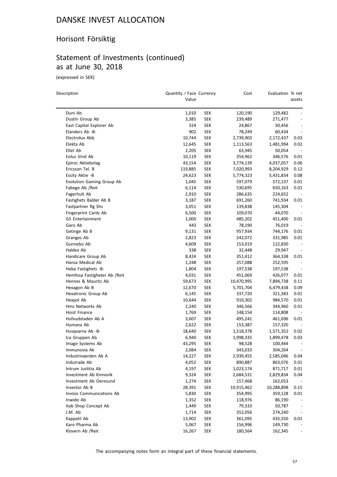# Horisont Försiktig

# Statement of Investments (continued) as at June 30, 2018

(expressed in SEK)

 $\overline{\phantom{0}}$ 

| Description                                 | Quantity / Face Currency<br>Value |            | Cost       | Evaluation % net | assets                                               |
|---------------------------------------------|-----------------------------------|------------|------------|------------------|------------------------------------------------------|
|                                             |                                   |            |            |                  |                                                      |
| Duni Ab                                     | 1,010                             | <b>SEK</b> | 120,190    | 129,482          |                                                      |
| Dustin Group Ab                             | 3,385                             | SEK        | 239,489    | 271,477          | $\overline{\phantom{a}}$<br>$\overline{\phantom{m}}$ |
| East Capital Explorer Ab<br>Elanders Ab -B- | 324<br>902                        | <b>SEK</b> | 24,867     | 30,456           |                                                      |
|                                             |                                   | SEK        | 78,249     | 60,434           | $\overline{a}$                                       |
| Electrolux Abb                              | 10,744                            | <b>SEK</b> | 2,739,903  | 2,172,437        | 0.03                                                 |
| Elekta Ab                                   | 12,645                            | <b>SEK</b> | 1,113,563  | 1,481,994        | 0.02                                                 |
| Eltel Ab                                    | 2,205                             | <b>SEK</b> | 63,945     | 50,054           |                                                      |
| Eolus Vind Ab                               | 10,119                            | <b>SEK</b> | 354,962    | 346,576          | 0.01                                                 |
| Epiroc Aktiebolag                           | 43,154                            | <b>SEK</b> | 3,774,139  | 4,037,057        | 0.06                                                 |
| Ericsson Tel. B                             | 119,885                           | SEK        | 7,020,993  | 8,204,929        | 0.12                                                 |
| Essity Aktie -B                             | 24,623                            | <b>SEK</b> | 5,774,323  | 5,431,834        | 0.08                                                 |
| Evolution Gaming Group Ab                   | 1,045                             | <b>SEK</b> | 597,079    | 572,137          | 0.01                                                 |
| Fabege Ab / Reit                            | 6,114                             | <b>SEK</b> | 530,695    | 650,163          | 0.01                                                 |
| Fagerhult Ab                                | 2,910                             | <b>SEK</b> | 286,635    | 224,652          |                                                      |
| Fastighets Balder Ab B                      | 3,187                             | <b>SEK</b> | 691,260    | 741,934          | 0.01                                                 |
| Fastpartner Rg Shs                          | 3,051                             | <b>SEK</b> | 139,838    | 145,304          |                                                      |
| Fingerprint Cards Ab                        | 6,500                             | <b>SEK</b> | 109,070    | 44,070           | $\overline{\phantom{a}}$                             |
| G5 Entertainment                            | 1,000                             | <b>SEK</b> | 485,202    | 451,400          | 0.01                                                 |
| Garo Ab                                     | 443                               | <b>SEK</b> | 78,190     | 76,019           | $\overline{\phantom{a}}$                             |
| Getinge Ab B                                | 9,131                             | <b>SEK</b> | 957,934    | 744,176          | 0.01                                                 |
| Granges Ab                                  | 2,823                             | <b>SEK</b> | 242,072    | 331,985          | 0.01                                                 |
| Gunnebo Ab                                  | 4,609                             | SEK        | 153,019    | 122,830          |                                                      |
| Haldex Ab                                   | 338                               | SEK        | 32,448     | 29,947           |                                                      |
| Handicare Group Ab                          | 8,424                             | <b>SEK</b> | 351,412    | 364,338          | 0.01                                                 |
| Hansa Medical Ab                            | 1,248                             | <b>SEK</b> | 257,088    | 252,595          | $\overline{\phantom{a}}$                             |
| Heba Fastighets -B-                         | 1,804                             | <b>SEK</b> | 197,538    | 197,538          |                                                      |
| Hemfosa Fastigheter Ab / Reit               | 4,031                             | <b>SEK</b> | 451,069    | 426,077          | 0.01                                                 |
| Hennes & Mauritz Ab                         | 59,673                            | <b>SEK</b> | 10,470,995 | 7,894,738        | 0.11                                                 |
| Hexagon Ab B                                | 12,670                            | <b>SEK</b> | 5,701,704  | 6,479,438        | 0.09                                                 |
| Hexatronic Group Ab                         | 6,145                             | <b>SEK</b> | 337,720    | 321,383          | 0.01                                                 |
| Hexpol Ab                                   | 10,644                            | <b>SEK</b> | 910,302    | 984,570          | 0.01                                                 |
| Hms Networks Ab                             | 2,240                             | <b>SEK</b> | 346,566    | 344,960          | 0.01                                                 |
| Hoist Finance                               | 1,769                             | <b>SEK</b> | 148,154    | 114,808          |                                                      |
| Hufvudstaden Ab A                           | 3,607                             | <b>SEK</b> | 495,241    | 461,696          | 0.01                                                 |
| Humana Ab                                   | 2,622                             | <b>SEK</b> | 153,387    | 157,320          |                                                      |
| Husqvarna Ab -B-                            | 18,640                            | <b>SEK</b> | 1,518,378  | 1,571,352        | 0.02                                                 |
| Ica Gruppen Ab                              | 6,940                             | SEK        | 1,998,335  | 1,899,478        | 0.03                                                 |
| Image Systems Ab                            | 43,295                            | SEK        | 98,528     | 100,444          |                                                      |
| Immunovia Ak                                | 2,084                             | SEK        | 343,033    | 304,264          | $\overline{\phantom{a}}$                             |
| Industrivaerden Ab A                        | 14,227                            | <b>SEK</b> | 2,939,455  | 2,585,046        | 0.04                                                 |
| Indutrade Ab                                | 4,052                             | <b>SEK</b> | 890,887    | 863,076          | 0.01                                                 |
| Intrum Justitia Ab                          | 4,197                             | <b>SEK</b> | 1,023,174  | 871,717          | 0.01                                                 |
| Investment Ab Kinnevik                      | 9,324                             | <b>SEK</b> | 2,684,531  | 2,829,834        | 0.04                                                 |
| Investment Ab Oeresund                      | 1,274                             | <b>SEK</b> | 157,468    | 162,053          |                                                      |
| Investor Ab B                               | 28,391                            | <b>SEK</b> | 10,915,462 | 10,288,898       | 0.15                                                 |
| Invisio Communications Ab                   | 5,830                             | <b>SEK</b> | 354,995    | 359,128          | 0.01                                                 |
| Inwido Ab                                   | 1,352                             | <b>SEK</b> | 118,976    | 86,190           |                                                      |
| Itab Shop Concept Ab                        | 1,449                             | <b>SEK</b> | 79,333     | 50,787           |                                                      |
| J.M. Ab                                     | 1,714                             | <b>SEK</b> | 352,056    | 274,240          | $\overline{\phantom{a}}$                             |
| Kappahl Ab                                  | 13,902                            | <b>SEK</b> | 361,095    | 435,550          | 0.01                                                 |
| Karo Pharma Ab                              | 5,067                             | <b>SEK</b> | 156,996    | 149,730          |                                                      |
| Klovern Ab /Reit                            | 16,267                            | <b>SEK</b> | 180,564    | 162,345          |                                                      |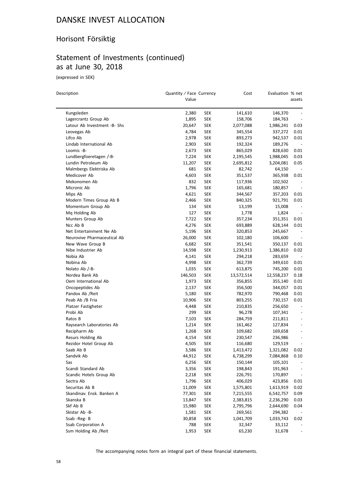#### Horisont Försiktig

# Statement of Investments (continued) as at June 30, 2018

(expressed in SEK)

| Description                         | Quantity / Face Currency<br>Value |            | Cost                   | Evaluation % net       | assets                           |
|-------------------------------------|-----------------------------------|------------|------------------------|------------------------|----------------------------------|
| Kungsleden                          | 2,380                             | <b>SEK</b> | 141,610                | 146,370                |                                  |
| Lagercrantz Group Ab                | 1,895                             | <b>SEK</b> | 158,706                | 184,763                |                                  |
| Latour Ab Investment -B- Shs        | 20,647                            | <b>SEK</b> | 2,077,088              | 1,986,241              | 0.03                             |
| Leovegas Ab                         | 4,784                             | <b>SEK</b> | 345,554                | 337,272                | 0.01                             |
| Lifco Ab                            | 2,978                             | <b>SEK</b> | 893,273                | 942,537                | 0.01                             |
| Lindab International Ab             | 2,903                             | <b>SEK</b> | 192,324                | 189,276                | $\overline{\phantom{a}}$         |
| Loomis -B-                          | 2,673                             | <b>SEK</b> | 865,029                | 828,630                | 0.01                             |
| Lundbergfoeretagen /-B-             | 7,224                             | <b>SEK</b> | 2,195,545              | 1,988,045              | 0.03                             |
| Lundin Petroleum Ab                 | 11,207                            | <b>SEK</b> | 2,695,812              | 3,204,081              | 0.05                             |
| Malmbergs Elektriska Ab             | 681                               | <b>SEK</b> | 82,742                 | 64,150                 |                                  |
| Medicover Ab                        | 4,603                             | <b>SEK</b> | 351,537                | 365,938                | 0.01                             |
| Mekonomen Ab                        | 832                               | <b>SEK</b> | 117,936                | 102,502                | $\overline{\phantom{a}}$         |
| Micronic Ab                         | 1,796                             | <b>SEK</b> | 165,681                | 180,857                | $\overline{\phantom{a}}$         |
| Mips Ab                             | 4,621                             | SEK        | 344,567                | 357,203                | 0.01                             |
| Modern Times Group Ab B             | 2,466                             | <b>SEK</b> | 840,325                | 921,791                | 0.01                             |
| Momentum Group Ab                   | 134                               | <b>SEK</b> | 13,199                 | 15,008                 |                                  |
| Mq Holding Ab                       | 127                               | <b>SEK</b> | 1,778                  | 1,824                  | $\overline{\phantom{a}}$         |
| Munters Group Ab                    | 7,722                             | <b>SEK</b> | 357,234                | 351,351                | 0.01                             |
| Ncc Ab B                            | 4,276                             | <b>SEK</b> | 693,889                | 628,144                | 0.01                             |
| Net Entertainment Ne Ab             | 5,196                             | <b>SEK</b> | 320,853                | 245,667                |                                  |
| Neurovive Pharmaceutical Ab         | 26,000                            | <b>SEK</b> | 102,180                | 106,600                |                                  |
| New Wave Group B                    | 6,682                             | <b>SEK</b> | 351,541                | 350,137                | 0.01                             |
| Nibe Industrier Ab                  | 14,598                            | <b>SEK</b> | 1,230,913              | 1,386,810              | 0.02                             |
| Nobia Ab                            | 4,141                             | <b>SEK</b> |                        | 283,659                | $\overline{\phantom{a}}$         |
| Nobina Ab                           | 4,998                             | <b>SEK</b> | 294,218<br>362,739     | 349,610                | 0.01                             |
| Nolato Ab /-B-                      | 1,035                             | <b>SEK</b> | 613,875                | 745,200                | 0.01                             |
| Nordea Bank Ab                      | 146,503                           | <b>SEK</b> |                        |                        | 0.18                             |
| Oem International Ab                | 1,973                             | <b>SEK</b> | 13,572,514             | 12,558,237<br>355,140  | 0.01                             |
| Oncopeptides Ab                     | 2,137                             | <b>SEK</b> | 356,855<br>356,500     |                        | 0.01                             |
| Pandox Ab / Reit                    | 5,180                             | <b>SEK</b> |                        | 344,057                | 0.01                             |
| Peab Ab /B Fria                     | 10,906                            | <b>SEK</b> | 782,970<br>803,255     | 790,468<br>730,157     | 0.01                             |
| Platzer Fastigheter                 | 4,448                             | <b>SEK</b> |                        | 256,650                |                                  |
| Probi Ab                            | 299                               | <b>SEK</b> | 210,835<br>96,278      |                        |                                  |
| Ratos B                             | 7,103                             | <b>SEK</b> | 284,759                | 107,341<br>211,811     | $\overline{\phantom{0}}$         |
| Raysearch Laboratories Ab           | 1,214                             | <b>SEK</b> | 161,462                | 127,834                | $\overline{\phantom{a}}$         |
| Recipharm Ab                        | 1,268                             | <b>SEK</b> | 109,682                | 169,658                | $\overline{\phantom{a}}$         |
| Resurs Holding Ab                   | 4,154                             | <b>SEK</b> | 230,547                | 236,986                | $\overline{\phantom{a}}$         |
|                                     | 4,505                             | SEK        | 116,680                | 129,519                |                                  |
| Rezidor Hotel Group Ab<br>Saab Ab B | 3,586                             | <b>SEK</b> | 1,413,472              | 1,321,082              | -<br>0.02                        |
| Sandvik Ab                          | 44,912                            | <b>SEK</b> | 6,738,299              |                        | 0.10                             |
| Sas                                 | 6,256                             | <b>SEK</b> | 150,144                | 7,084,868<br>105,101   |                                  |
| Scandi Standard Ab                  | 3,356                             | <b>SEK</b> | 198,843                | 191,963                |                                  |
| Scandic Hotels Group Ab             |                                   | <b>SEK</b> | 226,791                | 170,897                |                                  |
| Sectra Ab                           | 2,218<br>1,796                    | <b>SEK</b> | 406,029                | 423,856                | $\overline{\phantom{a}}$<br>0.01 |
| Securitas Ab B                      | 11,009                            | <b>SEK</b> | 1,575,801              | 1,613,919              | 0.02                             |
| Skandinav. Ensk. Banken A           | 77,301                            | <b>SEK</b> |                        |                        | 0.09                             |
| Skanska B                           | 13,847                            | <b>SEK</b> | 7,215,555<br>2,383,815 | 6,542,757<br>2,236,290 | 0.03                             |
| Skf Ab B                            | 15,980                            | <b>SEK</b> | 2,795,796              | 2,644,690              | 0.04                             |
| Skistar Ab -B-                      | 1,581                             | <b>SEK</b> | 269,561                | 294,382                |                                  |
| Ssab -Reg- B                        | 30,858                            | <b>SEK</b> | 1,041,709              | 1,033,743              |                                  |
| Ssab Corporation A                  | 788                               | <b>SEK</b> | 32,347                 | 33,112                 | 0.02                             |
| Ssm Holding Ab / Reit               | 1,953                             | <b>SEK</b> | 65,230                 | 31,678                 |                                  |
|                                     |                                   |            |                        |                        |                                  |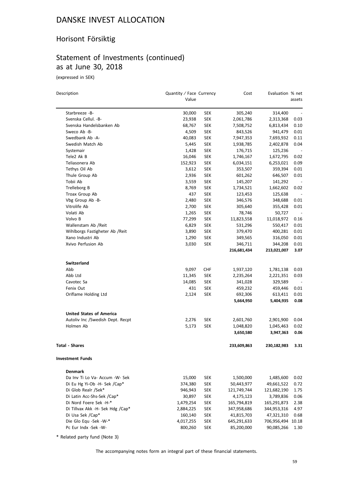#### Horisont Försiktig

# Statement of Investments (continued) as at June 30, 2018

(expressed in SEK)

| Description                      | Quantity / Face Currency<br>Value |            | Cost        | Evaluation % net | assets                   |
|----------------------------------|-----------------------------------|------------|-------------|------------------|--------------------------|
| Starbreeze -B-                   | 30,000                            | <b>SEK</b> | 305,240     | 314,400          |                          |
| Svenska Cellul. - B-             | 23,938                            | <b>SEK</b> | 2,061,786   | 2,313,368        | 0.03                     |
| Svenska Handelsbanken Ab         | 68,767                            | SEK        | 7,508,752   | 6,813,434        | 0.10                     |
| Sweco Ab -B-                     | 4,509                             | SEK        | 843,526     | 941,479          | 0.01                     |
| Swedbank Ab -A-                  | 40,083                            | <b>SEK</b> | 7,947,353   | 7,693,932        | 0.11                     |
| Swedish Match Ab                 | 5,445                             | <b>SEK</b> | 1,938,785   | 2,402,878        | 0.04                     |
| Systemair                        | 1,428                             | SEK        | 176,715     | 125,236          |                          |
| Tele2 Ak B                       | 16,046                            | <b>SEK</b> | 1,746,167   | 1,672,795        | 0.02                     |
| Teliasonera Ab                   | 152,923                           | SEK        | 6,034,151   | 6,253,021        | 0.09                     |
| Tethys Oil Ab                    | 3,612                             | SEK        | 353,507     | 359,394          | 0.01                     |
| Thule Group Ab                   | 2,936                             | SEK        | 601,262     | 646,507          | 0.01                     |
| Tobii Ab                         | 3,559                             | SEK        | 145,207     | 141,292          | $\overline{\phantom{a}}$ |
| Trelleborg B                     | 8,769                             | SEK        | 1,734,521   | 1,662,602        | 0.02                     |
| Troax Group Ab                   | 437                               | SEK        | 123,453     | 125,638          | $\overline{\phantom{a}}$ |
| Vbg Group Ab -B-                 | 2,480                             | SEK        | 346,576     | 348,688          | 0.01                     |
| Vitrolife Ab                     | 2,700                             | SEK        | 305,640     | 355,428          | 0.01                     |
| Volati Ab                        | 1,265                             | SEK        | 78,746      | 50,727           |                          |
| Volvo B                          | 77,299                            | SEK        | 11,823,558  | 11,018,972       | 0.16                     |
| Wallenstam Ab /Reit              | 6,829                             | <b>SEK</b> | 531,296     | 550,417          | 0.01                     |
| Wihlborgs Fastigheter Ab / Reit  | 3,890                             | <b>SEK</b> | 379,470     | 400,281          | 0.01                     |
| Xano Industri Ab                 | 1,290                             | <b>SEK</b> | 349,565     | 316,050          | 0.01                     |
| Xvivo Perfusion Ab               | 3,030                             | <b>SEK</b> | 346,711     | 344,208          | 0.01                     |
|                                  |                                   |            | 216,681,434 | 213,021,007      | 3.07                     |
| <b>Switzerland</b>               |                                   |            |             |                  |                          |
| Abb                              | 9,097                             | <b>CHF</b> | 1,937,120   | 1,781,138        | 0.03                     |
| Abb Ltd                          | 11,345                            | SEK        | 2,235,264   | 2,221,351        | 0.03                     |
| Cavotec Sa                       | 14,085                            | SEK        | 341,028     | 329,589          |                          |
| Fenix Out                        | 431                               | SEK        | 459,232     | 459,446          | 0.01                     |
| Oriflame Holding Ltd             | 2,124                             | <b>SEK</b> | 692,306     | 613,411          | 0.01                     |
|                                  |                                   |            | 5,664,950   | 5,404,935        | 0.08                     |
| <b>United States of America</b>  |                                   |            |             |                  |                          |
| Autoliv Inc /Swedish Dept. Recpt | 2,276                             | SEK        | 2,601,760   | 2,901,900        | 0.04                     |
| Holmen Ab                        | 5,173                             | SEK        | 1,048,820   | 1,045,463        | 0.02                     |
|                                  |                                   |            | 3,650,580   | 3,947,363        | 0.06                     |
| <b>Total - Shares</b>            |                                   |            | 233,609,863 | 230,182,983      | 3.31                     |
| <b>Investment Funds</b>          |                                   |            |             |                  |                          |
| <b>Denmark</b>                   |                                   |            |             |                  |                          |
| Da Inv Ti Lo Va- Accum -W- Sek   | 15,000                            | SEK        | 1,500,000   | 1,485,600        | 0.02                     |
| Di Eu Hg Yi-Ob -H- Sek /Cap*     | 374,380                           | <b>SEK</b> | 50,443,977  | 49,661,522       | 0.72                     |
| Di Glob Realr /Sek*              | 946,943                           | <b>SEK</b> | 121,749,744 | 121,682,190      | 1.75                     |
| Di Latin Acc-Shs-Sek /Cap*       | 30,897                            | <b>SEK</b> | 4,175,123   | 3,789,836        | 0.06                     |
| Di Nord Foere Sek -H-*           | 1,479,254                         | SEK        | 165,794,819 | 165,291,873      | 2.38                     |
| Di Tillvax Akk -H- Sek Hdg /Cap* | 2,884,225                         | <b>SEK</b> | 347,958,686 | 344,953,316      | 4.97                     |
| Di Usa Sek /Cap*                 | 160,140                           | <b>SEK</b> | 41,815,703  | 47,321,310       | 0.68                     |
| Die Glo Equ -Sek -W-*            | 4,017,255                         | SEK        | 645,291,633 | 706,956,494      | 10.18                    |
| Pc Eur Indx -Sek -W-             | 800,260                           | <b>SEK</b> | 85,200,000  | 90,085,266       | 1.30                     |

\* Related party fund (Note 3)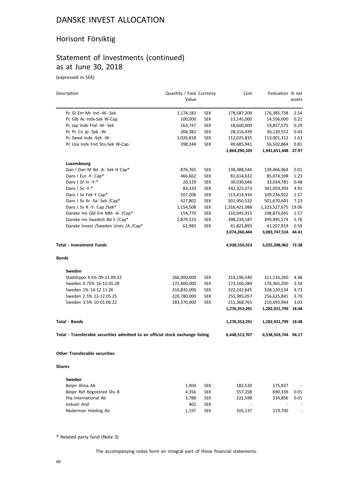#### Horisont Försiktig

#### Statement of Investments (continued) as at June 30, 2018

(expressed in SEK)

| Description                                                                    | Quantity / Face Currency |            | Cost          | Evaluation % net    |                          |
|--------------------------------------------------------------------------------|--------------------------|------------|---------------|---------------------|--------------------------|
|                                                                                | Value                    |            |               |                     | assets                   |
| Pc Gl Em Mr Ind -W- Sek                                                        | 1,174,183                | <b>SEK</b> | 178,587,209   | 176,385,738         | 2.54                     |
| Pc Glb Ac Indx-Sek W-Cap                                                       | 100,000                  | <b>SEK</b> | 13,145,000    | 14,556,000          | 0.21                     |
| Pc Jap Indx Fnd -W- Sek                                                        | 163,747                  | <b>SEK</b> | 18,600,000    | 19,857,575          | 0.29                     |
| Pc Pc Cn Jp -Sek -W-                                                           | 268,382                  | <b>SEK</b> | 28,316,439    | 30,120,552          | 0.43                     |
| Pc Swed Indx -Sek -W-                                                          | 1,026,818                | <b>SEK</b> | 112,025,835   | 113,001,312         | 1.63                     |
| Pc Usa Indx Fnd Shs-Sek W-Cap                                                  | 398,244                  | <b>SEK</b> | 49,685,941    | 56,502,864          | 0.81                     |
|                                                                                |                          |            | 1,864,290,109 | 1,941,651,448       | 27.97                    |
| Luxembourg                                                                     |                          |            |               |                     |                          |
| Dan I Dan M Bd -A- Sek H Cap*                                                  | 876,765                  | <b>SEK</b> | 138,388,544   | 139,466,964         | 2.01                     |
| Dans I Eur -Y- Cap*                                                            | 466,662                  | <b>SEK</b> | 81,614,632    | 85,674,598          | 1.23                     |
| Dans I Gl In -Y-*                                                              | 20,129                   | <b>SEK</b> | 30,036,646    | 33,034,781          | 0.48                     |
| Dans I Sv -Y-*                                                                 | 84,333                   | <b>SEK</b> | 342,325,073   | 341,059,393         | 4.91                     |
| Dans I Sv Fok Y Cap*                                                           | 507,206                  | <b>SEK</b> | 113,414,934   | 109,236,922         | 1.57                     |
| Dans I Sv Kr -Sa- Sek /Cap*                                                    | 427,802                  | <b>SEK</b> | 501,950,532   | 501,670,643         | 7.23                     |
| Dans I Sv R -Y- Cap /Sek*                                                      | 1,154,508                | <b>SEK</b> | 1,316,421,088 | 1,323,527,675       | 19.06                    |
| Danske Inv Gbl Em Mkt -A- /Cap*                                                | 154,770                  | <b>SEK</b> | 110,045,915   | 108,873,045         | 1.57                     |
| Danske Inv Swedish Bd S /Cap*                                                  | 2,879,323                | <b>SEK</b> | 398,239,187   | 399,995,574         | 5.76                     |
| Danske Invest / Sweden Units / A / Cap*                                        | 62,983                   | SEK        | 41,823,893    | 41,207,919          | 0.59                     |
|                                                                                |                          |            | 3,074,260,444 | 3,083,747,514       | 44.41                    |
| <b>Total - Investment Funds</b>                                                |                          |            | 4,938,550,553 | 5,025,398,962 72.38 |                          |
| Bonds                                                                          |                          |            |               |                     |                          |
| Sweden                                                                         |                          |            |               |                     |                          |
| Stadshypo 4.5% 09-21.09.22                                                     | 266,000,000              | <b>SEK</b> | 314,196,540   | 311,116,260         | 4.48                     |
| Sweden 0.75% 16-12.05.28                                                       | 172,400,000              | <b>SEK</b> | 173,160,284   | 176,365,200         | 2.54                     |
| Sweden 1% 14-12.11.26                                                          | 310,835,000              | <b>SEK</b> | 322,242,645   | 328,120,534         | 4.73                     |
| Sweden 2.5% 13-12.05.25                                                        | 220,780,000              | <b>SEK</b> | 255,385,057   | 256,625,841         | 3.70                     |
| Sweden 3.5% 10-01.06.22                                                        | 183,370,000              | SEK        | 211,368,765   | 210,693,964         | 3.03                     |
|                                                                                |                          |            | 1,276,353,291 | 1,282,921,799       | 18.48                    |
| Total - Bonds                                                                  |                          |            | 1,276,353,291 | 1,282,921,799 18.48 |                          |
| Total - Transferable securities admitted to an official stock exchange listing |                          |            | 6,448,513,707 | 6,538,503,744 94.17 |                          |
| <b>Other Transferable securities</b>                                           |                          |            |               |                     |                          |
|                                                                                |                          |            |               |                     |                          |
| <b>Shares</b>                                                                  |                          |            |               |                     |                          |
| Sweden                                                                         |                          |            |               |                     |                          |
| Beijer Alma Ab                                                                 | 1,404                    | <b>SEK</b> | 182,520       | 175,837             |                          |
| Beijer Ref Registered Shs B                                                    | 4,356                    | <b>SEK</b> | 557,258       | 690,339             | 0.01                     |
| Hig International Ab                                                           | 3,788                    | <b>SEK</b> | 221,598       | 234,856             | 0.01                     |
| Industr And                                                                    | 402                      | SEK        |               |                     |                          |
| Nederman Holding Ab                                                            | 1,197                    | <b>SEK</b> | 105,137       | 119,700             | $\overline{\phantom{a}}$ |

\* Related party fund (Note 3)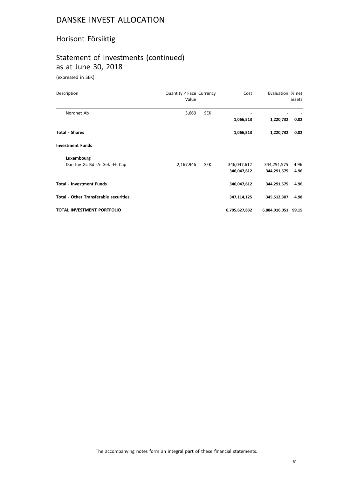# Horisont Försiktig

# Statement of Investments (continued) as at June 30, 2018

(expressed in SEK)

| Description                                  | Quantity / Face Currency<br>Value |            | Cost          | Evaluation % net    | assets |
|----------------------------------------------|-----------------------------------|------------|---------------|---------------------|--------|
| Nordnet Ab                                   | 3,669                             | <b>SEK</b> |               |                     |        |
|                                              |                                   |            | 1,066,513     | 1,220,732           | 0.02   |
| <b>Total - Shares</b>                        |                                   |            | 1,066,513     | 1,220,732           | 0.02   |
| <b>Investment Funds</b>                      |                                   |            |               |                     |        |
| Luxembourg                                   |                                   |            |               |                     |        |
| Dan Inv Gc Bd -A- Sek -H- Cap                | 2,167,946                         | <b>SEK</b> | 346,047,612   | 344,291,575         | 4.96   |
|                                              |                                   |            | 346,047,612   | 344,291,575         | 4.96   |
| <b>Total - Investment Funds</b>              |                                   |            | 346,047,612   | 344,291,575         | 4.96   |
| <b>Total - Other Transferable securities</b> |                                   |            | 347,114,125   | 345,512,307         | 4.98   |
| TOTAL INVESTMENT PORTFOLIO                   |                                   |            | 6,795,627,832 | 6,884,016,051 99.15 |        |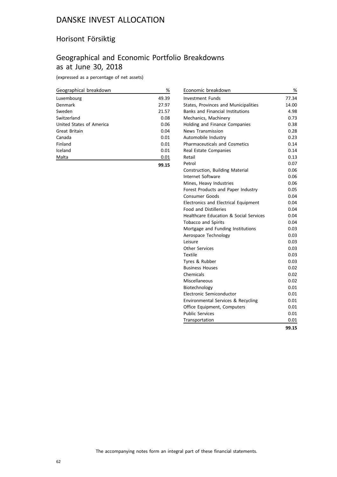#### Horisont Försiktig

## Geographical and Economic Portfolio Breakdowns as at June 30, 2018

(expressed as a percentage of net assets)

| Geographical breakdown   | %     |
|--------------------------|-------|
| Luxembourg               | 49.39 |
| Denmark                  | 27.97 |
| Sweden                   | 21.57 |
| Switzerland              | 0.08  |
| United States of America | 0.06  |
| Great Britain            | 0.04  |
| Canada                   | 0.01  |
| Finland                  | 0.01  |
| Iceland                  | 0.01  |
| Malta                    | 0.01  |
|                          | 99.15 |

| Economic breakdown                                | %     |
|---------------------------------------------------|-------|
| <b>Investment Funds</b>                           | 77.34 |
| States, Provinces and Municipalities              | 14.00 |
| <b>Banks and Financial Institutions</b>           | 4.98  |
| Mechanics, Machinery                              | 0.73  |
| Holding and Finance Companies                     | 0.38  |
| <b>News Transmission</b>                          | 0.28  |
| Automobile Industry                               | 0.23  |
| <b>Pharmaceuticals and Cosmetics</b>              | 0.14  |
| Real Estate Companies                             | 0.14  |
| Retail                                            | 0.13  |
| Petrol                                            | 0.07  |
| Construction, Building Material                   | 0.06  |
| <b>Internet Software</b>                          | 0.06  |
| Mines, Heavy Industries                           | 0.06  |
| Forest Products and Paper Industry                | 0.05  |
| Consumer Goods                                    | 0.04  |
| <b>Electronics and Electrical Equipment</b>       | 0.04  |
| <b>Food and Distilleries</b>                      | 0.04  |
| <b>Healthcare Education &amp; Social Services</b> | 0.04  |
| <b>Tobacco and Spirits</b>                        | 0.04  |
| Mortgage and Funding Institutions                 | 0.03  |
| Aerospace Technology                              | 0.03  |
| l eisure                                          | 0.03  |
| <b>Other Services</b>                             | 0.03  |
| Textile                                           | 0.03  |
| Tyres & Rubber                                    | 0.03  |
| <b>Business Houses</b>                            | 0.02  |
| Chemicals                                         | 0.02  |
| Miscellaneous                                     | 0.02  |
| Biotechnology                                     | 0.01  |
| Electronic Semiconductor                          | 0.01  |
| Environmental Services & Recycling                | 0.01  |
| Office Equipment, Computers                       | 0.01  |
| <b>Public Services</b>                            | 0.01  |
| Transportation                                    | 0.01  |
|                                                   | 99.15 |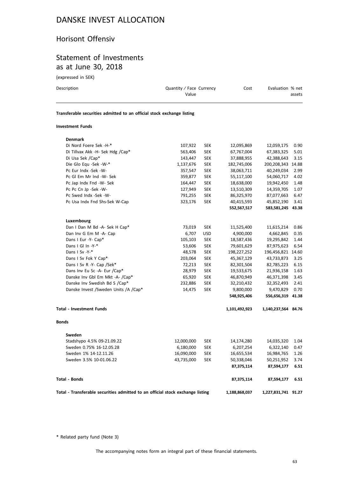# Horisont Offensiv

#### Statement of Investments as at June 30, 2018

(expressed in SEK)

| Description                                                            | Quantity / Face Currency<br>Value | Cost | Evaluation % net<br>assets |
|------------------------------------------------------------------------|-----------------------------------|------|----------------------------|
| Transferable securities admitted to an official stock exchange listing |                                   |      |                            |

#### **Investment Funds**

|                                             | Total - Transferable securities admitted to an official stock exchange listing |            | 1,188,868,037 | 1,227,831,741 91.27 |       |
|---------------------------------------------|--------------------------------------------------------------------------------|------------|---------------|---------------------|-------|
| <b>Total - Bonds</b>                        |                                                                                |            | 87,375,114    | 87,594,177          | 6.51  |
|                                             |                                                                                |            | 87,375,114    | 87,594,177          | 6.51  |
| Sweden 3.5% 10-01.06.22                     | 43,735,000                                                                     | <b>SEK</b> | 50,338,046    | 50,251,952          | 3.74  |
| Sweden 1% 14-12.11.26                       | 16,090,000                                                                     | <b>SEK</b> | 16,655,534    | 16,984,765          | 1.26  |
| Sweden 0.75% 16-12.05.28                    | 6,180,000                                                                      | <b>SEK</b> | 6,207,254     | 6,322,140           | 0.47  |
| Stadshypo 4.5% 09-21.09.22                  | 12,000,000                                                                     | SEK        | 14,174,280    | 14,035,320          | 1.04  |
| Sweden                                      |                                                                                |            |               |                     |       |
| <b>Bonds</b>                                |                                                                                |            |               |                     |       |
| <b>Total - Investment Funds</b>             |                                                                                |            | 1,101,492,923 | 1,140,237,564 84.76 |       |
|                                             |                                                                                |            | 548,925,406   | 556,656,319         | 41.38 |
| Danske Invest / Sweden Units / A / Cap*     | 14,475                                                                         | <b>SEK</b> | 9,800,000     | 9,470,829           | 0.70  |
| Danske Inv Swedish Bd S /Cap*               | 232,886                                                                        | <b>SEK</b> | 32,210,432    | 32,352,493          | 2.41  |
| Danske Inv Gbl Em Mkt -A- /Cap*             | 65,920                                                                         | <b>SEK</b> | 46,870,949    | 46,371,398          | 3.45  |
| Dans Inv Eu Sc -A- Eur /Cap*                | 28,979                                                                         | <b>SEK</b> | 19,533,675    | 21,936,158          | 1.63  |
| Dans I Sv R -Y- Cap /Sek*                   | 72,213                                                                         | <b>SEK</b> | 82,301,504    | 82,785,223          | 6.15  |
| Dans I Sv Fok Y Cap*                        | 203,064                                                                        | <b>SEK</b> | 45,367,129    | 43,733,873          | 3.25  |
| Dans I Sv -Y-*                              | 48,578                                                                         | <b>SEK</b> | 198,227,252   | 196,456,821 14.60   |       |
| Dans I Gl In -Y-*                           | 53,606                                                                         | <b>SEK</b> | 79,601,629    | 87,975,623          | 6.54  |
| Dans I Eur -Y- Cap*                         | 105,103                                                                        | <b>SEK</b> | 18,587,436    | 19,295,842          | 1.44  |
| Dan Inv G Em M -A- Cap                      | 6,707                                                                          | <b>USD</b> | 4,900,000     | 4,662,845           | 0.35  |
| Luxembourg<br>Dan I Dan M Bd -A- Sek H Cap* | 73,019                                                                         | <b>SEK</b> | 11,525,400    | 11,615,214          | 0.86  |
|                                             |                                                                                |            | 552,567,517   | 583,581,245 43.38   |       |
| Pc Usa Indx Fnd Shs-Sek W-Cap               | 323,176                                                                        | <b>SEK</b> | 40,415,593    | 45,852,190          | 3.41  |
| Pc Swed Indx -Sek -W-                       | 791,255                                                                        | <b>SEK</b> | 86,325,970    | 87,077,663          | 6.47  |
| Pc Pc Cn Jp -Sek -W-                        | 127,949                                                                        | <b>SEK</b> | 13,510,309    | 14,359,705          | 1.07  |
| Pc Jap Indx Fnd -W- Sek                     | 164,447                                                                        | <b>SEK</b> | 18,638,000    | 19,942,450          | 1.48  |
| Pc GI Em Mr Ind -W- Sek                     | 359,877                                                                        | <b>SEK</b> | 55,117,100    | 54,060,717          | 4.02  |
| Pc Eur Indx -Sek -W-                        | 357,547                                                                        | <b>SEK</b> | 38,063,711    | 40,249,034          | 2.99  |
| Die Glo Equ -Sek -W-*                       | 1,137,676                                                                      | <b>SEK</b> | 182,745,006   | 200,208,343         | 14.88 |
| Di Usa Sek /Cap*                            | 143,447                                                                        | <b>SEK</b> | 37,888,955    | 42,388,643          | 3.15  |
| Di Tillvax Akk -H- Sek Hdg /Cap*            | 563,406                                                                        | <b>SEK</b> | 67,767,004    | 67,383,325          | 5.01  |
| Di Nord Foere Sek -H-*                      | 107,922                                                                        | <b>SEK</b> | 12,095,869    | 12,059,175          | 0.90  |
| <b>Denmark</b>                              |                                                                                |            |               |                     |       |

\* Related party fund (Note 3)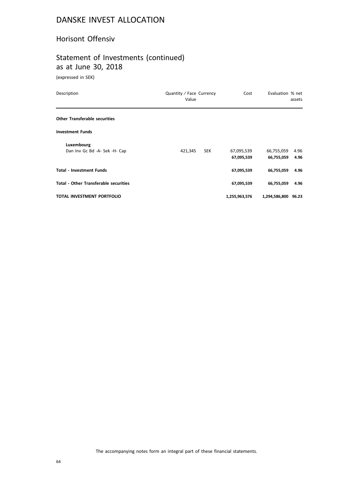#### Horisont Offensiv

# Statement of Investments (continued) as at June 30, 2018

(expressed in SEK)

| Description                                  | Quantity / Face Currency<br>Value | Cost                     | Evaluation % net         | assets       |
|----------------------------------------------|-----------------------------------|--------------------------|--------------------------|--------------|
| <b>Other Transferable securities</b>         |                                   |                          |                          |              |
| <b>Investment Funds</b>                      |                                   |                          |                          |              |
| Luxembourg<br>Dan Inv Gc Bd -A- Sek -H- Cap  | 421,345<br><b>SEK</b>             | 67,095,539<br>67,095,539 | 66,755,059<br>66,755,059 | 4.96<br>4.96 |
| <b>Total - Investment Funds</b>              |                                   | 67,095,539               | 66,755,059               | 4.96         |
| <b>Total - Other Transferable securities</b> |                                   | 67,095,539               | 66,755,059               | 4.96         |
| TOTAL INVESTMENT PORTFOLIO                   |                                   | 1,255,963,576            | 1,294,586,800 96.23      |              |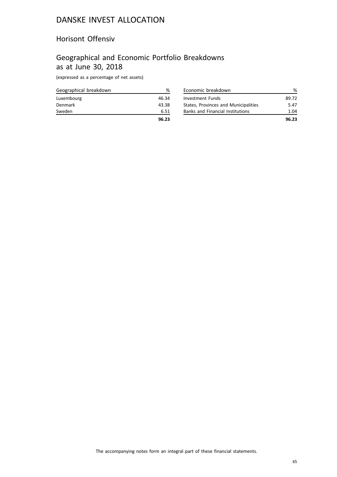#### Horisont Offensiv

## Geographical and Economic Portfolio Breakdowns as at June 30, 2018

(expressed as a percentage of net assets)

| Geographical breakdown | ℅     |
|------------------------|-------|
| Luxembourg             | 46.34 |
| Denmark                | 43.38 |
| Sweden                 | 6.51  |
|                        | 96.23 |

| Economic breakdown                      |       |
|-----------------------------------------|-------|
| Investment Funds                        | 89.72 |
| States, Provinces and Municipalities    | 5.47  |
| <b>Banks and Financial Institutions</b> | 1.04  |
|                                         | 96.23 |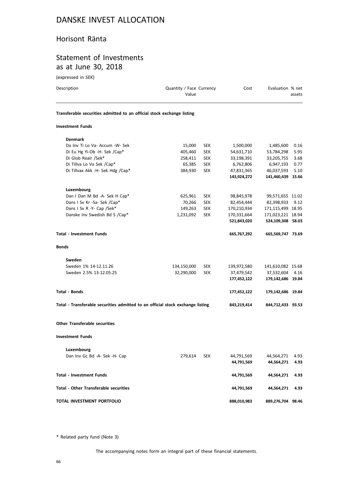#### Horisont Ränta

## Statement of Investments as at June 30, 2018

(expressed in SEK)

| Description                                                                    | Quantity / Face Currency<br>Value |            | Cost        | Evaluation % net  | assets |
|--------------------------------------------------------------------------------|-----------------------------------|------------|-------------|-------------------|--------|
| Transferable securities admitted to an official stock exchange listing         |                                   |            |             |                   |        |
| <b>Investment Funds</b>                                                        |                                   |            |             |                   |        |
| <b>Denmark</b>                                                                 |                                   |            |             |                   |        |
| Da Inv Ti Lo Va- Accum -W- Sek                                                 | 15,000                            | <b>SEK</b> | 1,500,000   | 1,485,600         | 0.16   |
| Di Eu Hg Yi-Ob -H- Sek /Cap*                                                   | 405,460                           | <b>SEK</b> | 54,631,710  | 53,784,298        | 5.95   |
| Di Glob Realr /Sek*                                                            | 258,411                           | <b>SEK</b> | 33,198,391  | 33,205,755        | 3.68   |
| Di Tillva Lo Va Sek /Cap*                                                      | 65,385                            | <b>SEK</b> | 6,762,806   | 6,947,193         | 0.77   |
| Di Tillvax Akk -H- Sek Hdg /Cap*                                               | 384,930                           | <b>SEK</b> | 47,831,365  | 46,037,593        | 5.10   |
|                                                                                |                                   |            | 143,924,272 | 141,460,439 15.66 |        |
| Luxembourg                                                                     |                                   |            |             |                   |        |
| Dan I Dan M Bd -A- Sek H Cap*                                                  | 625,961                           | <b>SEK</b> | 98,845,978  | 99,571,655 11.02  |        |
| Dans I Sv Kr -Sa- Sek /Cap*                                                    | 70,266                            | <b>SEK</b> | 82,454,444  | 82,398,933        | 9.12   |
| Dans I Sv R -Y- Cap /Sek*                                                      | 149,263                           | <b>SEK</b> | 170,210,934 | 171,115,499 18.95 |        |
| Danske Inv Swedish Bd S /Cap*                                                  | 1,231,092                         | <b>SEK</b> | 170,331,664 | 171,023,221 18.94 |        |
|                                                                                |                                   |            | 521,843,020 | 524,109,308 58.03 |        |
| <b>Total - Investment Funds</b>                                                |                                   |            | 665,767,292 | 665,569,747 73.69 |        |
| <b>Bonds</b>                                                                   |                                   |            |             |                   |        |
| Sweden                                                                         |                                   |            |             |                   |        |
| Sweden 1% 14-12.11.26                                                          | 134,150,000                       | <b>SEK</b> | 139,972,580 | 141,610,082 15.68 |        |
| Sweden 2.5% 13-12.05.25                                                        | 32,290,000                        | <b>SEK</b> | 37,479,542  | 37,532,604        | 4.16   |
|                                                                                |                                   |            | 177,452,122 | 179,142,686 19.84 |        |
| <b>Total - Bonds</b>                                                           |                                   |            | 177,452,122 | 179,142,686 19.84 |        |
| Total - Transferable securities admitted to an official stock exchange listing |                                   |            | 843,219,414 | 844,712,433 93.53 |        |
| <b>Other Transferable securities</b>                                           |                                   |            |             |                   |        |
|                                                                                |                                   |            |             |                   |        |
| <b>Investment Funds</b>                                                        |                                   |            |             |                   |        |
| Luxembourg                                                                     |                                   |            |             |                   |        |
| Dan Inv Gc Bd -A- Sek -H- Cap                                                  | 279,614                           | <b>SEK</b> | 44,791,569  | 44,564,271        | 4.93   |
|                                                                                |                                   |            | 44,791,569  | 44,564,271        | 4.93   |
| <b>Total - Investment Funds</b>                                                |                                   |            | 44,791,569  | 44,564,271        | 4.93   |
| <b>Total - Other Transferable securities</b>                                   |                                   |            | 44,791,569  | 44,564,271        | 4.93   |
| TOTAL INVESTMENT PORTFOLIO                                                     |                                   |            | 888,010,983 | 889,276,704 98.46 |        |

\* Related party fund (Note 3)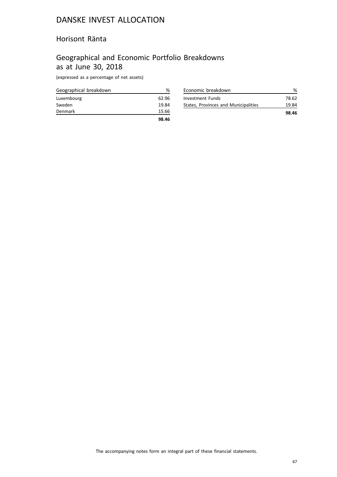#### Horisont Ränta

## Geographical and Economic Portfolio Breakdowns as at June 30, 2018

(expressed as a percentage of net assets)

| Geographical breakdown | ℅     |
|------------------------|-------|
| Luxembourg             | 62.96 |
| Sweden                 | 19.84 |
| Denmark                | 15.66 |
|                        | 98.46 |

|                                      | 98.46 |
|--------------------------------------|-------|
| States, Provinces and Municipalities | 19.84 |
| Investment Funds                     | 78.62 |
| Economic breakdown                   |       |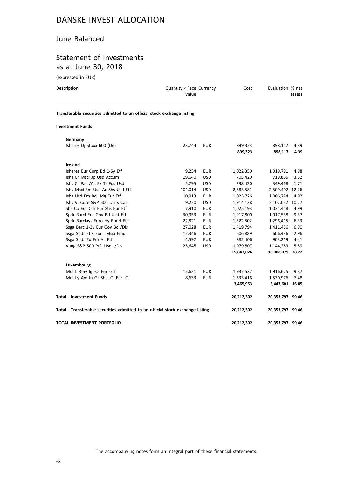#### June Balanced

#### Statement of Investments as at June 30, 2018

(expressed in EUR)

| Description                                                            | Quantity / Face Currency<br>Value |            | Cost       | Evaluation % net | assets |
|------------------------------------------------------------------------|-----------------------------------|------------|------------|------------------|--------|
| Transferable securities admitted to an official stock exchange listing |                                   |            |            |                  |        |
| <b>Investment Funds</b>                                                |                                   |            |            |                  |        |
| Germany                                                                |                                   |            |            |                  |        |
| Ishares Dj Stoxx 600 (De)                                              | 23,744                            | <b>EUR</b> | 899,323    | 898,117          | 4.39   |
|                                                                        |                                   |            | 899,323    | 898,117          | 4.39   |
| Ireland                                                                |                                   |            |            |                  |        |
| Ishares Eur Corp Bd 1-5y Etf                                           | 9,254                             | <b>EUR</b> | 1,022,350  | 1,019,791        | 4.98   |
| Ishs Cr Msci Jp Usd Accum                                              | 19,640                            | <b>USD</b> | 705,420    | 719,866          | 3.52   |
| Ishs Cr Pac /Ac Ex Tr Fds Usd                                          | 2,795                             | <b>USD</b> | 338,420    | 349,468          | 1.71   |
| Ishs Msci Em Usd-Ac Shs Usd Etf                                        | 104,014                           | <b>USD</b> | 2,583,581  | 2,509,402 12.26  |        |
| Ishs Usd Em Bd Hdg Eur Etf                                             | 10,913                            | <b>EUR</b> | 1,025,726  | 1,006,724        | 4.92   |
| Ishs Vi Core S&P 500 Ucits Cap                                         | 9,220                             | <b>USD</b> | 1,914,138  | 2,102,057 10.27  |        |
| Shs Co Eur Cor Eur Shs Eur Etf                                         | 7,910                             | <b>EUR</b> | 1,025,193  | 1,021,418        | 4.99   |
| Spdr Barcl Eur Gov Bd Ucit Etf                                         | 30,953                            | <b>EUR</b> | 1,917,800  | 1,917,538        | 9.37   |
| Spdr Barclays Euro Hy Bond Etf                                         | 22,821                            | <b>EUR</b> | 1,322,502  | 1,296,415        | 6.33   |
| Ssga Barc 1-3y Eur Gov Bd /Dis                                         | 27,028                            | <b>EUR</b> | 1,419,794  | 1,411,456        | 6.90   |
| Ssga Spdr Etfs Eur I Msci Emu                                          | 12,346                            | <b>EUR</b> | 606,889    | 606,436          | 2.96   |
| Ssga Spdr Eu Eur-Ac Etf                                                | 4,597                             | <b>EUR</b> | 885,406    | 903,219          | 4.41   |
| Vang S&P 500 Ptf -Usd- /Dis                                            | 25,645                            | <b>USD</b> | 1,079,807  | 1,144,289        | 5.59   |
|                                                                        |                                   |            | 15,847,026 | 16,008,079 78.22 |        |
| Luxembourg                                                             |                                   |            |            |                  |        |
| Mul L 3-5y Ig -C- Eur -Etf                                             | 12,621                            | <b>EUR</b> | 1,932,537  | 1,916,625        | 9.37   |
| Mul Ly Am In Gr Shs -C- Eur -C                                         | 8,633                             | <b>EUR</b> | 1,533,416  | 1,530,976        | 7.48   |

**Total - Investment Funds 20,212,302 20,353,797 99.46**

**Total - Transferable securities admitted to an official stock exchange listing 20,212,302 20,353,797 99.46**

**TOTAL INVESTMENT PORTFOLIO 20,212,302 20,353,797 99.46**

**3,465,953 3,447,601 16.85**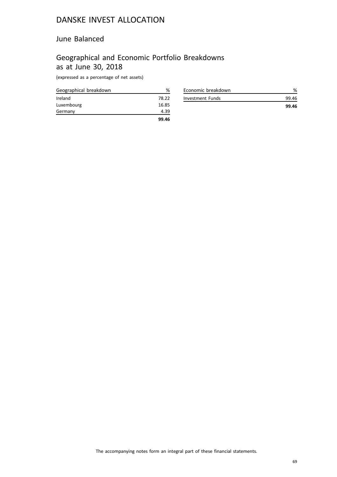#### June Balanced

## Geographical and Economic Portfolio Breakdowns as at June 30, 2018

(expressed as a percentage of net assets)

| Geographical breakdown | ℅     |
|------------------------|-------|
| Ireland                | 78.22 |
| Luxembourg             | 16.85 |
| Germany                | 4.39  |
|                        | 99.46 |

| Economic breakdown | %     |
|--------------------|-------|
| Investment Funds   | 99.46 |
|                    | 99.46 |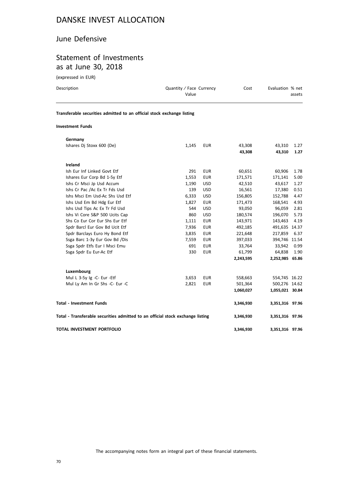#### June Defensive

#### Statement of Investments as at June 30, 2018

(expressed in EUR)

**Luxembourg**

| Description                                                            | Quantity / Face Currency<br>Value |            | Cost    | Evaluation % net | assets |
|------------------------------------------------------------------------|-----------------------------------|------------|---------|------------------|--------|
| Transferable securities admitted to an official stock exchange listing |                                   |            |         |                  |        |
| <b>Investment Funds</b>                                                |                                   |            |         |                  |        |
| Germany                                                                |                                   |            |         |                  |        |
| Ishares Di Stoxx 600 (De)                                              | 1,145                             | EUR        | 43,308  | 43,310           | 1.27   |
|                                                                        |                                   |            | 43,308  | 43.310           | 1.27   |
| Ireland                                                                |                                   |            |         |                  |        |
| Ish Eur Inf Linked Govt Etf                                            | 291                               | <b>EUR</b> | 60,651  | 60,906           | 1.78   |
| Ishares Eur Corp Bd 1-5y Etf                                           | 1,553                             | <b>EUR</b> | 171,571 | 171,141          | 5.00   |

Ishs Cr Msci Jp Usd Accum 1,190 USD 42,510 43,617 1.27<br>
Ishs Cr Pac /Ac Ex Tr Fds Usd 10.51 1.190 USD 16,561 17,380 0.51 Ishs Cr Pac /Ac Ex Tr Fds Usd 139 USD 16,561 17,380 0.51<br>156,805 152,788 4.47 156,805 152,788 4.47 Ishs Msci Em Usd-Ac Shs Usd Etf 6,333 USD 156,805 152,788 4.47 Ishs Usd Em Bd Hdg Eur Etf 1,827 EUR 171,473 168,541 4.93

Ishs Vi Core S&P 500 Ucits Cap 180,070 180,574 196,070 5.73 Shs Co Eur Cor Eur Shs Eur Etf 1,111 EUR 143,971 143,463 4.19 Spdr Barcl Eur Gov Bd Ucit Etf  $7,936$  EUR  $492,185$  491,635 14.37 Spdr Barclays Euro Hy Bond Etf 3,835 EUR 221,648 217,859 6.37 Ssga Barc 1-3y Eur Gov Bd /Dis 7,559 EUR 397,033 394,746 11.54

Ssga Spdr Eu Eur-Ac Etf 330 EUR 61,799 64,838 1.90

Mul L 3-5y Ig -C- Eur -Etf 3,653 EUR 558,663 554,745 16.22

**Total - Investment Funds 3,346,930 3,351,316 97.96**

**Total - Transferable securities admitted to an official stock exchange listing 3,346,930 3,351,316 97.96**

**TOTAL INVESTMENT PORTFOLIO 3,346,930 3,351,316 97.96**

**2,243,595 2,252,985 65.86**

**1,060,027 1,055,021 30.84**

Ishs Usd Tips Ac Ex Tr Fd Usd 544 USD 93,050

Ssga Spdr Etfs Eur I Msci Emu 691 EUR 33,764

Mul Ly Am In Gr Shs -C- Eur -C 2,821 EUR 501,364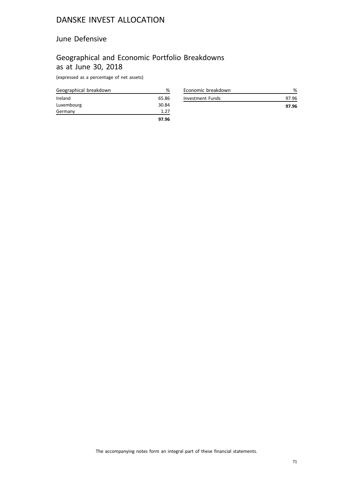#### June Defensive

## Geographical and Economic Portfolio Breakdowns as at June 30, 2018

(expressed as a percentage of net assets)

| Geographical breakdown | %     |
|------------------------|-------|
| Ireland                | 65.86 |
| Luxembourg             | 30.84 |
| Germany                | 1.27  |
|                        | 97.96 |

| Economic breakdown |       |
|--------------------|-------|
| Investment Funds   | 97.96 |
|                    | 97.96 |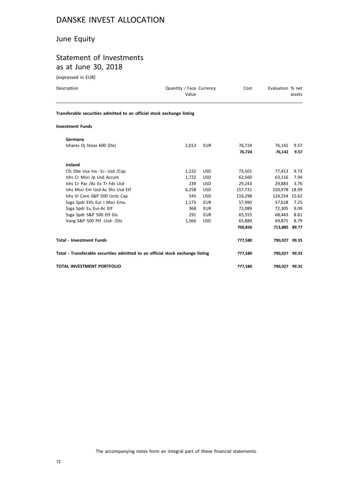#### June Equity

# Statement of Investments as at June 30, 2018

(expressed in EUR)

| Description                                                                    | Quantity / Face Currency<br>Value |            | Cost    | Evaluation % net | assets |
|--------------------------------------------------------------------------------|-----------------------------------|------------|---------|------------------|--------|
| Transferable securities admitted to an official stock exchange listing         |                                   |            |         |                  |        |
| <b>Investment Funds</b>                                                        |                                   |            |         |                  |        |
| Germany                                                                        |                                   |            |         |                  |        |
| Ishares Dj Stoxx 600 (De)                                                      | 2,013                             | <b>EUR</b> | 76,724  | 76,142           | 9.57   |
|                                                                                |                                   |            | 76,724  | 76,142           | 9.57   |
| Ireland                                                                        |                                   |            |         |                  |        |
| Cfs Dbx Usa Inx -1c- Usd /Cap                                                  | 1,232                             | USD.       | 73,501  | 77,413           | 9.73   |
| Ishs Cr Msci Jp Usd Accum                                                      | 1.722                             | <b>USD</b> | 62,560  | 63,116           | 7.94   |
| Ishs Cr Pac /Ac Ex Tr Fds Usd                                                  | 239                               | <b>USD</b> | 29,243  | 29,883           | 3.76   |
| Ishs Msci Em Usd-Ac Shs Usd Etf                                                | 6,258                             | <b>USD</b> | 157,731 | 150,978 18.99    |        |
| Ishs Vi Core S&P 500 Ucits Cap                                                 | 545                               | <b>USD</b> | 116,298 | 124,254 15.62    |        |
| Ssga Spdr Etfs Eur I Msci Emu                                                  | 1,173                             | <b>EUR</b> | 57,990  | 57,618           | 7.25   |
| Ssga Spdr Eu Eur-Ac Etf                                                        | 368                               | <b>EUR</b> | 72,089  | 72,305           | 9.09   |
| Ssga Spdr S&P 500 Etf Dis                                                      | 291                               | <b>EUR</b> | 65,555  | 68,443           | 8.61   |
| Vang S&P 500 Ptf -Usd- /Dis                                                    | 1,566                             | <b>USD</b> | 65,889  | 69,875           | 8.79   |
|                                                                                |                                   |            | 700,856 | 713,885 89.77    |        |
| <b>Total - Investment Funds</b>                                                |                                   |            | 777,580 | 790,027 99.35    |        |
| Total - Transferable securities admitted to an official stock exchange listing |                                   |            | 777,580 | 790,027 99.35    |        |
| <b>TOTAL INVESTMENT PORTFOLIO</b>                                              |                                   |            | 777,580 | 790,027 99.35    |        |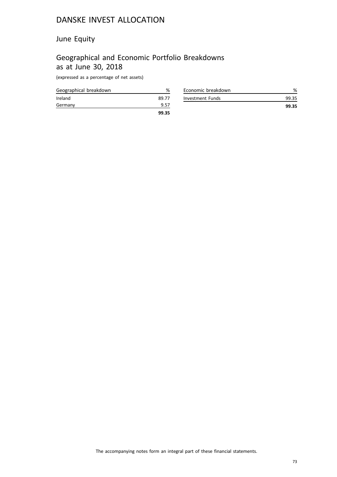## June Equity

# Geographical and Economic Portfolio Breakdowns as at June 30, 2018

(expressed as a percentage of net assets)

| Geographical breakdown | %     |
|------------------------|-------|
| Ireland                | 89.77 |
| Germany                | 9.57  |
|                        | 99.35 |

| Economic breakdown |       |
|--------------------|-------|
| Investment Funds   | 99.35 |
|                    | 99.35 |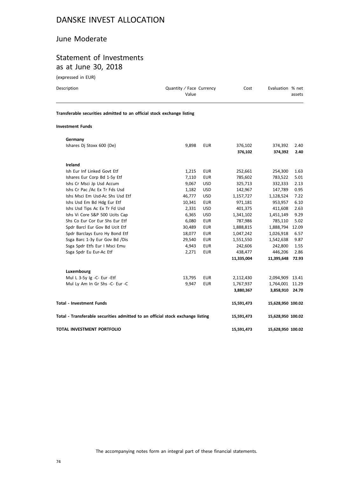## June Moderate

# Statement of Investments as at June 30, 2018

(expressed in EUR)

| Description | Quantity / Face Currency<br>Value | Cost | Evaluation % net<br>assets |
|-------------|-----------------------------------|------|----------------------------|
| _ _ _       | .                                 |      |                            |

**Transferable securities admitted to an official stock exchange listing**

### **Investment Funds**

| Germany                                                                        |        |            |            |                   |       |
|--------------------------------------------------------------------------------|--------|------------|------------|-------------------|-------|
| Ishares Di Stoxx 600 (De)                                                      | 9,898  | <b>EUR</b> | 376,102    | 374,392           | 2.40  |
|                                                                                |        |            | 376,102    | 374,392           | 2.40  |
| Ireland                                                                        |        |            |            |                   |       |
| Ish Eur Inf Linked Govt Etf                                                    | 1,215  | <b>EUR</b> | 252,661    | 254,300           | 1.63  |
| Ishares Eur Corp Bd 1-5y Etf                                                   | 7,110  | <b>EUR</b> | 785,602    | 783,522           | 5.01  |
| Ishs Cr Msci Jp Usd Accum                                                      | 9,067  | <b>USD</b> | 325,713    | 332,333           | 2.13  |
| Ishs Cr Pac /Ac Ex Tr Fds Usd                                                  | 1,182  | <b>USD</b> | 142,967    | 147,789           | 0.95  |
| Ishs Msci Em Usd-Ac Shs Usd Etf                                                | 46,777 | <b>USD</b> | 1,157,727  | 1,128,524         | 7.22  |
| Ishs Usd Em Bd Hdg Eur Etf                                                     | 10,341 | <b>EUR</b> | 971,181    | 953,957           | 6.10  |
| Ishs Usd Tips Ac Ex Tr Fd Usd                                                  | 2,331  | <b>USD</b> | 401,375    | 411,608           | 2.63  |
| Ishs Vi Core S&P 500 Ucits Cap                                                 | 6,365  | <b>USD</b> | 1,341,102  | 1,451,149         | 9.29  |
| Shs Co Eur Cor Eur Shs Eur Etf                                                 | 6,080  | <b>EUR</b> | 787,986    | 785,110           | 5.02  |
| Spdr Barcl Eur Gov Bd Ucit Etf                                                 | 30,489 | <b>EUR</b> | 1,888,815  | 1,888,794         | 12.09 |
| Spdr Barclays Euro Hy Bond Etf                                                 | 18,077 | <b>EUR</b> | 1,047,242  | 1,026,918         | 6.57  |
| Ssga Barc 1-3y Eur Gov Bd /Dis                                                 | 29,540 | <b>EUR</b> | 1,551,550  | 1,542,638         | 9.87  |
| Ssga Spdr Etfs Eur I Msci Emu                                                  | 4,943  | <b>EUR</b> | 242,606    | 242,800           | 1.55  |
| Ssga Spdr Eu Eur-Ac Etf                                                        | 2,271  | <b>EUR</b> | 438,477    | 446,206           | 2.86  |
|                                                                                |        |            | 11,335,004 | 11,395,648        | 72.93 |
| Luxembourg                                                                     |        |            |            |                   |       |
| Mul L 3-5y Ig -C- Eur -Etf                                                     | 13,795 | <b>EUR</b> | 2,112,430  | 2,094,909 13.41   |       |
| Mul Ly Am In Gr Shs -C- Eur -C                                                 | 9.947  | <b>EUR</b> | 1,767,937  | 1,764,001 11.29   |       |
|                                                                                |        |            | 3,880,367  | 3,858,910 24.70   |       |
| <b>Total - Investment Funds</b>                                                |        |            | 15,591,473 | 15,628,950 100.02 |       |
| Total - Transferable securities admitted to an official stock exchange listing |        |            | 15,591,473 | 15,628,950 100.02 |       |
| TOTAL INVESTMENT PORTFOLIO                                                     |        |            | 15,591,473 | 15,628,950 100.02 |       |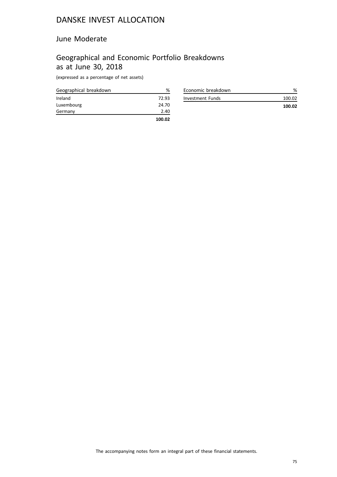## June Moderate

# Geographical and Economic Portfolio Breakdowns as at June 30, 2018

(expressed as a percentage of net assets)

| Geographical breakdown | ℅      |
|------------------------|--------|
| Ireland                | 72.93  |
| Luxembourg             | 24.70  |
| Germany                | 2.40   |
|                        | 100.02 |

| Economic breakdown |        |
|--------------------|--------|
| Investment Funds   | 100 O2 |
|                    | 100.02 |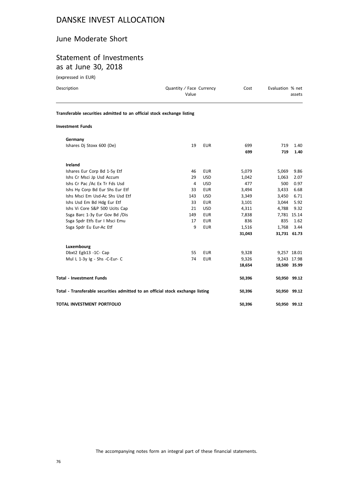### June Moderate Short

# Statement of Investments as at June 30, 2018

(expressed in EUR)

| Description                                                                    | Quantity / Face Currency<br>Value |            | Cost       | Evaluation % net | assets       |
|--------------------------------------------------------------------------------|-----------------------------------|------------|------------|------------------|--------------|
| Transferable securities admitted to an official stock exchange listing         |                                   |            |            |                  |              |
| <b>Investment Funds</b>                                                        |                                   |            |            |                  |              |
| Germany                                                                        |                                   |            |            |                  |              |
| Ishares Dj Stoxx 600 (De)                                                      | 19                                | <b>EUR</b> | 699<br>699 | 719<br>719       | 1.40<br>1.40 |
| Ireland                                                                        |                                   |            |            |                  |              |
| Ishares Eur Corp Bd 1-5y Etf                                                   | 46                                | <b>EUR</b> | 5,079      | 5,069            | 9.86         |
| Ishs Cr Msci Jp Usd Accum                                                      | 29                                | <b>USD</b> | 1,042      | 1.063            | 2.07         |
| Ishs Cr Pac /Ac Ex Tr Fds Usd                                                  | 4                                 | <b>USD</b> | 477        | 500              | 0.97         |
| Ishs Hy Corp Bd Eur Shs Eur Etf                                                | 33                                | <b>EUR</b> | 3,494      | 3,433            | 6.68         |
| Ishs Msci Em Usd-Ac Shs Usd Etf                                                | 143                               | <b>USD</b> | 3,349      | 3,450            | 6.71         |
| Ishs Usd Em Bd Hdg Eur Etf                                                     | 33                                | <b>EUR</b> | 3,101      | 3,044            | 5.92         |
| Ishs Vi Core S&P 500 Ucits Cap                                                 | 21                                | <b>USD</b> | 4,311      | 4,788            | 9.32         |
| Ssga Barc 1-3y Eur Gov Bd /Dis                                                 | 149                               | <b>EUR</b> | 7,838      |                  | 7,781 15.14  |
| Ssga Spdr Etfs Eur I Msci Emu                                                  | 17                                | <b>EUR</b> | 836        | 835              | 1.62         |
| Ssga Spdr Eu Eur-Ac Etf                                                        | 9                                 | <b>EUR</b> | 1,516      | 1,768            | 3.44         |
|                                                                                |                                   |            | 31,043     |                  | 31,731 61.73 |
| Luxembourg                                                                     |                                   |            |            |                  |              |
| Dbxt2 Egb13 -1C- Cap                                                           | 55                                | <b>EUR</b> | 9,328      |                  | 9,257 18.01  |
| Mul L 1-3y Ig - Shs -C-Eur- C                                                  | 74                                | <b>EUR</b> | 9,326      |                  | 9,243 17.98  |
|                                                                                |                                   |            | 18,654     |                  | 18,500 35.99 |
| <b>Total - Investment Funds</b>                                                |                                   |            | 50,396     |                  | 50,950 99.12 |
| Total - Transferable securities admitted to an official stock exchange listing |                                   |            | 50,396     |                  | 50,950 99.12 |

**TOTAL INVESTMENT PORTFOLIO 50,396 50,950 99.12**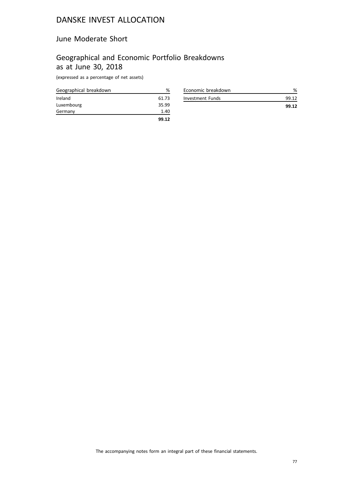## June Moderate Short

# Geographical and Economic Portfolio Breakdowns as at June 30, 2018

(expressed as a percentage of net assets)

| Geographical breakdown | ℅     |
|------------------------|-------|
| Ireland                | 61.73 |
| Luxembourg             | 35.99 |
| Germany                | 1.40  |
|                        | 99.12 |

| Economic breakdown |       |
|--------------------|-------|
| Investment Funds   | 99 12 |
|                    | 99.12 |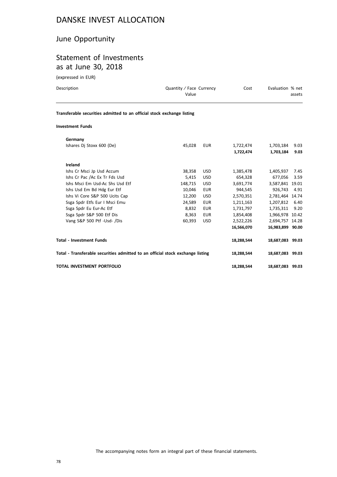## June Opportunity

# Statement of Investments as at June 30, 2018

(expressed in EUR)

| Description                                                                    | Quantity / Face Currency<br>Value |            | Cost       | Evaluation % net | assets |
|--------------------------------------------------------------------------------|-----------------------------------|------------|------------|------------------|--------|
| Transferable securities admitted to an official stock exchange listing         |                                   |            |            |                  |        |
| <b>Investment Funds</b>                                                        |                                   |            |            |                  |        |
| Germany                                                                        |                                   |            |            |                  |        |
| Ishares Di Stoxx 600 (De)                                                      | 45,028                            | <b>EUR</b> | 1,722,474  | 1,703,184        | 9.03   |
|                                                                                |                                   |            | 1,722,474  | 1,703,184        | 9.03   |
| Ireland                                                                        |                                   |            |            |                  |        |
| Ishs Cr Msci Jp Usd Accum                                                      | 38,358                            | <b>USD</b> | 1,385,478  | 1,405,937        | 7.45   |
| Ishs Cr Pac /Ac Ex Tr Fds Usd                                                  | 5,415                             | <b>USD</b> | 654,328    | 677,056          | 3.59   |
| Ishs Msci Em Usd-Ac Shs Usd Etf                                                | 148,715                           | <b>USD</b> | 3,691,774  | 3,587,841 19.01  |        |
| Ishs Usd Em Bd Hdg Eur Etf                                                     | 10,046                            | <b>EUR</b> | 944,545    | 926.743          | 4.91   |
| Ishs Vi Core S&P 500 Ucits Cap                                                 | 12,200                            | <b>USD</b> | 2,570,351  | 2,781,464 14.74  |        |
| Ssga Spdr Etfs Eur I Msci Emu                                                  | 24,589                            | <b>EUR</b> | 1,211,163  | 1,207,812        | 6.40   |
| Ssga Spdr Eu Eur-Ac Etf                                                        | 8,832                             | <b>EUR</b> | 1,731,797  | 1,735,311        | 9.20   |
| Ssga Spdr S&P 500 Etf Dis                                                      | 8,363                             | <b>EUR</b> | 1,854,408  | 1,966,978 10.42  |        |
| Vang S&P 500 Ptf -Usd- /Dis                                                    | 60,393                            | <b>USD</b> | 2,522,226  | 2,694,757 14.28  |        |
|                                                                                |                                   |            | 16,566,070 | 16,983,899 90.00 |        |
| <b>Total - Investment Funds</b>                                                |                                   |            | 18,288,544 | 18,687,083 99.03 |        |
| Total - Transferable securities admitted to an official stock exchange listing |                                   |            | 18,288,544 | 18.687.083 99.03 |        |

**TOTAL INVESTMENT PORTFOLIO 18,288,544 18,687,083 99.03**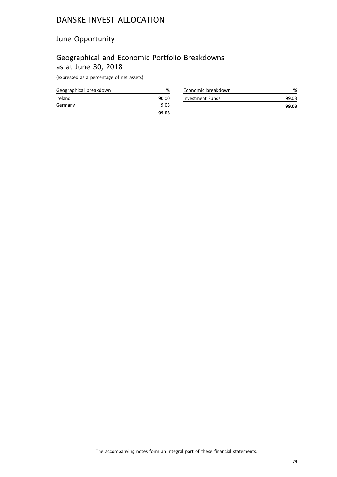## June Opportunity

# Geographical and Economic Portfolio Breakdowns as at June 30, 2018

(expressed as a percentage of net assets)

| Geographical breakdown | %     |
|------------------------|-------|
| Ireland                | 90.00 |
| Germany                | 9.03  |
|                        | 99.03 |

| Economic breakdown | %     |
|--------------------|-------|
| Investment Funds   | 99.03 |
|                    | 99.03 |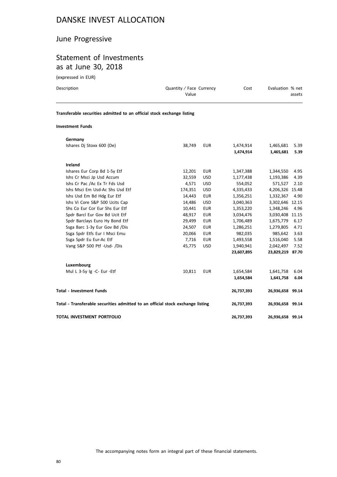## June Progressive

# Statement of Investments as at June 30, 2018

(expressed in EUR)

| Description                                                                                       | Quantity / Face Currency<br>Value | Cost | Evaluation % net<br>assets |
|---------------------------------------------------------------------------------------------------|-----------------------------------|------|----------------------------|
| Transferable securities admitted to an official stock exchange listing<br><b>Investment Funds</b> |                                   |      |                            |

| Germany                                                                        |         |            |            |                  |      |
|--------------------------------------------------------------------------------|---------|------------|------------|------------------|------|
| Ishares Dj Stoxx 600 (De)                                                      | 38,749  | <b>EUR</b> | 1,474,914  | 1,465,681        | 5.39 |
|                                                                                |         |            | 1,474,914  | 1,465,681        | 5.39 |
| <b>Ireland</b>                                                                 |         |            |            |                  |      |
| Ishares Eur Corp Bd 1-5y Etf                                                   | 12,201  | <b>EUR</b> | 1,347,388  | 1,344,550        | 4.95 |
| Ishs Cr Msci Jp Usd Accum                                                      | 32,559  | <b>USD</b> | 1,177,438  | 1,193,386        | 4.39 |
| Ishs Cr Pac /Ac Ex Tr Fds Usd                                                  | 4,571   | <b>USD</b> | 554,052    | 571,527          | 2.10 |
| Ishs Msci Em Usd-Ac Shs Usd Etf                                                | 174,351 | <b>USD</b> | 4,335,433  | 4,206,326 15.48  |      |
| Ishs Usd Em Bd Hdg Eur Etf                                                     | 14,443  | <b>EUR</b> | 1,356,251  | 1,332,367        | 4.90 |
| Ishs Vi Core S&P 500 Ucits Cap                                                 | 14,486  | <b>USD</b> | 3,040,363  | 3,302,646 12.15  |      |
| Shs Co Eur Cor Eur Shs Eur Etf                                                 | 10,441  | <b>EUR</b> | 1,353,220  | 1,348,246        | 4.96 |
| Spdr Barcl Eur Gov Bd Ucit Etf                                                 | 48,917  | <b>EUR</b> | 3,034,476  | 3,030,408 11.15  |      |
| Spdr Barclays Euro Hy Bond Etf                                                 | 29,499  | <b>EUR</b> | 1,706,489  | 1,675,779        | 6.17 |
| Ssga Barc 1-3y Eur Gov Bd /Dis                                                 | 24,507  | <b>EUR</b> | 1,286,251  | 1,279,805        | 4.71 |
| Ssga Spdr Etfs Eur I Msci Emu                                                  | 20,066  | <b>EUR</b> | 982,035    | 985,642          | 3.63 |
| Ssga Spdr Eu Eur-Ac Etf                                                        | 7,716   | <b>EUR</b> | 1,493,558  | 1,516,040        | 5.58 |
| Vang S&P 500 Ptf -Usd- /Dis                                                    | 45,775  | <b>USD</b> | 1,940,941  | 2,042,497        | 7.52 |
|                                                                                |         |            | 23,607,895 | 23,829,219 87.70 |      |
| Luxembourg                                                                     |         |            |            |                  |      |
| Mul L 3-5y Ig -C- Eur -Etf                                                     | 10,811  | <b>EUR</b> | 1,654,584  | 1,641,758        | 6.04 |
|                                                                                |         |            | 1,654,584  | 1,641,758        | 6.04 |
| <b>Total - Investment Funds</b>                                                |         |            | 26,737,393 | 26,936,658 99.14 |      |
| Total - Transferable securities admitted to an official stock exchange listing |         |            | 26,737,393 | 26,936,658 99.14 |      |
| TOTAL INVESTMENT PORTFOLIO                                                     |         |            | 26,737,393 | 26,936,658 99.14 |      |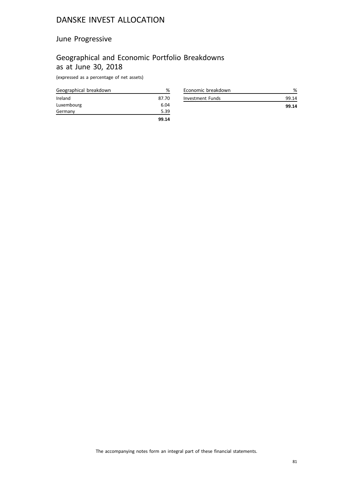## June Progressive

# Geographical and Economic Portfolio Breakdowns as at June 30, 2018

(expressed as a percentage of net assets)

| Geographical breakdown | %     |
|------------------------|-------|
| Ireland                | 87.70 |
| Luxembourg             | 6.04  |
| Germany                | 5.39  |
|                        | 99.14 |

| Economic breakdown |       |
|--------------------|-------|
| Investment Funds   | 99.14 |
|                    | 99.14 |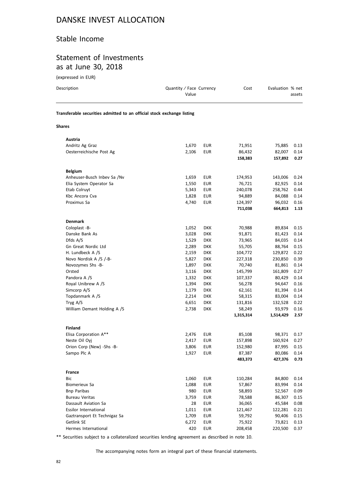### Stable Income

## Statement of Investments as at June 30, 2018

(expressed in EUR)

| Description                                                            | Quantity / Face Currency<br>Value |            | Cost      | Evaluation % net | assets |
|------------------------------------------------------------------------|-----------------------------------|------------|-----------|------------------|--------|
| Transferable securities admitted to an official stock exchange listing |                                   |            |           |                  |        |
| Shares                                                                 |                                   |            |           |                  |        |
| Austria                                                                |                                   |            |           |                  |        |
| Andritz Ag Graz                                                        | 1,670                             | <b>EUR</b> | 71,951    | 75,885           | 0.13   |
| Oesterreichische Post Ag                                               | 2,106                             | <b>EUR</b> | 86,432    | 82,007           | 0.14   |
|                                                                        |                                   |            | 158,383   | 157,892          | 0.27   |
| <b>Belgium</b>                                                         |                                   |            |           |                  |        |
| Anheuser-Busch Inbev Sa /Nv                                            | 1,659                             | <b>EUR</b> | 174,953   | 143,006          | 0.24   |
| Elia System Operator Sa                                                | 1,550                             | <b>EUR</b> | 76,721    | 82,925           | 0.14   |
| Etab Colruyt                                                           | 5,343                             | <b>EUR</b> | 240,078   | 258,762          | 0.44   |
| Kbc Ancora Cva                                                         | 1,828                             | <b>EUR</b> | 94,889    | 84,088           | 0.14   |
| Proximus Sa                                                            | 4,740                             | <b>EUR</b> | 124,397   | 96,032           | 0.16   |
|                                                                        |                                   |            | 711,038   | 664,813          | 1.13   |
| <b>Denmark</b>                                                         |                                   |            |           |                  |        |
| Coloplast -B-                                                          | 1,052                             | <b>DKK</b> | 70,988    | 89,834           | 0.15   |
| Danske Bank As                                                         | 3,028                             | <b>DKK</b> | 91,871    | 81,423           | 0.14   |
| Dfds A/S                                                               | 1,529                             | <b>DKK</b> | 73,965    | 84,035           | 0.14   |
| Gn Great Nordic Ltd                                                    | 2,289                             | <b>DKK</b> | 55,705    | 88,764           | 0.15   |
| H. Lundbeck A /S                                                       | 2,159                             | <b>DKK</b> | 104,772   | 129,872          | 0.22   |
| Novo Nordisk A /S /-B-                                                 | 5,827                             | <b>DKK</b> | 227,318   | 230,850          | 0.39   |
| Novozymes Shs -B-                                                      | 1,897                             | <b>DKK</b> | 70,740    | 81,861           | 0.14   |
| Orsted                                                                 | 3,116                             | <b>DKK</b> | 145,799   | 161,809          | 0.27   |
| Pandora A /S                                                           | 1,332                             | <b>DKK</b> | 107,337   | 80,429           | 0.14   |
| Royal Unibrew A /S                                                     | 1,394                             | <b>DKK</b> | 56,278    | 94,647           | 0.16   |
| Simcorp A/S                                                            | 1,179                             | <b>DKK</b> | 62,161    | 81,394           | 0.14   |
| Topdanmark A /S                                                        | 2,214                             | <b>DKK</b> | 58,315    | 83,004           | 0.14   |
| Tryg A/S                                                               | 6,651                             | <b>DKK</b> | 131,816   | 132,528          | 0.22   |
| William Demant Holding A /S                                            | 2,738                             | <b>DKK</b> | 58,249    | 93,979           | 0.16   |
|                                                                        |                                   |            | 1,315,314 | 1,514,429        | 2.57   |
| <b>Finland</b>                                                         |                                   |            |           |                  |        |
| Elisa Corporation A**                                                  | 2,476                             | <b>EUR</b> | 85,108    | 98,371           | 0.17   |
| Neste Oil Oyj                                                          | 2,417                             | <b>EUR</b> | 157,898   | 160,924          | 0.27   |
| Orion Corp (New) -Shs -B-                                              | 3,806                             | <b>EUR</b> | 152,980   | 87,995           | 0.15   |
| Sampo Plc A                                                            | 1,927                             | <b>EUR</b> | 87,387    | 80,086           | 0.14   |
|                                                                        |                                   |            | 483,373   | 427,376          | 0.73   |
| France                                                                 |                                   |            |           |                  |        |
| Bic                                                                    | 1,060                             | <b>EUR</b> | 110,284   | 84,800           | 0.14   |
| Biomerieux Sa                                                          | 1,088                             | <b>EUR</b> | 57,867    | 83,994           | 0.14   |
| <b>Bnp Paribas</b>                                                     | 980                               | <b>EUR</b> | 58,893    | 52,567           | 0.09   |
| <b>Bureau Veritas</b>                                                  | 3,759                             | <b>EUR</b> | 78,588    | 86,307           | 0.15   |
| Dassault Aviation Sa                                                   | 28                                | <b>EUR</b> | 36,065    | 45,584           | 0.08   |
| <b>Essilor International</b>                                           | 1,011                             | <b>EUR</b> | 121,467   | 122,281          | 0.21   |
| Gaztransport Et Technigaz Sa                                           | 1,709                             | EUR        | 59,792    | 90,406           | 0.15   |
| Getlink SE                                                             | 6,272                             | <b>EUR</b> | 75,922    | 73,821           | 0.13   |
| Hermes International                                                   | 420                               | <b>EUR</b> | 208,458   | 220,500          | 0.37   |

\*\* Securities subject to a collateralized securities lending agreement as described in note 10.

Hermes International and the control of the 420 EUR 208,458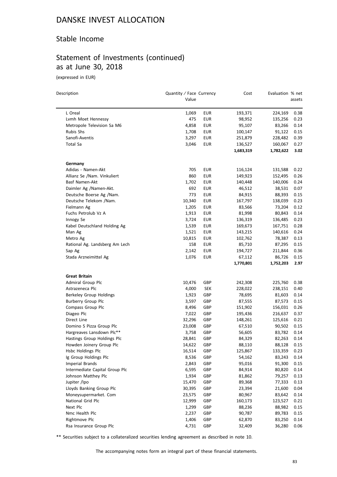## Stable Income

# Statement of Investments (continued) as at June 30, 2018

(expressed in EUR)

| Description                    | Quantity / Face Currency<br>Value |            | Cost                 | Evaluation % net     | assets       |
|--------------------------------|-----------------------------------|------------|----------------------|----------------------|--------------|
|                                |                                   |            |                      |                      |              |
| L Oreal                        | 1,069                             | <b>EUR</b> | 193,371              | 224,169              | 0.38         |
| Lvmh Moet Hennessy             | 475                               | EUR        | 98,952               | 135,256              | 0.23         |
| Metropole Television Sa M6     | 4,858                             | <b>EUR</b> | 95,107               | 83,266               | 0.14         |
| <b>Rubis Shs</b>               | 1,708                             | EUR        | 100,147              | 91,122               | 0.15         |
| Sanofi-Aventis                 | 3,297                             | EUR        | 251,879              | 228,482              | 0.39         |
| Total Sa                       | 3,046                             | <b>EUR</b> | 136,527<br>1,683,319 | 160,067<br>1,782,622 | 0.27<br>3.02 |
| Germany                        |                                   |            |                      |                      |              |
| Adidas - Namen-Akt             | 705                               | EUR        | 116,124              | 131,588              | 0.22         |
| Allianz Se /Nam. Vinkuliert    | 860                               | <b>EUR</b> | 149,923              | 152,495              | 0.26         |
| Basf Namen-Akt                 | 1,702                             | EUR        | 140,448              | 140,006              | 0.24         |
| Daimler Ag /Namen-Akt.         | 692                               | <b>EUR</b> | 46,512               | 38,531               | 0.07         |
| Deutsche Boerse Ag /Nam.       | 773                               | <b>EUR</b> | 84,915               | 88,393               | 0.15         |
| Deutsche Telekom /Nam.         | 10,340                            | EUR        | 167,797              | 138,039              | 0.23         |
| Fielmann Ag                    | 1,205                             | EUR        | 83,566               | 73,204               | 0.12         |
| Fuchs Petrolub Vz A            | 1,913                             | <b>EUR</b> | 81,998               | 80,843               | 0.14         |
| Innogy Se                      | 3,724                             | EUR        | 136,319              | 136,485              | 0.23         |
| Kabel Deutschland Holding Ag   | 1,539                             | <b>EUR</b> | 169,673              | 167,751              | 0.28         |
| Man Ag                         | 1,521                             | EUR        | 143,215              | 140,616              | 0.24         |
| Metro Ag                       | 10,815                            | EUR        | 102,762              | 78,387               | 0.13         |
| Rational Ag. Landsberg Am Lech | 158                               | <b>EUR</b> | 85,710               | 87,295               | 0.15         |
| Sap Ag                         | 2,142                             | <b>EUR</b> | 194,727              | 211,844              | 0.36         |
| Stada Arzneimittel Ag          | 1,076                             | EUR        | 67,112               | 86,726               | 0.15         |
|                                |                                   |            | 1,770,801            | 1,752,203            | 2.97         |
| <b>Great Britain</b>           |                                   |            |                      |                      |              |
| Admiral Group Plc              | 10,476                            | GBP        | 242,308              | 225,760              | 0.38         |
| Astrazeneca Plc                | 4,000                             | <b>SEK</b> | 228,022              | 238,151              | 0.40         |
| Berkeley Group Holdings        | 1,923                             | GBP        | 78,695               | 81,603               | 0.14         |
| Burberry Group Plc             | 3,597                             | GBP        | 87,555               | 87,573               | 0.15         |
| Compass Group Plc              | 8,496                             | GBP        | 151,902              | 156,031              | 0.26         |
| Diageo Plc                     | 7,022                             | GBP        | 195,436              | 216,637              | 0.37         |
| Direct Line                    | 32,296                            | GBP        | 148,261              | 125,616              | 0.21         |
| Domino S Pizza Group Plc       | 23,008                            | GBP        | 67,510               | 90,502               | 0.15         |
| Hargreaves Lansdown Plc**      | 3,758                             | GBP        | 56,605               | 83,782               | 0.14         |
| Hastings Group Holdings Plc    | 28,841                            | GBP        | 84,329               | 82,263               | 0.14         |
| Howden Joinery Group Plc       | 14,622                            | GBP        | 88,110               | 88,128               | 0.15         |
| Hsbc Holdings Plc              | 16,514                            | GBP        | 125,867              | 133,359              | 0.23         |
| Ig Group Holdings Plc          | 8,536                             | GBP        | 54,162               | 83,243               | 0.14         |
| Imperial Brands                | 2,843                             | GBP        | 95,016               | 91,300               | 0.15         |
| Intermediate Capital Group Plc | 6,595                             | GBP        | 84,914               | 80,820               | 0.14         |
| Johnson Matthey Plc            | 1,934                             | GBP        | 81,862               | 79,257               | 0.13         |
| Jupiter /Ipo                   | 15,470                            | GBP        | 89,368               | 77,333               | 0.13         |
| Lloyds Banking Group Plc       | 30,395                            | GBP        | 23,394               | 21,600               | 0.04         |
| Moneysupermarket. Com          | 23,575                            | GBP        | 80,967               | 83,642               | 0.14         |
| National Grid Plc              | 12,999                            | GBP        | 160,173              | 123,527              | 0.21         |
| Next Plc                       | 1,299                             | GBP        | 88,236               | 88,982               | 0.15         |
| Nmc Health Plc                 | 2,237                             | GBP        | 90,787               | 89,783               | 0.15         |
| Rightmove Plc                  | 1,406                             | GBP        | 62,870               | 83,250               | 0.14         |
| Rsa Insurance Group Plc        | 4,731                             | GBP        | 32,409               | 36,280               | 0.06         |

\*\* Securities subject to a collateralized securities lending agreement as described in note 10.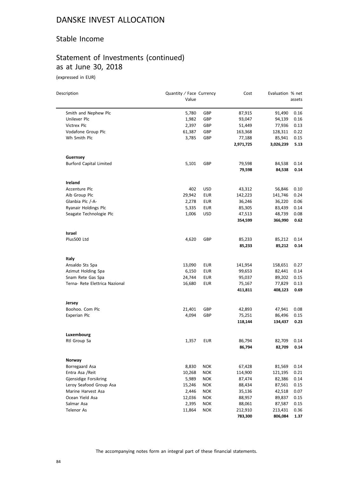### Stable Income

# Statement of Investments (continued) as at June 30, 2018

(expressed in EUR)

 $\overline{\phantom{0}}$ 

| Description                    | Quantity / Face Currency |            | Cost              | Evaluation % net  |              |
|--------------------------------|--------------------------|------------|-------------------|-------------------|--------------|
|                                | Value                    |            |                   |                   | assets       |
| Smith and Nephew Plc           | 5,780                    | GBP        | 87,915            | 91,490            | 0.16         |
| Unilever Plc                   | 1,982                    | GBP        | 93,047            | 94,139            | 0.16         |
| Victrex Plc                    | 2,397                    | GBP        | 51,449            | 77,936            | 0.13         |
| Vodafone Group Plc             | 61,387                   | GBP        | 163,368           | 128,311           | 0.22         |
| Wh Smith Plc                   | 3,785                    | GBP        | 77,188            | 85,941            | 0.15         |
|                                |                          |            | 2,971,725         | 3,026,239         | 5.13         |
| Guernsey                       |                          |            |                   |                   |              |
| <b>Burford Capital Limited</b> | 5,101                    | GBP        | 79,598            | 84,538            | 0.14         |
|                                |                          |            | 79,598            | 84,538            | 0.14         |
| Ireland                        |                          |            |                   |                   |              |
| Accenture Plc                  | 402                      | <b>USD</b> | 43,312            | 56,846            | 0.10         |
| Aib Group Plc                  | 29,942                   | EUR        | 142,223           | 141,746           | 0.24         |
| Glanbia Plc /-A-               | 2,278                    | <b>EUR</b> | 36,246            | 36,220            | 0.06         |
| Ryanair Holdings Plc           | 5,335                    | <b>EUR</b> | 85,305            | 83,439            | 0.14         |
| Seagate Technologie Plc        | 1,006                    | USD        | 47,513            | 48,739            | 0.08         |
|                                |                          |            | 354,599           | 366,990           | 0.62         |
| Israel                         |                          |            |                   |                   |              |
| Plus500 Ltd                    | 4,620                    | GBP        | 85,233            | 85,212            | 0.14         |
|                                |                          |            | 85,233            | 85,212            | 0.14         |
| Italy                          |                          |            |                   |                   |              |
| Ansaldo Sts Spa                | 13,090                   | EUR        | 141,954           | 158,651           | 0.27         |
| Azimut Holding Spa             | 6,150                    | <b>EUR</b> | 99,653            | 82,441            | 0.14         |
| Snam Rete Gas Spa              | 24,744                   | EUR        | 95,037            | 89,202            | 0.15         |
| Terna- Rete Elettrica Nazional | 16,680                   | <b>EUR</b> | 75,167            | 77,829            | 0.13         |
|                                |                          |            | 411,811           | 408,123           | 0.69         |
| Jersey                         |                          |            |                   |                   |              |
| Boohoo. Com Plc                | 21,401                   | GBP        | 42,893            | 47,941            | 0.08         |
| Experian Plc                   | 4,094                    | GBP        | 75,251            | 86,496            | 0.15         |
|                                |                          |            | 118,144           | 134,437           | 0.23         |
| Luxembourg                     |                          |            |                   |                   |              |
| Rtl Group Sa                   | 1,357                    | EUR        | 86,794<br>86,794  | 82,709<br>82,709  | 0.14<br>0.14 |
|                                |                          |            |                   |                   |              |
| Norway<br>Borregaard Asa       | 8,830                    | <b>NOK</b> | 67,428            | 81,569            | 0.14         |
| Entra Asa / Reit               |                          | <b>NOK</b> |                   |                   |              |
| Gjensidige Forsikring          | 10,268<br>5,989          | <b>NOK</b> | 114,900<br>87,474 | 121,195<br>82,386 | 0.21<br>0.14 |
| Leroy Seafood Group Asa        | 15,246                   | <b>NOK</b> | 88,434            | 87,561            | 0.15         |
| Marine Harvest Asa             | 2,446                    | <b>NOK</b> | 35,136            | 42,518            | 0.07         |
| Ocean Yield Asa                | 12,036                   | <b>NOK</b> | 88,957            | 89,837            | 0.15         |
| Salmar Asa                     | 2,395                    | <b>NOK</b> | 88,061            | 87,587            | 0.15         |
| Telenor As                     | 11,864                   | <b>NOK</b> | 212,910           | 213,431           | 0.36         |
|                                |                          |            | 783,300           | 806,084           | 1.37         |
|                                |                          |            |                   |                   |              |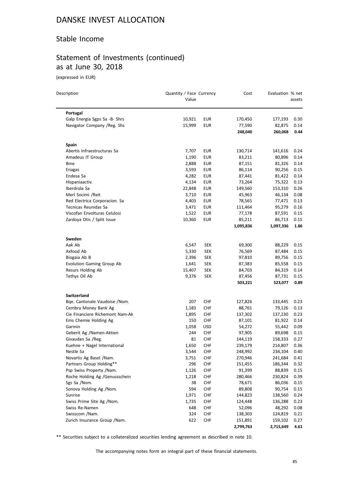## Stable Income

# Statement of Investments (continued) as at June 30, 2018

(expressed in EUR)

 $\overline{a}$ 

| Description                     | Quantity / Face Currency<br>Value |            | Cost      | Evaluation % net | assets |
|---------------------------------|-----------------------------------|------------|-----------|------------------|--------|
| Portugal                        |                                   |            |           |                  |        |
| Galp Energia Sgps Sa -B- Shrs   | 10,921                            | <b>EUR</b> | 170,450   | 177,193          | 0.30   |
| Navigator Company / Reg. Shs    | 15,999                            | <b>EUR</b> | 77,590    | 82,875           | 0.14   |
|                                 |                                   |            | 248,040   | 260,068          | 0.44   |
| <b>Spain</b>                    |                                   |            |           |                  |        |
| Abertis Infraestructuras Sa     | 7,707                             | <b>EUR</b> | 130,714   | 141,616          | 0.24   |
| Amadeus IT Group                | 1,190                             | EUR        | 83,211    | 80,896           | 0.14   |
| <b>Bme</b>                      | 2,888                             | <b>EUR</b> | 87,151    | 81,326           | 0.14   |
| Enagas                          | 3,593                             | <b>EUR</b> | 86,114    | 90,256           | 0.15   |
| Endesa Sa                       | 4,282                             | <b>EUR</b> | 87,441    | 81,422           | 0.14   |
| Hispaniaactiv.                  | 4,134                             | EUR        | 73,264    | 75,322           | 0.13   |
| Iberdrola Sa                    | 22,848                            | <b>EUR</b> | 149,560   | 153,310          | 0.26   |
| Merl Socimi /Reit               | 3,710                             | EUR        | 45,963    | 46,134           | 0.08   |
| Red Electrica Corporacion. Sa   | 4,403                             | <b>EUR</b> | 78,565    | 77,471           | 0.13   |
| Tecnicas Reunidas Sa            | 3,471                             | EUR        | 111,464   | 95,279           | 0.16   |
| Viscofan Envolturas Celulosi    | 1,522                             | EUR        | 77,178    | 87,591           | 0.15   |
| Zardoya Otis / Split Issue      | 10,360                            | EUR        | 85,211    | 86,713           | 0.15   |
|                                 |                                   |            | 1,095,836 | 1,097,336        | 1.86   |
| Sweden                          |                                   |            |           |                  |        |
| Aak Ab                          | 6,547                             | SEK        | 69,300    | 88,229           | 0.15   |
| Axfood Ab                       | 5,330                             | <b>SEK</b> | 76,569    | 87,484           | 0.15   |
| Biogaia Ab B                    | 2,396                             | <b>SEK</b> | 97,810    | 89,756           | 0.15   |
| Evolution Gaming Group Ab       | 1,641                             | <b>SEK</b> | 87,383    | 85,558           | 0.15   |
| Resurs Holding Ab               | 15,407                            | <b>SEK</b> | 84,703    | 84,319           | 0.14   |
| Tethys Oil Ab                   | 9,376                             | <b>SEK</b> | 87,456    | 87,731           | 0.15   |
|                                 |                                   |            | 503,221   | 523,077          | 0.89   |
| <b>Switzerland</b>              |                                   |            |           |                  |        |
| Bqe. Cantonale Vaudoise /Nom.   | 207                               | <b>CHF</b> | 127,826   | 133,445          | 0.23   |
| Cembra Money Bank Ag            | 1,183                             | <b>CHF</b> | 88,761    | 79,126           | 0.13   |
| Cie Financiere Richemont Nam-Ak | 1,895                             | <b>CHF</b> | 137,302   | 137,230          | 0.23   |
| Ems Chemie Holding Ag           | 150                               | CHF        | 87,101    | 81,922           | 0.14   |
| Garmin                          | 1,058                             | <b>USD</b> | 54,272    | 55,442           | 0.09   |
| Geberit Ag /Namen-Aktien        | 244                               | CHF        | 97,905    | 89,698           | 0.15   |
| Givaudan Sa /Reg.               | 81                                | <b>CHF</b> | 144,119   | 158,333          | 0.27   |
| Kuehne + Nagel International    | 1,650                             | <b>CHF</b> | 239,179   | 214,807          | 0.36   |
| Nestle Sa                       | 3,544                             | CHF        | 248,992   | 234,104          | 0.40   |
| Novartis Ag Basel /Nam.         | 3,751                             | <b>CHF</b> | 270,946   | 241,684          | 0.41   |
| Partners Group Holding**        | 296                               | <b>CHF</b> | 151,455   | 186,344          | 0.32   |
| Psp Swiss Property /Nam.        | 1,126                             | CHF        | 91,399    | 88,839           | 0.15   |
| Roche Holding Ag /Genussschein  | 1,218                             | <b>CHF</b> | 280,466   | 230,824          | 0.39   |
| Sgs Sa /Nom.                    | 38                                | <b>CHF</b> | 78,671    | 86,036           | 0.15   |
| Sonova Holding Ag /Nom.         | 594                               | <b>CHF</b> | 89,808    | 90,754           | 0.15   |
| Sunrise                         | 1,971                             | <b>CHF</b> | 144,823   | 138,560          | 0.24   |
| Swiss Prime Site Ag /Nom.       | 1,735                             | <b>CHF</b> | 124,448   | 136,288          | 0.23   |
| Swiss Re-Namen                  | 648                               | CHF        | 52,096    | 48,292           | 0.08   |
| Swisscom /Nam.                  | 324                               | <b>CHF</b> | 138,303   | 124,819          | 0.21   |
| Zurich Insurance Group / Nam.   | 622                               | CHF        | 151,891   | 159,102          | 0.27   |
|                                 |                                   |            | 2,799,763 | 2,715,649        | 4.61   |

\*\* Securities subject to a collateralized securities lending agreement as described in note 10.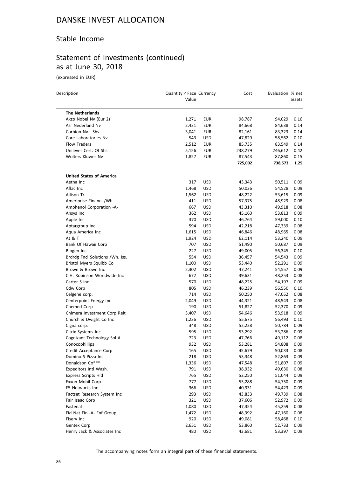## Stable Income

# Statement of Investments (continued) as at June 30, 2018

(expressed in EUR)

| Description                      | Quantity / Face Currency<br>Value |            | Cost    | Evaluation % net | assets |
|----------------------------------|-----------------------------------|------------|---------|------------------|--------|
| <b>The Netherlands</b>           |                                   |            |         |                  |        |
| Akzo Nobel Nv (Eur 2)            | 1,271                             | <b>EUR</b> | 98,787  | 94,029           | 0.16   |
| Asr Nederland Nv                 | 2,421                             | <b>EUR</b> | 84,668  | 84,638           | 0.14   |
| Corbion Nv - Shs                 | 3,041                             | <b>EUR</b> | 82,161  | 83,323           | 0.14   |
| Core Laboratories Nv             | 543                               | <b>USD</b> | 47,829  | 58,562           | 0.10   |
| Flow Traders                     | 2,512                             | <b>EUR</b> | 85,735  | 83,549           | 0.14   |
| Unilever Cert. Of Shs            | 5,156                             | EUR        | 238,279 | 246,612          | 0.42   |
| Wolters Kluwer Nv                | 1,827                             | <b>EUR</b> | 87,543  | 87,860           | 0.15   |
|                                  |                                   |            | 725,002 | 738,573          | 1.25   |
| <b>United States of America</b>  |                                   |            |         |                  |        |
| Aetna Inc                        | 317                               | <b>USD</b> | 43,343  | 50,511           | 0.09   |
| Aflac Inc                        | 1,468                             | USD        | 50,036  | 54,528           | 0.09   |
| Allison Tr                       | 1,562                             | <b>USD</b> | 48,222  | 53,615           | 0.09   |
| Ameriprise Financ. /Wh. I        | 411                               | <b>USD</b> | 57,375  | 48,929           | 0.08   |
| Amphenol Corporation -A-         | 667                               | <b>USD</b> | 43,310  | 49,918           | 0.08   |
| Ansys Inc                        | 362                               | <b>USD</b> | 45,160  | 53,813           | 0.09   |
| Apple Inc                        | 370                               | <b>USD</b> | 46,764  | 59,000           | 0.10   |
| Aptargroup Inc                   | 594                               | <b>USD</b> | 42,218  | 47,339           | 0.08   |
| Aqua America Inc                 | 1,615                             | <b>USD</b> | 46,846  | 48,965           | 0.08   |
| At & T                           | 1,924                             | <b>USD</b> | 62,114  | 53,240           | 0.09   |
| Bank Of Hawaii Corp              | 707                               | <b>USD</b> | 51,490  | 50,687           | 0.09   |
| Biogen Inc                       | 227                               | <b>USD</b> | 49,005  | 56,345           | 0.10   |
| Brdrdg Fncl Solutions / Wh. Iss. | 554                               | <b>USD</b> | 36,457  | 54,543           | 0.09   |
| Bristol Myers Squibb Co          | 1,100                             | <b>USD</b> | 53,440  | 52,291           | 0.09   |
| Brown & Brown Inc                | 2,302                             | <b>USD</b> | 47,241  | 54,557           | 0.09   |
| C.H. Robinson Worldwide Inc      | 672                               | <b>USD</b> | 39,631  | 48,253           | 0.08   |
| Carter S Inc                     | 570                               | <b>USD</b> | 48,225  | 54,197           | 0.09   |
|                                  | 805                               |            |         |                  |        |
| Cdw Corp                         | 714                               | <b>USD</b> | 46,239  | 56,550           | 0.10   |
| Celgene corp.                    |                                   | <b>USD</b> | 50,250  | 47,052           | 0.08   |
| Centerpoint Energy Inc           | 2,049                             | USD        | 44,321  | 48,543           | 0.08   |
| Chemed Corp                      | 190                               | <b>USD</b> | 51,827  | 52,370           | 0.09   |
| Chimera Investment Corp Reit     | 3,407                             | <b>USD</b> | 54,646  | 53,918           | 0.09   |
| Church & Dwight Co Inc           | 1,236                             | <b>USD</b> | 55,675  | 56,493           | 0.10   |
| Cigna corp.                      | 348                               | <b>USD</b> | 52,228  | 50,784           | 0.09   |
| Citrix Systems Inc               | 595                               | <b>USD</b> | 53,292  | 53,286           | 0.09   |
| Cognizant Technology Sol A       | 723                               | <b>USD</b> | 47,766  | 49,112           | 0.08   |
| Conocophillips                   | 932                               | <b>USD</b> | 53,281  | 54,808           | 0.09   |
| Credit Acceptance Corp           | 165                               | USD        | 45,679  | 50,033           | 0.08   |
| Domino S Pizza Inc               | 218                               | <b>USD</b> | 53,348  | 52,863           | 0.09   |
| Donaldson Co***                  | 1,336                             | USD        | 47,548  | 51,807           | 0.09   |
| Expeditors Intl Wash.            | 791                               | <b>USD</b> | 38,932  | 49,630           | 0.08   |
| <b>Express Scripts Hld</b>       | 765                               | <b>USD</b> | 52,250  | 51,044           | 0.09   |
| Exxon Mobil Corp                 | 777                               | <b>USD</b> | 55,288  | 54,750           | 0.09   |
| F5 Networks Inc                  | 366                               | <b>USD</b> | 40,931  | 54,423           | 0.09   |
| Factset Research System Inc      | 293                               | <b>USD</b> | 43,833  | 49,739           | 0.08   |
| Fair Isaac Corp                  | 321                               | <b>USD</b> | 37,606  | 52,972           | 0.09   |
| Fastenal                         | 1,080                             | <b>USD</b> | 47,354  | 45,259           | 0.08   |
| Fid Nat Fin -A- Fnf Group        | 1,472                             | <b>USD</b> | 48,392  | 47,160           | 0.08   |
| Fiserv Inc                       | 920                               | <b>USD</b> | 49,081  | 58,468           | 0.10   |
| Gentex Corp                      | 2,651                             | <b>USD</b> | 53,860  | 52,733           | 0.09   |
| Henry Jack & Associates Inc      | 480                               | <b>USD</b> | 43,681  | 53,397           | 0.09   |

The accompanying notes form an integral part of these financial statements.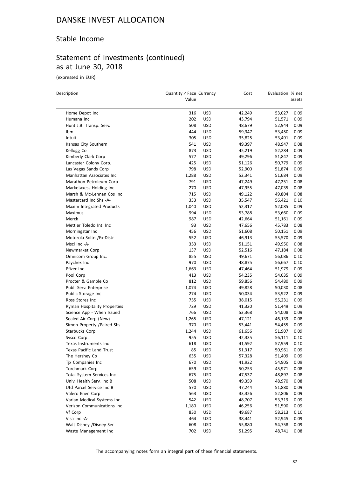### Stable Income

# Statement of Investments (continued) as at June 30, 2018

(expressed in EUR)

 $\overline{a}$ 

| Description                                     | Quantity / Face Currency<br>Value |            | Cost             | Evaluation % net | assets       |
|-------------------------------------------------|-----------------------------------|------------|------------------|------------------|--------------|
| Home Depot Inc                                  | 316                               | USD        | 42,249           | 53,027           | 0.09         |
| Humana Inc.                                     | 202                               | USD        | 43,794           | 51,571           | 0.09         |
| Hunt J.B. Transp. Serv.                         | 508                               | USD        | 48,679           | 52,944           | 0.09         |
| Ibm                                             | 444                               | <b>USD</b> | 59,347           | 53,450           | 0.09         |
| Intuit                                          | 305                               | USD        | 35,825           | 53,491           | 0.09         |
| Kansas City Southern                            | 541                               | USD        | 49,397           | 48,947           | 0.08         |
| Kellogg Co                                      | 873                               | USD        | 45,219           | 52,284           | 0.09         |
| Kimberly Clark Corp                             | 577                               | USD        | 49,296           | 51,847           | 0.09         |
| Lancaster Colony Corp.                          | 425                               | USD        | 51,126           | 50,779           | 0.09         |
| Las Vegas Sands Corp                            | 798                               | USD        | 52,900           | 51,874           | 0.09         |
| Manhattan Associates Inc                        | 1,288                             | <b>USD</b> | 52,341           | 51,684           | 0.09         |
| Marathon Petroleum Corp                         | 791                               | USD        | 47,249           | 47,251           | 0.08         |
| Marketaxess Holding Inc                         | 270                               | USD        | 47,955           | 47,035           | 0.08         |
| Marsh & Mc-Lennan Cos Inc                       | 715                               | USD        | 49,122           | 49,804           | 0.08         |
| Mastercard Inc Shs -A-                          | 333                               | USD        | 35,547           | 56,421           | 0.10         |
| Maxim Integrated Products                       | 1,040                             | USD        | 52,317           | 52,085           | 0.09         |
| Maximus                                         | 994                               | <b>USD</b> | 53,788           | 53,660           | 0.09         |
| Merck                                           | 987                               | <b>USD</b> | 42,664           | 51,161           | 0.09         |
| Mettler Toledo Intl Inc                         | 93                                | USD        | 47,656           | 45,783           | 0.08         |
| Morningstar Inc                                 | 456                               | USD        | 51,608           | 50,151           | 0.09         |
| Motorola Soltn / Ex-Distr                       | 552                               | USD        | 46,913           | 55,570           | 0.09         |
| Msci Inc -A-                                    | 353                               | USD        | 51,151           | 49,950           | 0.08         |
| Newmarket Corp                                  | 137                               | <b>USD</b> | 52,516           | 47,184           | 0.08         |
| Omnicom Group Inc.                              | 855                               | USD        | 49,671           | 56,086           | 0.10         |
| Paychex Inc                                     | 970                               | USD        | 48,875           | 56,667           | 0.10         |
| Pfizer Inc                                      | 1,663                             | USD        | 47,464           | 51,979           | 0.09         |
| Pool Corp                                       | 413                               | USD        | 54,235           | 54,035           | 0.09         |
| Procter & Gamble Co                             | 812                               | USD        | 59,856           | 54,480           | 0.09         |
| Publ. Serv. Enterprise                          | 1,074                             | USD        | 49,828           | 50,030           | 0.08         |
| Public Storage Inc                              | 274                               | <b>USD</b> | 50,034           | 53,922           | 0.09         |
| Ross Stores Inc                                 | 755                               | USD        | 38,015           | 55,231           | 0.09         |
| Ryman Hospitality Properties                    | 729                               | USD        | 41,320           | 51,449           | 0.09         |
| Science App - When Issued                       | 766                               | USD        | 53,368           | 54,008           | 0.09         |
| Sealed Air Corp (New)                           | 1,265                             | USD        | 47,121           | 46,139           | 0.08         |
| Simon Property /Paired Shs                      | 370                               | USD        | 53,441           | 54,455           | 0.09         |
| Starbucks Corp                                  | 1,244                             | USD        | 61,656           | 51,907           | 0.09         |
| Sysco Corp.                                     | 955                               | USD        | 42,335           | 56,111           | 0.10         |
| Texas Instruments Inc                           | 618                               | USD        | 41,592           | 57,959           | 0.10         |
| Texas Pacific Land Trust                        | 85                                | <b>USD</b> | 51,317           | 50,961           | 0.09         |
| The Hershey Co                                  | 635                               | <b>USD</b> | 57,328           | 51,409           | 0.09         |
| Tix Companies Inc                               | 670                               | <b>USD</b> | 41,922           | 54,905           | 0.09         |
| Torchmark Corp                                  | 659                               | <b>USD</b> |                  | 45,971           | 0.08         |
| Total System Services Inc                       | 675                               |            | 50,253           |                  |              |
| Univ. Health Serv. Inc B                        | 508                               | USD<br>USD | 47,537<br>49,359 | 48,897<br>48,970 | 0.08<br>0.08 |
| Utd Parcel Service Inc B                        | 570                               | <b>USD</b> |                  | 51,880           | 0.09         |
|                                                 |                                   |            | 47,244           |                  |              |
| Valero Ener. Corp<br>Varian Medical Systems Inc | 563<br>542                        | <b>USD</b> | 33,326<br>48,707 | 52,806           | 0.09         |
|                                                 |                                   | <b>USD</b> |                  | 53,319           | 0.09         |
| Verizon Communications Inc                      | 1,180                             | <b>USD</b> | 46,256           | 51,590           | 0.09         |
| Vf Corp                                         | 830<br>464                        | USD        | 49,687           | 58,213           | 0.10         |
| Visa Inc -A-                                    |                                   | <b>USD</b> | 38,441           | 52,945           | 0.09         |
| Walt Disney /Disney Ser                         | 608                               | <b>USD</b> | 55,880           | 54,758           | 0.09         |
| Waste Management Inc                            | 702                               | <b>USD</b> | 51,295           | 48,741           | 0.08         |

The accompanying notes form an integral part of these financial statements.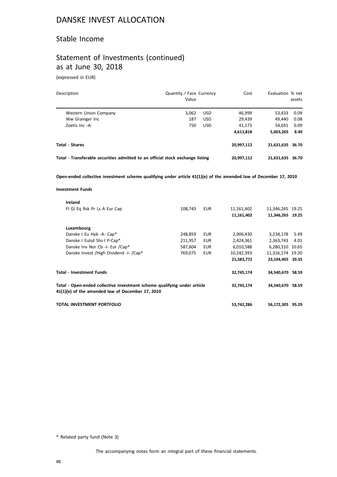### Stable Income

## Statement of Investments (continued) as at June 30, 2018

(expressed in EUR)

| Description                                                                                                                                  | Quantity / Face Currency<br>Value |            | Cost       | Evaluation % net | assets |
|----------------------------------------------------------------------------------------------------------------------------------------------|-----------------------------------|------------|------------|------------------|--------|
| Western Union Company                                                                                                                        | 3,062                             | <b>USD</b> | 46,999     | 53,433           | 0.09   |
| Ww Grainger Inc                                                                                                                              | 187                               | <b>USD</b> | 29,439     | 49,440           | 0.08   |
| Zoetis Inc -A-                                                                                                                               | 750                               | <b>USD</b> | 41,173     | 54,691           | 0.09   |
|                                                                                                                                              |                                   |            | 4,611,818  | 5,003,265        | 8.49   |
| <b>Total - Shares</b>                                                                                                                        |                                   |            | 20,997,112 | 21,631,635 36.70 |        |
| Total - Transferable securities admitted to an official stock exchange listing                                                               |                                   |            | 20,997,112 | 21,631,635 36.70 |        |
| Open-ended collective investment scheme qualifying under article 41(1)(e) of the amended law of December 17, 2010<br><b>Investment Funds</b> |                                   |            |            |                  |        |
|                                                                                                                                              |                                   |            |            |                  |        |
| Ireland                                                                                                                                      |                                   |            |            |                  |        |
| FI GI Eq Rsk Pr Ls A Eur Cap                                                                                                                 | 108,743                           | <b>EUR</b> | 11,161,402 | 11,346,265 19.25 |        |
|                                                                                                                                              |                                   |            | 11,161,402 | 11,346,265 19.25 |        |
| Luxembourg                                                                                                                                   |                                   |            |            |                  |        |
| Danske I Eu Hyb -A- Cap*                                                                                                                     | 248,859                           | <b>EUR</b> | 2,906,430  | 3,234,178        | 5.49   |
| Danske I Eulsd Shs-I P-Cap*                                                                                                                  | 211,957                           | <b>EUR</b> | 2,424,361  | 2,363,743        | 4.01   |
| Danske Inv Nor Cb -I- Eur /Cap*                                                                                                              | 587,604                           | <b>EUR</b> | 6,010,588  | 6,280,310 10.65  |        |

**Total - Investment Funds 32,745,174 34,540,670 58.59**

**Total - Open-ended collective investment scheme qualifying under article 41(1)(e) of the amended law of December 17, 2010 32,745,174 34,540,670 58.59**

Danske Invest /High Dividend -I- /Cap\* 769,075 EUR 10,242,393 11,316,174 19.20

**21,583,772 23,194,405 39.35**

**TOTAL INVESTMENT PORTFOLIO 53,742,286 56,172,305 95.29**

\* Related party fund (Note 3)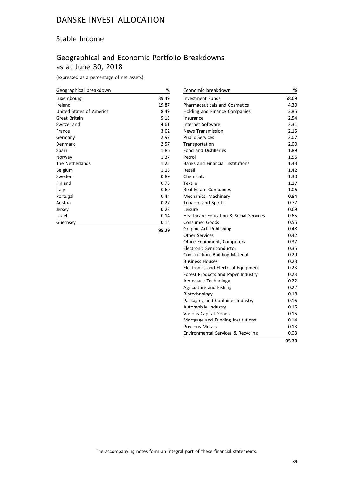## Stable Income

# Geographical and Economic Portfolio Breakdowns as at June 30, 2018

(expressed as a percentage of net assets)

| Geographical breakdown   | %     |
|--------------------------|-------|
| Luxembourg               | 39.49 |
| Ireland                  | 19.87 |
| United States of America | 8.49  |
| Great Britain            | 5.13  |
| Switzerland              | 4.61  |
| France                   | 3.02  |
| Germany                  | 2.97  |
| Denmark                  | 2.57  |
| Spain                    | 1.86  |
| Norway                   | 1.37  |
| The Netherlands          | 1.25  |
| Belgium                  | 1.13  |
| Sweden                   | 0.89  |
| Finland                  | 0.73  |
| Italy                    | 0.69  |
| Portugal                 | 0.44  |
| Austria                  | 0.27  |
| Jersey                   | 0.23  |
| Israel                   | 0.14  |
| Guernsey                 | 0.14  |
|                          |       |

**95.29**

| Economic breakdown                                | %     |
|---------------------------------------------------|-------|
| <b>Investment Funds</b>                           | 58.69 |
| <b>Pharmaceuticals and Cosmetics</b>              | 4.30  |
| Holding and Finance Companies                     | 3.85  |
| Insurance                                         | 2.54  |
| Internet Software                                 | 2.31  |
| <b>News Transmission</b>                          | 2.15  |
| <b>Public Services</b>                            | 2.07  |
| Transportation                                    | 2.00  |
| <b>Food and Distilleries</b>                      | 1.89  |
| Petrol                                            | 1.55  |
| <b>Banks and Financial Institutions</b>           | 1.43  |
| Retail                                            | 1.42  |
| Chemicals                                         | 1.30  |
| <b>Textile</b>                                    | 1.17  |
| Real Estate Companies                             | 1.06  |
| Mechanics, Machinery                              | 0.84  |
| <b>Tobacco and Spirits</b>                        | 0.77  |
| Leisure                                           | 0.69  |
| <b>Healthcare Education &amp; Social Services</b> | 0.65  |
| <b>Consumer Goods</b>                             | 0.55  |
| Graphic Art, Publishing                           | 0.48  |
| <b>Other Services</b>                             | 0.42  |
| Office Equipment, Computers                       | 0.37  |
| Electronic Semiconductor                          | 0.35  |
| Construction, Building Material                   | 0.29  |
| <b>Business Houses</b>                            | 0.23  |
| Electronics and Electrical Equipment              | 0.23  |
| Forest Products and Paper Industry                | 0.23  |
| Aerospace Technology                              | 0.22  |
| Agriculture and Fishing                           | 0.22  |
| Biotechnology                                     | 0.18  |
| Packaging and Container Industry                  | 0.16  |
| Automobile Industry                               | 0.15  |
| Various Capital Goods                             | 0.15  |
| Mortgage and Funding Institutions                 | 0.14  |
| <b>Precious Metals</b>                            | 0.13  |
| Environmental Services & Recycling                | 0.08  |

**95.29**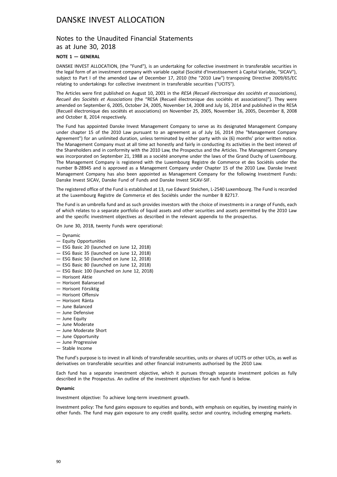### Notes to the Unaudited Financial Statements as at June 30, 2018

### **NOTE 1 — GENERAL**

DANSKE INVEST ALLOCATION, (the "Fund"), is an undertaking for collective investment in transferable securities in the legal form of an investment company with variable capital (Société d'Investissement à Capital Variable, "SICAV"), subject to Part I of the amended Law of December 17, 2010 (the "2010 Law") transposing Directive 2009/65/EC relating to undertakings for collective investment in transferable securities ("UCITS").

The Articles were first published on August 10, 2001 in the *RESA (Recueil électronique des sociétés et associations), Recueil des Sociétés et Associations* (the "RESA (Recueil électronique des sociétés et associations)"). They were amended on September 6, 2005, October 24, 2005, November 14, 2008 and July 16, 2014 and published in the RESA (Recueil électronique des sociétés et associations) on November 25, 2005, November 16, 2005, December 8, 2008 and October 8, 2014 respectively.

The Fund has appointed Danske Invest Management Company to serve as its designated Management Company under chapter 15 of the 2010 Law pursuant to an agreement as of July 16, 2014 (the "Management Company Agreement") for an unlimited duration, unless terminated by either party with six (6) months' prior written notice. The Management Company must at all time act honestly and fairly in conducting its activities in the best interest of the Shareholders and in conformity with the 2010 Law, the Prospectus and the Articles. The Management Company was incorporated on September 21, 1988 as a société anonyme under the laws of the Grand Duchy of Luxembourg. The Management Company is registered with the Luxembourg Registre de Commerce et des Sociétés under the number B-28945 and is approved as a Management Company under Chapter 15 of the 2010 Law. Danske Invest Management Company has also been appointed as Management Company for the following Investment Funds: Danske Invest SICAV, Danske Fund of Funds and Danske Invest SICAV-SIF.

The registered office of the Fund is established at 13, rue Edward Steichen, L-2540 Luxembourg. The Fund is recorded at the Luxembourg Registre de Commerce et des Sociétés under the number B 82717.

The Fund is an umbrella fund and as such provides investors with the choice of investments in a range of Funds, each of which relates to a separate portfolio of liquid assets and other securities and assets permitted by the 2010 Law and the specific investment objectives as described in the relevant appendix to the prospectus.

On June 30, 2018, twenty Funds were operational:

- Dynamic
- Equity Opportunities
- ESG Basic 20 (launched on June 12, 2018)
- ESG Basic 35 (launched on June 12, 2018)
- ESG Basic 50 (launched on June 12, 2018)
- ESG Basic 80 (launched on June 12, 2018)
- ESG Basic 100 (launched on June 12, 2018)
- Horisont Aktie
- Horisont Balanserad
- Horisont Försiktig
- Horisont Offensiv
- Horisont Ränta
- June Balanced
- June Defensive
- June Equity
- June Moderate
- June Moderate Short
- June Opportunity
- June Progressive
- Stable Income

The Fund's purpose is to invest in all kinds of transferable securities, units or shares of UCITS or other UCIs, as well as derivatives on transferable securities and other financial instruments authorised by the 2010 Law.

Each fund has a separate investment objective, which it pursues through separate investment policies as fully described in the Prospectus. An outline of the investment objectives for each fund is below.

#### **Dynamic**

Investment objective: To achieve long-term investment growth.

Investment policy: The fund gains exposure to equities and bonds, with emphasis on equities, by investing mainly in other funds. The fund may gain exposure to any credit quality, sector and country, including emerging markets.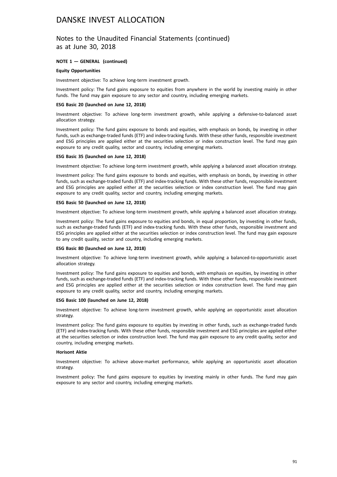### Notes to the Unaudited Financial Statements (continued) as at June 30, 2018

### **NOTE 1 — GENERAL (continued)**

#### **Equity Opportunities**

Investment objective: To achieve long-term investment growth.

Investment policy: The fund gains exposure to equities from anywhere in the world by investing mainly in other funds. The fund may gain exposure to any sector and country, including emerging markets.

#### **ESG Basic 20 (launched on June 12, 2018)**

Investment objective: To achieve long-term investment growth, while applying a defensive-to-balanced asset allocation strategy.

Investment policy: The fund gains exposure to bonds and equities, with emphasis on bonds, by investing in other funds, such as exchange-traded funds (ETF) and index-tracking funds. With these other funds, responsible investment and ESG principles are applied either at the securities selection or index construction level. The fund may gain exposure to any credit quality, sector and country, including emerging markets.

#### **ESG Basic 35 (launched on June 12, 2018)**

Investment objective: To achieve long-term investment growth, while applying a balanced asset allocation strategy.

Investment policy: The fund gains exposure to bonds and equities, with emphasis on bonds, by investing in other funds, such as exchange-traded funds (ETF) and index-tracking funds. With these other funds, responsible investment and ESG principles are applied either at the securities selection or index construction level. The fund may gain exposure to any credit quality, sector and country, including emerging markets.

#### **ESG Basic 50 (launched on June 12, 2018)**

Investment objective: To achieve long-term investment growth, while applying a balanced asset allocation strategy.

Investment policy: The fund gains exposure to equities and bonds, in equal proportion, by investing in other funds, such as exchange-traded funds (ETF) and index-tracking funds. With these other funds, responsible investment and ESG principles are applied either at the securities selection or index construction level. The fund may gain exposure to any credit quality, sector and country, including emerging markets.

### **ESG Basic 80 (launched on June 12, 2018)**

Investment objective: To achieve long-term investment growth, while applying a balanced-to-opportunistic asset allocation strategy.

Investment policy: The fund gains exposure to equities and bonds, with emphasis on equities, by investing in other funds, such as exchange-traded funds (ETF) and index-tracking funds. With these other funds, responsible investment and ESG principles are applied either at the securities selection or index construction level. The fund may gain exposure to any credit quality, sector and country, including emerging markets.

### **ESG Basic 100 (launched on June 12, 2018)**

Investment objective: To achieve long-term investment growth, while applying an opportunistic asset allocation strategy.

Investment policy: The fund gains exposure to equities by investing in other funds, such as exchange-traded funds (ETF) and index-tracking funds. With these other funds, responsible investment and ESG principles are applied either at the securities selection or index construction level. The fund may gain exposure to any credit quality, sector and country, including emerging markets.

#### **Horisont Aktie**

Investment objective: To achieve above-market performance, while applying an opportunistic asset allocation strategy.

Investment policy: The fund gains exposure to equities by investing mainly in other funds. The fund may gain exposure to any sector and country, including emerging markets.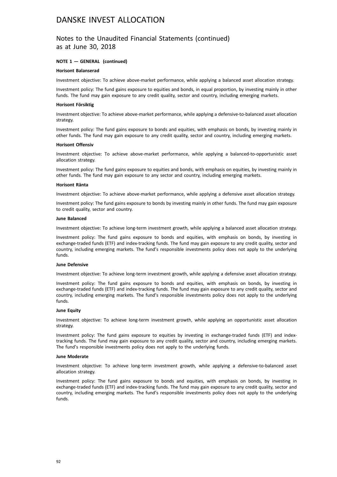### Notes to the Unaudited Financial Statements (continued) as at June 30, 2018

### **NOTE 1 — GENERAL (continued)**

#### **Horisont Balanserad**

Investment objective: To achieve above-market performance, while applying a balanced asset allocation strategy.

Investment policy: The fund gains exposure to equities and bonds, in equal proportion, by investing mainly in other funds. The fund may gain exposure to any credit quality, sector and country, including emerging markets.

#### **Horisont Försiktig**

Investment objective: To achieve above-market performance, while applying a defensive-to-balanced asset allocation strategy.

Investment policy: The fund gains exposure to bonds and equities, with emphasis on bonds, by investing mainly in other funds. The fund may gain exposure to any credit quality, sector and country, including emerging markets.

#### **Horisont Offensiv**

Investment objective: To achieve above-market performance, while applying a balanced-to-opportunistic asset allocation strategy.

Investment policy: The fund gains exposure to equities and bonds, with emphasis on equities, by investing mainly in other funds. The fund may gain exposure to any sector and country, including emerging markets.

#### **Horisont Ränta**

Investment objective: To achieve above-market performance, while applying a defensive asset allocation strategy.

Investment policy: The fund gains exposure to bonds by investing mainly in other funds. The fund may gain exposure to credit quality, sector and country.

#### **June Balanced**

Investment objective: To achieve long-term investment growth, while applying a balanced asset allocation strategy.

Investment policy: The fund gains exposure to bonds and equities, with emphasis on bonds, by investing in exchange-traded funds (ETF) and index-tracking funds. The fund may gain exposure to any credit quality, sector and country, including emerging markets. The fund's responsible investments policy does not apply to the underlying funds.

#### **June Defensive**

Investment objective: To achieve long-term investment growth, while applying a defensive asset allocation strategy.

Investment policy: The fund gains exposure to bonds and equities, with emphasis on bonds, by investing in exchange-traded funds (ETF) and index-tracking funds. The fund may gain exposure to any credit quality, sector and country, including emerging markets. The fund's responsible investments policy does not apply to the underlying funds.

#### **June Equity**

Investment objective: To achieve long-term investment growth, while applying an opportunistic asset allocation strategy.

Investment policy: The fund gains exposure to equities by investing in exchange-traded funds (ETF) and indextracking funds. The fund may gain exposure to any credit quality, sector and country, including emerging markets. The fund's responsible investments policy does not apply to the underlying funds.

#### **June Moderate**

Investment objective: To achieve long-term investment growth, while applying a defensive-to-balanced asset allocation strategy.

Investment policy: The fund gains exposure to bonds and equities, with emphasis on bonds, by investing in exchange-traded funds (ETF) and index-tracking funds. The fund may gain exposure to any credit quality, sector and country, including emerging markets. The fund's responsible investments policy does not apply to the underlying funds.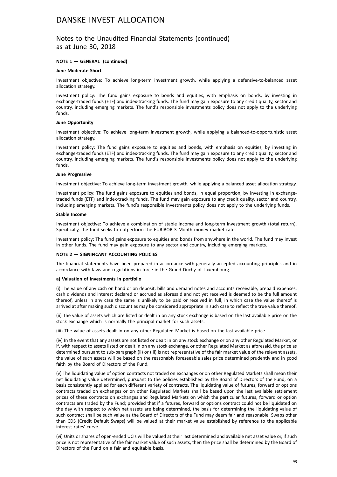### Notes to the Unaudited Financial Statements (continued) as at June 30, 2018

### **NOTE 1 — GENERAL (continued)**

#### **June Moderate Short**

Investment objective: To achieve long-term investment growth, while applying a defensive-to-balanced asset allocation strategy.

Investment policy: The fund gains exposure to bonds and equities, with emphasis on bonds, by investing in exchange-traded funds (ETF) and index-tracking funds. The fund may gain exposure to any credit quality, sector and country, including emerging markets. The fund's responsible investments policy does not apply to the underlying funds.

### **June Opportunity**

Investment objective: To achieve long-term investment growth, while applying a balanced-to-opportunistic asset allocation strategy.

Investment policy: The fund gains exposure to equities and bonds, with emphasis on equities, by investing in exchange-traded funds (ETF) and index-tracking funds. The fund may gain exposure to any credit quality, sector and country, including emerging markets. The fund's responsible investments policy does not apply to the underlying funds.

#### **June Progressive**

Investment objective: To achieve long-term investment growth, while applying a balanced asset allocation strategy.

Investment policy: The fund gains exposure to equities and bonds, in equal proportion, by investing in exchangetraded funds (ETF) and index-tracking funds. The fund may gain exposure to any credit quality, sector and country, including emerging markets. The fund's responsible investments policy does not apply to the underlying funds.

#### **Stable Income**

Investment objective: To achieve a combination of stable income and long-term investment growth (total return). Specifically, the fund seeks to outperform the EURIBOR 3 Month money market rate.

Investment policy: The fund gains exposure to equities and bonds from anywhere in the world. The fund may invest in other funds. The fund may gain exposure to any sector and country, including emerging markets.

### **NOTE 2 — SIGNIFICANT ACCOUNTING POLICIES**

The financial statements have been prepared in accordance with generally accepted accounting principles and in accordance with laws and regulations in force in the Grand Duchy of Luxembourg.

#### **a) Valuation of investments in portfolio**

(i) The value of any cash on hand or on deposit, bills and demand notes and accounts receivable, prepaid expenses, cash dividends and interest declared or accrued as aforesaid and not yet received is deemed to be the full amount thereof, unless in any case the same is unlikely to be paid or received in full, in which case the value thereof is arrived at after making such discount as may be considered appropriate in such case to reflect the true value thereof.

(ii) The value of assets which are listed or dealt in on any stock exchange is based on the last available price on the stock exchange which is normally the principal market for such assets.

(iii) The value of assets dealt in on any other Regulated Market is based on the last available price.

(iv) In the event that any assets are not listed or dealt in on any stock exchange or on any other Regulated Market, or if, with respect to assets listed or dealt in on any stock exchange, or other Regulated Market as aforesaid, the price as determined pursuant to sub-paragraph (ii) or (iii) is not representative of the fair market value of the relevant assets, the value of such assets will be based on the reasonably foreseeable sales price determined prudently and in good faith by the Board of Directors of the Fund.

(v) The liquidating value of option contracts not traded on exchanges or on other Regulated Markets shall mean their net liquidating value determined, pursuant to the policies established by the Board of Directors of the Fund, on a basis consistently applied for each different variety of contracts. The liquidating value of futures, forward or options contracts traded on exchanges or on other Regulated Markets shall be based upon the last available settlement prices of these contracts on exchanges and Regulated Markets on which the particular futures, forward or option contracts are traded by the Fund; provided that if a futures, forward or options contract could not be liquidated on the day with respect to which net assets are being determined, the basis for determining the liquidating value of such contract shall be such value as the Board of Directors of the Fund may deem fair and reasonable. Swaps other than CDS (Credit Default Swaps) will be valued at their market value established by reference to the applicable interest rates' curve.

(vi) Units or shares of open-ended UCIs will be valued at their last determined and available net asset value or, if such price is not representative of the fair market value of such assets, then the price shall be determined by the Board of Directors of the Fund on a fair and equitable basis.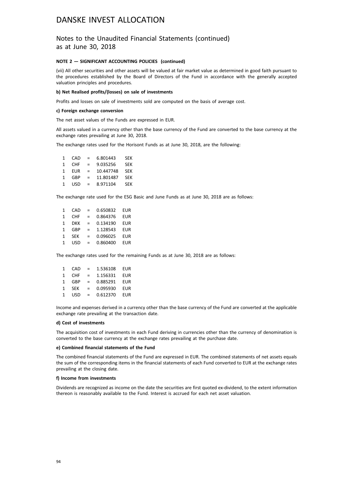### Notes to the Unaudited Financial Statements (continued) as at June 30, 2018

#### **NOTE 2 — SIGNIFICANT ACCOUNTING POLICIES (continued)**

(vii) All other securities and other assets will be valued at fair market value as determined in good faith pursuant to the procedures established by the Board of Directors of the Fund in accordance with the generally accepted valuation principles and procedures.

#### **b) Net Realised profits/(losses) on sale of investments**

Profits and losses on sale of investments sold are computed on the basis of average cost.

#### **c) Foreign exchange conversion**

The net asset values of the Funds are expressed in EUR.

All assets valued in a currency other than the base currency of the Fund are converted to the base currency at the exchange rates prevailing at June 30, 2018.

The exchange rates used for the Horisont Funds as at June 30, 2018, are the following:

| 1 | CAD        | $=$      | 6.801443  | <b>SFK</b> |
|---|------------|----------|-----------|------------|
| 1 | <b>CHF</b> | $=$ $\,$ | 9.035256  | <b>SEK</b> |
| 1 | <b>FUR</b> | $=$      | 10.447748 | <b>SEK</b> |
| 1 | GBP        | $=$      | 11.801487 | <b>SFK</b> |
| 1 | <b>USD</b> | $=$      | 8.971104  | <b>SEK</b> |
|   |            |          |           |            |

The exchange rate used for the ESG Basic and June Funds as at June 30, 2018 are as follows:

| 1 | CAD        | $=$ | 0.650832 | <b>EUR</b> |
|---|------------|-----|----------|------------|
| 1 | <b>CHF</b> | $=$ | 0.864376 | <b>EUR</b> |
| 1 | DKK        | $=$ | 0.134190 | <b>EUR</b> |
| 1 | GBP        | $=$ | 1.128543 | <b>EUR</b> |
| 1 | <b>SEK</b> | $=$ | 0.096025 | <b>EUR</b> |
| 1 | <b>USD</b> | $=$ | 0.860400 | <b>EUR</b> |
|   |            |     |          |            |

The exchange rates used for the remaining Funds as at June 30, 2018 are as follows:

| 1 | CAD        | $=$ | 1.536108 | EUR        |
|---|------------|-----|----------|------------|
| 1 | <b>CHF</b> | $=$ | 1.156331 | EUR        |
| 1 | GBP        | $=$ | 0.885291 | FUR        |
| 1 | <b>SFK</b> | $=$ | 0.095930 | <b>FUR</b> |
| 1 | USD        | $=$ | 0.612370 | <b>EUR</b> |

Income and expenses derived in a currency other than the base currency of the Fund are converted at the applicable exchange rate prevailing at the transaction date.

#### **d) Cost of investments**

The acquisition cost of investments in each Fund deriving in currencies other than the currency of denomination is converted to the base currency at the exchange rates prevailing at the purchase date.

#### **e) Combined financial statements of the Fund**

The combined financial statements of the Fund are expressed in EUR. The combined statements of net assets equals the sum of the corresponding items in the financial statements of each Fund converted to EUR at the exchange rates prevailing at the closing date.

#### **f) Income from investments**

Dividends are recognized as income on the date the securities are first quoted ex-dividend, to the extent information thereon is reasonably available to the Fund. Interest is accrued for each net asset valuation.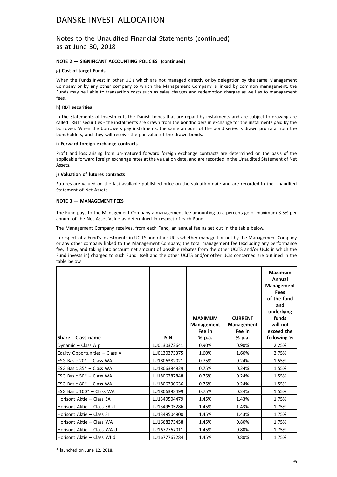### Notes to the Unaudited Financial Statements (continued) as at June 30, 2018

### **NOTE 2 — SIGNIFICANT ACCOUNTING POLICIES (continued)**

### **g) Cost of target Funds**

When the Funds invest in other UCIs which are not managed directly or by delegation by the same Management Company or by any other company to which the Management Company is linked by common management, the Funds may be liable to transaction costs such as sales charges and redemption charges as well as to management fees.

#### **h) RBT securities**

In the Statements of Investments the Danish bonds that are repaid by instalments and are subject to drawing are called "RBT" securities - the instalments are drawn from the bondholders in exchange for the instalments paid by the borrower. When the borrowers pay instalments, the same amount of the bond series is drawn pro rata from the bondholders, and they will receive the par value of the drawn bonds.

#### **i) Forward foreign exchange contracts**

Profit and loss arising from un-matured forward foreign exchange contracts are determined on the basis of the applicable forward foreign exchange rates at the valuation date, and are recorded in the Unaudited Statement of Net Assets.

#### **j) Valuation of futures contracts**

Futures are valued on the last available published price on the valuation date and are recorded in the Unaudited Statement of Net Assets.

### **NOTE 3 — MANAGEMENT FEES**

The Fund pays to the Management Company a management fee amounting to a percentage of maximum 3.5% per annum of the Net Asset Value as determined in respect of each Fund.

The Management Company receives, from each Fund, an annual fee as set out in the table below.

In respect of a Fund's investments in UCITS and other UCIs whether managed or not by the Management Company or any other company linked to the Management Company, the total management fee (excluding any performance fee, if any, and taking into account net amount of possible rebates from the other UCITS and/or UCIs in which the Fund invests in) charged to such Fund itself and the other UCITS and/or other UCIs concerned are outlined in the table below.

| Share - Class name             | <b>ISIN</b>  | <b>MAXIMUM</b><br><b>Management</b><br>Fee in<br>% p.a. | <b>CURRENT</b><br><b>Management</b><br>Fee in<br>% p.a. | <b>Maximum</b><br>Annual<br><b>Management</b><br>Fees<br>of the fund<br>and<br>underlying<br>funds<br>will not<br>exceed the<br>following % |
|--------------------------------|--------------|---------------------------------------------------------|---------------------------------------------------------|---------------------------------------------------------------------------------------------------------------------------------------------|
| Dynamic $-$ Class A p          | LU0130372641 | 0.90%                                                   | 0.90%                                                   | 2.25%                                                                                                                                       |
| Equity Opportunities - Class A | LU0130373375 | 1.60%                                                   | 1.60%                                                   | 2.75%                                                                                                                                       |
| ESG Basic 20* - Class WA       | LU1806382021 | 0.75%                                                   | 0.24%                                                   | 1.55%                                                                                                                                       |
| ESG Basic 35* - Class WA       | LU1806384829 | 0.75%                                                   | 0.24%                                                   | 1.55%                                                                                                                                       |
| ESG Basic 50* - Class WA       | LU1806387848 | 0.75%                                                   | 0.24%                                                   | 1.55%                                                                                                                                       |
| ESG Basic 80* - Class WA       | LU1806390636 | 0.75%                                                   | 0.24%                                                   | 1.55%                                                                                                                                       |
| ESG Basic 100* - Class WA      | LU1806393499 | 0.75%                                                   | 0.24%                                                   | 1.55%                                                                                                                                       |
| Horisont Aktie - Class SA      | LU1349504479 | 1.45%                                                   | 1.43%                                                   | 1.75%                                                                                                                                       |
| Horisont Aktie - Class SA d    | LU1349505286 | 1.45%                                                   | 1.43%                                                   | 1.75%                                                                                                                                       |
| Horisont Aktie – Class SI      | LU1349504800 | 1.45%                                                   | 1.43%                                                   | 1.75%                                                                                                                                       |
| Horisont Aktie - Class WA      | LU1668273458 | 1.45%                                                   | 0.80%                                                   | 1.75%                                                                                                                                       |
| Horisont Aktie - Class WA d    | LU1677767011 | 1.45%                                                   | 0.80%                                                   | 1.75%                                                                                                                                       |
| Horisont Aktie – Class WI d    | LU1677767284 | 1.45%                                                   | 0.80%                                                   | 1.75%                                                                                                                                       |

\* launched on June 12, 2018.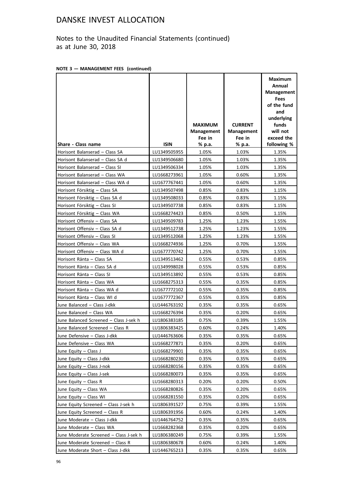Notes to the Unaudited Financial Statements (continued) as at June 30, 2018

|  |  | NOTE 3 - MANAGEMENT FEES (continued) |  |  |
|--|--|--------------------------------------|--|--|
|--|--|--------------------------------------|--|--|

|                                        |              |                                               |                                        | <b>Maximum</b><br>Annual<br><b>Management</b><br>Fees<br>of the fund<br>and |
|----------------------------------------|--------------|-----------------------------------------------|----------------------------------------|-----------------------------------------------------------------------------|
|                                        |              | <b>MAXIMUM</b><br><b>Management</b><br>Fee in | <b>CURRENT</b><br>Management<br>Fee in | underlying<br>funds<br>will not<br>exceed the                               |
| Share - Class name                     | <b>ISIN</b>  | % p.a.                                        | % p.a.                                 | following %                                                                 |
| Horisont Balanserad - Class SA         | LU1349505955 | 1.05%                                         | 1.03%                                  | 1.35%                                                                       |
| Horisont Balanserad - Class SA d       | LU1349506680 | 1.05%                                         | 1.03%                                  | 1.35%                                                                       |
| Horisont Balanserad - Class SI         | LU1349506334 | 1.05%                                         | 1.03%                                  | 1.35%                                                                       |
| Horisont Balanserad - Class WA         | LU1668273961 | 1.05%                                         | 0.60%                                  | 1.35%                                                                       |
| Horisont Balanserad - Class WA d       | LU1677767441 | 1.05%                                         | 0.60%                                  | 1.35%                                                                       |
| Horisont Försiktig - Class SA          | LU1349507498 | 0.85%                                         | 0.83%                                  | 1.15%                                                                       |
| Horisont Försiktig - Class SA d        | LU1349508033 | 0.85%                                         | 0.83%                                  | 1.15%                                                                       |
| Horisont Försiktig - Class SI          | LU1349507738 | 0.85%                                         | 0.83%                                  | 1.15%                                                                       |
| Horisont Försiktig - Class WA          | LU1668274423 | 0.85%                                         | 0.50%                                  | 1.15%                                                                       |
| Horisont Offensiv - Class SA           | LU1349509783 | 1.25%                                         | 1.23%                                  | 1.55%                                                                       |
| Horisont Offensiv - Class SA d         | LU1349512738 | 1.25%                                         | 1.23%                                  | 1.55%                                                                       |
| Horisont Offensiv - Class SI           | LU1349512068 | 1.25%                                         | 1.23%                                  | 1.55%                                                                       |
| Horisont Offensiv - Class WA           | LU1668274936 | 1.25%                                         | 0.70%                                  | 1.55%                                                                       |
| Horisont Offensiv - Class WA d         | LU1677770742 | 1.25%                                         | 0.70%                                  | 1.55%                                                                       |
| Horisont Ränta - Class SA              | LU1349513462 | 0.55%                                         | 0.53%                                  | 0.85%                                                                       |
| Horisont Ränta - Class SA d            | LU1349998028 | 0.55%                                         | 0.53%                                  | 0.85%                                                                       |
| Horisont Ränta - Class SI              | LU1349513892 | 0.55%                                         | 0.53%                                  | 0.85%                                                                       |
| Horisont Ränta - Class WA              | LU1668275313 | 0.55%                                         | 0.35%                                  | 0.85%                                                                       |
| Horisont Ränta - Class WA d            | LU1677772102 | 0.55%                                         | 0.35%                                  | 0.85%                                                                       |
| Horisont Ränta - Class WI d            | LU1677772367 | 0.55%                                         | 0.35%                                  | 0.85%                                                                       |
| June Balanced - Class J-dkk            | LU1446763192 | 0.35%                                         | 0.35%                                  | 0.65%                                                                       |
| June Balanced - Class WA               | LU1668276394 | 0.35%                                         | 0.20%                                  | 0.65%                                                                       |
| June Balanced Screened - Class J-sek h | LU1806383185 | 0.75%                                         | 0.39%                                  | 1.55%                                                                       |
| June Balanced Screened - Class R       | LU1806383425 | 0.60%                                         | 0.24%                                  | 1.40%                                                                       |
| June Defensive - Class J-dkk           | LU1446763606 | 0.35%                                         | 0.35%                                  | 0.65%                                                                       |
| June Defensive - Class WA              | LU1668277871 | 0.35%                                         | 0.20%                                  | 0.65%                                                                       |
| June Equity - Class J                  | LU1668279901 | 0.35%                                         | 0.35%                                  | 0.65%                                                                       |
| June Equity - Class J-dkk              | LU1668280230 | 0.35%                                         | 0.35%                                  | 0.65%                                                                       |
| June Equity - Class J-nok              | LU1668280156 | 0.35%                                         | 0.35%                                  | 0.65%                                                                       |
| June Equity - Class J-sek              | LU1668280073 | 0.35%                                         | 0.35%                                  | 0.65%                                                                       |
| June Equity - Class R                  | LU1668280313 | 0.20%                                         | 0.20%                                  | 0.50%                                                                       |
| June Equity - Class WA                 | LU1668280826 | 0.35%                                         | 0.20%                                  | 0.65%                                                                       |
| June Equity - Class WI                 | LU1668281550 | 0.35%                                         | 0.20%                                  | 0.65%                                                                       |
| June Equity Screened - Class J-sek h   | LU1806391527 | 0.75%                                         | 0.39%                                  | 1.55%                                                                       |
| June Equity Screened - Class R         | LU1806391956 | 0.60%                                         | 0.24%                                  | 1.40%                                                                       |
| June Moderate - Class J-dkk            | LU1446764752 | 0.35%                                         | 0.35%                                  | 0.65%                                                                       |
| June Moderate - Class WA               | LU1668282368 | 0.35%                                         | 0.20%                                  | 0.65%                                                                       |
| June Moderate Screened - Class J-sek h | LU1806380249 | 0.75%                                         | 0.39%                                  | 1.55%                                                                       |
| June Moderate Screened - Class R       | LU1806380678 | 0.60%                                         | 0.24%                                  | 1.40%                                                                       |
| June Moderate Short - Class J-dkk      | LU1446765213 | 0.35%                                         | 0.35%                                  | 0.65%                                                                       |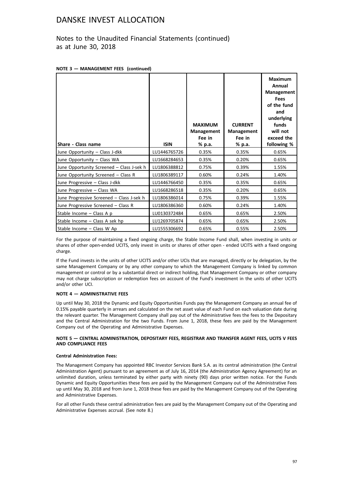Notes to the Unaudited Financial Statements (continued) as at June 30, 2018

|  |  | NOTE 3 - MANAGEMENT FEES (continued) |  |  |
|--|--|--------------------------------------|--|--|
|--|--|--------------------------------------|--|--|

|                                           |              | <b>MAXIMUM</b><br>Management<br>Fee in | <b>CURRENT</b><br>Management<br>Fee in | <b>Maximum</b><br>Annual<br>Management<br><b>Fees</b><br>of the fund<br>and<br>underlying<br>funds<br>will not<br>exceed the |
|-------------------------------------------|--------------|----------------------------------------|----------------------------------------|------------------------------------------------------------------------------------------------------------------------------|
| Share - Class name                        | <b>ISIN</b>  | % p.a.                                 | % p.a.                                 | following %                                                                                                                  |
| June Opportunity - Class J-dkk            | LU1446765726 | 0.35%                                  | 0.35%                                  | 0.65%                                                                                                                        |
| June Opportunity - Class WA               | LU1668284653 | 0.35%                                  | 0.20%                                  | 0.65%                                                                                                                        |
| June Opportunity Screened - Class J-sek h | LU1806388812 | 0.75%                                  | 0.39%                                  | 1.55%                                                                                                                        |
| June Opportunity Screened - Class R       | LU1806389117 | 0.60%                                  | 0.24%                                  | 1.40%                                                                                                                        |
| June Progressive - Class J-dkk            | LU1446766450 | 0.35%                                  | 0.35%                                  | 0.65%                                                                                                                        |
| June Progressive - Class WA               | LU1668286518 | 0.35%                                  | 0.20%                                  | 0.65%                                                                                                                        |
| June Progressive Screened - Class J-sek h | LU1806386014 | 0.75%                                  | 0.39%                                  | 1.55%                                                                                                                        |
| June Progressive Screened - Class R       | LU1806386360 | 0.60%                                  | 0.24%                                  | 1.40%                                                                                                                        |
| Stable Income - Class A p                 | LU0130372484 | 0.65%                                  | 0.65%                                  | 2.50%                                                                                                                        |
| Stable Income - Class A sek hp            | LU1269705874 | 0.65%                                  | 0.65%                                  | 2.50%                                                                                                                        |
| Stable Income - Class W Ap                | LU1555306692 | 0.65%                                  | 0.55%                                  | 2.50%                                                                                                                        |

For the purpose of maintaining a fixed ongoing charge, the Stable Income Fund shall, when investing in units or shares of other open-ended UCITS, only invest in units or shares of other open - ended UCITS with a fixed ongoing charge.

If the Fund invests in the units of other UCITS and/or other UCIs that are managed, directly or by delegation, by the same Management Company or by any other company to which the Management Company is linked by common management or control or by a substantial direct or indirect holding, that Management Company or other company may not charge subscription or redemption fees on account of the Fund's investment in the units of other UCITS and/or other UCI.

### **NOTE 4 — ADMINISTRATIVE FEES**

Up until May 30, 2018 the Dynamic and Equity Opportunities Funds pay the Management Company an annual fee of 0.15% payable quarterly in arrears and calculated on the net asset value of each Fund on each valuation date during the relevant quarter. The Management Company shall pay out of the Administrative fees the fees to the Depositary and the Central Administration for the two Funds. From June 1, 2018, these fees are paid by the Management Company out of the Operating and Administrative Expenses.

### **NOTE 5 — CENTRAL ADMINISTRATION, DEPOSITARY FEES, REGISTRAR AND TRANSFER AGENT FEES, UCITS V FEES AND COMPLIANCE FEES**

### **Central Administration Fees:**

The Management Company has appointed RBC Investor Services Bank S.A. as its central administration (the Central Administration Agent) pursuant to an agreement as of July 16, 2014 (the Administration Agency Agreement) for an unlimited duration, unless terminated by either party with ninety (90) days prior written notice. For the Funds Dynamic and Equity Opportunities these fees are paid by the Management Company out of the Administrative Fees up until May 30, 2018 and from June 1, 2018 these fees are paid by the Management Company out of the Operating and Administrative Expenses.

For all other Funds these central administration fees are paid by the Management Company out of the Operating and Administrative Expenses accrual. (See note 8.)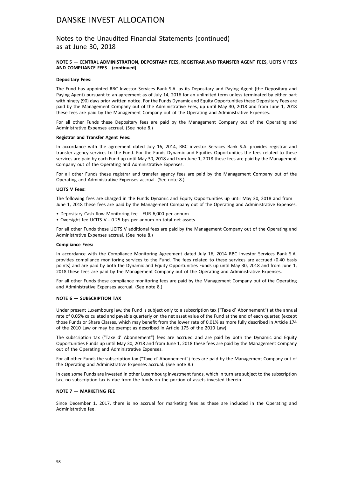Notes to the Unaudited Financial Statements (continued) as at June 30, 2018

### **NOTE 5 — CENTRAL ADMINISTRATION, DEPOSITARY FEES, REGISTRAR AND TRANSFER AGENT FEES, UCITS V FEES AND COMPLIANCE FEES (continued)**

#### **Depositary Fees:**

The Fund has appointed RBC Investor Services Bank S.A. as its Depositary and Paying Agent (the Depositary and Paying Agent) pursuant to an agreement as of July 14, 2016 for an unlimited term unless terminated by either part with ninety (90) days prior written notice. For the Funds Dynamic and Equity Opportunities these Depositary Fees are paid by the Management Company out of the Administrative Fees, up until May 30, 2018 and from June 1, 2018 these fees are paid by the Management Company out of the Operating and Administrative Expenses.

For all other Funds these Depositary fees are paid by the Management Company out of the Operating and Administrative Expenses accrual. (See note 8.)

### **Registrar and Transfer Agent Fees:**

In accordance with the agreement dated July 16, 2014, RBC investor Services Bank S.A. provides registrar and transfer agency services to the Fund. For the Funds Dynamic and Equities Opportunities the fees related to these services are paid by each Fund up until May 30, 2018 and from June 1, 2018 these fees are paid by the Management Company out of the Operating and Administrative Expenses.

For all other Funds these registrar and transfer agency fees are paid by the Management Company out of the Operating and Administrative Expenses accrual. (See note 8.)

#### **UCITS V Fees:**

The following fees are charged in the Funds Dynamic and Equity Opportunities up until May 30, 2018 and from June 1, 2018 these fees are paid by the Management Company out of the Operating and Administrative Expenses.

- Depositary Cash flow Monitoring fee EUR 6,000 per annum
- Oversight fee UCITS V 0.25 bps per annum on total net assets

For all other Funds these UCITS V additional fees are paid by the Management Company out of the Operating and Administrative Expenses accrual. (See note 8.)

#### **Compliance Fees:**

In accordance with the Compliance Monitoring Agreement dated July 16, 2014 RBC Investor Services Bank S.A. provides compliance monitoring services to the Fund. The fees related to these services are accrued (0.40 basis points) and are paid by both the Dynamic and Equity Opportunities Funds up until May 30, 2018 and from June 1, 2018 these fees are paid by the Management Company out of the Operating and Administrative Expenses.

For all other Funds these compliance monitoring fees are paid by the Management Company out of the Operating and Administrative Expenses accrual. (See note 8.)

#### **NOTE 6 — SUBSCRIPTION TAX**

Under present Luxembourg law, the Fund is subject only to a subscription tax ("Taxe d' Abonnement") at the annual rate of 0.05% calculated and payable quarterly on the net asset value of the Fund at the end of each quarter, (except those Funds or Share Classes, which may benefit from the lower rate of 0.01% as more fully described in Article 174 of the 2010 Law or may be exempt as described in Article 175 of the 2010 Law).

The subscription tax ("Taxe d' Abonnement") fees are accrued and are paid by both the Dynamic and Equity Opportunities Funds up until May 30, 2018 and from June 1, 2018 these fees are paid by the Management Company out of the Operating and Administrative Expenses.

For all other Funds the subscription tax ("Taxe d' Abonnement") fees are paid by the Management Company out of the Operating and Administrative Expenses accrual. (See note 8.)

In case some Funds are invested in other Luxembourg investment funds, which in turn are subject to the subscription tax, no subscription tax is due from the funds on the portion of assets invested therein.

#### **NOTE 7 — MARKETING FEE**

Since December 1, 2017, there is no accrual for marketing fees as these are included in the Operating and Administrative fee.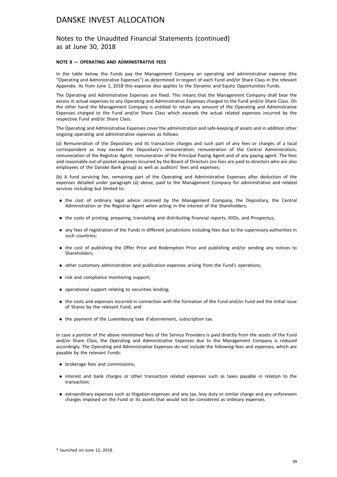Notes to the Unaudited Financial Statements (continued) as at June 30, 2018

### **NOTE 8 — OPERATING AND ADMINISTRATIVE FEES**

In the table below, the Funds pay the Management Company an operating and administrative expense (the "Operating and Administrative Expenses") as determined in respect of each Fund and/or Share Class in the relevant Appendix. As from June 1, 2018 this expense also applies to the Dynamic and Equity Opportunities Funds.

The Operating and Administrative Expenses are fixed. This means that the Management Company shall bear the excess in actual expenses to any Operating and Administrative Expenses charged to the Fund and/or Share Class. On the other hand the Management Company is entitled to retain any amount of the Operating and Administrative Expenses charged to the Fund and/or Share Class which exceeds the actual related expenses incurred by the respective Fund and/or Share Class.

The Operating and Administrative Expenses cover the administration and safe-keeping of assets and in addition other ongoing operating and administrative expenses as follows:

(a) Remuneration of the Depositary and its transaction charges and such part of any fees or charges of a local correspondent as may exceed the Depositary's remuneration; remuneration of the Central Administration; remuneration of the Registrar Agent; remuneration of the Principal Paying Agent and of any paying agent. The fees and reasonable out-of-pocket expenses incurred by the Board of Directors (no fees are paid to directors who are also employees of the Danske Bank group) as well as auditors' fees and expenses;

(b) A fund servicing fee, remaining part of the Operating and Administrative Expenses after deduction of the expenses detailed under paragraph (a) above, paid to the Management Company for administrative and related services including but limited to:

- . the cost of ordinary legal advice received by the Management Company, the Depositary, the Central Administration or the Registrar Agent when acting in the interest of the Shareholders;
- . the costs of printing, preparing, translating and distributing financial reports, KIIDs, and Prospectus;
- . any fees of registration of the Funds in different jurisdictions including fees due to the supervisory authorities in such countries;
- . the cost of publishing the Offer Price and Redemption Price and publishing and/or sending any notices to Shareholders;
- . other customary administration and publication expenses arising from the Fund's operations;
- risk and compliance monitoring support;
- . operational support relating to securities lending;
- . the costs and expenses incurred in connection with the formation of the Fund and/or Fund and the initial issue of Shares by the relevant Fund; and
- . the payment of the Luxembourg taxe d'abonnement, subscription tax.

In case a portion of the above mentioned fees of the Service Providers is paid directly from the assets of the Fund and/or Share Class, the Operating and Administrative Expenses due to the Management Company is reduced accordingly. The Operating and Administrative Expenses do not include the following fees and expenses, which are payable by the relevant Funds:

- . brokerage fees and commissions;
- . interest and bank charges or other transaction related expenses such as taxes payable in relation to the transaction;
- . extraordinary expenses such as litigation expenses and any tax, levy duty or similar charge and any unforeseen charges imposed on the Fund or its assets that would not be considered as ordinary expenses.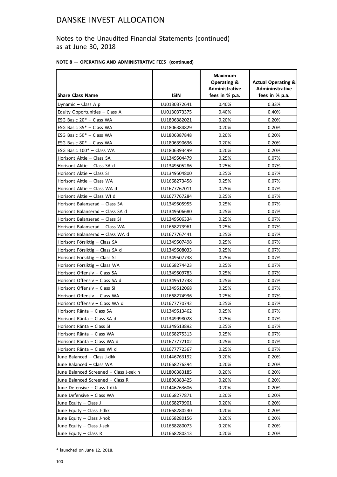Notes to the Unaudited Financial Statements (continued) as at June 30, 2018

| NOTE 8 - OPERATING AND ADMINISTRATIVE FEES (continued) |  |  |  |  |  |  |
|--------------------------------------------------------|--|--|--|--|--|--|
|--------------------------------------------------------|--|--|--|--|--|--|

|                                        |              | <b>Maximum</b><br><b>Operating &amp;</b><br><b>Administrative</b> | <b>Actual Operating &amp;</b><br>Admininstrative |
|----------------------------------------|--------------|-------------------------------------------------------------------|--------------------------------------------------|
| <b>Share Class Name</b>                | <b>ISIN</b>  | fees in % p.a.                                                    | fees in % p.a.                                   |
| Dynamic - Class A p                    | LU0130372641 | 0.40%                                                             | 0.33%                                            |
| Equity Opportunities - Class A         | LU0130373375 | 0.40%                                                             | 0.40%                                            |
| ESG Basic 20* - Class WA               | LU1806382021 | 0.20%                                                             | 0.20%                                            |
| ESG Basic 35* - Class WA               | LU1806384829 | 0.20%                                                             | 0.20%                                            |
| ESG Basic 50* - Class WA               | LU1806387848 | 0.20%                                                             | 0.20%                                            |
| ESG Basic 80* - Class WA               | LU1806390636 | 0.20%                                                             | 0.20%                                            |
| ESG Basic 100* - Class WA              | LU1806393499 | 0.20%                                                             | 0.20%                                            |
| Horisont Aktie - Class SA              | LU1349504479 | 0.25%                                                             | 0.07%                                            |
| Horisont Aktie - Class SA d            | LU1349505286 | 0.25%                                                             | 0.07%                                            |
| Horisont Aktie - Class SI              | LU1349504800 | 0.25%                                                             | 0.07%                                            |
| Horisont Aktie - Class WA              | LU1668273458 | 0.25%                                                             | 0.07%                                            |
| Horisont Aktie - Class WA d            | LU1677767011 | 0.25%                                                             | 0.07%                                            |
| Horisont Aktie - Class WI d            | LU1677767284 | 0.25%                                                             | 0.07%                                            |
| Horisont Balanserad - Class SA         | LU1349505955 | 0.25%                                                             | 0.07%                                            |
| Horisont Balanserad - Class SA d       | LU1349506680 | 0.25%                                                             | 0.07%                                            |
| Horisont Balanserad - Class SI         | LU1349506334 | 0.25%                                                             | 0.07%                                            |
| Horisont Balanserad - Class WA         | LU1668273961 | 0.25%                                                             | 0.07%                                            |
| Horisont Balanserad - Class WA d       | LU1677767441 | 0.25%                                                             | 0.07%                                            |
| Horisont Försiktig - Class SA          | LU1349507498 | 0.25%                                                             | 0.07%                                            |
| Horisont Försiktig - Class SA d        | LU1349508033 | 0.25%                                                             | 0.07%                                            |
| Horisont Försiktig - Class SI          | LU1349507738 | 0.25%                                                             | 0.07%                                            |
| Horisont Försiktig - Class WA          | LU1668274423 | 0.25%                                                             | 0.07%                                            |
| Horisont Offensiv - Class SA           | LU1349509783 | 0.25%                                                             | 0.07%                                            |
| Horisont Offensiv - Class SA d         | LU1349512738 | 0.25%                                                             | 0.07%                                            |
| Horisont Offensiv - Class SI           | LU1349512068 | 0.25%                                                             | 0.07%                                            |
| Horisont Offensiv - Class WA           | LU1668274936 | 0.25%                                                             | 0.07%                                            |
| Horisont Offensiv - Class WA d         | LU1677770742 | 0.25%                                                             | 0.07%                                            |
| Horisont Ränta - Class SA              | LU1349513462 | 0.25%                                                             | 0.07%                                            |
| Horisont Ränta - Class SA d            | LU1349998028 | 0.25%                                                             | 0.07%                                            |
| Horisont Ränta - Class SI              | LU1349513892 | 0.25%                                                             | 0.07%                                            |
| Horisont Ränta - Class WA              | LU1668275313 | 0.25%                                                             | 0.07%                                            |
| Horisont Ränta - Class WA d            | LU1677772102 | 0.25%                                                             | 0.07%                                            |
| Horisont Ränta - Class WI d            | LU1677772367 | 0.25%                                                             | 0.07%                                            |
| June Balanced - Class J-dkk            | LU1446763192 | 0.20%                                                             | 0.20%                                            |
| June Balanced - Class WA               | LU1668276394 | 0.20%                                                             | 0.20%                                            |
| June Balanced Screened - Class J-sek h | LU1806383185 | 0.20%                                                             | 0.20%                                            |
| June Balanced Screened - Class R       | LU1806383425 | 0.20%                                                             | 0.20%                                            |
| June Defensive - Class J-dkk           | LU1446763606 | 0.20%                                                             | 0.20%                                            |
| June Defensive - Class WA              | LU1668277871 | 0.20%                                                             | 0.20%                                            |
| June Equity - Class J                  | LU1668279901 | 0.20%                                                             | 0.20%                                            |
| June Equity - Class J-dkk              | LU1668280230 | 0.20%                                                             | 0.20%                                            |
| June Equity - Class J-nok              | LU1668280156 | 0.20%                                                             | 0.20%                                            |
| June Equity - Class J-sek              | LU1668280073 | 0.20%                                                             | 0.20%                                            |
| June Equity - Class R                  | LU1668280313 | 0.20%                                                             | 0.20%                                            |

\* launched on June 12, 2018.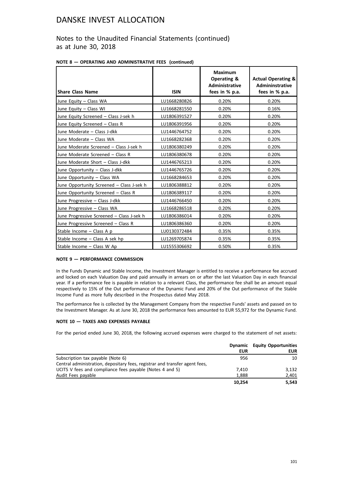### Notes to the Unaudited Financial Statements (continued) as at June 30, 2018

|  | NOTE 8 - OPERATING AND ADMINISTRATIVE FEES (continued) |  |
|--|--------------------------------------------------------|--|
|  |                                                        |  |

| <b>Share Class Name</b>                   | <b>ISIN</b>  | <b>Maximum</b><br>Operating &<br><b>Administrative</b><br>fees in % p.a. | <b>Actual Operating &amp;</b><br><b>Admininstrative</b><br>fees in % p.a. |
|-------------------------------------------|--------------|--------------------------------------------------------------------------|---------------------------------------------------------------------------|
| June Equity - Class WA                    | LU1668280826 | 0.20%                                                                    | 0.20%                                                                     |
| June Equity - Class WI                    | LU1668281550 | 0.20%                                                                    | 0.16%                                                                     |
| June Equity Screened - Class J-sek h      | LU1806391527 | 0.20%                                                                    | 0.20%                                                                     |
| June Equity Screened - Class R            | LU1806391956 | 0.20%                                                                    | 0.20%                                                                     |
| June Moderate - Class J-dkk               | LU1446764752 | 0.20%                                                                    | 0.20%                                                                     |
| June Moderate - Class WA                  | LU1668282368 | 0.20%                                                                    | 0.20%                                                                     |
| June Moderate Screened - Class J-sek h    | LU1806380249 | 0.20%                                                                    | 0.20%                                                                     |
| June Moderate Screened - Class R          | LU1806380678 | 0.20%                                                                    | 0.20%                                                                     |
| June Moderate Short - Class J-dkk         | LU1446765213 | 0.20%                                                                    | 0.20%                                                                     |
| June Opportunity - Class J-dkk            | LU1446765726 | 0.20%                                                                    | 0.20%                                                                     |
| June Opportunity - Class WA               | LU1668284653 | 0.20%                                                                    | 0.20%                                                                     |
| June Opportunity Screened - Class J-sek h | LU1806388812 | 0.20%                                                                    | 0.20%                                                                     |
| June Opportunity Screened - Class R       | LU1806389117 | 0.20%                                                                    | 0.20%                                                                     |
| June Progressive - Class J-dkk            | LU1446766450 | 0.20%                                                                    | 0.20%                                                                     |
| June Progressive - Class WA               | LU1668286518 | 0.20%                                                                    | 0.20%                                                                     |
| June Progressive Screened - Class J-sek h | LU1806386014 | 0.20%                                                                    | 0.20%                                                                     |
| June Progressive Screened - Class R       | LU1806386360 | 0.20%                                                                    | 0.20%                                                                     |
| Stable Income - Class A p                 | LU0130372484 | 0.35%                                                                    | 0.35%                                                                     |
| Stable Income - Class A sek hp            | LU1269705874 | 0.35%                                                                    | 0.35%                                                                     |
| Stable Income - Class W Ap                | LU1555306692 | 0.50%                                                                    | 0.35%                                                                     |

### **NOTE 9 — PERFORMANCE COMMISSION**

In the Funds Dynamic and Stable Income, the Investment Manager is entitled to receive a performance fee accrued and locked on each Valuation Day and paid annually in arrears on or after the last Valuation Day in each financial year. If a performance fee is payable in relation to a relevant Class, the performance fee shall be an amount equal respectively to 15% of the Out performance of the Dynamic Fund and 20% of the Out performance of the Stable Income Fund as more fully described in the Prospectus dated May 2018.

The performance fee is collected by the Management Company from the respective Funds' assets and passed on to the Investment Manager. As at June 30, 2018 the performance fees amounted to EUR 55,972 for the Dynamic Fund.

### **NOTE 10 — TAXES AND EXPENSES PAYABLE**

For the period ended June 30, 2018, the following accrued expenses were charged to the statement of net assets:

|                                                                             | EUR    | <b>Dynamic</b> Equity Opportunities<br><b>EUR</b> |
|-----------------------------------------------------------------------------|--------|---------------------------------------------------|
| Subscription tax payable (Note 6)                                           | 956    | 10                                                |
| Central administration, depositary fees, registrar and transfer agent fees, |        |                                                   |
| UCITS V fees and compliance fees payable (Notes 4 and 5)                    | 7.410  | 3.132                                             |
| Audit Fees payable                                                          | 1.888  | 2,401                                             |
|                                                                             | 10.254 | 5.543                                             |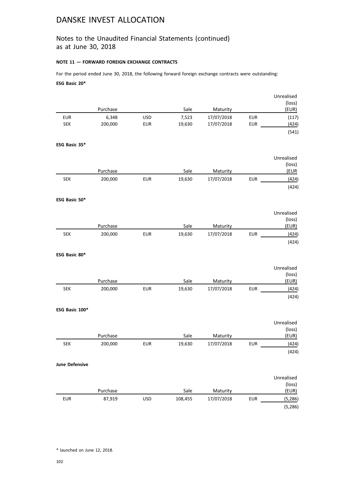### Notes to the Unaudited Financial Statements (continued) as at June 30, 2018

### **NOTE 11 — FORWARD FOREIGN EXCHANGE CONTRACTS**

For the period ended June 30, 2018, the following forward foreign exchange contracts were outstanding: **ESG Basic 20\***

|                |                     |            |                |                        |            | Unrealised<br>(loss) |
|----------------|---------------------|------------|----------------|------------------------|------------|----------------------|
|                | Purchase            |            | Sale           | Maturity               |            | (EUR)                |
| <b>EUR</b>     | 6,348               | <b>USD</b> | 7,523          | 17/07/2018             | <b>EUR</b> | (117)                |
| SEK            | 200,000             | <b>EUR</b> | 19,630         | 17/07/2018             | <b>EUR</b> | (424)                |
|                |                     |            |                |                        |            | (541)                |
| ESG Basic 35*  |                     |            |                |                        |            |                      |
|                |                     |            |                |                        |            | Unrealised           |
|                |                     |            |                |                        |            | (loss)               |
|                | Purchase            |            | Sale           | Maturity               |            | (EUR                 |
| <b>SEK</b>     | 200,000             | <b>EUR</b> | 19,630         | 17/07/2018             | <b>EUR</b> | (424)                |
|                |                     |            |                |                        |            | (424)                |
| ESG Basic 50*  |                     |            |                |                        |            |                      |
|                |                     |            |                |                        |            | Unrealised           |
|                |                     |            |                |                        |            | (loss)               |
|                | Purchase            |            | Sale           | Maturity               |            | EUR)                 |
| <b>SEK</b>     | 200,000             | <b>EUR</b> | 19,630         | 17/07/2018             | <b>EUR</b> | (424)                |
|                |                     |            |                |                        |            | (424)                |
| ESG Basic 80*  |                     |            |                |                        |            |                      |
|                |                     |            |                |                        |            | Unrealised           |
|                |                     |            |                |                        |            | (loss)               |
|                | Purchase            |            | Sale           | Maturity               |            | (EUR)                |
| <b>SEK</b>     | 200,000             | <b>EUR</b> | 19,630         | 17/07/2018             | <b>EUR</b> | (424)                |
|                |                     |            |                |                        |            | (424)                |
| ESG Basic 100* |                     |            |                |                        |            |                      |
|                |                     |            |                |                        |            | Unrealised           |
|                |                     |            |                |                        |            | (loss)               |
| <b>SEK</b>     | Purchase<br>200,000 | <b>EUR</b> | Sale<br>19,630 | Maturity<br>17/07/2018 | <b>EUR</b> | (EUR)<br>(424)       |
|                |                     |            |                |                        |            | (424)                |
| June Defensive |                     |            |                |                        |            |                      |
|                |                     |            |                |                        |            | Unrealised           |
|                |                     |            |                |                        |            | (loss)               |
|                | Purchase            |            | Sale           | Maturity               |            | (EUR)                |
| <b>EUR</b>     | 87,919              | <b>USD</b> | 108,455        | 17/07/2018             | <b>EUR</b> | (5, 286)             |
|                |                     |            |                |                        |            | (5, 286)             |

\* launched on June 12, 2018.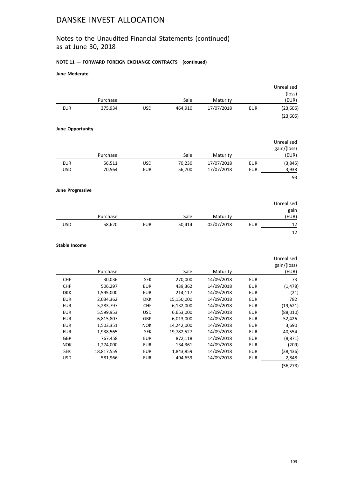## Notes to the Unaudited Financial Statements (continued) as at June 30, 2018

### **NOTE 11 — FORWARD FOREIGN EXCHANGE CONTRACTS (continued)**

### **June Moderate**

|                         |            |            |            |            |            | Unrealised  |
|-------------------------|------------|------------|------------|------------|------------|-------------|
|                         |            |            |            |            |            | (loss)      |
|                         | Purchase   |            | Sale       | Maturity   |            | (EUR)       |
| <b>EUR</b>              | 375,934    | <b>USD</b> | 464,910    | 17/07/2018 | <b>EUR</b> | (23, 605)   |
|                         |            |            |            |            |            | (23, 605)   |
| <b>June Opportunity</b> |            |            |            |            |            |             |
|                         |            |            |            |            |            | Unrealised  |
|                         |            |            |            |            |            | gain/(loss) |
|                         | Purchase   |            | Sale       | Maturity   |            | (EUR)       |
| <b>EUR</b>              | 56,511     | <b>USD</b> | 70,230     | 17/07/2018 | <b>EUR</b> | (3,845)     |
| <b>USD</b>              | 70,564     | <b>EUR</b> | 56,700     | 17/07/2018 | <b>EUR</b> | 3,938       |
|                         |            |            |            |            |            | 93          |
| <b>June Progressive</b> |            |            |            |            |            |             |
|                         |            |            |            |            |            | Unrealised  |
|                         |            |            |            |            |            | gain        |
|                         | Purchase   |            | Sale       | Maturity   |            | (EUR)       |
| <b>USD</b>              | 58,620     | <b>EUR</b> | 50,414     | 02/07/2018 | <b>EUR</b> | 12          |
|                         |            |            |            |            |            | 12          |
| <b>Stable Income</b>    |            |            |            |            |            |             |
|                         |            |            |            |            |            | Unrealised  |
|                         |            |            |            |            |            | gain/(loss) |
|                         | Purchase   |            | Sale       | Maturity   |            | (EUR)       |
| <b>CHF</b>              | 30,036     | <b>SEK</b> | 270,000    | 14/09/2018 | <b>EUR</b> | 73          |
| CHF                     | 506,297    | <b>EUR</b> | 439,362    | 14/09/2018 | <b>EUR</b> | (1, 478)    |
| <b>DKK</b>              | 1,595,000  | <b>EUR</b> | 214,117    | 14/09/2018 | <b>EUR</b> | (21)        |
| <b>EUR</b>              | 2,034,362  | <b>DKK</b> | 15,150,000 | 14/09/2018 | <b>EUR</b> | 782         |
| <b>EUR</b>              | 5,283,797  | <b>CHF</b> | 6,132,000  | 14/09/2018 | <b>EUR</b> | (19, 621)   |
| <b>EUR</b>              | 5,599,953  | <b>USD</b> | 6,653,000  | 14/09/2018 | EUR        | (88,010)    |
| <b>EUR</b>              | 6,815,807  | GBP        | 6,013,000  | 14/09/2018 | <b>EUR</b> | 52,426      |
| <b>EUR</b>              | 1,503,351  | <b>NOK</b> | 14,242,000 | 14/09/2018 | <b>EUR</b> | 3,690       |
| <b>EUR</b>              | 1,938,565  | <b>SEK</b> | 19,782,527 | 14/09/2018 | <b>EUR</b> | 40,554      |
| GBP                     | 767,458    | <b>EUR</b> | 872,118    | 14/09/2018 | <b>EUR</b> | (8, 871)    |
| <b>NOK</b>              | 1,274,000  | <b>EUR</b> | 134,361    | 14/09/2018 | <b>EUR</b> | (209)       |
| <b>SEK</b>              | 18,817,559 | <b>EUR</b> | 1,843,859  | 14/09/2018 | EUR        | (38, 436)   |
| <b>USD</b>              | 581,966    | <b>EUR</b> | 494,659    | 14/09/2018 | <b>EUR</b> | 2,848       |
|                         |            |            |            |            |            | (56, 273)   |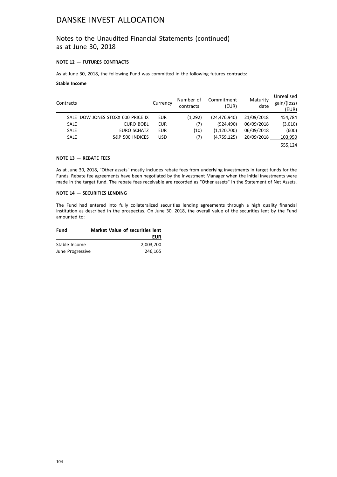### Notes to the Unaudited Financial Statements (continued) as at June 30, 2018

### **NOTE 12 — FUTURES CONTRACTS**

As at June 30, 2018, the following Fund was committed in the following futures contracts:

### **Stable Income**

| Contracts   |                                   | Currency   | Number of<br>contracts | Commitment<br>(EUR) | Maturity<br>date | Unrealised<br>gain/(loss)<br>(EUR) |
|-------------|-----------------------------------|------------|------------------------|---------------------|------------------|------------------------------------|
|             | SALE DOW JONES STOXX 600 PRICE IX | <b>EUR</b> | (1,292)                | (24, 476, 940)      | 21/09/2018       | 454,784                            |
| <b>SALE</b> | <b>EURO BOBL</b>                  | <b>EUR</b> | (7)                    | (924.490)           | 06/09/2018       | (3,010)                            |
| <b>SALE</b> | <b>EURO SCHATZ</b>                | <b>EUR</b> | (10)                   | (1, 120, 700)       | 06/09/2018       | (600)                              |
| <b>SALE</b> | S&P 500 INDICES                   | <b>USD</b> | (7)                    | (4,759,125)         | 20/09/2018       | 103,950                            |
|             |                                   |            |                        |                     |                  | 555.124                            |

### **NOTE 13 — REBATE FEES**

As at June 30, 2018, "Other assets" mostly includes rebate fees from underlying investments in target funds for the Funds. Rebate fee agreements have been negotiated by the Investment Manager when the initial investments were made in the target fund. The rebate fees receivable are recorded as "Other assets" in the Statement of Net Assets.

#### **NOTE 14 — SECURITIES LENDING**

The Fund had entered into fully collateralized securities lending agreements through a high quality financial institution as described in the prospectus. On June 30, 2018, the overall value of the securities lent by the Fund amounted to:

| Fund             | <b>Market Value of securities lent</b> |
|------------------|----------------------------------------|
|                  | EUR                                    |
| Stable Income    | 2.003.700                              |
| June Progressive | 246.165                                |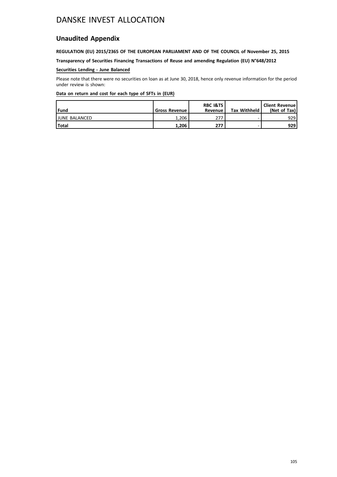## **Unaudited Appendix**

### **REGULATION (EU) 2015/2365 OF THE EUROPEAN PARLIAMENT AND OF THE COUNCIL of November 25, 2015**

**Transparency of Securities Financing Transactions of Reuse and amending Regulation (EU) N°648/2012**

### **Securities Lending - June Balanced**

Please note that there were no securities on loan as at June 30, 2018, hence only revenue information for the period under review is shown:

| l Fund               | <b>Gross Revenue I</b> | <b>RBC I&amp;TS</b><br>Revenue | <b>Tax Withheld</b> | <b>Client Revenue!</b><br>(Net of Tax) |
|----------------------|------------------------|--------------------------------|---------------------|----------------------------------------|
| <b>JUNE BALANCED</b> | 1.206                  | 277                            |                     | 929                                    |
| l Total              | 1.206                  | 277                            |                     | 929                                    |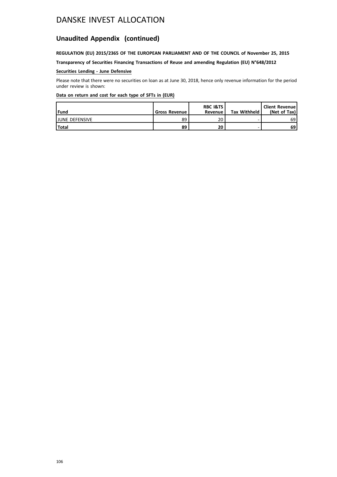### **Unaudited Appendix (continued)**

### **REGULATION (EU) 2015/2365 OF THE EUROPEAN PARLIAMENT AND OF THE COUNCIL of November 25, 2015**

**Transparency of Securities Financing Transactions of Reuse and amending Regulation (EU) N°648/2012**

### **Securities Lending - June Defensive**

Please note that there were no securities on loan as at June 30, 2018, hence only revenue information for the period under review is shown:

| l Fund                | <b>Gross Revenue I</b> | <b>RBC I&amp;TS</b><br>Revenue | <b>Tax Withheld</b> | <b>Client Revenue</b><br>(Net of Tax) |
|-----------------------|------------------------|--------------------------------|---------------------|---------------------------------------|
| <b>JUNE DEFENSIVE</b> | 89                     | 20                             |                     | 69                                    |
| l Total               | 89                     | 20                             |                     | 69                                    |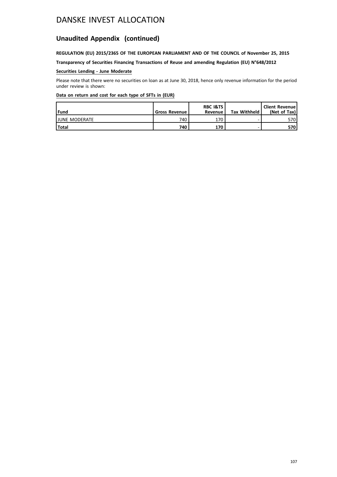## **Unaudited Appendix (continued)**

### **REGULATION (EU) 2015/2365 OF THE EUROPEAN PARLIAMENT AND OF THE COUNCIL of November 25, 2015**

**Transparency of Securities Financing Transactions of Reuse and amending Regulation (EU) N°648/2012**

### **Securities Lending - June Moderate**

Please note that there were no securities on loan as at June 30, 2018, hence only revenue information for the period under review is shown:

| l Fund                | <b>Gross Revenue</b> | <b>RBC I&amp;TS</b><br>Revenue | <b>Tax Withheld</b> | <b>Client Revenue!</b><br>(Net of Tax) |
|-----------------------|----------------------|--------------------------------|---------------------|----------------------------------------|
| <b>IJUNE MODERATE</b> | 740                  | 170                            |                     | 570 l                                  |
| <b>Total</b>          | 740                  | 170                            |                     | 570                                    |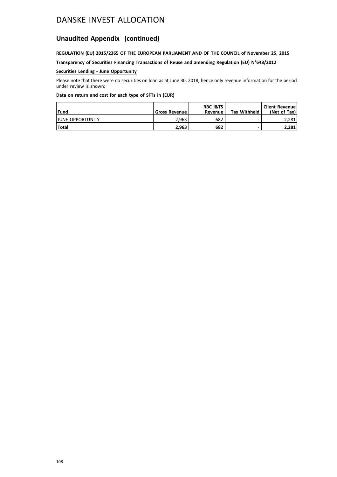## **Unaudited Appendix (continued)**

### **REGULATION (EU) 2015/2365 OF THE EUROPEAN PARLIAMENT AND OF THE COUNCIL of November 25, 2015**

**Transparency of Securities Financing Transactions of Reuse and amending Regulation (EU) N°648/2012**

### **Securities Lending - June Opportunity**

Please note that there were no securities on loan as at June 30, 2018, hence only revenue information for the period under review is shown:

| l Fund                   | <b>Gross Revenue I</b> | <b>RBC I&amp;TS</b><br>Revenue | <b>Tax Withheld</b> | <b>Client Revenue</b><br>(Net of Tax) |
|--------------------------|------------------------|--------------------------------|---------------------|---------------------------------------|
| <b>IJUNE OPPORTUNITY</b> | 2.963                  | 682                            |                     | 2,281                                 |
| l Total                  | 2.963                  | 682                            |                     | 2,281                                 |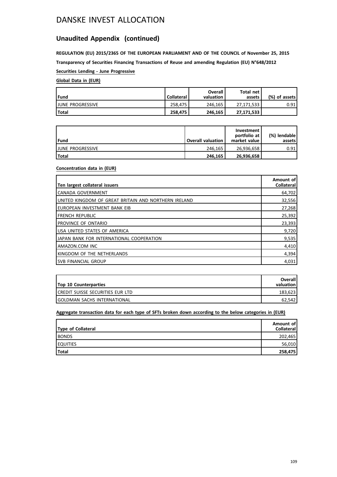### **Unaudited Appendix (continued)**

**REGULATION (EU) 2015/2365 OF THE EUROPEAN PARLIAMENT AND OF THE COUNCIL of November 25, 2015 Transparency of Securities Financing Transactions of Reuse and amending Regulation (EU) N°648/2012**

**Securities Lending - June Progressive**

### **Global Data in (EUR)**

| Fund                     | <b>Collateral</b> | Overall<br>valuation | Total net<br>assets | (%) of assets! |
|--------------------------|-------------------|----------------------|---------------------|----------------|
| <b>IJUNE PROGRESSIVE</b> | 258.475           | 246.165              | 27.171.533          | 0.91           |
| l Total                  | 258.475           | 246.165              | 27,171,533          |                |

| Fund                     | <b>Overall valuation</b> | Investment<br>portfolio at<br>market value | (%) lendable<br>assets l |
|--------------------------|--------------------------|--------------------------------------------|--------------------------|
| <b>IJUNE PROGRESSIVE</b> | 246.165                  | 26.936.658                                 | 0.91                     |
| <b>Total</b>             | 246,165                  | 26,936,658                                 |                          |

#### **Concentration data in (EUR)**

| Ten largest collateral issuers                        | Amount of<br>Collateral |
|-------------------------------------------------------|-------------------------|
| ICANADA GOVERNMENT                                    | 64,702                  |
| Iunited kingdom of great britain and northern ireland | 32,556                  |
| Ieuropean investment bank eib                         | 27,268                  |
| <b>IFRENCH REPUBLIC</b>                               | 25,392                  |
| I PROVINCE OF ONTARIO                                 | 23,393                  |
| <b>IUSA UNITED STATES OF AMERICA</b>                  | 9,720                   |
| IJAPAN BANK FOR INTERNATIONAL COOPERATION             | 9,535                   |
| LAMAZON.COM INC                                       | 4,410                   |
| Ikingdom of the netherlands                           | 4,394                   |
| ISVB FINANCIAL GROUP                                  | 4,031                   |

| <b>Top 10 Counterparties</b>             | Overall<br>valuation |
|------------------------------------------|----------------------|
| <b>ICREDIT SUISSE SECURITIES EUR LTD</b> | 183.623              |
| <b>IGOLDMAN SACHS INTERNATIONAL</b>      | 62.542               |

**Aggregate transaction data for each type of SFTs broken down according to the below categories in (EUR)**

| Type of Collateral | Amount of<br><b>Collateral</b> |
|--------------------|--------------------------------|
| <b>BONDS</b>       | 202,465                        |
| <b>EQUITIES</b>    | 56,010                         |
| <b>Total</b>       | 258,475                        |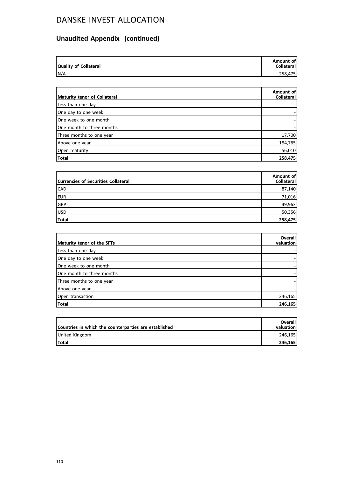# **Unaudited Appendix (continued)**

| Quality of Collateral | Amount of<br><b>Collateral</b> |
|-----------------------|--------------------------------|
| N/A                   | 258,475                        |

| Maturity tenor of Collateral | Amount of<br>Collateral |
|------------------------------|-------------------------|
| Less than one day            |                         |
| One day to one week          |                         |
| One week to one month        |                         |
| One month to three months    |                         |
| Three months to one year     | 17,700                  |
| Above one year               | 184,765                 |
| Open maturity                | 56,010                  |
| Total                        | 258,475                 |

| <b>Currencies of Securities Collateral</b> | Amount of<br>Collateral |
|--------------------------------------------|-------------------------|
| <b>CAD</b>                                 | 87,140                  |
| EUR                                        | 71,016                  |
| GBP                                        | 49,963                  |
| USD                                        | 50,356                  |
| Total                                      | 258,475                 |

| Maturity tenor of the SFTs | <b>Overall</b><br>valuation |
|----------------------------|-----------------------------|
| Less than one day          |                             |
| One day to one week        |                             |
| One week to one month      |                             |
| One month to three months  |                             |
| Three months to one year   |                             |
| Above one year             |                             |
| Open transaction           | 246,165                     |
| Total                      | 246,165                     |

| Countries in which the counterparties are established | <b>Overall</b><br>valuation |
|-------------------------------------------------------|-----------------------------|
| United Kingdom                                        | 246.165                     |
| <b>Total</b>                                          | 246.165                     |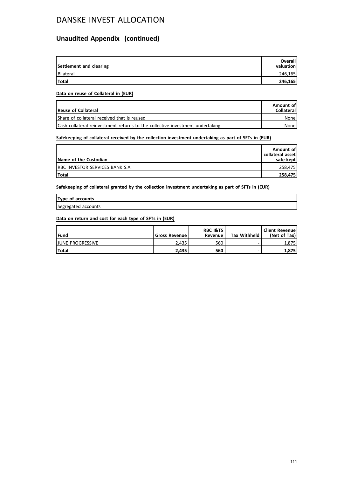### **Unaudited Appendix (continued)**

| Settlement and clearing | <b>Overall</b><br>valuation |
|-------------------------|-----------------------------|
| Bilateral               | 246,165                     |
| Total                   | 246,165                     |

#### **Data on reuse of Collateral in (EUR)**

| <b>Reuse of Collateral</b>                                                    | Amount of<br><b>Collateral</b> |
|-------------------------------------------------------------------------------|--------------------------------|
| Share of collateral received that is reused                                   | None                           |
| Cash collateral reinvestment returns to the collective investment undertaking | None l                         |

### **Safekeeping of collateral received by the collection investment undertaking as part of SFTs in (EUR)**

| Name of the Custodian            | Amount of<br>collateral asset<br>safe-kept |
|----------------------------------|--------------------------------------------|
| IRBC INVESTOR SERVICES BANK S.A. | 258,475                                    |
| <b>Total</b>                     | 258,475                                    |

**Safekeeping of collateral granted by the collection investment undertaking as part of SFTs in (EUR)**

| Type of accounts    |  |
|---------------------|--|
| Segregated accounts |  |

#### **Data on return and cost for each type of SFTs in (EUR)**

| <b>lFund</b>             | <b>Gross Revenue I</b> | <b>RBC I&amp;TS</b><br>Revenue | <b>Tax Withheld</b> | <b>Client Revenue</b><br>(Net of Tax) |
|--------------------------|------------------------|--------------------------------|---------------------|---------------------------------------|
| <b>IJUNE PROGRESSIVE</b> | 2.435                  | 560                            |                     | 1.875                                 |
| <b>Total</b>             | 2.435                  | 560                            |                     | 1,875                                 |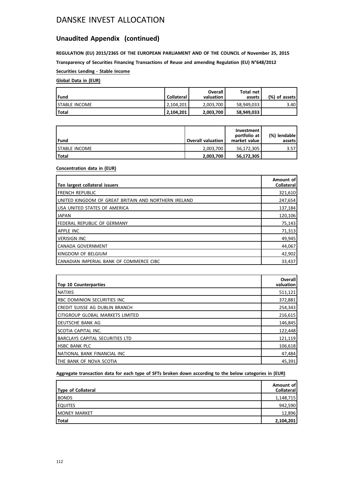### **Unaudited Appendix (continued)**

**REGULATION (EU) 2015/2365 OF THE EUROPEAN PARLIAMENT AND OF THE COUNCIL of November 25, 2015 Transparency of Securities Financing Transactions of Reuse and amending Regulation (EU) N°648/2012**

**Securities Lending - Stable Income**

### **Global Data in (EUR)**

| l Fund                | <b>Collateral</b> | Overall<br>valuation | Total net<br>assets | (%) of assets! |
|-----------------------|-------------------|----------------------|---------------------|----------------|
| <b>ISTABLE INCOME</b> | 2.104.201         | 2,003,700            | 58.949.033          | 3.40           |
| Total                 | 2.104.201         | 2,003,700            | 58,949,033          |                |

| l Fund                | <b>Overall valuation</b> | Investment<br>portfolio at<br>market value | (%) lendable l<br>assets l |
|-----------------------|--------------------------|--------------------------------------------|----------------------------|
| <b>ISTABLE INCOME</b> | 2.003.700                | 56.172.305                                 | 3.57                       |
| l Total               | 2,003,700                | 56,172,305                                 |                            |

#### **Concentration data in (EUR)**

| Ten largest collateral issuers                        | Amount of<br><b>Collateral</b> |
|-------------------------------------------------------|--------------------------------|
| I FRENCH REPUBLIC                                     | 321,610                        |
| IUNITED KINGDOM OF GREAT BRITAIN AND NORTHERN IRELAND | 247,654                        |
| USA UNITED STATES OF AMERICA                          | 137,184                        |
| <b>JAPAN</b>                                          | 120,106                        |
| FEDERAL REPUBLIC OF GERMANY                           | 75,143                         |
| <b>APPLE INC</b>                                      | 71,313                         |
| <b>VERISIGN INC</b>                                   | 49,945                         |
| CANADA GOVERNMENT                                     | 44,067                         |
| Ikingdom of Belgium                                   | 42,902                         |
| I CANADIAN IMPERIAL BANK OF COMMERCE CIBC             | 33,437                         |

| <b>Top 10 Counterparties</b>       | Overall<br>valuation |
|------------------------------------|----------------------|
| <b>INATIXIS</b>                    | 511,121              |
| <b>RBC DOMINION SECURITIES INC</b> | 372,881              |
| ICREDIT SUISSE AG DUBLIN BRANCH    | 254,343              |
| Icitigroup global markets limited  | 216,615              |
| I DEUTSCHE BANK AG                 | 146,845              |
| Iscotia capital inc.               | 122,448              |
| BARCLAYS CAPITAL SECURITIES LTD    | 121,119              |
| <b>HSBC BANK PLC</b>               | 106,618              |
| NATIONAL BANK FINANCIAL INC        | 47,484               |
| ITHE BANK OF NOVA SCOTIA           | 45,391               |

### **Aggregate transaction data for each type of SFTs broken down according to the below categories in (EUR)**

| Type of Collateral   | Amount of<br>Collateral |
|----------------------|-------------------------|
| <b>BONDS</b>         | 1,148,715               |
| <b>EQUITES</b>       | 942,590                 |
| <b>IMONEY MARKET</b> | 12,896                  |
| Total                | 2,104,201               |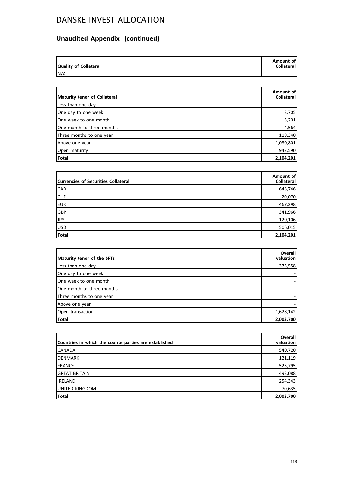# **Unaudited Appendix (continued)**

| <b>Quality of Collateral</b> | Amount of<br><b>Collateral</b> |
|------------------------------|--------------------------------|
| N/A                          |                                |

| Maturity tenor of Collateral | Amount of<br><b>Collateral</b> |
|------------------------------|--------------------------------|
| Less than one day            |                                |
| One day to one week          | 3,705                          |
| One week to one month        | 3,201                          |
| One month to three months    | 4,564                          |
| Three months to one year     | 119,340                        |
| Above one year               | 1,030,801                      |
| Open maturity                | 942,590                        |
| Total                        | 2,104,201                      |

| <b>Currencies of Securities Collateral</b> | Amount of<br>Collateral |
|--------------------------------------------|-------------------------|
| <b>CAD</b>                                 | 648,746                 |
| <b>CHF</b>                                 | 20,070                  |
| EUR                                        | 467,298                 |
| GBP                                        | 341,966                 |
| JPY                                        | 120,106                 |
| USD                                        | 506,015                 |
| Total                                      | 2,104,201               |

| Maturity tenor of the SFTs | <b>Overall</b><br>valuation |
|----------------------------|-----------------------------|
|                            |                             |
| Less than one day          | 375,558                     |
| One day to one week        |                             |
| One week to one month      |                             |
| One month to three months  |                             |
| Three months to one year   |                             |
| Above one year             |                             |
| Open transaction           | 1,628,142                   |
| <b>Total</b>               | 2,003,700                   |

| Countries in which the counterparties are established | Overall<br>valuation |
|-------------------------------------------------------|----------------------|
| <b>CANADA</b>                                         | 540,720              |
| DENMARK                                               | 121,119              |
| FRANCE                                                | 523,795              |
| <b>GREAT BRITAIN</b>                                  | 493,088              |
| <b>IRELAND</b>                                        | 254,343              |
| UNITED KINGDOM                                        | 70,635               |
| <b>Total</b>                                          | 2,003,700            |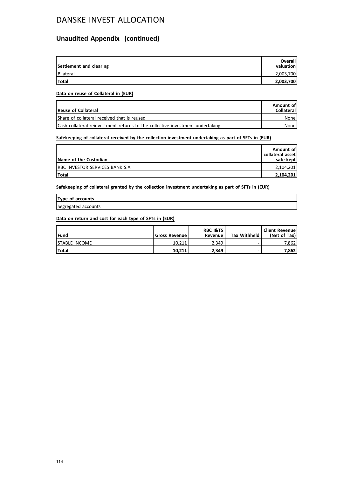### **Unaudited Appendix (continued)**

| Settlement and clearing | <b>Overall</b><br>valuation |
|-------------------------|-----------------------------|
| Bilateral               | 2,003,700                   |
| <b>Total</b>            | 2,003,700                   |

#### **Data on reuse of Collateral in (EUR)**

| Reuse of Collateral                                                           | Amount of<br><b>Collateral</b> |
|-------------------------------------------------------------------------------|--------------------------------|
| Share of collateral received that is reused                                   | None l                         |
| Cash collateral reinvestment returns to the collective investment undertaking | None l                         |

### **Safekeeping of collateral received by the collection investment undertaking as part of SFTs in (EUR)**

| Name of the Custodian            | Amount of<br>collateral asset<br>safe-kept |
|----------------------------------|--------------------------------------------|
| IRBC INVESTOR SERVICES BANK S.A. | 2,104,201                                  |
| <b>Total</b>                     | 2,104,201                                  |

**Safekeeping of collateral granted by the collection investment undertaking as part of SFTs in (EUR)**

| Type of accounts    |  |
|---------------------|--|
| Segregated accounts |  |

#### **Data on return and cost for each type of SFTs in (EUR)**

| <b>lFund</b>          | <b>Gross Revenue I</b> | <b>RBC I&amp;TS</b><br>Revenue | <b>Tax Withheld</b> | Client Revenue!<br>(Net of Tax) |
|-----------------------|------------------------|--------------------------------|---------------------|---------------------------------|
| <b>ISTABLE INCOME</b> | 10.211                 | 2.349                          |                     | 7.862                           |
| <b>Total</b>          | 10.211                 | 2.349                          |                     | 7,862                           |